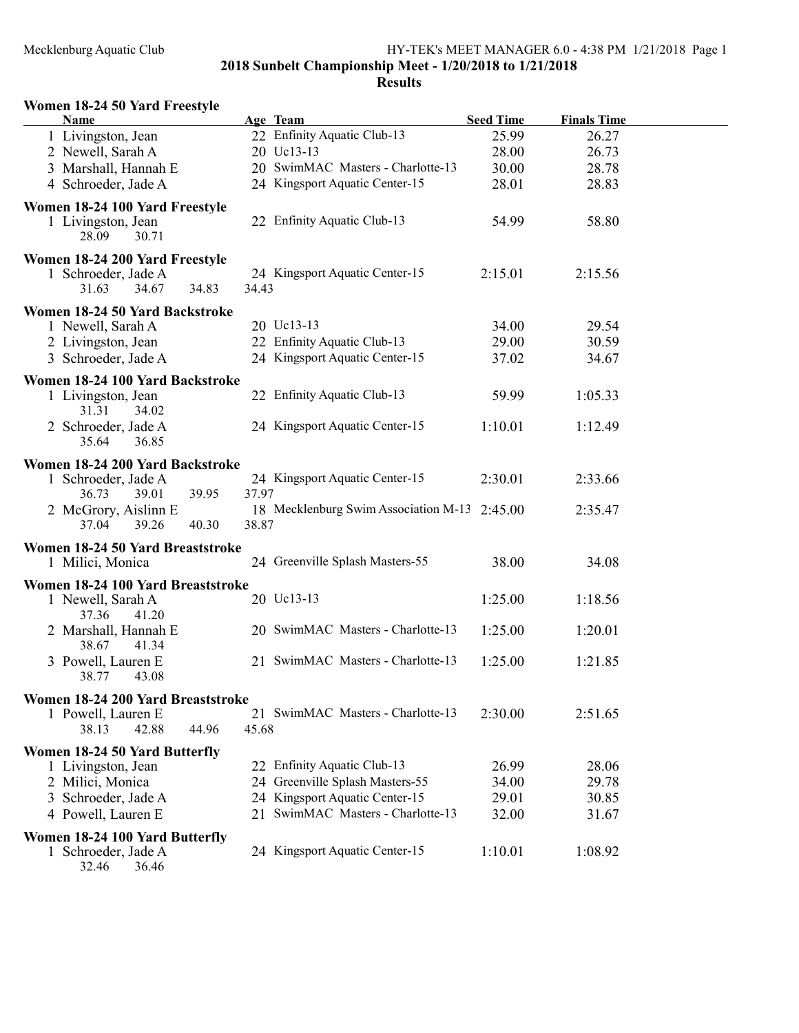| Women 18-24 50 Yard Freestyle |  |  |  |  |
|-------------------------------|--|--|--|--|
|-------------------------------|--|--|--|--|

| Name                                                                    |                                 | Age Team                                     | <b>Seed Time</b> | <b>Finals Time</b> |  |  |  |  |  |  |  |
|-------------------------------------------------------------------------|---------------------------------|----------------------------------------------|------------------|--------------------|--|--|--|--|--|--|--|
| 1 Livingston, Jean                                                      |                                 | 22 Enfinity Aquatic Club-13                  | 25.99            | 26.27              |  |  |  |  |  |  |  |
| 2 Newell, Sarah A                                                       |                                 | 20 Uc13-13                                   | 28.00            | 26.73              |  |  |  |  |  |  |  |
| 3 Marshall, Hannah E                                                    |                                 | 20 SwimMAC Masters - Charlotte-13            | 30.00            | 28.78              |  |  |  |  |  |  |  |
| 4 Schroeder, Jade A                                                     |                                 | 24 Kingsport Aquatic Center-15               | 28.01            | 28.83              |  |  |  |  |  |  |  |
| Women 18-24 100 Yard Freestyle<br>1 Livingston, Jean<br>28.09<br>30.71  |                                 | 22 Enfinity Aquatic Club-13                  | 54.99            | 58.80              |  |  |  |  |  |  |  |
| Women 18-24 200 Yard Freestyle<br>1 Schroeder, Jade A<br>34.67<br>31.63 | 34.83<br>34.43                  | 24 Kingsport Aquatic Center-15               | 2:15.01          | 2:15.56            |  |  |  |  |  |  |  |
| Women 18-24 50 Yard Backstroke                                          |                                 |                                              |                  |                    |  |  |  |  |  |  |  |
| 1 Newell, Sarah A                                                       |                                 | 20 Uc13-13                                   | 34.00            | 29.54              |  |  |  |  |  |  |  |
| 2 Livingston, Jean                                                      |                                 | 22 Enfinity Aquatic Club-13                  | 29.00            | 30.59              |  |  |  |  |  |  |  |
| 3 Schroeder, Jade A                                                     |                                 | 24 Kingsport Aquatic Center-15               | 37.02            | 34.67              |  |  |  |  |  |  |  |
| Women 18-24 100 Yard Backstroke                                         |                                 |                                              |                  |                    |  |  |  |  |  |  |  |
| 1 Livingston, Jean<br>31.31<br>34.02                                    |                                 | 22 Enfinity Aquatic Club-13                  | 59.99            | 1:05.33            |  |  |  |  |  |  |  |
| 2 Schroeder, Jade A<br>36.85<br>35.64                                   |                                 | 24 Kingsport Aquatic Center-15               | 1:10.01          | 1:12.49            |  |  |  |  |  |  |  |
|                                                                         | Women 18-24 200 Yard Backstroke |                                              |                  |                    |  |  |  |  |  |  |  |
| 1 Schroeder, Jade A<br>36.73<br>39.01                                   | 39.95<br>37.97                  | 24 Kingsport Aquatic Center-15               | 2:30.01          | 2:33.66            |  |  |  |  |  |  |  |
| 2 McGrory, Aislinn E<br>39.26<br>37.04                                  | 40.30<br>38.87                  | 18 Mecklenburg Swim Association M-13 2:45.00 |                  | 2:35.47            |  |  |  |  |  |  |  |
| Women 18-24 50 Yard Breaststroke                                        |                                 |                                              |                  |                    |  |  |  |  |  |  |  |
| 1 Milici, Monica                                                        |                                 | 24 Greenville Splash Masters-55              | 38.00            | 34.08              |  |  |  |  |  |  |  |
| Women 18-24 100 Yard Breaststroke                                       |                                 |                                              |                  |                    |  |  |  |  |  |  |  |
| 1 Newell, Sarah A<br>37.36<br>41.20                                     |                                 | 20 Uc13-13                                   | 1:25.00          | 1:18.56            |  |  |  |  |  |  |  |
| 2 Marshall, Hannah E<br>38.67<br>41.34                                  |                                 | 20 SwimMAC Masters - Charlotte-13            | 1:25.00          | 1:20.01            |  |  |  |  |  |  |  |
| 3 Powell, Lauren E<br>38.77<br>43.08                                    |                                 | 21 SwimMAC Masters - Charlotte-13            | 1:25.00          | 1:21.85            |  |  |  |  |  |  |  |
| Women 18-24 200 Yard Breaststroke                                       |                                 |                                              |                  |                    |  |  |  |  |  |  |  |
| 1 Powell, Lauren E<br>38.13<br>42.88                                    | 44.96<br>45.68                  | 21 SwimMAC Masters - Charlotte-13            | 2:30.00          | 2:51.65            |  |  |  |  |  |  |  |
| Women 18-24 50 Yard Butterfly                                           |                                 |                                              |                  |                    |  |  |  |  |  |  |  |
| 1 Livingston, Jean                                                      | 22                              | Enfinity Aquatic Club-13                     | 26.99            | 28.06              |  |  |  |  |  |  |  |
| 2 Milici, Monica                                                        |                                 | 24 Greenville Splash Masters-55              | 34.00            | 29.78              |  |  |  |  |  |  |  |
| 3 Schroeder, Jade A                                                     |                                 | 24 Kingsport Aquatic Center-15               | 29.01            | 30.85              |  |  |  |  |  |  |  |
| 4 Powell, Lauren E                                                      |                                 | 21 SwimMAC Masters - Charlotte-13            | 32.00            | 31.67              |  |  |  |  |  |  |  |
|                                                                         |                                 |                                              |                  |                    |  |  |  |  |  |  |  |
| Women 18-24 100 Yard Butterfly<br>1 Schroeder, Jade A<br>32.46<br>36.46 |                                 | 24 Kingsport Aquatic Center-15               | 1:10.01          | 1:08.92            |  |  |  |  |  |  |  |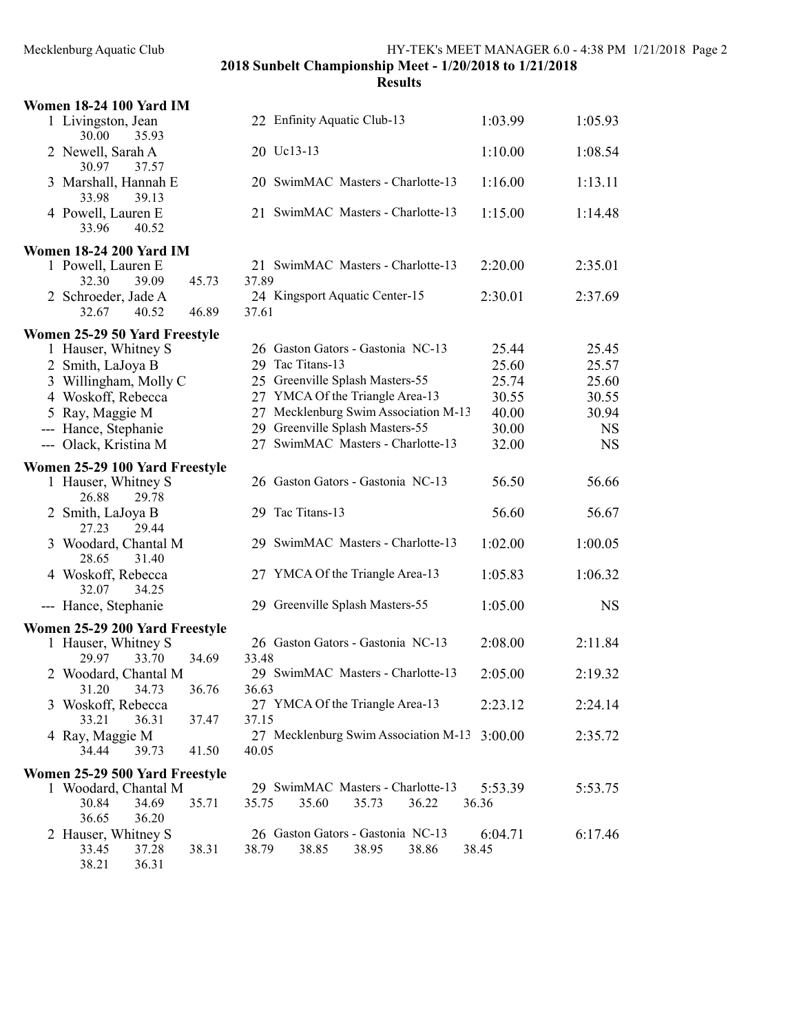|                          | <b>Women 18-24 100 Yard IM</b>                                          |                                                                       |                  |           |
|--------------------------|-------------------------------------------------------------------------|-----------------------------------------------------------------------|------------------|-----------|
|                          | 1 Livingston, Jean<br>30.00<br>35.93                                    | 22 Enfinity Aquatic Club-13                                           | 1:03.99          | 1:05.93   |
|                          | 2 Newell, Sarah A<br>30.97<br>37.57                                     | 20 Uc13-13                                                            | 1:10.00          | 1:08.54   |
|                          | 3 Marshall, Hannah E<br>33.98<br>39.13                                  | 20 SwimMAC Masters - Charlotte-13                                     | 1:16.00          | 1:13.11   |
|                          | 4 Powell, Lauren E<br>33.96<br>40.52                                    | 21 SwimMAC Masters - Charlotte-13                                     | 1:15.00          | 1:14.48   |
|                          | <b>Women 18-24 200 Yard IM</b>                                          |                                                                       |                  |           |
|                          | 1 Powell, Lauren E<br>39.09<br>32.30<br>45.73                           | 21 SwimMAC Masters - Charlotte-13<br>37.89                            | 2:20.00          | 2:35.01   |
|                          | 2 Schroeder, Jade A<br>32.67<br>40.52<br>46.89                          | 24 Kingsport Aquatic Center-15<br>37.61                               | 2:30.01          | 2:37.69   |
|                          | Women 25-29 50 Yard Freestyle                                           |                                                                       |                  |           |
|                          | 1 Hauser, Whitney S                                                     | 26 Gaston Gators - Gastonia NC-13                                     | 25.44            | 25.45     |
|                          | 2 Smith, LaJoya B                                                       | 29 Tac Titans-13                                                      | 25.60            | 25.57     |
|                          | 3 Willingham, Molly C                                                   | 25 Greenville Splash Masters-55                                       | 25.74            | 25.60     |
|                          | 4 Woskoff, Rebecca                                                      | 27 YMCA Of the Triangle Area-13                                       | 30.55            | 30.55     |
|                          | 5 Ray, Maggie M                                                         | 27 Mecklenburg Swim Association M-13                                  | 40.00            | 30.94     |
| $\overline{\phantom{a}}$ | Hance, Stephanie                                                        | 29 Greenville Splash Masters-55                                       | 30.00            | <b>NS</b> |
|                          | --- Olack, Kristina M                                                   | 27 SwimMAC Masters - Charlotte-13                                     | 32.00            | <b>NS</b> |
|                          | Women 25-29 100 Yard Freestyle<br>1 Hauser, Whitney S<br>26.88<br>29.78 | 26 Gaston Gators - Gastonia NC-13                                     | 56.50            | 56.66     |
|                          | 2 Smith, LaJoya B<br>27.23<br>29.44                                     | 29 Tac Titans-13                                                      | 56.60            | 56.67     |
|                          | 3 Woodard, Chantal M<br>28.65<br>31.40                                  | 29 SwimMAC Masters - Charlotte-13                                     | 1:02.00          | 1:00.05   |
|                          | 4 Woskoff, Rebecca<br>32.07<br>34.25                                    | 27 YMCA Of the Triangle Area-13                                       | 1:05.83          | 1:06.32   |
|                          | --- Hance, Stephanie                                                    | 29 Greenville Splash Masters-55                                       | 1:05.00          | <b>NS</b> |
|                          | Women 25-29 200 Yard Freestyle                                          |                                                                       |                  |           |
|                          | 1 Hauser, Whitney S                                                     | 26 Gaston Gators - Gastonia NC-13                                     | 2:08.00          | 2:11.84   |
|                          | 33.70<br>34.69<br>29.97                                                 | 33.48                                                                 |                  |           |
|                          | 2 Woodard, Chantal M                                                    | 29 SwimMAC Masters - Charlotte-13                                     | 2:05.00          | 2:19.32   |
|                          | 31.20<br>34.73<br>36.76                                                 | 36.63                                                                 |                  |           |
|                          | 3 Woskoff, Rebecca<br>33.21<br>36.31<br>37.47                           | 27 YMCA Of the Triangle Area-13<br>37.15                              | 2:23.12          | 2:24.14   |
|                          | 4 Ray, Maggie M                                                         | 27 Mecklenburg Swim Association M-13 3:00.00                          |                  | 2:35.72   |
|                          | 34.44<br>39.73<br>41.50                                                 | 40.05                                                                 |                  |           |
|                          | Women 25-29 500 Yard Freestyle                                          |                                                                       |                  |           |
|                          | 1 Woodard, Chantal M                                                    | 29 SwimMAC Masters - Charlotte-13                                     | 5:53.39          | 5:53.75   |
|                          | 30.84<br>34.69<br>35.71<br>36.65<br>36.20                               | 35.60<br>35.73<br>36.22<br>35.75                                      | 36.36            |           |
|                          | 2 Hauser, Whitney S<br>37.28<br>33.45<br>38.31<br>38.21<br>36.31        | 26 Gaston Gators - Gastonia NC-13<br>38.79<br>38.85<br>38.95<br>38.86 | 6:04.71<br>38.45 | 6:17.46   |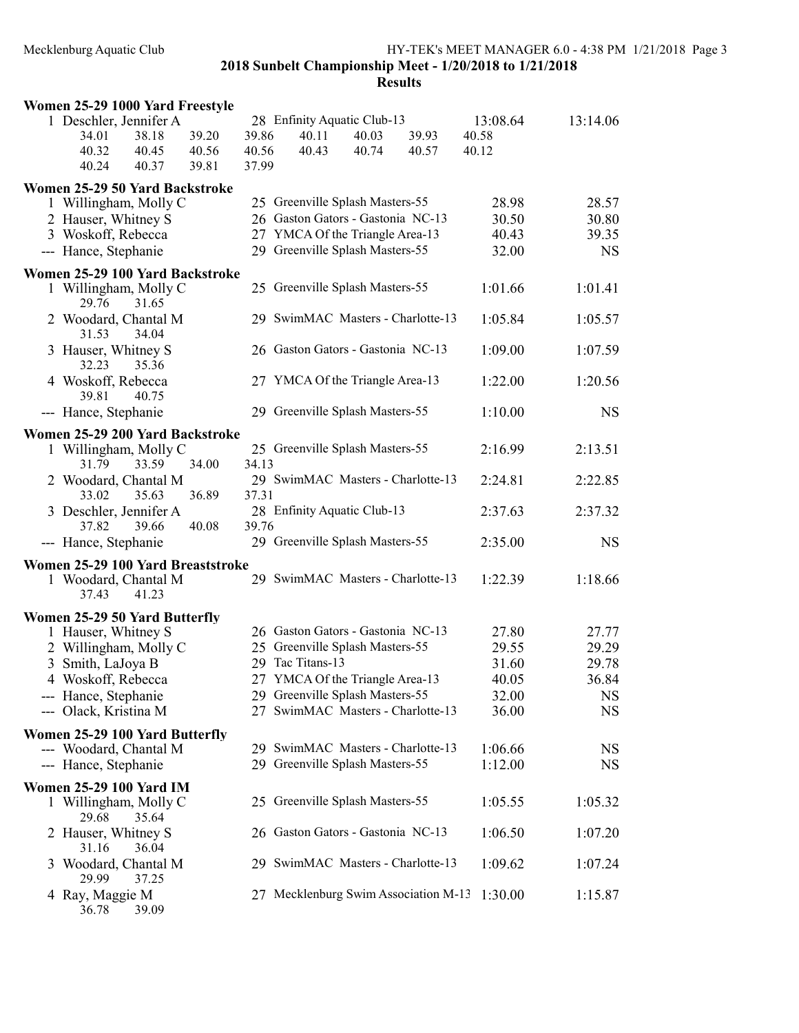| Women 25-29 1000 Yard Freestyle                                              |                         |                         |                                               |                |                                      |                            |           |
|------------------------------------------------------------------------------|-------------------------|-------------------------|-----------------------------------------------|----------------|--------------------------------------|----------------------------|-----------|
| 1 Deschler, Jennifer A<br>34.01<br>38.18<br>40.32<br>40.45<br>40.24<br>40.37 | 39.20<br>40.56<br>39.81 | 39.86<br>40.56<br>37.99 | 28 Enfinity Aquatic Club-13<br>40.11<br>40.43 | 40.03<br>40.74 | 39.93<br>40.57                       | 13:08.64<br>40.58<br>40.12 | 13:14.06  |
| Women 25-29 50 Yard Backstroke                                               |                         |                         |                                               |                |                                      |                            |           |
| 1 Willingham, Molly C                                                        |                         |                         | 25 Greenville Splash Masters-55               |                |                                      | 28.98                      | 28.57     |
| 2 Hauser, Whitney S                                                          |                         |                         | 26 Gaston Gators - Gastonia NC-13             |                |                                      | 30.50                      | 30.80     |
| 3 Woskoff, Rebecca                                                           |                         |                         | 27 YMCA Of the Triangle Area-13               |                |                                      | 40.43                      | 39.35     |
| --- Hance, Stephanie                                                         |                         |                         | 29 Greenville Splash Masters-55               |                |                                      | 32.00                      | <b>NS</b> |
| Women 25-29 100 Yard Backstroke                                              |                         |                         |                                               |                |                                      |                            |           |
| 1 Willingham, Molly C<br>29.76<br>31.65                                      |                         |                         | 25 Greenville Splash Masters-55               |                |                                      | 1:01.66                    | 1:01.41   |
| 2 Woodard, Chantal M<br>31.53<br>34.04                                       |                         |                         | 29 SwimMAC Masters - Charlotte-13             |                |                                      | 1:05.84                    | 1:05.57   |
| 3 Hauser, Whitney S<br>35.36<br>32.23                                        |                         |                         | 26 Gaston Gators - Gastonia NC-13             |                |                                      | 1:09.00                    | 1:07.59   |
| 4 Woskoff, Rebecca<br>39.81<br>40.75                                         |                         |                         | 27 YMCA Of the Triangle Area-13               |                |                                      | 1:22.00                    | 1:20.56   |
| --- Hance, Stephanie                                                         |                         |                         | 29 Greenville Splash Masters-55               |                |                                      | 1:10.00                    | <b>NS</b> |
| Women 25-29 200 Yard Backstroke                                              |                         |                         |                                               |                |                                      |                            |           |
| 1 Willingham, Molly C<br>31.79<br>33.59                                      | 34.00                   | 34.13                   | 25 Greenville Splash Masters-55               |                |                                      | 2:16.99                    | 2:13.51   |
| 2 Woodard, Chantal M<br>33.02<br>35.63                                       | 36.89                   | 37.31                   | 29 SwimMAC Masters - Charlotte-13             |                |                                      | 2:24.81                    | 2:22.85   |
| 3 Deschler, Jennifer A<br>37.82<br>39.66                                     | 40.08                   | 39.76                   | 28 Enfinity Aquatic Club-13                   |                |                                      | 2:37.63                    | 2:37.32   |
| --- Hance, Stephanie                                                         |                         |                         | 29 Greenville Splash Masters-55               |                |                                      | 2:35.00                    | <b>NS</b> |
| Women 25-29 100 Yard Breaststroke<br>1 Woodard, Chantal M<br>41.23<br>37.43  |                         |                         | 29 SwimMAC Masters - Charlotte-13             |                |                                      | 1:22.39                    | 1:18.66   |
| Women 25-29 50 Yard Butterfly                                                |                         |                         |                                               |                |                                      |                            |           |
| 1 Hauser, Whitney S                                                          |                         |                         | 26 Gaston Gators - Gastonia NC-13             |                |                                      | 27.80                      | 27.77     |
| 2 Willingham, Molly C                                                        |                         |                         | 25 Greenville Splash Masters-55               |                |                                      | 29.55                      | 29.29     |
| 3 Smith, LaJoya B                                                            |                         |                         | 29 Tac Titans-13                              |                |                                      | 31.60                      | 29.78     |
| 4 Woskoff, Rebecca                                                           |                         |                         | 27 YMCA Of the Triangle Area-13               |                |                                      | 40.05                      | 36.84     |
| --- Hance, Stephanie                                                         |                         |                         | 29 Greenville Splash Masters-55               |                |                                      | 32.00                      | NS        |
| --- Olack, Kristina M                                                        |                         |                         | 27 SwimMAC Masters - Charlotte-13             |                |                                      | 36.00                      | <b>NS</b> |
| Women 25-29 100 Yard Butterfly                                               |                         |                         |                                               |                |                                      |                            |           |
| --- Woodard, Chantal M                                                       |                         |                         | 29 SwimMAC Masters - Charlotte-13             |                |                                      | 1:06.66                    | <b>NS</b> |
| --- Hance, Stephanie                                                         |                         |                         | 29 Greenville Splash Masters-55               |                |                                      | 1:12.00                    | <b>NS</b> |
| <b>Women 25-29 100 Yard IM</b>                                               |                         |                         |                                               |                |                                      |                            |           |
| 1 Willingham, Molly C<br>29.68<br>35.64                                      |                         |                         | 25 Greenville Splash Masters-55               |                |                                      | 1:05.55                    | 1:05.32   |
| 2 Hauser, Whitney S<br>31.16<br>36.04                                        |                         |                         | 26 Gaston Gators - Gastonia NC-13             |                |                                      | 1:06.50                    | 1:07.20   |
| 3 Woodard, Chantal M<br>29.99<br>37.25                                       |                         |                         | 29 SwimMAC Masters - Charlotte-13             |                |                                      | 1:09.62                    | 1:07.24   |
| 4 Ray, Maggie M<br>39.09<br>36.78                                            |                         |                         |                                               |                | 27 Mecklenburg Swim Association M-13 | 1:30.00                    | 1:15.87   |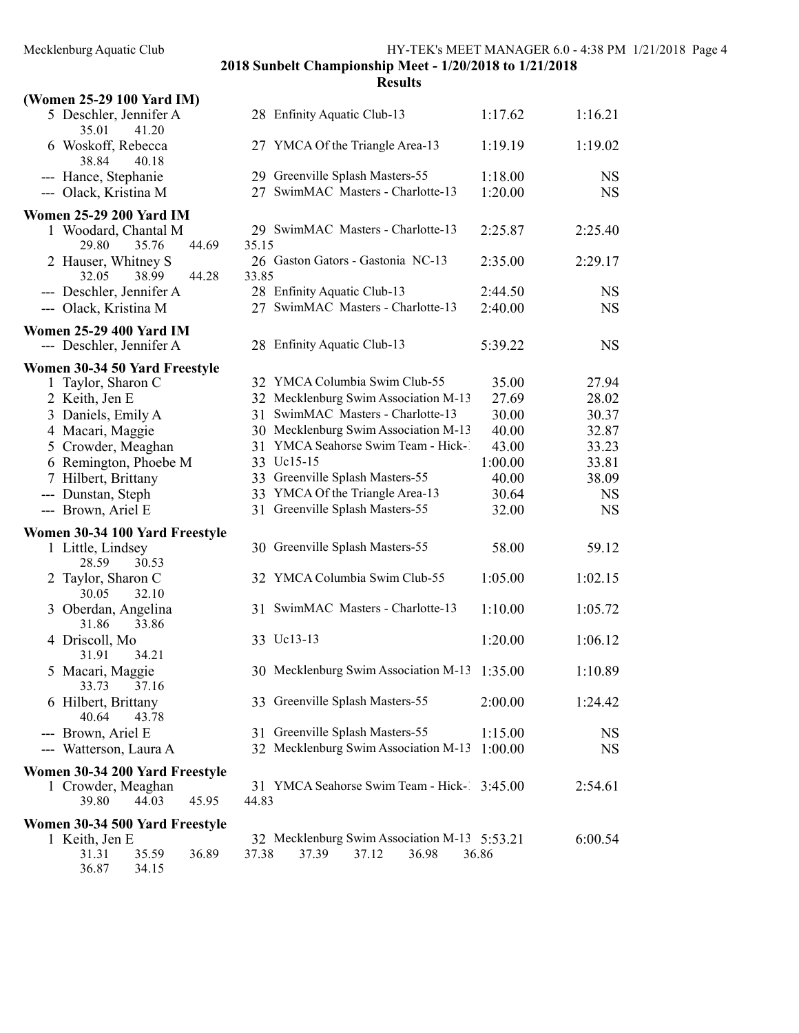### (Women 25-29 100 Yard IM) 5 Deschler, Jennifer A 28 Enfinity Aquatic Club-13 1:17.62 1:16.21 35.01 41.20 6 Woskoff, Rebecca 27 YMCA Of the Triangle Area-13  $1:19.19$   $1:19.02$ 38.84 40.18 --- Hance, Stephanie 29 Greenville Splash Masters-55 1:18.00 NS --- Olack, Kristina M 27 SwimMAC Masters - Charlotte-13 1:20.00 NS Women 25-29 200 Yard IM 1 Woodard, Chantal M 29 SwimMAC Masters - Charlotte-13 2:25.87 2:25.40 29.80 35.76 44.69 35.15 2 Hauser, Whitney S 26 Gaston Gators - Gastonia NC-13 2:35.00 2:29.17 32.05 38.99 44.28 33.85 --- Deschler, Jennifer A 28 Enfinity Aquatic Club-13 2:44.50 NS --- Olack, Kristina M 27 SwimMAC Masters - Charlotte-13 2:40.00 NS Women 25-29 400 Yard IM --- Deschler, Jennifer A 28 Enfinity Aquatic Club-13 5:39.22 NS Women 30-34 50 Yard Freestyle 1 Taylor, Sharon C 32 YMCA Columbia Swim Club-55 35.00 27.94 2 Keith, Jen E 32 Mecklenburg Swim Association M-13 27.69 28.02 3 Daniels, Emily A 31 SwimMAC Masters - Charlotte-13 30.00 30.37 4 Macari, Maggie 30 Mecklenburg Swim Association M-13 40.00 32.87 5 Crowder, Meaghan 31 YMCA Seahorse Swim Team - Hick-143.00 33.23<br>6 Remington. Phoebe M 33 Uc15-15 1:00.00 33.81 6 Remington, Phoebe M 33 Uc15-15 1:00.00 33.81 7 Hilbert, Brittany 33 Greenville Splash Masters-55 40.00 38.09 --- Dunstan, Steph 33 YMCA Of the Triangle Area-13 30.64 NS --- Brown, Ariel E 31 Greenville Splash Masters-55 32.00 NS Women 30-34 100 Yard Freestyle 1 Little, Lindsey 30 Greenville Splash Masters-55 58.00 59.12 28.59 30.53 2 Taylor, Sharon C 32 YMCA Columbia Swim Club-55 1:05.00 1:02.15 30.05 32.10 3 Oberdan, Angelina 31 SwimMAC Masters - Charlotte-13 1:10.00 1:05.72 31.86 33.86 4 Driscoll, Mo 33 Uc13-13 1:20.00 1:06.12 31.91 34.21 5 Macari, Maggie 30 Mecklenburg Swim Association M-13 1:35.00 1:10.89 33.73 37.16 6 Hilbert, Brittany 33 Greenville Splash Masters-55 2:00.00 1:24.42 40.64 43.78 --- Brown, Ariel E 31 Greenville Splash Masters-55 1:15.00 NS --- Watterson, Laura A 32 Mecklenburg Swim Association M-13 1:00.00 NS Women 30-34 200 Yard Freestyle 1 Crowder, Meaghan 31 YMCA Seahorse Swim Team - Hick-1 3:45.00 2:54.61 39.80 44.03 45.95 44.83 Women 30-34 500 Yard Freestyle<br>1 Keith, Jen E 32 Mecklenburg Swim Association M-13 5:53.21 6:00.54 31.31 35.59 36.89 37.38 37.39 37.12 36.98 36.86 36.87 34.15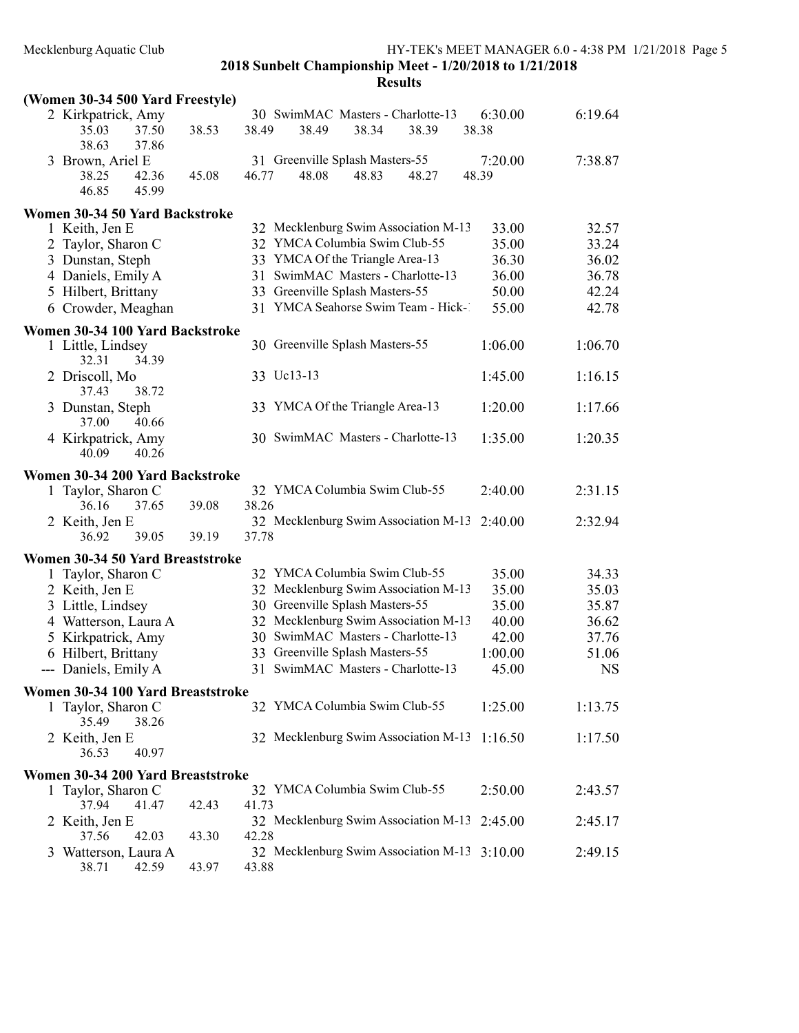|              | (Women 30-34 500 Yard Freestyle)                       |       |       |                                            |       |       |                  |           |
|--------------|--------------------------------------------------------|-------|-------|--------------------------------------------|-------|-------|------------------|-----------|
|              | 2 Kirkpatrick, Amy<br>35.03<br>37.50<br>38.63<br>37.86 | 38.53 | 38.49 | 30 SwimMAC Masters - Charlotte-13<br>38.49 | 38.34 | 38.39 | 6:30.00<br>38.38 | 6:19.64   |
|              | 3 Brown, Ariel E                                       |       |       | 31 Greenville Splash Masters-55            |       |       | 7:20.00          | 7:38.87   |
|              | 42.36<br>38.25<br>46.85<br>45.99                       | 45.08 | 46.77 | 48.08                                      | 48.83 | 48.27 | 48.39            |           |
|              | Women 30-34 50 Yard Backstroke                         |       |       |                                            |       |       |                  |           |
|              | 1 Keith, Jen E                                         |       |       | 32 Mecklenburg Swim Association M-13       |       |       | 33.00            | 32.57     |
|              | 2 Taylor, Sharon C                                     |       |       | 32 YMCA Columbia Swim Club-55              |       |       | 35.00            | 33.24     |
|              | 3 Dunstan, Steph                                       |       |       | 33 YMCA Of the Triangle Area-13            |       |       | 36.30            | 36.02     |
|              | 4 Daniels, Emily A                                     |       |       | 31 SwimMAC Masters - Charlotte-13          |       |       | 36.00            | 36.78     |
|              | 5 Hilbert, Brittany                                    |       |       | 33 Greenville Splash Masters-55            |       |       | 50.00            | 42.24     |
|              | 6 Crowder, Meaghan                                     |       |       | 31 YMCA Seahorse Swim Team - Hick-1        |       |       | 55.00            | 42.78     |
|              | Women 30-34 100 Yard Backstroke                        |       |       |                                            |       |       |                  |           |
|              | 1 Little, Lindsey<br>32.31<br>34.39                    |       |       | 30 Greenville Splash Masters-55            |       |       | 1:06.00          | 1:06.70   |
|              | 2 Driscoll, Mo<br>38.72<br>37.43                       |       |       | 33 Uc13-13                                 |       |       | 1:45.00          | 1:16.15   |
|              | 3 Dunstan, Steph<br>37.00<br>40.66                     |       |       | 33 YMCA Of the Triangle Area-13            |       |       | 1:20.00          | 1:17.66   |
|              | 4 Kirkpatrick, Amy<br>40.09<br>40.26                   |       |       | 30 SwimMAC Masters - Charlotte-13          |       |       | 1:35.00          | 1:20.35   |
|              | Women 30-34 200 Yard Backstroke                        |       |       |                                            |       |       |                  |           |
|              | 1 Taylor, Sharon C<br>36.16<br>37.65                   | 39.08 | 38.26 | 32 YMCA Columbia Swim Club-55              |       |       | 2:40.00          | 2:31.15   |
|              | 2 Keith, Jen E<br>36.92<br>39.05                       | 39.19 | 37.78 | 32 Mecklenburg Swim Association M-13       |       |       | 2:40.00          | 2:32.94   |
|              | Women 30-34 50 Yard Breaststroke                       |       |       |                                            |       |       |                  |           |
| $\mathbf{1}$ | Taylor, Sharon C                                       |       |       | 32 YMCA Columbia Swim Club-55              |       |       | 35.00            | 34.33     |
|              | 2 Keith, Jen E                                         |       |       | 32 Mecklenburg Swim Association M-13       |       |       | 35.00            | 35.03     |
|              | 3 Little, Lindsey                                      |       |       | 30 Greenville Splash Masters-55            |       |       | 35.00            | 35.87     |
|              | 4 Watterson, Laura A                                   |       |       | 32 Mecklenburg Swim Association M-13       |       |       | 40.00            | 36.62     |
|              | 5 Kirkpatrick, Amy                                     |       |       | 30 SwimMAC Masters - Charlotte-13          |       |       | 42.00            | 37.76     |
|              | 6 Hilbert, Brittany                                    |       |       | 33 Greenville Splash Masters-55            |       |       | 1:00.00          | 51.06     |
|              | --- Daniels, Emily A                                   |       |       | 31 SwimMAC Masters - Charlotte-13          |       |       | 45.00            | <b>NS</b> |
|              | Women 30-34 100 Yard Breaststroke                      |       |       |                                            |       |       |                  |           |
|              | 1 Taylor, Sharon C<br>35.49<br>38.26                   |       |       | 32 YMCA Columbia Swim Club-55              |       |       | 1:25.00          | 1:13.75   |
|              | 2 Keith, Jen E<br>36.53<br>40.97                       |       |       | 32 Mecklenburg Swim Association M-13       |       |       | 1:16.50          | 1:17.50   |
|              | Women 30-34 200 Yard Breaststroke                      |       |       |                                            |       |       |                  |           |
|              | 1 Taylor, Sharon C<br>37.94<br>41.47                   | 42.43 | 41.73 | 32 YMCA Columbia Swim Club-55              |       |       | 2:50.00          | 2:43.57   |
|              | 2 Keith, Jen E<br>37.56<br>42.03                       | 43.30 | 42.28 | 32 Mecklenburg Swim Association M-13       |       |       | 2:45.00          | 2:45.17   |
|              | 3 Watterson, Laura A<br>38.71<br>42.59                 | 43.97 | 43.88 | 32 Mecklenburg Swim Association M-13       |       |       | 3:10.00          | 2:49.15   |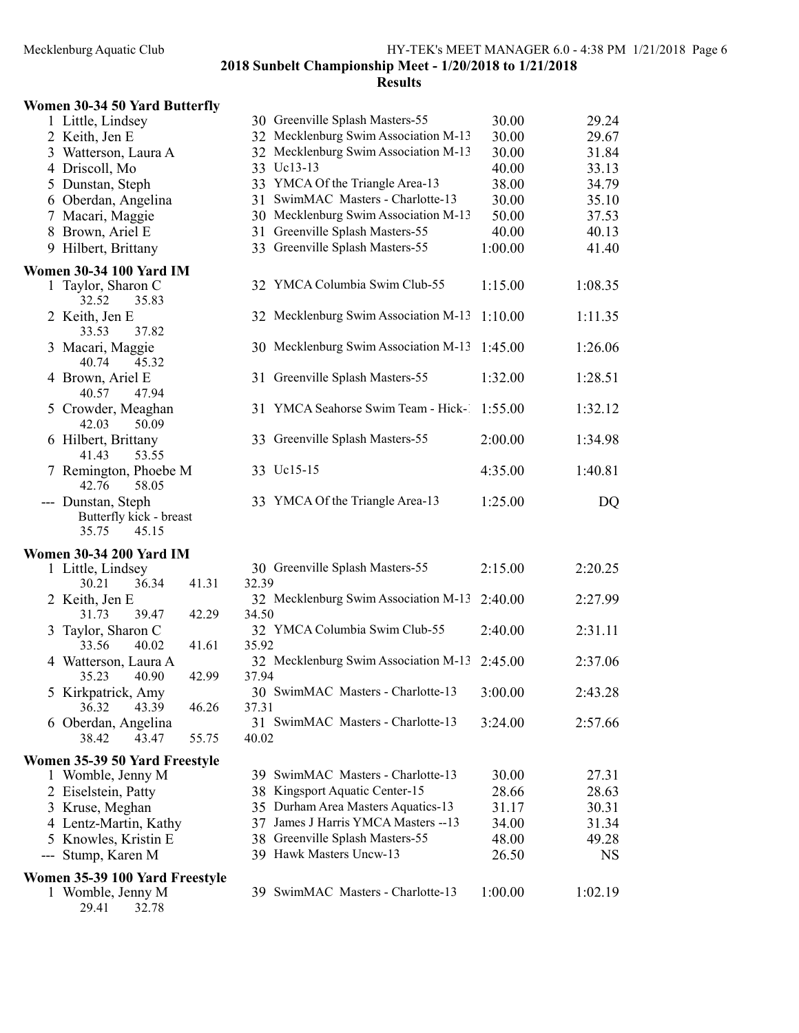#### Results

### Women 30-34 50 Yard Butterfly

|     | 1 Little, Lindsey                                               |       |       | 30 Greenville Splash Masters-55      | 30.00   | 29.24     |
|-----|-----------------------------------------------------------------|-------|-------|--------------------------------------|---------|-----------|
|     | 2 Keith, Jen E                                                  |       |       | 32 Mecklenburg Swim Association M-13 | 30.00   | 29.67     |
|     | 3 Watterson, Laura A                                            |       |       | 32 Mecklenburg Swim Association M-13 | 30.00   | 31.84     |
|     | 4 Driscoll, Mo                                                  |       |       | 33 Uc13-13                           | 40.00   | 33.13     |
|     | 5 Dunstan, Steph                                                |       |       | 33 YMCA Of the Triangle Area-13      | 38.00   | 34.79     |
|     | 6 Oberdan, Angelina                                             |       |       | 31 SwimMAC Masters - Charlotte-13    | 30.00   | 35.10     |
|     | 7 Macari, Maggie                                                |       |       | 30 Mecklenburg Swim Association M-13 | 50.00   | 37.53     |
|     | 8 Brown, Ariel E                                                |       |       | 31 Greenville Splash Masters-55      | 40.00   | 40.13     |
|     | 9 Hilbert, Brittany                                             |       |       | 33 Greenville Splash Masters-55      | 1:00.00 | 41.40     |
|     | <b>Women 30-34 100 Yard IM</b>                                  |       |       |                                      |         |           |
|     | 1 Taylor, Sharon C<br>32.52<br>35.83                            |       |       | 32 YMCA Columbia Swim Club-55        | 1:15.00 | 1:08.35   |
|     | 2 Keith, Jen E<br>33.53<br>37.82                                |       |       | 32 Mecklenburg Swim Association M-13 | 1:10.00 | 1:11.35   |
|     | 3 Macari, Maggie<br>45.32<br>40.74                              |       |       | 30 Mecklenburg Swim Association M-13 | 1:45.00 | 1:26.06   |
|     | 4 Brown, Ariel E<br>47.94<br>40.57                              |       |       | 31 Greenville Splash Masters-55      | 1:32.00 | 1:28.51   |
|     | 5 Crowder, Meaghan<br>50.09<br>42.03                            |       |       | 31 YMCA Seahorse Swim Team - Hick-1  | 1:55.00 | 1:32.12   |
|     | 6 Hilbert, Brittany<br>53.55<br>41.43                           |       |       | 33 Greenville Splash Masters-55      | 2:00.00 | 1:34.98   |
|     | 7 Remington, Phoebe M<br>42.76<br>58.05                         |       |       | 33 Uc15-15                           | 4:35.00 | 1:40.81   |
|     | --- Dunstan, Steph<br>Butterfly kick - breast<br>35.75<br>45.15 |       |       | 33 YMCA Of the Triangle Area-13      | 1:25.00 | DQ        |
|     | <b>Women 30-34 200 Yard IM</b>                                  |       |       |                                      |         |           |
|     | 1 Little, Lindsey                                               |       |       | 30 Greenville Splash Masters-55      | 2:15.00 | 2:20.25   |
|     | 30.21<br>36.34                                                  | 41.31 | 32.39 |                                      |         |           |
|     | 2 Keith, Jen E                                                  |       |       | 32 Mecklenburg Swim Association M-13 | 2:40.00 | 2:27.99   |
|     | 31.73<br>39.47                                                  | 42.29 | 34.50 |                                      |         |           |
|     | 3 Taylor, Sharon C                                              |       |       | 32 YMCA Columbia Swim Club-55        | 2:40.00 | 2:31.11   |
|     | 33.56<br>40.02                                                  | 41.61 | 35.92 |                                      |         |           |
|     | 4 Watterson, Laura A                                            |       |       | 32 Mecklenburg Swim Association M-13 | 2:45.00 | 2:37.06   |
|     | 35.23<br>40.90                                                  | 42.99 | 37.94 |                                      |         |           |
|     | 5 Kirkpatrick, Amy                                              |       |       | 30 SwimMAC Masters - Charlotte-13    | 3:00.00 | 2:43.28   |
|     | 36.32<br>43.39                                                  | 46.26 | 37.31 |                                      |         |           |
|     | 6 Oberdan, Angelina<br>43.47<br>38.42                           | 55.75 | 40.02 | 31 SwimMAC Masters - Charlotte-13    | 3:24.00 | 2:57.66   |
|     | Women 35-39 50 Yard Freestyle                                   |       |       |                                      |         |           |
|     | 1 Womble, Jenny M                                               |       |       | 39 SwimMAC Masters - Charlotte-13    | 30.00   | 27.31     |
|     | 2 Eiselstein, Patty                                             |       |       | 38 Kingsport Aquatic Center-15       | 28.66   | 28.63     |
|     | 3 Kruse, Meghan                                                 |       |       | 35 Durham Area Masters Aquatics-13   | 31.17   | 30.31     |
|     | 4 Lentz-Martin, Kathy                                           |       |       | 37 James J Harris YMCA Masters -- 13 | 34.00   | 31.34     |
|     | 5 Knowles, Kristin E                                            |       |       | 38 Greenville Splash Masters-55      | 48.00   | 49.28     |
| --- | Stump, Karen M                                                  |       |       | 39 Hawk Masters Uncw-13              | 26.50   | <b>NS</b> |
|     | Women 35-39 100 Yard Freestyle                                  |       |       |                                      |         |           |
|     | 1 Womble, Jenny M                                               |       |       | 39 SwimMAC Masters - Charlotte-13    | 1:00.00 | 1:02.19   |

29.41 32.78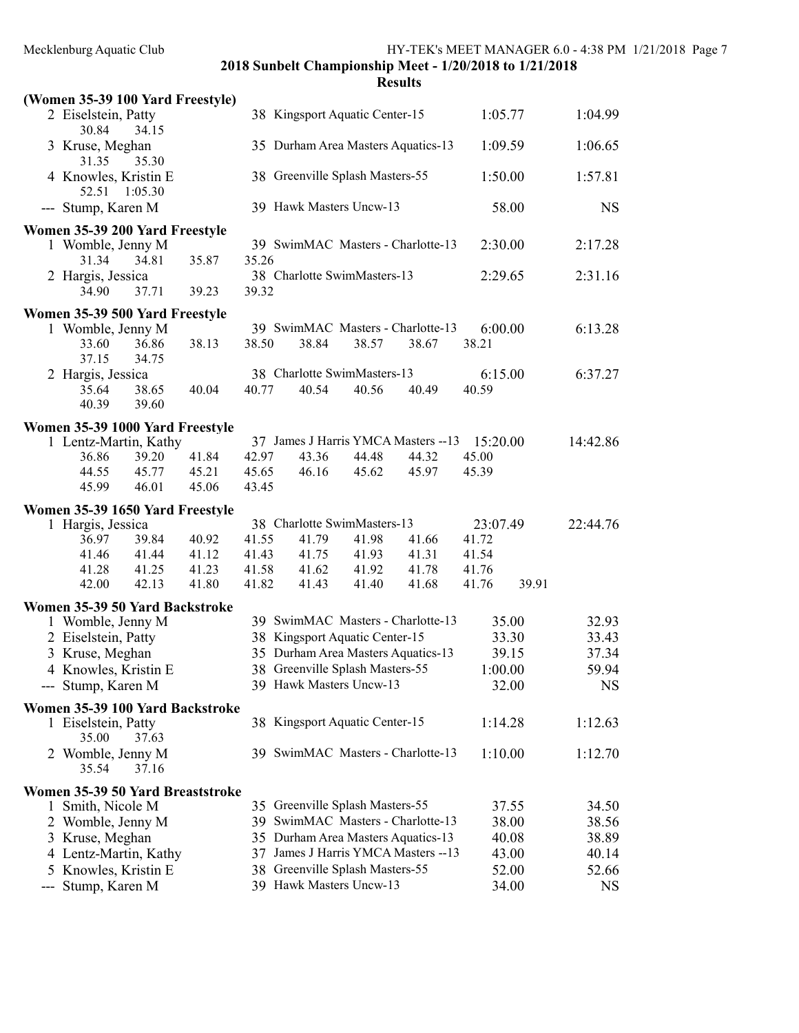| <b>Results</b> |  |
|----------------|--|

|     | (Women 35-39 100 Yard Freestyle)         |                |                |       |                                 |                                      |          |       |           |
|-----|------------------------------------------|----------------|----------------|-------|---------------------------------|--------------------------------------|----------|-------|-----------|
|     | 2 Eiselstein, Patty<br>30.84<br>34.15    |                |                |       | 38 Kingsport Aquatic Center-15  |                                      | 1:05.77  |       | 1:04.99   |
|     | 3 Kruse, Meghan<br>31.35<br>35.30        |                |                |       |                                 | 35 Durham Area Masters Aquatics-13   | 1:09.59  |       | 1:06.65   |
|     | 4 Knowles, Kristin E<br>52.51<br>1:05.30 |                |                |       | 38 Greenville Splash Masters-55 |                                      | 1:50.00  |       | 1:57.81   |
|     | --- Stump, Karen M                       |                |                |       | 39 Hawk Masters Uncw-13         |                                      |          | 58.00 | <b>NS</b> |
|     | Women 35-39 200 Yard Freestyle           |                |                |       |                                 |                                      |          |       |           |
|     | 1 Womble, Jenny M                        |                |                |       |                                 | 39 SwimMAC Masters - Charlotte-13    | 2:30.00  |       | 2:17.28   |
|     | 31.34<br>34.81                           | 35.87          | 35.26          |       |                                 |                                      |          |       |           |
|     | 2 Hargis, Jessica<br>34.90<br>37.71      | 39.23          | 39.32          |       | 38 Charlotte SwimMasters-13     |                                      | 2:29.65  |       | 2:31.16   |
|     | Women 35-39 500 Yard Freestyle           |                |                |       |                                 |                                      |          |       |           |
|     | 1 Womble, Jenny M                        |                |                |       |                                 | 39 SwimMAC Masters - Charlotte-13    | 6:00.00  |       | 6:13.28   |
|     | 33.60<br>36.86<br>37.15<br>34.75         | 38.13          | 38.50          | 38.84 | 38.57                           | 38.67                                | 38.21    |       |           |
|     | 2 Hargis, Jessica                        |                |                |       | 38 Charlotte SwimMasters-13     |                                      | 6:15.00  |       | 6:37.27   |
|     | 35.64<br>38.65                           | 40.04          | 40.77          | 40.54 | 40.56                           | 40.49                                | 40.59    |       |           |
|     | 40.39<br>39.60                           |                |                |       |                                 |                                      |          |       |           |
|     | Women 35-39 1000 Yard Freestyle          |                |                |       |                                 |                                      |          |       |           |
|     | 1 Lentz-Martin, Kathy                    |                |                |       |                                 | 37 James J Harris YMCA Masters -- 13 | 15:20.00 |       | 14:42.86  |
|     | 36.86<br>39.20                           | 41.84          | 42.97          | 43.36 | 44.48                           | 44.32                                | 45.00    |       |           |
|     | 45.77<br>44.55<br>46.01<br>45.99         | 45.21<br>45.06 | 45.65<br>43.45 | 46.16 | 45.62                           | 45.97                                | 45.39    |       |           |
|     |                                          |                |                |       |                                 |                                      |          |       |           |
|     | Women 35-39 1650 Yard Freestyle          |                |                |       | 38 Charlotte SwimMasters-13     |                                      | 23:07.49 |       | 22:44.76  |
|     | 1 Hargis, Jessica<br>36.97<br>39.84      | 40.92          | 41.55          | 41.79 | 41.98                           | 41.66                                | 41.72    |       |           |
|     | 41.46<br>41.44                           | 41.12          | 41.43          | 41.75 | 41.93                           | 41.31                                | 41.54    |       |           |
|     | 41.28<br>41.25                           | 41.23          | 41.58          | 41.62 | 41.92                           | 41.78                                | 41.76    |       |           |
|     | 42.13<br>42.00                           | 41.80          | 41.82          | 41.43 | 41.40                           | 41.68                                | 41.76    | 39.91 |           |
|     | Women 35-39 50 Yard Backstroke           |                |                |       |                                 |                                      |          |       |           |
|     | 1 Womble, Jenny M                        |                |                |       |                                 | 39 SwimMAC Masters - Charlotte-13    |          | 35.00 | 32.93     |
|     | 2 Eiselstein, Patty                      |                |                |       | 38 Kingsport Aquatic Center-15  |                                      |          | 33.30 | 33.43     |
|     | 3 Kruse, Meghan                          |                |                |       |                                 | 35 Durham Area Masters Aquatics-13   |          | 39.15 | 37.34     |
|     | 4 Knowles, Kristin E                     |                |                |       | 38 Greenville Splash Masters-55 |                                      | 1:00.00  |       | 59.94     |
|     | --- Stump, Karen M                       |                |                |       | 39 Hawk Masters Uncw-13         |                                      |          | 32.00 | <b>NS</b> |
|     | Women 35-39 100 Yard Backstroke          |                |                |       |                                 |                                      |          |       |           |
|     | 1 Eiselstein, Patty<br>35.00<br>37.63    |                |                |       | 38 Kingsport Aquatic Center-15  |                                      | 1:14.28  |       | 1:12.63   |
|     | 2 Womble, Jenny M<br>35.54<br>37.16      |                |                |       |                                 | 39 SwimMAC Masters - Charlotte-13    | 1:10.00  |       | 1:12.70   |
|     | Women 35-39 50 Yard Breaststroke         |                |                |       |                                 |                                      |          |       |           |
|     | Smith, Nicole M                          |                |                |       | 35 Greenville Splash Masters-55 |                                      |          | 37.55 | 34.50     |
|     | 2 Womble, Jenny M                        |                |                |       |                                 | 39 SwimMAC Masters - Charlotte-13    |          | 38.00 | 38.56     |
|     | 3 Kruse, Meghan                          |                |                |       |                                 | 35 Durham Area Masters Aquatics-13   |          | 40.08 | 38.89     |
|     | 4 Lentz-Martin, Kathy                    |                |                |       |                                 | 37 James J Harris YMCA Masters -- 13 |          | 43.00 | 40.14     |
|     | 5 Knowles, Kristin E                     |                |                |       | 38 Greenville Splash Masters-55 |                                      |          | 52.00 | 52.66     |
| --- | Stump, Karen M                           |                |                |       | 39 Hawk Masters Uncw-13         |                                      |          | 34.00 | NS        |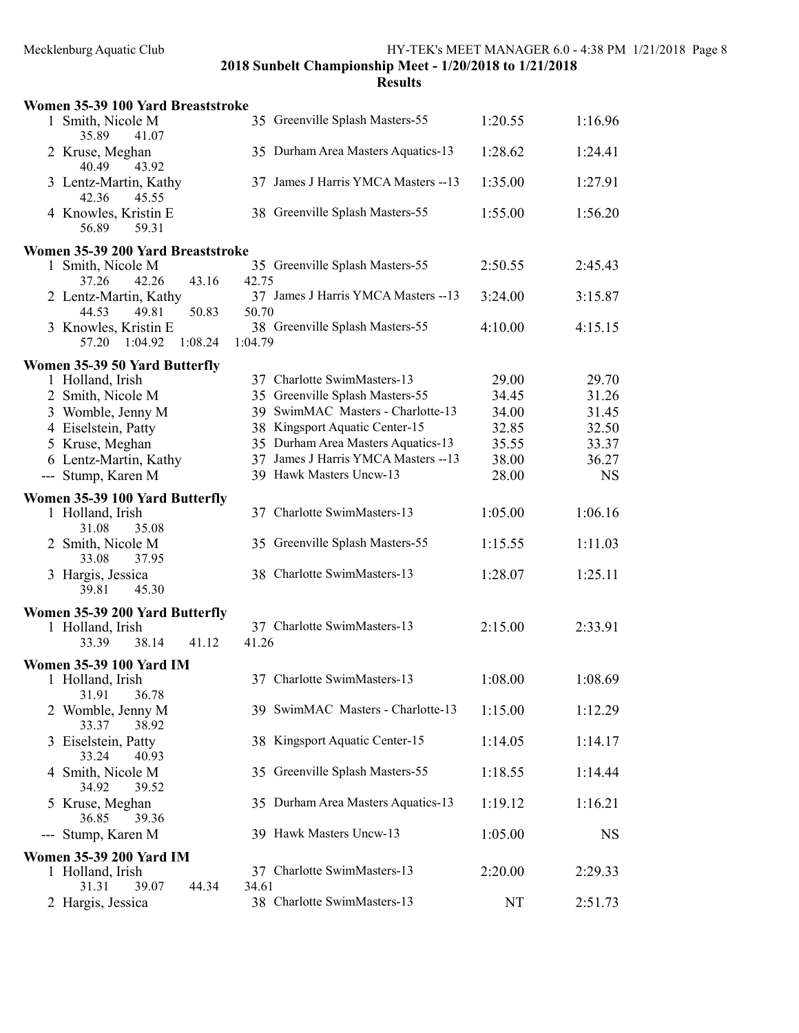| Women 35-39 100 Yard Breaststroke                |                                               |         |           |
|--------------------------------------------------|-----------------------------------------------|---------|-----------|
| 1 Smith, Nicole M<br>35.89<br>41.07              | 35 Greenville Splash Masters-55               | 1:20.55 | 1:16.96   |
| 2 Kruse, Meghan<br>43.92<br>40.49                | 35 Durham Area Masters Aquatics-13            | 1:28.62 | 1:24.41   |
| 3 Lentz-Martin, Kathy<br>42.36<br>45.55          | 37 James J Harris YMCA Masters -- 13          | 1:35.00 | 1:27.91   |
| 4 Knowles, Kristin E<br>59.31<br>56.89           | 38 Greenville Splash Masters-55               | 1:55.00 | 1:56.20   |
| Women 35-39 200 Yard Breaststroke                |                                               |         |           |
| 1 Smith, Nicole M<br>37.26<br>42.26<br>43.16     | 35 Greenville Splash Masters-55<br>42.75      | 2:50.55 | 2:45.43   |
| 2 Lentz-Martin, Kathy<br>44.53<br>49.81<br>50.83 | 37 James J Harris YMCA Masters -- 13<br>50.70 | 3:24.00 | 3:15.87   |
| 3 Knowles, Kristin E<br>1:08.24<br>57.20 1:04.92 | 38 Greenville Splash Masters-55<br>1:04.79    | 4:10.00 | 4:15.15   |
| Women 35-39 50 Yard Butterfly                    |                                               |         |           |
| 1 Holland, Irish                                 | 37 Charlotte SwimMasters-13                   | 29.00   | 29.70     |
| 2 Smith, Nicole M                                | 35 Greenville Splash Masters-55               | 34.45   | 31.26     |
| 3 Womble, Jenny M                                | 39 SwimMAC Masters - Charlotte-13             | 34.00   | 31.45     |
| 4 Eiselstein, Patty                              | 38 Kingsport Aquatic Center-15                | 32.85   | 32.50     |
| 5 Kruse, Meghan                                  | 35 Durham Area Masters Aquatics-13            | 35.55   | 33.37     |
| 6 Lentz-Martin, Kathy                            | 37 James J Harris YMCA Masters -- 13          | 38.00   | 36.27     |
|                                                  | 39 Hawk Masters Uncw-13                       |         |           |
| --- Stump, Karen M                               |                                               | 28.00   | <b>NS</b> |
| Women 35-39 100 Yard Butterfly                   |                                               |         |           |
| 1 Holland, Irish<br>31.08<br>35.08               | 37 Charlotte SwimMasters-13                   | 1:05.00 | 1:06.16   |
| 2 Smith, Nicole M<br>33.08<br>37.95              | 35 Greenville Splash Masters-55               | 1:15.55 | 1:11.03   |
| 3 Hargis, Jessica<br>39.81<br>45.30              | 38 Charlotte SwimMasters-13                   | 1:28.07 | 1:25.11   |
| Women 35-39 200 Yard Butterfly                   |                                               |         |           |
| 1 Holland, Irish<br>38.14<br>41.12<br>33.39      | 37 Charlotte SwimMasters-13<br>41.26          | 2:15.00 | 2:33.91   |
| <b>Women 35-39 100 Yard IM</b>                   |                                               |         |           |
| 1 Holland, Irish<br>31.91<br>36.78               | 37 Charlotte SwimMasters-13                   | 1:08.00 | 1:08.69   |
| 2 Womble, Jenny M<br>33.37<br>38.92              | 39 SwimMAC Masters - Charlotte-13             | 1:15.00 | 1:12.29   |
| 3 Eiselstein, Patty<br>33.24<br>40.93            | 38 Kingsport Aquatic Center-15                | 1:14.05 | 1:14.17   |
| 4 Smith, Nicole M<br>34.92<br>39.52              | 35 Greenville Splash Masters-55               | 1:18.55 | 1:14.44   |
| Kruse, Meghan<br>36.85<br>39.36                  | 35 Durham Area Masters Aquatics-13            | 1:19.12 | 1:16.21   |
| Stump, Karen M                                   | 39 Hawk Masters Uncw-13                       | 1:05.00 | <b>NS</b> |
| <b>Women 35-39 200 Yard IM</b>                   |                                               |         |           |
| 1 Holland, Irish<br>31.31<br>39.07<br>44.34      | 37 Charlotte SwimMasters-13<br>34.61          | 2:20.00 | 2:29.33   |
| 2 Hargis, Jessica                                | 38 Charlotte SwimMasters-13                   | NT      | 2:51.73   |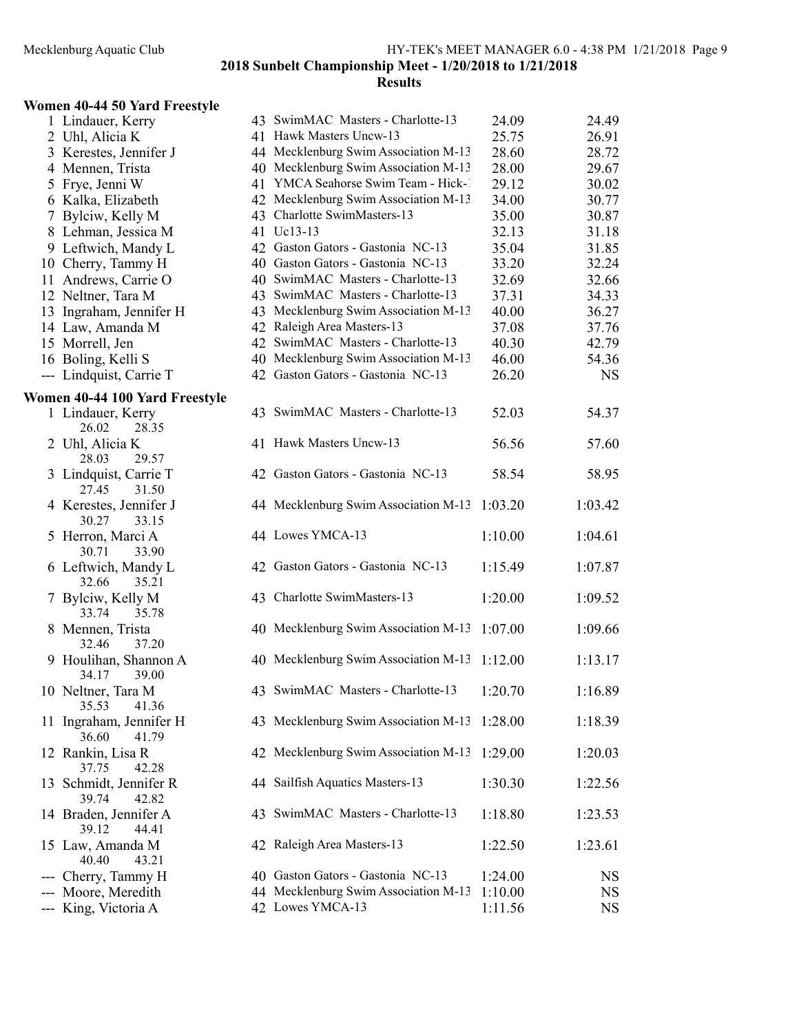#### Results

### Women 40-44 50 Yard Freestyle

| 1 Lindauer, Kerry              |    | 43 SwimMAC Masters - Charlotte-13            | 24.09   | 24.49     |
|--------------------------------|----|----------------------------------------------|---------|-----------|
| 2 Uhl, Alicia K                |    | 41 Hawk Masters Uncw-13                      | 25.75   | 26.91     |
| 3 Kerestes, Jennifer J         |    | 44 Mecklenburg Swim Association M-13         | 28.60   | 28.72     |
| 4 Mennen, Trista               |    | 40 Mecklenburg Swim Association M-13         | 28.00   | 29.67     |
| 5 Frye, Jenni W                |    | 41 YMCA Seahorse Swim Team - Hick-1          | 29.12   | 30.02     |
| 6 Kalka, Elizabeth             |    | 42 Mecklenburg Swim Association M-13         | 34.00   | 30.77     |
| 7 Bylciw, Kelly M              |    | 43 Charlotte SwimMasters-13                  | 35.00   | 30.87     |
| 8 Lehman, Jessica M            |    | 41 Uc13-13                                   | 32.13   | 31.18     |
| 9 Leftwich, Mandy L            |    | 42 Gaston Gators - Gastonia NC-13            | 35.04   | 31.85     |
| 10 Cherry, Tammy H             |    | 40 Gaston Gators - Gastonia NC-13            | 33.20   | 32.24     |
| 11 Andrews, Carrie O           |    | 40 SwimMAC Masters - Charlotte-13            | 32.69   | 32.66     |
| 12 Neltner, Tara M             |    | 43 SwimMAC Masters - Charlotte-13            | 37.31   | 34.33     |
| 13 Ingraham, Jennifer H        |    | 43 Mecklenburg Swim Association M-13         | 40.00   | 36.27     |
| 14 Law, Amanda M               |    | 42 Raleigh Area Masters-13                   | 37.08   | 37.76     |
| 15 Morrell, Jen                |    | 42 SwimMAC Masters - Charlotte-13            | 40.30   | 42.79     |
| 16 Boling, Kelli S             |    | 40 Mecklenburg Swim Association M-13         | 46.00   | 54.36     |
| --- Lindquist, Carrie T        |    | 42 Gaston Gators - Gastonia NC-13            | 26.20   | <b>NS</b> |
|                                |    |                                              |         |           |
| Women 40-44 100 Yard Freestyle |    | 43 SwimMAC Masters - Charlotte-13            | 52.03   | 54.37     |
| 1 Lindauer, Kerry<br>28.35     |    |                                              |         |           |
| 26.02<br>2 Uhl, Alicia K       |    | 41 Hawk Masters Uncw-13                      | 56.56   | 57.60     |
| 28.03<br>29.57                 |    |                                              |         |           |
| 3 Lindquist, Carrie T          |    | 42 Gaston Gators - Gastonia NC-13            | 58.54   | 58.95     |
| 27.45<br>31.50                 |    |                                              |         |           |
| 4 Kerestes, Jennifer J         |    | 44 Mecklenburg Swim Association M-13         | 1:03.20 | 1:03.42   |
| 30.27<br>33.15                 |    |                                              |         |           |
| 5 Herron, Marci A              |    | 44 Lowes YMCA-13                             | 1:10.00 | 1:04.61   |
| 30.71<br>33.90                 |    |                                              |         |           |
| 6 Leftwich, Mandy L            |    | 42 Gaston Gators - Gastonia NC-13            | 1:15.49 | 1:07.87   |
| 32.66<br>35.21                 |    |                                              |         |           |
| 7 Bylciw, Kelly M              |    | 43 Charlotte SwimMasters-13                  | 1:20.00 | 1:09.52   |
| 33.74<br>35.78                 |    |                                              |         |           |
| 8 Mennen, Trista               |    | 40 Mecklenburg Swim Association M-13         | 1:07.00 | 1:09.66   |
| 32.46<br>37.20                 |    |                                              |         |           |
| 9 Houlihan, Shannon A          |    | 40 Mecklenburg Swim Association M-13         | 1:12.00 | 1:13.17   |
| 34.17<br>39.00                 |    |                                              |         |           |
| 10 Neltner, Tara M             |    | 43 SwimMAC Masters - Charlotte-13            | 1:20.70 | 1:16.89   |
| 35.53<br>41.36                 |    |                                              |         |           |
| 11 Ingraham, Jennifer H        |    | 43 Mecklenburg Swim Association M-13 1:28.00 |         | 1:18.39   |
| 36.60<br>41.79                 |    |                                              |         |           |
| 12 Rankin, Lisa R              |    | 42 Mecklenburg Swim Association M-13         | 1:29.00 | 1:20.03   |
| 37.75<br>42.28                 |    |                                              |         |           |
| 13 Schmidt, Jennifer R         |    | 44 Sailfish Aquatics Masters-13              | 1:30.30 | 1:22.56   |
| 39.74<br>42.82                 |    |                                              |         |           |
| 14 Braden, Jennifer A          | 43 | SwimMAC Masters - Charlotte-13               | 1:18.80 | 1:23.53   |
| 39.12<br>44.41                 |    |                                              |         |           |
| 15 Law, Amanda M               |    | 42 Raleigh Area Masters-13                   | 1:22.50 | 1:23.61   |
| 43.21<br>40.40                 |    |                                              |         |           |
| Cherry, Tammy H                |    | 40 Gaston Gators - Gastonia NC-13            | 1:24.00 | NS        |
| Moore, Meredith                |    | 44 Mecklenburg Swim Association M-13         | 1:10.00 | <b>NS</b> |
| --- King, Victoria A           |    | 42 Lowes YMCA-13                             | 1:11.56 | NS        |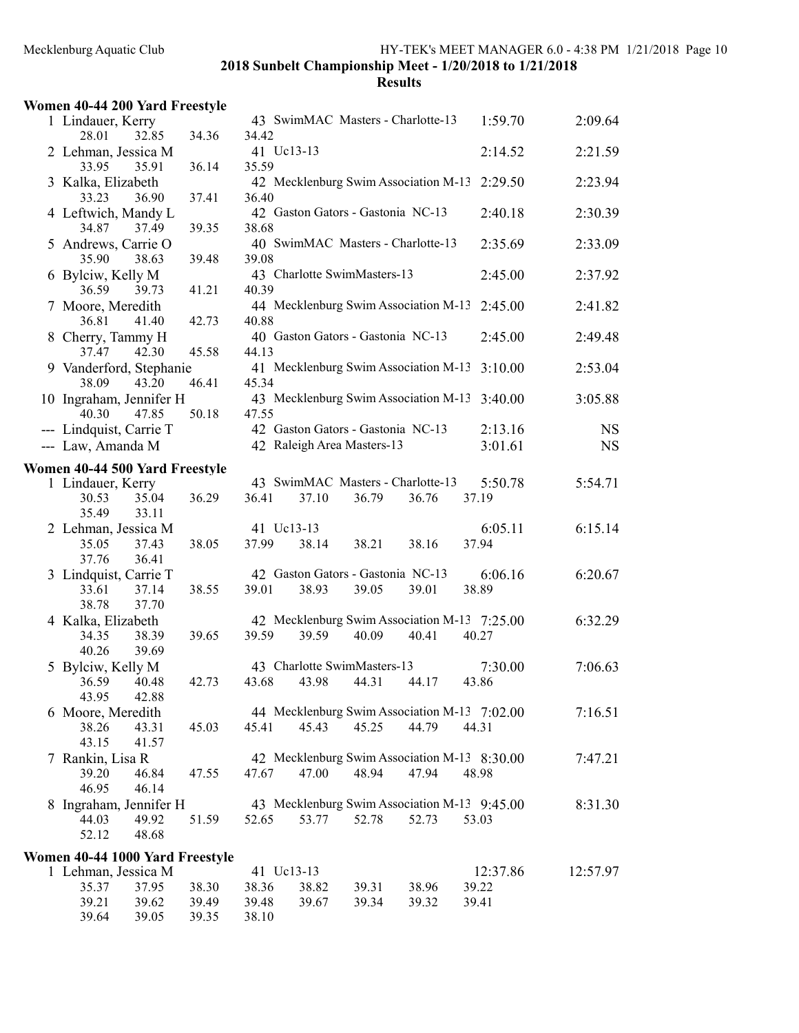| Women 40-44 200 Yard Freestyle               |                         |       |                                                                 |       |       |                    |                        |
|----------------------------------------------|-------------------------|-------|-----------------------------------------------------------------|-------|-------|--------------------|------------------------|
| 1 Lindauer, Kerry<br>28.01                   | 34.36<br>32.85          | 34.42 | 43 SwimMAC Masters - Charlotte-13                               |       |       | 1:59.70            | 2:09.64                |
| 2 Lehman, Jessica M<br>33.95                 | 36.14<br>35.91          | 35.59 | 41 Uc13-13                                                      |       |       | 2:14.52            | 2:21.59                |
| 3 Kalka, Elizabeth<br>33.23                  | 36.90<br>37.41          | 36.40 | 42 Mecklenburg Swim Association M-13                            |       |       | 2:29.50            | 2:23.94                |
| 4 Leftwich, Mandy L<br>34.87                 | 39.35<br>37.49          | 38.68 | 42 Gaston Gators - Gastonia NC-13                               |       |       | 2:40.18            | 2:30.39                |
| 5 Andrews, Carrie O<br>35.90                 | 38.63<br>39.48          | 39.08 | 40 SwimMAC Masters - Charlotte-13                               |       |       | 2:35.69            | 2:33.09                |
| 6 Bylciw, Kelly M<br>36.59                   | 41.21<br>39.73          | 40.39 | 43 Charlotte SwimMasters-13                                     |       |       | 2:45.00            | 2:37.92                |
| 7 Moore, Meredith<br>36.81                   | 41.40<br>42.73          | 40.88 | 44 Mecklenburg Swim Association M-13                            |       |       | 2:45.00            | 2:41.82                |
| 8 Cherry, Tammy H<br>37.47                   | 42.30<br>45.58          | 44.13 | 40 Gaston Gators - Gastonia NC-13                               |       |       | 2:45.00            | 2:49.48                |
| 9 Vanderford, Stephanie<br>38.09             | 43.20<br>46.41          | 45.34 | 41 Mecklenburg Swim Association M-13                            |       |       | 3:10.00            | 2:53.04                |
| 10 Ingraham, Jennifer H<br>40.30             | 50.18<br>47.85          | 47.55 | 43 Mecklenburg Swim Association M-13                            |       |       | 3:40.00            | 3:05.88                |
| --- Lindquist, Carrie T<br>--- Law, Amanda M |                         |       | 42 Gaston Gators - Gastonia NC-13<br>42 Raleigh Area Masters-13 |       |       | 2:13.16<br>3:01.61 | <b>NS</b><br><b>NS</b> |
| Women 40-44 500 Yard Freestyle               |                         |       |                                                                 |       |       |                    |                        |
| 1 Lindauer, Kerry<br>30.53                   | 36.29<br>35.04          | 36.41 | 43 SwimMAC Masters - Charlotte-13<br>37.10                      | 36.79 | 36.76 | 5:50.78<br>37.19   | 5:54.71                |
| 35.49<br>2 Lehman, Jessica M                 | 33.11                   |       | 41 Uc13-13                                                      |       |       | 6:05.11            | 6:15.14                |
| 35.05<br>37.76                               | 38.05<br>37.43<br>36.41 | 37.99 | 38.14                                                           | 38.21 | 38.16 | 37.94              |                        |
| 3 Lindquist, Carrie T<br>33.61<br>38.78      | 38.55<br>37.14<br>37.70 | 39.01 | 42 Gaston Gators - Gastonia NC-13<br>38.93                      | 39.05 | 39.01 | 6:06.16<br>38.89   | 6:20.67                |
| 4 Kalka, Elizabeth                           |                         |       | 42 Mecklenburg Swim Association M-13 7:25.00                    |       |       |                    | 6:32.29                |
| 34.35<br>40.26                               | 39.65<br>38.39<br>39.69 | 39.59 | 39.59                                                           | 40.09 | 40.41 | 40.27              |                        |
| 5 Bylciw, Kelly M                            |                         |       | 43 Charlotte SwimMasters-13                                     |       |       | 7:30.00            | 7:06.63                |
| 36.59<br>40.48<br>43.95                      | 42.73<br>42.88          |       | 43.68 43.98 44.31                                               |       | 44.17 | 43.86              |                        |
| 6 Moore, Meredith                            |                         |       | 44 Mecklenburg Swim Association M-13 7:02.00                    |       |       |                    | 7:16.51                |
| 38.26<br>43.15                               | 43.31<br>45.03<br>41.57 | 45.41 | 45.43                                                           | 45.25 | 44.79 | 44.31              |                        |
| 7 Rankin, Lisa R                             |                         |       | 42 Mecklenburg Swim Association M-13 8:30.00                    |       |       |                    | 7:47.21                |
| 39.20<br>46.95                               | 46.84<br>47.55<br>46.14 | 47.67 | 47.00                                                           | 48.94 | 47.94 | 48.98              |                        |
| 8 Ingraham, Jennifer H<br>44.03<br>52.12     | 49.92<br>51.59<br>48.68 | 52.65 | 43 Mecklenburg Swim Association M-13 9:45.00<br>53.77           | 52.78 | 52.73 | 53.03              | 8:31.30                |
| Women 40-44 1000 Yard Freestyle              |                         |       |                                                                 |       |       |                    |                        |
| 1 Lehman, Jessica M                          |                         |       | 41 Uc13-13                                                      |       |       | 12:37.86           | 12:57.97               |
| 35.37                                        | 37.95<br>38.30          | 38.36 | 38.82                                                           | 39.31 | 38.96 | 39.22              |                        |
| 39.21                                        | 39.62<br>39.49          | 39.48 | 39.67                                                           | 39.34 | 39.32 | 39.41              |                        |
| 39.64                                        | 39.05<br>39.35          | 38.10 |                                                                 |       |       |                    |                        |
|                                              |                         |       |                                                                 |       |       |                    |                        |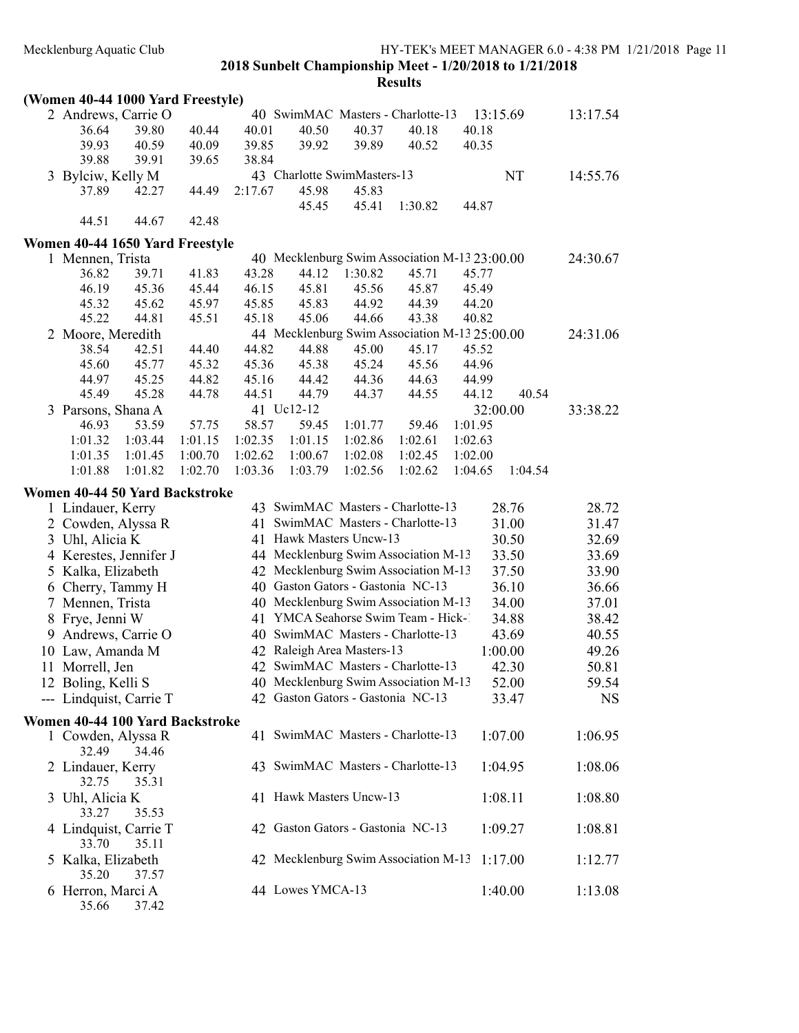| (Women 40-44 1000 Yard Freestyle) |                |         |                |                                                        |                |                |                |          |           |
|-----------------------------------|----------------|---------|----------------|--------------------------------------------------------|----------------|----------------|----------------|----------|-----------|
| 2 Andrews, Carrie O               |                |         |                | 40 SwimMAC Masters - Charlotte-13                      |                |                |                | 13:15.69 | 13:17.54  |
| 36.64                             | 39.80          | 40.44   | 40.01          | 40.50                                                  | 40.37          | 40.18          | 40.18          |          |           |
| 39.93                             | 40.59          | 40.09   | 39.85          | 39.92                                                  | 39.89          | 40.52          | 40.35          |          |           |
| 39.88                             | 39.91          | 39.65   | 38.84          |                                                        |                |                |                |          |           |
| 3 Bylciw, Kelly M                 |                |         |                | 43 Charlotte SwimMasters-13                            |                |                |                | NT       | 14:55.76  |
| 37.89                             | 42.27          | 44.49   | 2:17.67        | 45.98                                                  | 45.83          |                |                |          |           |
|                                   |                |         |                | 45.45                                                  | 45.41          | 1:30.82        | 44.87          |          |           |
| 44.51                             | 44.67          | 42.48   |                |                                                        |                |                |                |          |           |
|                                   |                |         |                |                                                        |                |                |                |          |           |
| Women 40-44 1650 Yard Freestyle   |                |         |                | 40 Mecklenburg Swim Association M-13 23:00.00          |                |                |                |          |           |
| 1 Mennen, Trista<br>36.82         | 39.71          | 41.83   | 43.28          | 44.12                                                  | 1:30.82        | 45.71          | 45.77          |          | 24:30.67  |
| 46.19                             | 45.36          | 45.44   | 46.15          | 45.81                                                  | 45.56          | 45.87          | 45.49          |          |           |
| 45.32                             | 45.62          | 45.97   |                | 45.83                                                  | 44.92          | 44.39          | 44.20          |          |           |
| 45.22                             | 44.81          |         | 45.85<br>45.18 | 45.06                                                  | 44.66          |                | 40.82          |          |           |
|                                   |                | 45.51   |                |                                                        |                | 43.38          |                |          |           |
| 2 Moore, Meredith<br>38.54        | 42.51          | 44.40   | 44.82          | 44 Mecklenburg Swim Association M-13 25:00.00<br>44.88 | 45.00          | 45.17          | 45.52          |          | 24:31.06  |
| 45.60                             | 45.77          | 45.32   | 45.36          | 45.38                                                  | 45.24          | 45.56          | 44.96          |          |           |
|                                   |                | 44.82   |                |                                                        |                |                |                |          |           |
| 44.97<br>45.49                    | 45.25<br>45.28 |         | 45.16<br>44.51 | 44.42<br>44.79                                         | 44.36<br>44.37 | 44.63<br>44.55 | 44.99<br>44.12 | 40.54    |           |
|                                   |                | 44.78   |                | 41 Uc12-12                                             |                |                |                |          |           |
| 3 Parsons, Shana A<br>46.93       | 53.59          | 57.75   | 58.57          | 59.45                                                  | 1:01.77        | 59.46          | 1:01.95        | 32:00.00 | 33:38.22  |
| 1:01.32                           | 1:03.44        | 1:01.15 | 1:02.35        | 1:01.15                                                | 1:02.86        | 1:02.61        | 1:02.63        |          |           |
| 1:01.35                           | 1:01.45        | 1:00.70 | 1:02.62        | 1:00.67                                                | 1:02.08        | 1:02.45        | 1:02.00        |          |           |
| 1:01.88                           | 1:01.82        | 1:02.70 | 1:03.36        | 1:03.79                                                | 1:02.56        | 1:02.62        | 1:04.65        | 1:04.54  |           |
|                                   |                |         |                |                                                        |                |                |                |          |           |
| Women 40-44 50 Yard Backstroke    |                |         |                |                                                        |                |                |                |          |           |
| 1 Lindauer, Kerry                 |                |         |                | 43 SwimMAC Masters - Charlotte-13                      |                |                |                | 28.76    | 28.72     |
| 2 Cowden, Alyssa R                |                |         |                | 41 SwimMAC Masters - Charlotte-13                      |                |                |                | 31.00    | 31.47     |
| 3 Uhl, Alicia K                   |                |         |                | 41 Hawk Masters Uncw-13                                |                |                |                | 30.50    | 32.69     |
| 4 Kerestes, Jennifer J            |                |         |                | 44 Mecklenburg Swim Association M-13                   |                |                |                | 33.50    | 33.69     |
| 5 Kalka, Elizabeth                |                |         |                | 42 Mecklenburg Swim Association M-13                   |                |                |                | 37.50    | 33.90     |
| 6 Cherry, Tammy H                 |                |         |                | 40 Gaston Gators - Gastonia NC-13                      |                |                |                | 36.10    | 36.66     |
| 7 Mennen, Trista                  |                |         |                | 40 Mecklenburg Swim Association M-13                   |                |                |                | 34.00    | 37.01     |
| 8 Frye, Jenni W                   |                |         |                | 41 YMCA Seahorse Swim Team - Hick-1                    |                |                |                | 34.88    | 38.42     |
| 9 Andrews, Carrie O               |                |         |                | 40 SwimMAC Masters - Charlotte-13                      |                |                |                | 43.69    | 40.55     |
| 10 Law, Amanda M                  |                |         |                | 42 Raleigh Area Masters-13                             |                |                |                | 1:00.00  | 49.26     |
| 11 Morrell, Jen                   |                |         |                | 42 SwimMAC Masters - Charlotte-13                      |                |                |                | 42.30    | 50.81     |
| 12 Boling, Kelli S                |                |         |                | 40 Mecklenburg Swim Association M-13                   |                |                |                | 52.00    | 59.54     |
| --- Lindquist, Carrie T           |                |         |                | 42 Gaston Gators - Gastonia NC-13                      |                |                |                | 33.47    | <b>NS</b> |
|                                   |                |         |                |                                                        |                |                |                |          |           |
| Women 40-44 100 Yard Backstroke   |                |         |                | 41 SwimMAC Masters - Charlotte-13                      |                |                |                |          |           |
| 1 Cowden, Alyssa R<br>32.49       |                |         |                |                                                        |                |                |                | 1:07.00  | 1:06.95   |
|                                   | 34.46          |         |                | 43 SwimMAC Masters - Charlotte-13                      |                |                |                |          |           |
| 2 Lindauer, Kerry                 |                |         |                |                                                        |                |                |                | 1:04.95  | 1:08.06   |
| 32.75<br>3 Uhl, Alicia K          | 35.31          |         |                | 41 Hawk Masters Uncw-13                                |                |                |                |          |           |
| 33.27                             |                |         |                |                                                        |                |                |                | 1:08.11  | 1:08.80   |
|                                   | 35.53          |         |                |                                                        |                |                |                |          |           |
| 4 Lindquist, Carrie T<br>33.70    | 35.11          |         |                | 42 Gaston Gators - Gastonia NC-13                      |                |                |                | 1:09.27  | 1:08.81   |
| 5 Kalka, Elizabeth                |                |         |                | 42 Mecklenburg Swim Association M-13                   |                |                |                | 1:17.00  |           |
| 35.20                             | 37.57          |         |                |                                                        |                |                |                |          | 1:12.77   |
| 6 Herron, Marci A                 |                |         |                | 44 Lowes YMCA-13                                       |                |                |                | 1:40.00  | 1:13.08   |
| 35.66                             | 37.42          |         |                |                                                        |                |                |                |          |           |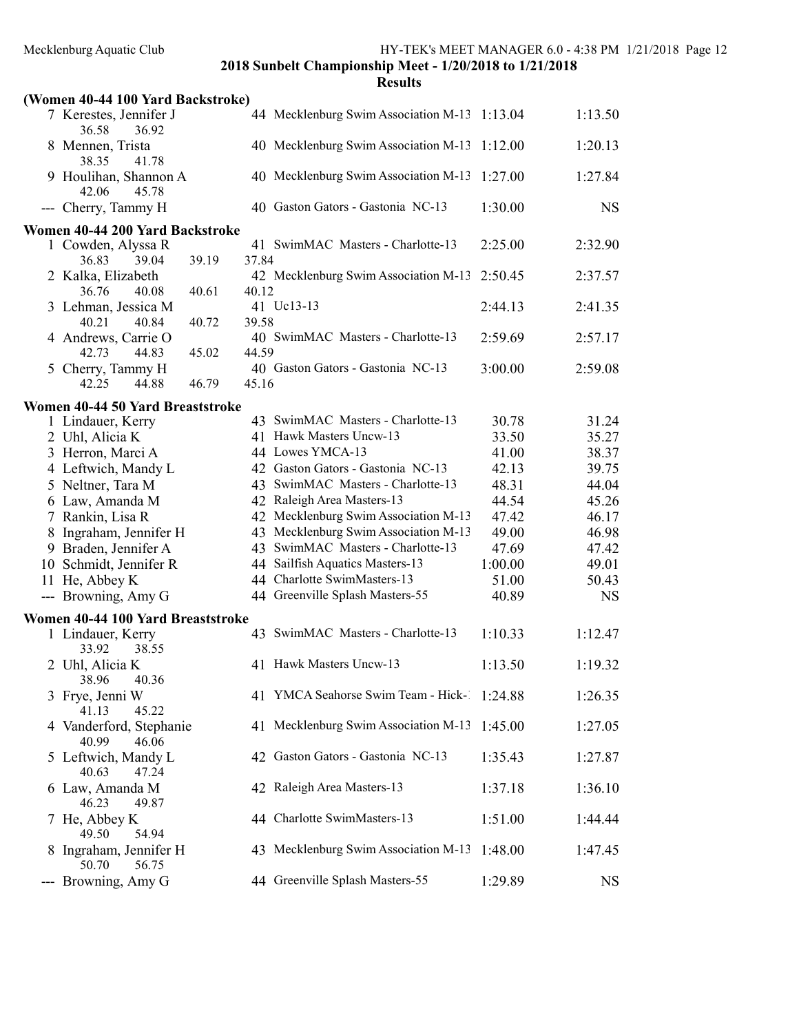| 'SWI1 |
|-------|
|-------|

| (Women 40-44 100 Yard Backstroke)              |                                             |         |           |
|------------------------------------------------|---------------------------------------------|---------|-----------|
| 7 Kerestes, Jennifer J<br>36.58<br>36.92       | 44 Mecklenburg Swim Association M-13        | 1:13.04 | 1:13.50   |
| 8 Mennen, Trista<br>38.35<br>41.78             | 40 Mecklenburg Swim Association M-13        | 1:12.00 | 1:20.13   |
| 9 Houlihan, Shannon A<br>42.06<br>45.78        | 40 Mecklenburg Swim Association M-13        | 1:27.00 | 1:27.84   |
| --- Cherry, Tammy H                            | 40 Gaston Gators - Gastonia NC-13           | 1:30.00 | <b>NS</b> |
| Women 40-44 200 Yard Backstroke                |                                             |         |           |
| 1 Cowden, Alyssa R                             | 41 SwimMAC Masters - Charlotte-13           | 2:25.00 | 2:32.90   |
| 36.83<br>39.04<br>39.19                        | 37.84                                       |         |           |
| 2 Kalka, Elizabeth                             | 42 Mecklenburg Swim Association M-13        | 2:50.45 | 2:37.57   |
| 36.76<br>40.08<br>40.61                        | 40.12<br>41 Uc13-13                         | 2:44.13 | 2:41.35   |
| 3 Lehman, Jessica M<br>40.21<br>40.84<br>40.72 | 39.58                                       |         |           |
| 4 Andrews, Carrie O                            | 40 SwimMAC Masters - Charlotte-13           | 2:59.69 | 2:57.17   |
| 42.73<br>44.83<br>45.02                        | 44.59                                       |         |           |
| 5 Cherry, Tammy H                              | 40 Gaston Gators - Gastonia NC-13           | 3:00.00 | 2:59.08   |
| 42.25<br>46.79<br>44.88                        | 45.16                                       |         |           |
| Women 40-44 50 Yard Breaststroke               |                                             |         |           |
| 1 Lindauer, Kerry                              | 43 SwimMAC Masters - Charlotte-13           | 30.78   | 31.24     |
| 2 Uhl, Alicia K                                | 41 Hawk Masters Uncw-13                     | 33.50   | 35.27     |
| 3 Herron, Marci A                              | 44 Lowes YMCA-13                            | 41.00   | 38.37     |
| 4 Leftwich, Mandy L                            | 42 Gaston Gators - Gastonia NC-13           | 42.13   | 39.75     |
| 5 Neltner, Tara M                              | 43 SwimMAC Masters - Charlotte-13           | 48.31   | 44.04     |
| 6 Law, Amanda M                                | 42 Raleigh Area Masters-13                  | 44.54   | 45.26     |
| 7 Rankin, Lisa R                               | 42 Mecklenburg Swim Association M-13        | 47.42   | 46.17     |
| 8 Ingraham, Jennifer H                         | 43 Mecklenburg Swim Association M-13        | 49.00   | 46.98     |
| 9 Braden, Jennifer A                           | 43 SwimMAC Masters - Charlotte-13           | 47.69   | 47.42     |
| 10 Schmidt, Jennifer R                         | 44 Sailfish Aquatics Masters-13             | 1:00.00 | 49.01     |
| 11 He, Abbey K                                 | 44 Charlotte SwimMasters-13                 | 51.00   | 50.43     |
| --- Browning, Amy G                            | 44 Greenville Splash Masters-55             | 40.89   | <b>NS</b> |
| Women 40-44 100 Yard Breaststroke              |                                             |         |           |
| 1 Lindauer, Kerry<br>33.92<br>38.55            | 43 SwimMAC Masters - Charlotte-13           | 1:10.33 | 1:12.47   |
| 2 Uhl, Alicia K<br>38.96<br>40.36              | 41 Hawk Masters Uncw-13                     | 1:13.50 | 1:19.32   |
| 3 Frye, Jenni W<br>41.13<br>45.22              | 41 YMCA Seahorse Swim Team - Hick-1 1:24.88 |         | 1:26.35   |
| 4 Vanderford, Stephanie<br>40.99<br>46.06      | 41 Mecklenburg Swim Association M-13        | 1:45.00 | 1:27.05   |
| 5 Leftwich, Mandy L<br>40.63<br>47.24          | 42 Gaston Gators - Gastonia NC-13           | 1:35.43 | 1:27.87   |
| 6 Law, Amanda M<br>46.23<br>49.87              | 42 Raleigh Area Masters-13                  | 1:37.18 | 1:36.10   |
| 7 He, Abbey K<br>49.50<br>54.94                | 44 Charlotte SwimMasters-13                 | 1:51.00 | 1:44.44   |
| 8 Ingraham, Jennifer H<br>50.70<br>56.75       | 43 Mecklenburg Swim Association M-13        | 1:48.00 | 1:47.45   |
| --- Browning, Amy G                            | 44 Greenville Splash Masters-55             | 1:29.89 | <b>NS</b> |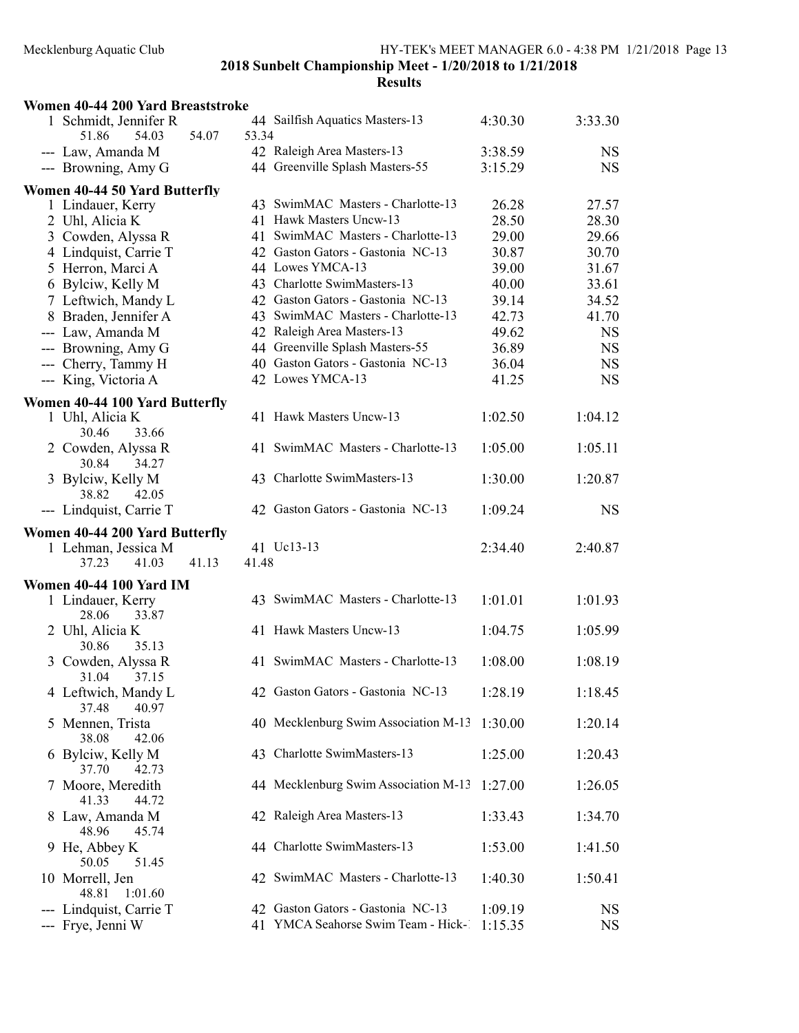| Women 40-44 200 Yard Breaststroke              |                                                                         |                    |                        |
|------------------------------------------------|-------------------------------------------------------------------------|--------------------|------------------------|
| 1 Schmidt, Jennifer R                          | 44 Sailfish Aquatics Masters-13                                         | 4:30.30            | 3:33.30                |
| 51.86<br>54.03<br>54.07                        | 53.34                                                                   |                    |                        |
| --- Law, Amanda M                              | 42 Raleigh Area Masters-13                                              | 3:38.59            | <b>NS</b>              |
| --- Browning, Amy G                            | 44 Greenville Splash Masters-55                                         | 3:15.29            | <b>NS</b>              |
| Women 40-44 50 Yard Butterfly                  |                                                                         |                    |                        |
| 1 Lindauer, Kerry                              | 43 SwimMAC Masters - Charlotte-13                                       | 26.28              | 27.57                  |
| 2 Uhl, Alicia K                                | 41 Hawk Masters Uncw-13                                                 | 28.50              | 28.30                  |
| 3 Cowden, Alyssa R                             | 41 SwimMAC Masters - Charlotte-13                                       | 29.00              | 29.66                  |
| 4 Lindquist, Carrie T                          | 42 Gaston Gators - Gastonia NC-13                                       | 30.87              | 30.70                  |
| 5 Herron, Marci A                              | 44 Lowes YMCA-13                                                        | 39.00              | 31.67                  |
| 6 Bylciw, Kelly M                              | 43 Charlotte SwimMasters-13                                             | 40.00              | 33.61                  |
| 7 Leftwich, Mandy L                            | 42 Gaston Gators - Gastonia NC-13                                       | 39.14              | 34.52                  |
| 8 Braden, Jennifer A                           | 43 SwimMAC Masters - Charlotte-13                                       | 42.73              | 41.70                  |
| --- Law, Amanda M                              | 42 Raleigh Area Masters-13                                              | 49.62              | <b>NS</b>              |
| --- Browning, Amy G                            | 44 Greenville Splash Masters-55                                         | 36.89              | <b>NS</b>              |
| --- Cherry, Tammy H                            | 40 Gaston Gators - Gastonia NC-13                                       | 36.04              | <b>NS</b>              |
| --- King, Victoria A                           | 42 Lowes YMCA-13                                                        | 41.25              | <b>NS</b>              |
| Women 40-44 100 Yard Butterfly                 |                                                                         |                    |                        |
| 1 Uhl, Alicia K                                | 41 Hawk Masters Uncw-13                                                 | 1:02.50            | 1:04.12                |
| 33.66<br>30.46                                 |                                                                         |                    |                        |
| 2 Cowden, Alyssa R                             | 41 SwimMAC Masters - Charlotte-13                                       | 1:05.00            | 1:05.11                |
| 30.84<br>34.27                                 |                                                                         |                    |                        |
| 3 Bylciw, Kelly M                              | 43 Charlotte SwimMasters-13                                             | 1:30.00            | 1:20.87                |
| 38.82<br>42.05                                 |                                                                         |                    |                        |
| --- Lindquist, Carrie T                        | 42 Gaston Gators - Gastonia NC-13                                       | 1:09.24            | <b>NS</b>              |
|                                                |                                                                         |                    |                        |
|                                                |                                                                         |                    |                        |
| Women 40-44 200 Yard Butterfly                 |                                                                         |                    |                        |
| 1 Lehman, Jessica M<br>41.13<br>37.23<br>41.03 | 41 Uc13-13<br>41.48                                                     | 2:34.40            | 2:40.87                |
|                                                |                                                                         |                    |                        |
| <b>Women 40-44 100 Yard IM</b>                 |                                                                         |                    |                        |
| 1 Lindauer, Kerry                              | 43 SwimMAC Masters - Charlotte-13                                       | 1:01.01            | 1:01.93                |
| 28.06<br>33.87                                 |                                                                         |                    |                        |
| 2 Uhl, Alicia K                                | 41 Hawk Masters Uncw-13                                                 | 1:04.75            | 1:05.99                |
| 35.13<br>30.86                                 | 41 SwimMAC Masters - Charlotte-13                                       |                    | 1:08.19                |
| 3 Cowden, Alyssa R<br>31.04<br>37.15           |                                                                         | 1:08.00            |                        |
| 4 Leftwich, Mandy L                            | 42 Gaston Gators - Gastonia NC-13                                       | 1:28.19            | 1:18.45                |
| 40.97<br>37.48                                 |                                                                         |                    |                        |
| 5 Mennen, Trista                               | 40 Mecklenburg Swim Association M-13                                    | 1:30.00            | 1:20.14                |
| 38.08<br>42.06                                 |                                                                         |                    |                        |
| 6 Bylciw, Kelly M                              | 43 Charlotte SwimMasters-13                                             | 1:25.00            | 1:20.43                |
| 37.70<br>42.73                                 |                                                                         |                    |                        |
| 7 Moore, Meredith                              | 44 Mecklenburg Swim Association M-13                                    | 1:27.00            | 1:26.05                |
| 41.33<br>44.72                                 |                                                                         |                    |                        |
| 8 Law, Amanda M                                | 42 Raleigh Area Masters-13                                              | 1:33.43            | 1:34.70                |
| 48.96<br>45.74                                 |                                                                         |                    |                        |
| 9 He, Abbey K                                  | 44 Charlotte SwimMasters-13                                             | 1:53.00            | 1:41.50                |
| 50.05<br>51.45                                 |                                                                         |                    |                        |
| 10 Morrell, Jen                                | 42 SwimMAC Masters - Charlotte-13                                       | 1:40.30            | 1:50.41                |
| 1:01.60<br>48.81                               |                                                                         |                    |                        |
| Lindquist, Carrie T<br>--- Frye, Jenni W       | 42 Gaston Gators - Gastonia NC-13<br>41 YMCA Seahorse Swim Team - Hick- | 1:09.19<br>1:15.35 | <b>NS</b><br><b>NS</b> |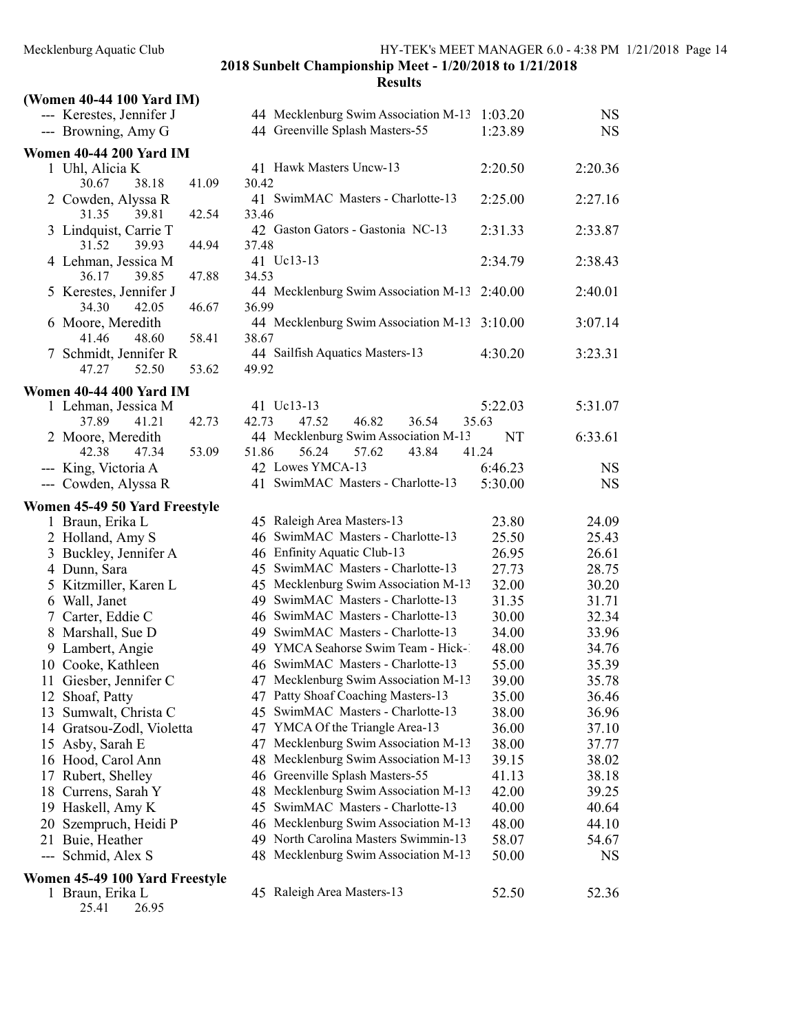| (Women 40-44 100 Yard IM)                        |                                               |         |           |
|--------------------------------------------------|-----------------------------------------------|---------|-----------|
| --- Kerestes, Jennifer J                         | 44 Mecklenburg Swim Association M-13          | 1:03.20 | <b>NS</b> |
| --- Browning, Amy G                              | 44 Greenville Splash Masters-55               | 1:23.89 | <b>NS</b> |
| <b>Women 40-44 200 Yard IM</b>                   |                                               |         |           |
| 1 Uhl, Alicia K<br>30.67<br>38.18                | 41 Hawk Masters Uncw-13<br>30.42              | 2:20.50 | 2:20.36   |
| 41.09<br>2 Cowden, Alyssa R                      | 41 SwimMAC Masters - Charlotte-13             | 2:25.00 | 2:27.16   |
| 31.35<br>39.81<br>42.54<br>3 Lindquist, Carrie T | 33.46<br>42 Gaston Gators - Gastonia NC-13    | 2:31.33 | 2:33.87   |
| 31.52<br>39.93<br>44.94                          | 37.48                                         |         |           |
| 4 Lehman, Jessica M<br>36.17<br>39.85<br>47.88   | 41 Uc13-13<br>34.53                           | 2:34.79 | 2:38.43   |
| 5 Kerestes, Jennifer J                           | 44 Mecklenburg Swim Association M-13          | 2:40.00 | 2:40.01   |
| 34.30<br>42.05<br>46.67                          | 36.99                                         |         |           |
| 6 Moore, Meredith<br>41.46<br>48.60<br>58.41     | 44 Mecklenburg Swim Association M-13<br>38.67 | 3:10.00 | 3:07.14   |
| 7 Schmidt, Jennifer R                            | 44 Sailfish Aquatics Masters-13               | 4:30.20 | 3:23.31   |
| 47.27<br>52.50<br>53.62                          | 49.92                                         |         |           |
| Women 40-44 400 Yard IM                          |                                               |         |           |
| 1 Lehman, Jessica M                              | 41 Uc13-13                                    | 5:22.03 | 5:31.07   |
| 37.89<br>41.21<br>42.73                          | 46.82<br>42.73<br>47.52<br>36.54              | 35.63   |           |
| 2 Moore, Meredith                                | 44 Mecklenburg Swim Association M-13          | NT      | 6:33.61   |
| 42.38<br>47.34<br>53.09                          | 56.24<br>57.62<br>51.86<br>43.84              | 41.24   |           |
| --- King, Victoria A                             | 42 Lowes YMCA-13                              | 6:46.23 | <b>NS</b> |
| --- Cowden, Alyssa R                             | 41 SwimMAC Masters - Charlotte-13             | 5:30.00 | <b>NS</b> |
| Women 45-49 50 Yard Freestyle                    |                                               |         |           |
| 1 Braun, Erika L                                 | 45 Raleigh Area Masters-13                    | 23.80   | 24.09     |
| 2 Holland, Amy S                                 | 46 SwimMAC Masters - Charlotte-13             | 25.50   | 25.43     |
| 3 Buckley, Jennifer A                            | 46 Enfinity Aquatic Club-13                   | 26.95   | 26.61     |
| 4 Dunn, Sara                                     | 45 SwimMAC Masters - Charlotte-13             | 27.73   | 28.75     |
| 5 Kitzmiller, Karen L                            | 45 Mecklenburg Swim Association M-13          | 32.00   | 30.20     |
| 6 Wall, Janet                                    | 49 SwimMAC Masters - Charlotte-13             | 31.35   | 31.71     |
| 7 Carter, Eddie C                                | 46 SwimMAC Masters - Charlotte-13             | 30.00   | 32.34     |
| 8 Marshall, Sue D                                | 49 SwimMAC Masters - Charlotte-13             | 34.00   | 33.96     |
| 9 Lambert, Angie                                 | 49 YMCA Seahorse Swim Team - Hick-1           | 48.00   | 34.76     |
| 10 Cooke, Kathleen                               | 46 SwimMAC Masters - Charlotte-13             | 55.00   | 35.39     |
| 11 Giesber, Jennifer C                           | 47 Mecklenburg Swim Association M-13          | 39.00   | 35.78     |
| 12 Shoaf, Patty                                  | 47 Patty Shoaf Coaching Masters-13            | 35.00   | 36.46     |
| Sumwalt, Christa C<br>13                         | SwimMAC Masters - Charlotte-13<br>45          | 38.00   | 36.96     |
| 14 Gratsou-Zodl, Violetta                        | 47 YMCA Of the Triangle Area-13               | 36.00   | 37.10     |
| 15 Asby, Sarah E                                 | 47 Mecklenburg Swim Association M-13          | 38.00   | 37.77     |
| 16 Hood, Carol Ann                               | 48 Mecklenburg Swim Association M-13          | 39.15   | 38.02     |
| 17 Rubert, Shelley                               | 46 Greenville Splash Masters-55               | 41.13   | 38.18     |
| 18 Currens, Sarah Y                              | 48 Mecklenburg Swim Association M-13          | 42.00   | 39.25     |
| 19 Haskell, Amy K                                | 45 SwimMAC Masters - Charlotte-13             | 40.00   | 40.64     |
| 20 Szempruch, Heidi P                            | 46 Mecklenburg Swim Association M-13          | 48.00   | 44.10     |
| 21 Buie, Heather                                 | 49 North Carolina Masters Swimmin-13          | 58.07   | 54.67     |
| --- Schmid, Alex S                               | 48 Mecklenburg Swim Association M-13          | 50.00   | <b>NS</b> |
| Women 45-49 100 Yard Freestyle                   |                                               |         |           |
| 1 Braun, Erika L                                 | 45 Raleigh Area Masters-13                    | 52.50   | 52.36     |

25.41 26.95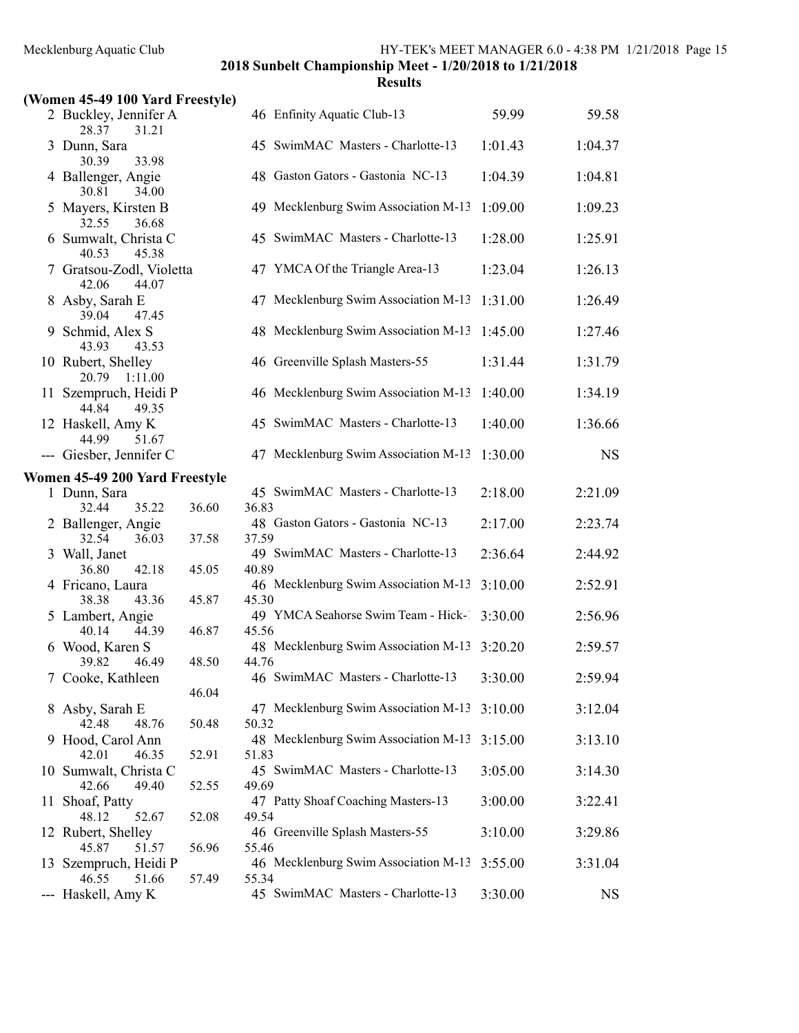| (Women 45-49 100 Yard Freestyle)         |       |                                                       |         |           |
|------------------------------------------|-------|-------------------------------------------------------|---------|-----------|
| 2 Buckley, Jennifer A<br>28.37<br>31.21  |       | 46 Enfinity Aquatic Club-13                           | 59.99   | 59.58     |
| 3 Dunn, Sara<br>30.39<br>33.98           |       | 45 SwimMAC Masters - Charlotte-13                     | 1:01.43 | 1:04.37   |
| 4 Ballenger, Angie<br>30.81<br>34.00     |       | 48 Gaston Gators - Gastonia NC-13                     | 1:04.39 | 1:04.81   |
| 5 Mayers, Kirsten B<br>32.55<br>36.68    |       | 49 Mecklenburg Swim Association M-13                  | 1:09.00 | 1:09.23   |
| Sumwalt, Christa C<br>40.53<br>45.38     |       | 45 SwimMAC Masters - Charlotte-13                     | 1:28.00 | 1:25.91   |
| Gratsou-Zodl, Violetta<br>42.06<br>44.07 |       | 47 YMCA Of the Triangle Area-13                       | 1:23.04 | 1:26.13   |
| 8 Asby, Sarah E<br>39.04<br>47.45        |       | 47 Mecklenburg Swim Association M-13                  | 1:31.00 | 1:26.49   |
| 9 Schmid, Alex S<br>43.93<br>43.53       |       | 48 Mecklenburg Swim Association M-13                  | 1:45.00 | 1:27.46   |
| 10 Rubert, Shelley<br>20.79<br>1:11.00   |       | 46 Greenville Splash Masters-55                       | 1:31.44 | 1:31.79   |
| 11 Szempruch, Heidi P<br>44.84<br>49.35  |       | 46 Mecklenburg Swim Association M-13                  | 1:40.00 | 1:34.19   |
| 12 Haskell, Amy K<br>44.99<br>51.67      |       | 45 SwimMAC Masters - Charlotte-13                     | 1:40.00 | 1:36.66   |
| --- Giesber, Jennifer C                  |       | 47 Mecklenburg Swim Association M-13                  | 1:30.00 | <b>NS</b> |
| Women 45-49 200 Yard Freestyle           |       |                                                       |         |           |
| 1 Dunn, Sara                             |       | 45 SwimMAC Masters - Charlotte-13                     | 2:18.00 | 2:21.09   |
| 32.44<br>35.22<br>2 Ballenger, Angie     | 36.60 | 36.83<br>48 Gaston Gators - Gastonia NC-13            | 2:17.00 | 2:23.74   |
| 32.54<br>36.03<br>3 Wall, Janet          | 37.58 | 37.59<br>49 SwimMAC Masters - Charlotte-13            | 2:36.64 | 2:44.92   |
| 36.80<br>42.18<br>4 Fricano, Laura       | 45.05 | 40.89<br>46 Mecklenburg Swim Association M-13         | 3:10.00 | 2:52.91   |
| 38.38<br>43.36<br>5 Lambert, Angie       | 45.87 | 45.30<br>49 YMCA Seahorse Swim Team - Hick-1          | 3:30.00 | 2:56.96   |
| 40.14<br>44.39<br>6 Wood, Karen S        | 46.87 | 45.56<br>48 Mecklenburg Swim Association M-13 3:20.20 |         | 2:59.57   |
| 39.82<br>46.49<br>7 Cooke, Kathleen      | 48.50 | 44.76<br>46 SwimMAC Masters - Charlotte-13            | 3:30.00 | 2:59.94   |
|                                          | 46.04 |                                                       |         |           |
| 8 Asby, Sarah E<br>42.48<br>48.76        | 50.48 | 47 Mecklenburg Swim Association M-13<br>50.32         | 3:10.00 | 3:12.04   |
| 9 Hood, Carol Ann<br>42.01<br>46.35      | 52.91 | 48 Mecklenburg Swim Association M-13<br>51.83         | 3:15.00 | 3:13.10   |
| 10 Sumwalt, Christa C<br>42.66<br>49.40  | 52.55 | 45 SwimMAC Masters - Charlotte-13<br>49.69            | 3:05.00 | 3:14.30   |
| 11 Shoaf, Patty<br>48.12<br>52.67        | 52.08 | 47 Patty Shoaf Coaching Masters-13<br>49.54           | 3:00.00 | 3:22.41   |
| 12 Rubert, Shelley                       |       | 46 Greenville Splash Masters-55                       | 3:10.00 | 3:29.86   |
| 45.87<br>51.57<br>13 Szempruch, Heidi P  | 56.96 | 55.46<br>46 Mecklenburg Swim Association M-13         | 3:55.00 | 3:31.04   |
| 46.55<br>51.66<br>--- Haskell, Amy K     | 57.49 | 55.34<br>45 SwimMAC Masters - Charlotte-13            | 3:30.00 | <b>NS</b> |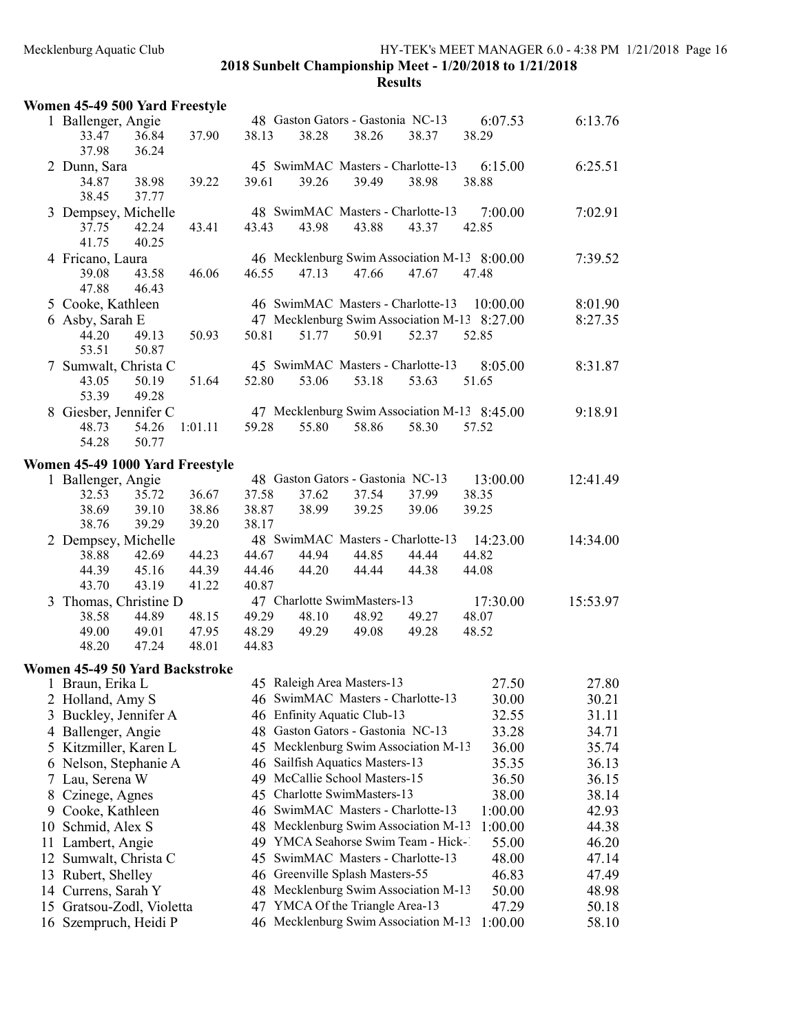|    | Women 45-49 500 Yard Freestyle                          |         |       |                                            |       |                                                                          |                                              |                |
|----|---------------------------------------------------------|---------|-------|--------------------------------------------|-------|--------------------------------------------------------------------------|----------------------------------------------|----------------|
|    | 1 Ballenger, Angie<br>33.47<br>36.84<br>37.98<br>36.24  | 37.90   | 38.13 | 48 Gaston Gators - Gastonia NC-13<br>38.28 | 38.26 | 38.37                                                                    | 6:07.53<br>38.29                             | 6:13.76        |
|    | 2 Dunn, Sara<br>34.87<br>38.98                          | 39.22   | 39.61 | 39.26                                      | 39.49 | 45 SwimMAC Masters - Charlotte-13<br>38.98                               | 6:15.00<br>38.88                             | 6:25.51        |
|    | 38.45<br>37.77                                          |         |       |                                            |       |                                                                          |                                              |                |
|    | 3 Dempsey, Michelle<br>42.24<br>37.75<br>41.75<br>40.25 | 43.41   | 43.43 | 43.98                                      | 43.88 | 48 SwimMAC Masters - Charlotte-13<br>43.37                               | 7:00.00<br>42.85                             | 7:02.91        |
|    | 4 Fricano, Laura                                        |         |       |                                            |       |                                                                          | 46 Mecklenburg Swim Association M-13 8:00.00 | 7:39.52        |
|    | 39.08<br>43.58<br>47.88<br>46.43                        | 46.06   | 46.55 | 47.13                                      | 47.66 | 47.67                                                                    | 47.48                                        |                |
|    | 5 Cooke, Kathleen                                       |         |       |                                            |       | 46 SwimMAC Masters - Charlotte-13                                        | 10:00.00                                     | 8:01.90        |
|    | 6 Asby, Sarah E                                         |         |       |                                            |       |                                                                          | 47 Mecklenburg Swim Association M-13 8:27.00 | 8:27.35        |
|    | 44.20<br>49.13<br>53.51<br>50.87                        | 50.93   | 50.81 | 51.77                                      | 50.91 | 52.37                                                                    | 52.85                                        |                |
|    | 7 Sumwalt, Christa C                                    |         |       |                                            |       | 45 SwimMAC Masters - Charlotte-13                                        | 8:05.00                                      | 8:31.87        |
|    | 43.05<br>50.19<br>53.39<br>49.28                        | 51.64   | 52.80 | 53.06                                      | 53.18 | 53.63                                                                    | 51.65                                        |                |
|    | 8 Giesber, Jennifer C                                   |         |       |                                            |       |                                                                          | 47 Mecklenburg Swim Association M-13 8:45.00 | 9:18.91        |
|    | 48.73<br>54.26<br>54.28<br>50.77                        | 1:01.11 | 59.28 | 55.80                                      | 58.86 | 58.30                                                                    | 57.52                                        |                |
|    | Women 45-49 1000 Yard Freestyle                         |         |       |                                            |       |                                                                          |                                              |                |
|    | 1 Ballenger, Angie                                      |         |       | 48 Gaston Gators - Gastonia NC-13          |       |                                                                          | 13:00.00                                     | 12:41.49       |
|    | 32.53<br>35.72                                          | 36.67   | 37.58 | 37.62                                      | 37.54 | 37.99                                                                    | 38.35                                        |                |
|    | 38.69<br>39.10                                          | 38.86   | 38.87 | 38.99                                      | 39.25 | 39.06                                                                    | 39.25                                        |                |
|    | 38.76<br>39.29                                          | 39.20   | 38.17 |                                            |       |                                                                          |                                              |                |
|    | 2 Dempsey, Michelle                                     |         |       |                                            |       | 48 SwimMAC Masters - Charlotte-13                                        | 14:23.00                                     | 14:34.00       |
|    | 42.69<br>38.88                                          | 44.23   | 44.67 | 44.94                                      | 44.85 | 44.44                                                                    | 44.82                                        |                |
|    | 45.16<br>44.39                                          | 44.39   | 44.46 | 44.20                                      | 44.44 | 44.38                                                                    | 44.08                                        |                |
|    | 43.70<br>43.19                                          | 41.22   | 40.87 |                                            |       |                                                                          |                                              |                |
|    | 3 Thomas, Christine D                                   |         |       | 47 Charlotte SwimMasters-13                |       |                                                                          | 17:30.00                                     | 15:53.97       |
|    | 38.58<br>44.89                                          | 48.15   | 49.29 | 48.10                                      | 48.92 | 49.27                                                                    | 48.07                                        |                |
|    | 49.00<br>49.01                                          | 47.95   | 48.29 | 49.29                                      | 49.08 | 49.28                                                                    | 48.52                                        |                |
|    | 47.24<br>48.20                                          | 48.01   | 44.83 |                                            |       |                                                                          |                                              |                |
|    | Women 45-49 50 Yard Backstroke                          |         |       |                                            |       |                                                                          |                                              |                |
|    | 1 Braun, Erika L                                        |         |       | 45 Raleigh Area Masters-13                 |       |                                                                          | 27.50                                        | 27.80          |
|    | 2 Holland, Amy S                                        |         |       |                                            |       | 46 SwimMAC Masters - Charlotte-13                                        | 30.00                                        | 30.21          |
| 3  | Buckley, Jennifer A                                     |         |       | 46 Enfinity Aquatic Club-13                |       |                                                                          | 32.55                                        | 31.11          |
|    | 4 Ballenger, Angie                                      |         |       | 48 Gaston Gators - Gastonia NC-13          |       |                                                                          | 33.28                                        | 34.71          |
|    | 5 Kitzmiller, Karen L                                   |         |       |                                            |       | 45 Mecklenburg Swim Association M-13                                     | 36.00                                        | 35.74          |
|    | 6 Nelson, Stephanie A                                   |         |       | 46 Sailfish Aquatics Masters-13            |       |                                                                          | 35.35                                        | 36.13          |
|    | 7 Lau, Serena W                                         |         |       | 49 McCallie School Masters-15              |       |                                                                          | 36.50                                        | 36.15          |
| 8  | Czinege, Agnes                                          |         |       | 45 Charlotte SwimMasters-13                |       |                                                                          | 38.00                                        | 38.14          |
|    | 9 Cooke, Kathleen                                       |         |       |                                            |       | 46 SwimMAC Masters - Charlotte-13                                        | 1:00.00                                      | 42.93          |
|    | 10 Schmid, Alex S                                       |         | 49    |                                            |       | 48 Mecklenburg Swim Association M-13<br>YMCA Seahorse Swim Team - Hick-1 | 1:00.00                                      | 44.38          |
| 12 | 11 Lambert, Angie                                       |         | 45    |                                            |       | SwimMAC Masters - Charlotte-13                                           | 55.00<br>48.00                               | 46.20<br>47.14 |
|    | Sumwalt, Christa C<br>13 Rubert, Shelley                |         |       | 46 Greenville Splash Masters-55            |       |                                                                          | 46.83                                        | 47.49          |
|    | 14 Currens, Sarah Y                                     |         |       |                                            |       | 48 Mecklenburg Swim Association M-13                                     | 50.00                                        | 48.98          |
|    | 15 Gratsou-Zodl, Violetta                               |         |       | 47 YMCA Of the Triangle Area-13            |       |                                                                          | 47.29                                        | 50.18          |
|    | 16 Szempruch, Heidi P                                   |         |       |                                            |       | 46 Mecklenburg Swim Association M-13                                     | 1:00.00                                      | 58.10          |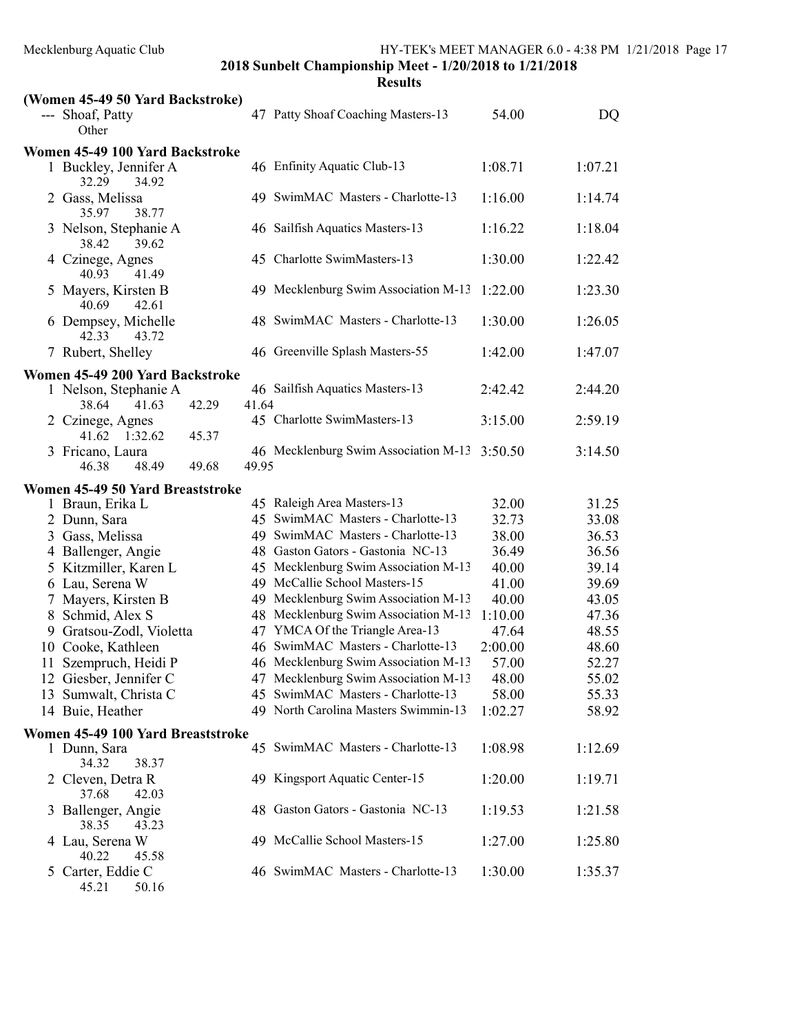| <b>Results</b> |  |
|----------------|--|
|----------------|--|

| (Women 45-49 50 Yard Backstroke)                                                    |       |                                      |         |         |
|-------------------------------------------------------------------------------------|-------|--------------------------------------|---------|---------|
| --- Shoaf, Patty<br>Other                                                           |       | 47 Patty Shoaf Coaching Masters-13   | 54.00   | DQ      |
| Women 45-49 100 Yard Backstroke                                                     |       |                                      |         |         |
| 1 Buckley, Jennifer A<br>32.29<br>34.92                                             |       | 46 Enfinity Aquatic Club-13          | 1:08.71 | 1:07.21 |
| 2 Gass, Melissa<br>35.97<br>38.77                                                   |       | 49 SwimMAC Masters - Charlotte-13    | 1:16.00 | 1:14.74 |
| 3 Nelson, Stephanie A<br>38.42<br>39.62                                             |       | 46 Sailfish Aquatics Masters-13      | 1:16.22 | 1:18.04 |
| 4 Czinege, Agnes<br>41.49<br>40.93                                                  |       | 45 Charlotte SwimMasters-13          | 1:30.00 | 1:22.42 |
| 5 Mayers, Kirsten B<br>40.69<br>42.61                                               |       | 49 Mecklenburg Swim Association M-13 | 1:22.00 | 1:23.30 |
| 6 Dempsey, Michelle<br>42.33<br>43.72                                               |       | 48 SwimMAC Masters - Charlotte-13    | 1:30.00 | 1:26.05 |
| 7 Rubert, Shelley                                                                   |       | 46 Greenville Splash Masters-55      | 1:42.00 | 1:47.07 |
| Women 45-49 200 Yard Backstroke<br>1 Nelson, Stephanie A<br>38.64<br>41.63<br>42.29 | 41.64 | 46 Sailfish Aquatics Masters-13      | 2:42.42 | 2:44.20 |
| 2 Czinege, Agnes<br>41.62<br>1:32.62<br>45.37                                       |       | 45 Charlotte SwimMasters-13          | 3:15.00 | 2:59.19 |
| 3 Fricano, Laura<br>46.38<br>48.49<br>49.68                                         | 49.95 | 46 Mecklenburg Swim Association M-13 | 3:50.50 | 3:14.50 |
| Women 45-49 50 Yard Breaststroke                                                    |       |                                      |         |         |
| 1 Braun, Erika L                                                                    |       | 45 Raleigh Area Masters-13           | 32.00   | 31.25   |
| 2 Dunn, Sara                                                                        |       | 45 SwimMAC Masters - Charlotte-13    | 32.73   | 33.08   |
| 3 Gass, Melissa                                                                     |       | 49 SwimMAC Masters - Charlotte-13    | 38.00   | 36.53   |
| 4 Ballenger, Angie                                                                  |       | 48 Gaston Gators - Gastonia NC-13    | 36.49   | 36.56   |
| 5 Kitzmiller, Karen L                                                               |       | 45 Mecklenburg Swim Association M-13 | 40.00   | 39.14   |
| 6 Lau, Serena W                                                                     |       | 49 McCallie School Masters-15        | 41.00   | 39.69   |
| 7 Mayers, Kirsten B                                                                 |       | 49 Mecklenburg Swim Association M-13 | 40.00   | 43.05   |
| 8 Schmid, Alex S                                                                    |       | 48 Mecklenburg Swim Association M-13 | 1:10.00 | 47.36   |
| 9 Gratsou-Zodl, Violetta                                                            |       | 47 YMCA Of the Triangle Area-13      | 47.64   | 48.55   |
| 10 Cooke, Kathleen                                                                  |       | 46 SwimMAC Masters - Charlotte-13    | 2:00.00 | 48.60   |
| 11 Szempruch, Heidi P                                                               |       | 46 Mecklenburg Swim Association M-13 | 57.00   | 52.27   |
| 12 Giesber, Jennifer C                                                              |       | 47 Mecklenburg Swim Association M-13 | 48.00   | 55.02   |
| 13 Sumwalt, Christa C                                                               |       | 45 SwimMAC Masters - Charlotte-13    | 58.00   | 55.33   |
| 14 Buie, Heather                                                                    |       | 49 North Carolina Masters Swimmin-13 | 1:02.27 | 58.92   |
| Women 45-49 100 Yard Breaststroke                                                   |       |                                      |         |         |
| 1 Dunn, Sara<br>34.32<br>38.37                                                      |       | 45 SwimMAC Masters - Charlotte-13    | 1:08.98 | 1:12.69 |
| 2 Cleven, Detra R<br>37.68<br>42.03                                                 |       | 49 Kingsport Aquatic Center-15       | 1:20.00 | 1:19.71 |
| 3 Ballenger, Angie<br>38.35<br>43.23                                                |       | 48 Gaston Gators - Gastonia NC-13    | 1:19.53 | 1:21.58 |
| 4 Lau, Serena W<br>40.22<br>45.58                                                   |       | 49 McCallie School Masters-15        | 1:27.00 | 1:25.80 |
| 5 Carter, Eddie C<br>45.21<br>50.16                                                 |       | 46 SwimMAC Masters - Charlotte-13    | 1:30.00 | 1:35.37 |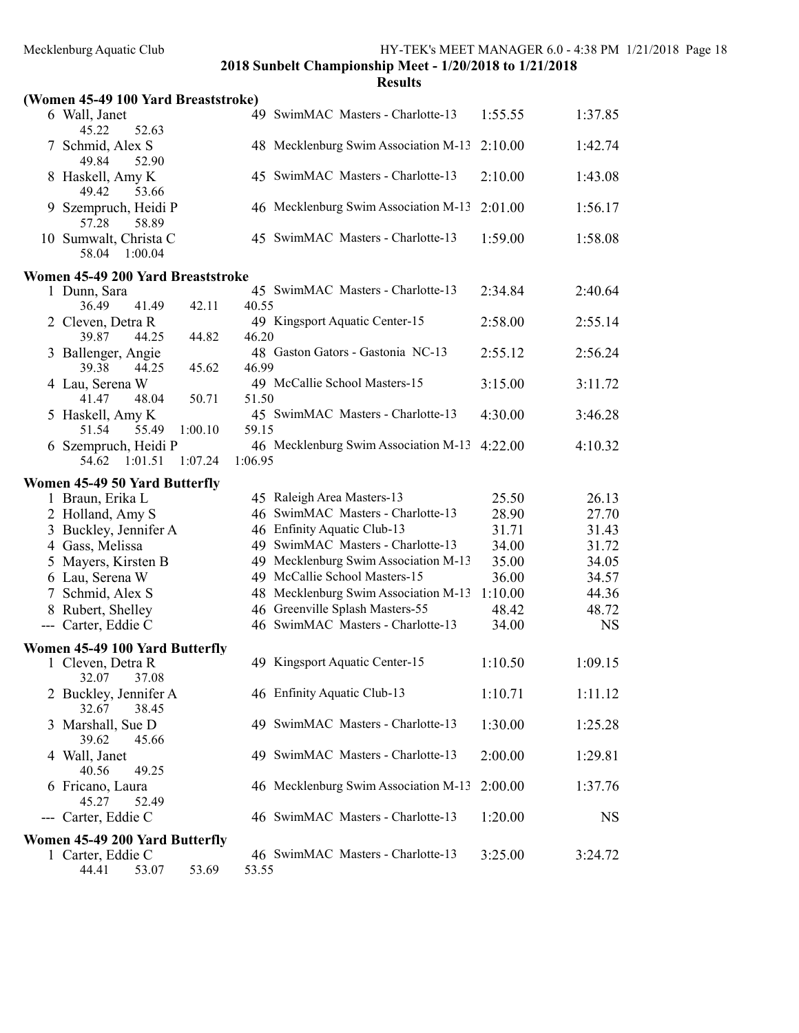| 'SUIT<br>× |  |
|------------|--|

|                     | (Women 45-49 100 Yard Breaststroke)                                |         |         |                                      |         |           |
|---------------------|--------------------------------------------------------------------|---------|---------|--------------------------------------|---------|-----------|
|                     | 6 Wall, Janet<br>52.63<br>45.22                                    |         |         | 49 SwimMAC Masters - Charlotte-13    | 1:55.55 | 1:37.85   |
|                     | Schmid, Alex S<br>49.84<br>52.90                                   |         |         | 48 Mecklenburg Swim Association M-13 | 2:10.00 | 1:42.74   |
|                     | 8 Haskell, Amy K<br>49.42<br>53.66                                 |         |         | 45 SwimMAC Masters - Charlotte-13    | 2:10.00 | 1:43.08   |
|                     | Szempruch, Heidi P<br>58.89<br>57.28                               |         |         | 46 Mecklenburg Swim Association M-13 | 2:01.00 | 1:56.17   |
|                     | 10 Sumwalt, Christa C<br>58.04<br>1:00.04                          |         |         | 45 SwimMAC Masters - Charlotte-13    | 1:59.00 | 1:58.08   |
|                     | Women 45-49 200 Yard Breaststroke                                  |         |         |                                      |         |           |
|                     | 1 Dunn, Sara                                                       |         |         | 45 SwimMAC Masters - Charlotte-13    | 2:34.84 | 2:40.64   |
|                     | 36.49<br>41.49                                                     | 42.11   | 40.55   |                                      |         |           |
|                     | 2 Cleven, Detra R<br>39.87<br>44.25                                | 44.82   | 46.20   | 49 Kingsport Aquatic Center-15       | 2:58.00 | 2:55.14   |
|                     | 3 Ballenger, Angie<br>39.38<br>44.25                               | 45.62   | 46.99   | 48 Gaston Gators - Gastonia NC-13    | 2:55.12 | 2:56.24   |
|                     | 4 Lau, Serena W<br>41.47<br>48.04                                  | 50.71   | 51.50   | 49 McCallie School Masters-15        | 3:15.00 | 3:11.72   |
|                     | 5 Haskell, Amy K<br>51.54<br>55.49                                 | 1:00.10 | 59.15   | 45 SwimMAC Masters - Charlotte-13    | 4:30.00 | 3:46.28   |
| 6                   | Szempruch, Heidi P<br>54.62<br>1:01.51                             | 1:07.24 | 1:06.95 | 46 Mecklenburg Swim Association M-13 | 4:22.00 | 4:10.32   |
|                     | Women 45-49 50 Yard Butterfly                                      |         |         |                                      |         |           |
|                     | 1 Braun, Erika L                                                   |         |         | 45 Raleigh Area Masters-13           | 25.50   | 26.13     |
|                     | 2 Holland, Amy S                                                   |         |         | 46 SwimMAC Masters - Charlotte-13    | 28.90   | 27.70     |
|                     | 3 Buckley, Jennifer A                                              |         |         | 46 Enfinity Aquatic Club-13          | 31.71   | 31.43     |
|                     | 4 Gass, Melissa                                                    |         |         | 49 SwimMAC Masters - Charlotte-13    | 34.00   | 31.72     |
|                     | 5 Mayers, Kirsten B                                                |         |         | 49 Mecklenburg Swim Association M-13 | 35.00   | 34.05     |
|                     | 6 Lau, Serena W                                                    |         |         | 49 McCallie School Masters-15        | 36.00   | 34.57     |
|                     | 7 Schmid, Alex S                                                   |         |         | 48 Mecklenburg Swim Association M-13 | 1:10.00 | 44.36     |
|                     | 8 Rubert, Shelley                                                  |         |         | 46 Greenville Splash Masters-55      | 48.42   | 48.72     |
| $\qquad \qquad - -$ | Carter, Eddie C                                                    |         |         | 46 SwimMAC Masters - Charlotte-13    | 34.00   | <b>NS</b> |
|                     |                                                                    |         |         |                                      |         |           |
|                     | Women 45-49 100 Yard Butterfly<br>1 Cleven, Detra R<br>32.07 37.08 |         |         | 49 Kingsport Aquatic Center-15       | 1:10.50 | 1:09.15   |
|                     | 2 Buckley, Jennifer A<br>32.67<br>38.45                            |         |         | 46 Enfinity Aquatic Club-13          | 1:10.71 | 1:11.12   |
|                     | 3 Marshall, Sue D<br>39.62<br>45.66                                |         |         | 49 SwimMAC Masters - Charlotte-13    | 1:30.00 | 1:25.28   |
|                     | 4 Wall, Janet<br>40.56<br>49.25                                    |         |         | 49 SwimMAC Masters - Charlotte-13    | 2:00.00 | 1:29.81   |
|                     | 6 Fricano, Laura<br>45.27<br>52.49                                 |         |         | 46 Mecklenburg Swim Association M-13 | 2:00.00 | 1:37.76   |
|                     | --- Carter, Eddie C                                                |         |         | 46 SwimMAC Masters - Charlotte-13    | 1:20.00 | <b>NS</b> |
|                     | Women 45-49 200 Yard Butterfly                                     |         |         |                                      |         |           |
|                     | 1 Carter, Eddie C                                                  |         |         | 46 SwimMAC Masters - Charlotte-13    | 3:25.00 | 3:24.72   |
|                     | 44.41<br>53.07                                                     | 53.69   | 53.55   |                                      |         |           |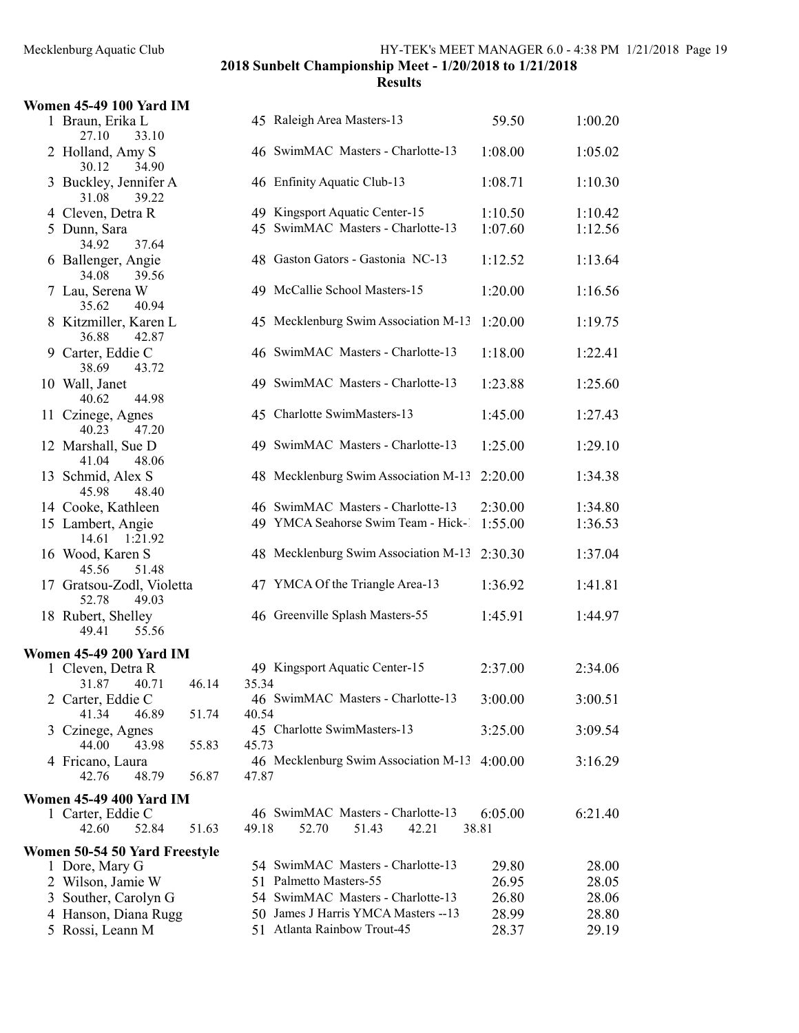| <b>Women 45-49 100 Yard IM</b>                |                |                                              |         |         |
|-----------------------------------------------|----------------|----------------------------------------------|---------|---------|
| 1 Braun, Erika L<br>27.10<br>33.10            |                | 45 Raleigh Area Masters-13                   | 59.50   | 1:00.20 |
| 2 Holland, Amy S<br>30.12<br>34.90            |                | 46 SwimMAC Masters - Charlotte-13            | 1:08.00 | 1:05.02 |
| 3 Buckley, Jennifer A<br>39.22<br>31.08       |                | 46 Enfinity Aquatic Club-13                  | 1:08.71 | 1:10.30 |
| 4 Cleven, Detra R                             |                | 49 Kingsport Aquatic Center-15               | 1:10.50 | 1:10.42 |
|                                               |                | 45 SwimMAC Masters - Charlotte-13            | 1:07.60 | 1:12.56 |
| 5 Dunn, Sara<br>37.64                         |                |                                              |         |         |
| 34.92<br>6 Ballenger, Angie<br>34.08<br>39.56 |                | 48 Gaston Gators - Gastonia NC-13            | 1:12.52 | 1:13.64 |
| 7 Lau, Serena W<br>35.62<br>40.94             |                | 49 McCallie School Masters-15                | 1:20.00 | 1:16.56 |
| 8 Kitzmiller, Karen L<br>36.88<br>42.87       |                | 45 Mecklenburg Swim Association M-13         | 1:20.00 | 1:19.75 |
| 9 Carter, Eddie C<br>38.69<br>43.72           |                | 46 SwimMAC Masters - Charlotte-13            | 1:18.00 | 1:22.41 |
| 10 Wall, Janet<br>40.62<br>44.98              |                | 49 SwimMAC Masters - Charlotte-13            | 1:23.88 | 1:25.60 |
| 11 Czinege, Agnes<br>40.23<br>47.20           |                | 45 Charlotte SwimMasters-13                  | 1:45.00 | 1:27.43 |
| 12 Marshall, Sue D<br>41.04<br>48.06          |                | 49 SwimMAC Masters - Charlotte-13            | 1:25.00 | 1:29.10 |
| 13 Schmid, Alex S<br>48.40<br>45.98           |                | 48 Mecklenburg Swim Association M-13         | 2:20.00 | 1:34.38 |
| 14 Cooke, Kathleen                            |                | 46 SwimMAC Masters - Charlotte-13            | 2:30.00 | 1:34.80 |
| 15 Lambert, Angie                             |                | 49 YMCA Seahorse Swim Team - Hick-1          | 1:55.00 | 1:36.53 |
| 14.61 1:21.92                                 |                |                                              |         |         |
| 16 Wood, Karen S<br>51.48<br>45.56            |                | 48 Mecklenburg Swim Association M-13         | 2:30.30 | 1:37.04 |
| 17 Gratsou-Zodl, Violetta<br>52.78<br>49.03   |                | 47 YMCA Of the Triangle Area-13              | 1:36.92 | 1:41.81 |
| 18 Rubert, Shelley<br>55.56<br>49.41          |                | 46 Greenville Splash Masters-55              | 1:45.91 | 1:44.97 |
|                                               |                |                                              |         |         |
| <b>Women 45-49 200 Yard IM</b>                |                |                                              |         |         |
| 1 Cleven, Detra R                             |                | 49 Kingsport Aquatic Center-15               | 2:37.00 | 2:34.06 |
| 31.87 40.71                                   | 35.34<br>46.14 |                                              |         |         |
| 2 Carter, Eddie C                             |                | 46 SwimMAC Masters - Charlotte-13            | 3:00.00 | 3:00.51 |
| 41.34<br>46.89                                | 51.74<br>40.54 |                                              |         |         |
| 3 Czinege, Agnes                              |                | 45 Charlotte SwimMasters-13                  | 3:25.00 | 3:09.54 |
| 44.00<br>43.98                                | 45.73<br>55.83 |                                              |         |         |
| 4 Fricano, Laura<br>42.76<br>48.79            | 56.87<br>47.87 | 46 Mecklenburg Swim Association M-13 4:00.00 |         | 3:16.29 |
|                                               |                |                                              |         |         |
| <b>Women 45-49 400 Yard IM</b>                |                |                                              |         |         |
| 1 Carter, Eddie C                             |                | 46 SwimMAC Masters - Charlotte-13            | 6:05.00 | 6:21.40 |
| 52.84<br>42.60                                | 51.63<br>49.18 | 52.70<br>51.43<br>42.21                      | 38.81   |         |
| Women 50-54 50 Yard Freestyle                 |                |                                              |         |         |
| 1 Dore, Mary G                                |                | 54 SwimMAC Masters - Charlotte-13            | 29.80   | 28.00   |
| 2 Wilson, Jamie W                             |                | 51 Palmetto Masters-55                       | 26.95   | 28.05   |
| 3 Souther, Carolyn G                          |                | 54 SwimMAC Masters - Charlotte-13            | 26.80   | 28.06   |
| 4 Hanson, Diana Rugg                          |                | 50 James J Harris YMCA Masters -- 13         | 28.99   | 28.80   |
|                                               |                | 51 Atlanta Rainbow Trout-45                  |         |         |
| 5 Rossi, Leann M                              |                |                                              | 28.37   | 29.19   |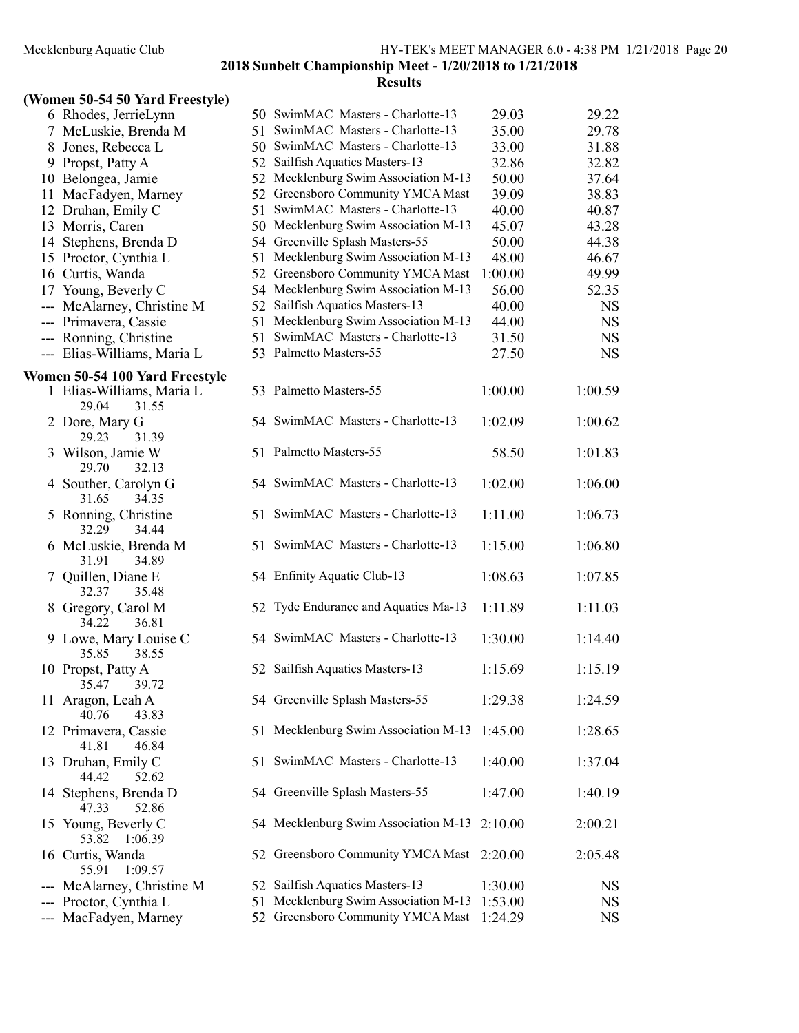### **Results**

### (Women 50-54 50 Yard Freestyle)

|     | 6 Rhodes, JerrieLynn                        |    | 50 SwimMAC Masters - Charlotte-13    | 29.03   | 29.22     |
|-----|---------------------------------------------|----|--------------------------------------|---------|-----------|
|     | 7 McLuskie, Brenda M                        |    | 51 SwimMAC Masters - Charlotte-13    | 35.00   | 29.78     |
|     | 8 Jones, Rebecca L                          |    | 50 SwimMAC Masters - Charlotte-13    | 33.00   | 31.88     |
|     | 9 Propst, Patty A                           |    | 52 Sailfish Aquatics Masters-13      | 32.86   | 32.82     |
|     | 10 Belongea, Jamie                          | 52 | Mecklenburg Swim Association M-13    | 50.00   | 37.64     |
|     | 11 MacFadyen, Marney                        |    | 52 Greensboro Community YMCA Mast    | 39.09   | 38.83     |
|     | 12 Druhan, Emily C                          |    | 51 SwimMAC Masters - Charlotte-13    | 40.00   | 40.87     |
|     | 13 Morris, Caren                            |    | 50 Mecklenburg Swim Association M-13 | 45.07   | 43.28     |
|     | 14 Stephens, Brenda D                       |    | 54 Greenville Splash Masters-55      | 50.00   | 44.38     |
|     | 15 Proctor, Cynthia L                       |    | 51 Mecklenburg Swim Association M-13 | 48.00   | 46.67     |
|     | 16 Curtis, Wanda                            |    | 52 Greensboro Community YMCA Mast    | 1:00.00 | 49.99     |
|     | 17 Young, Beverly C                         |    | 54 Mecklenburg Swim Association M-13 | 56.00   | 52.35     |
|     | --- McAlarney, Christine M                  |    | 52 Sailfish Aquatics Masters-13      | 40.00   | <b>NS</b> |
|     | --- Primavera, Cassie                       | 51 | Mecklenburg Swim Association M-13    | 44.00   | <b>NS</b> |
|     | --- Ronning, Christine                      |    | 51 SwimMAC Masters - Charlotte-13    | 31.50   | <b>NS</b> |
|     | --- Elias-Williams, Maria L                 |    | 53 Palmetto Masters-55               | 27.50   | <b>NS</b> |
|     | Women 50-54 100 Yard Freestyle              |    |                                      |         |           |
|     | 1 Elias-Williams, Maria L<br>29.04<br>31.55 |    | 53 Palmetto Masters-55               | 1:00.00 | 1:00.59   |
|     | 2 Dore, Mary G<br>31.39<br>29.23            |    | 54 SwimMAC Masters - Charlotte-13    | 1:02.09 | 1:00.62   |
|     | 3 Wilson, Jamie W<br>29.70<br>32.13         |    | 51 Palmetto Masters-55               | 58.50   | 1:01.83   |
|     | 4 Souther, Carolyn G<br>34.35<br>31.65      |    | 54 SwimMAC Masters - Charlotte-13    | 1:02.00 | 1:06.00   |
|     | 5 Ronning, Christine<br>32.29<br>34.44      |    | 51 SwimMAC Masters - Charlotte-13    | 1:11.00 | 1:06.73   |
|     | 6 McLuskie, Brenda M<br>34.89<br>31.91      |    | 51 SwimMAC Masters - Charlotte-13    | 1:15.00 | 1:06.80   |
|     | 7 Quillen, Diane E<br>32.37<br>35.48        |    | 54 Enfinity Aquatic Club-13          | 1:08.63 | 1:07.85   |
|     | 8 Gregory, Carol M<br>36.81<br>34.22        |    | 52 Tyde Endurance and Aquatics Ma-13 | 1:11.89 | 1:11.03   |
|     | 9 Lowe, Mary Louise C<br>38.55<br>35.85     |    | 54 SwimMAC Masters - Charlotte-13    | 1:30.00 | 1:14.40   |
|     | 10 Propst, Patty A<br>35.47<br>39.72        |    | 52 Sailfish Aquatics Masters-13      | 1:15.69 | 1:15.19   |
|     | 11 Aragon, Leah A<br>40.76<br>43.83         |    | 54 Greenville Splash Masters-55      | 1:29.38 | 1:24.59   |
|     | 12 Primavera, Cassie<br>41.81<br>46.84      |    | 51 Mecklenburg Swim Association M-13 | 1:45.00 | 1:28.65   |
|     | 13 Druhan, Emily C<br>44.42<br>52.62        |    | 51 SwimMAC Masters - Charlotte-13    | 1:40.00 | 1:37.04   |
|     | 14 Stephens, Brenda D<br>47.33<br>52.86     |    | 54 Greenville Splash Masters-55      | 1:47.00 | 1:40.19   |
|     | 15 Young, Beverly C<br>53.82<br>1:06.39     |    | 54 Mecklenburg Swim Association M-13 | 2:10.00 | 2:00.21   |
|     | 16 Curtis, Wanda<br>55.91<br>1:09.57        |    | 52 Greensboro Community YMCA Mast    | 2:20.00 | 2:05.48   |
|     | --- McAlarney, Christine M                  | 52 | Sailfish Aquatics Masters-13         | 1:30.00 | <b>NS</b> |
| --- | Proctor, Cynthia L                          | 51 | Mecklenburg Swim Association M-13    | 1:53.00 | <b>NS</b> |
|     | MacFadyen, Marney                           |    | 52 Greensboro Community YMCA Mast    | 1:24.29 | <b>NS</b> |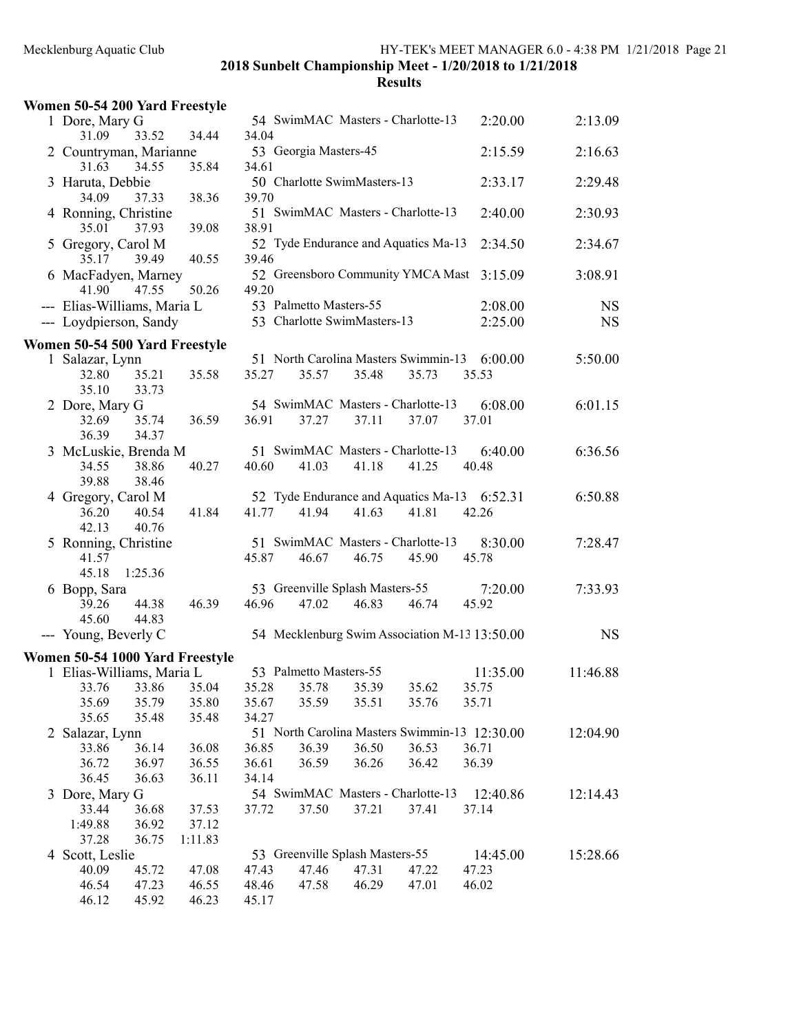|   | Women 50-54 200 Yard Freestyle                         |         |       |                        |                                          |                                               |                                                       |                        |
|---|--------------------------------------------------------|---------|-------|------------------------|------------------------------------------|-----------------------------------------------|-------------------------------------------------------|------------------------|
|   | 1 Dore, Mary G<br>31.09<br>33.52                       | 34.44   | 34.04 |                        |                                          | 54 SwimMAC Masters - Charlotte-13             | 2:20.00                                               | 2:13.09                |
|   | 2 Countryman, Marianne<br>34.55<br>31.63               | 35.84   | 34.61 | 53 Georgia Masters-45  |                                          |                                               | 2:15.59                                               | 2:16.63                |
|   | 3 Haruta, Debbie<br>34.09<br>37.33                     | 38.36   | 39.70 |                        | 50 Charlotte SwimMasters-13              |                                               | 2:33.17                                               | 2:29.48                |
|   | 4 Ronning, Christine<br>35.01<br>37.93                 | 39.08   | 38.91 |                        |                                          | 51 SwimMAC Masters - Charlotte-13             | 2:40.00                                               | 2:30.93                |
|   | 5 Gregory, Carol M<br>39.49<br>35.17                   | 40.55   | 39.46 |                        |                                          | 52 Tyde Endurance and Aquatics Ma-13          | 2:34.50                                               | 2:34.67                |
|   | 6 MacFadyen, Marney<br>41.90<br>47.55                  | 50.26   | 49.20 |                        |                                          | 52 Greensboro Community YMCA Mast             | 3:15.09                                               | 3:08.91                |
|   | --- Elias-Williams, Maria L<br>--- Loydpierson, Sandy  |         |       | 53 Palmetto Masters-55 | 53 Charlotte SwimMasters-13              |                                               | 2:08.00<br>2:25.00                                    | <b>NS</b><br><b>NS</b> |
|   | Women 50-54 500 Yard Freestyle                         |         |       |                        |                                          |                                               |                                                       |                        |
|   | 1 Salazar, Lynn<br>32.80<br>35.21<br>35.10<br>33.73    | 35.58   | 35.27 | 35.57                  | 35.48                                    | 51 North Carolina Masters Swimmin-13<br>35.73 | 6:00.00<br>35.53                                      | 5:50.00                |
|   | 2 Dore, Mary G<br>35.74<br>32.69<br>36.39<br>34.37     | 36.59   | 36.91 | 37.27                  | 37.11                                    | 54 SwimMAC Masters - Charlotte-13<br>37.07    | 6:08.00<br>37.01                                      | 6:01.15                |
|   | 3 McLuskie, Brenda M                                   |         |       |                        |                                          | 51 SwimMAC Masters - Charlotte-13             | 6:40.00                                               | 6:36.56                |
|   | 34.55<br>38.86<br>39.88<br>38.46                       | 40.27   | 40.60 | 41.03                  | 41.18                                    | 41.25                                         | 40.48                                                 |                        |
|   | 4 Gregory, Carol M<br>40.54<br>36.20<br>40.76<br>42.13 | 41.84   | 41.77 | 41.94                  | 41.63                                    | 41.81                                         | 52 Tyde Endurance and Aquatics Ma-13 6:52.31<br>42.26 | 6:50.88                |
|   | 5 Ronning, Christine<br>41.57<br>45.18<br>1:25.36      |         | 45.87 | 46.67                  | 46.75                                    | 51 SwimMAC Masters - Charlotte-13<br>45.90    | 8:30.00<br>45.78                                      | 7:28.47                |
|   | 6 Bopp, Sara<br>39.26<br>44.38<br>45.60<br>44.83       | 46.39   | 46.96 | 47.02                  | 53 Greenville Splash Masters-55<br>46.83 | 46.74                                         | 7:20.00<br>45.92                                      | 7:33.93                |
|   | --- Young, Beverly C                                   |         |       |                        |                                          |                                               | 54 Mecklenburg Swim Association M-13 13:50.00         | <b>NS</b>              |
|   | Women 50-54 1000 Yard Freestyle                        |         |       |                        |                                          |                                               |                                                       |                        |
|   | 1 Elias-Williams, Maria L                              |         |       | 53 Palmetto Masters-55 |                                          |                                               | 11:35.00                                              | 11:46.88               |
|   | 33.86<br>33.76                                         | 35.04   | 35.28 | 35.78                  | 35.39                                    | 35.62                                         | 35.75                                                 |                        |
|   | 35.79<br>35.69                                         | 35.80   | 35.67 | 35.59                  | 35.51                                    | 35.76                                         | 35.71                                                 |                        |
|   | 35.65<br>35.48                                         | 35.48   | 34.27 |                        |                                          |                                               | 51 North Carolina Masters Swimmin-13 12:30.00         |                        |
|   | 2 Salazar, Lynn<br>36.14<br>33.86                      | 36.08   | 36.85 | 36.39                  | 36.50                                    | 36.53                                         | 36.71                                                 | 12:04.90               |
|   | 36.97<br>36.72                                         | 36.55   | 36.61 | 36.59                  | 36.26                                    | 36.42                                         | 36.39                                                 |                        |
|   | 36.45<br>36.63                                         | 36.11   | 34.14 |                        |                                          |                                               |                                                       |                        |
|   | 3 Dore, Mary G                                         |         |       |                        |                                          | 54 SwimMAC Masters - Charlotte-13             | 12:40.86                                              | 12:14.43               |
|   | 36.68<br>33.44                                         | 37.53   | 37.72 | 37.50                  | 37.21                                    | 37.41                                         | 37.14                                                 |                        |
|   | 1:49.88<br>36.92                                       | 37.12   |       |                        |                                          |                                               |                                                       |                        |
|   | 36.75<br>37.28                                         | 1:11.83 |       |                        |                                          |                                               |                                                       |                        |
| 4 | Scott, Leslie                                          |         |       |                        | 53 Greenville Splash Masters-55          |                                               | 14:45.00                                              | 15:28.66               |
|   | 40.09<br>45.72                                         | 47.08   | 47.43 | 47.46                  | 47.31                                    | 47.22                                         | 47.23                                                 |                        |
|   | 46.54<br>47.23                                         | 46.55   | 48.46 | 47.58                  | 46.29                                    | 47.01                                         | 46.02                                                 |                        |
|   | 46.12<br>45.92                                         | 46.23   | 45.17 |                        |                                          |                                               |                                                       |                        |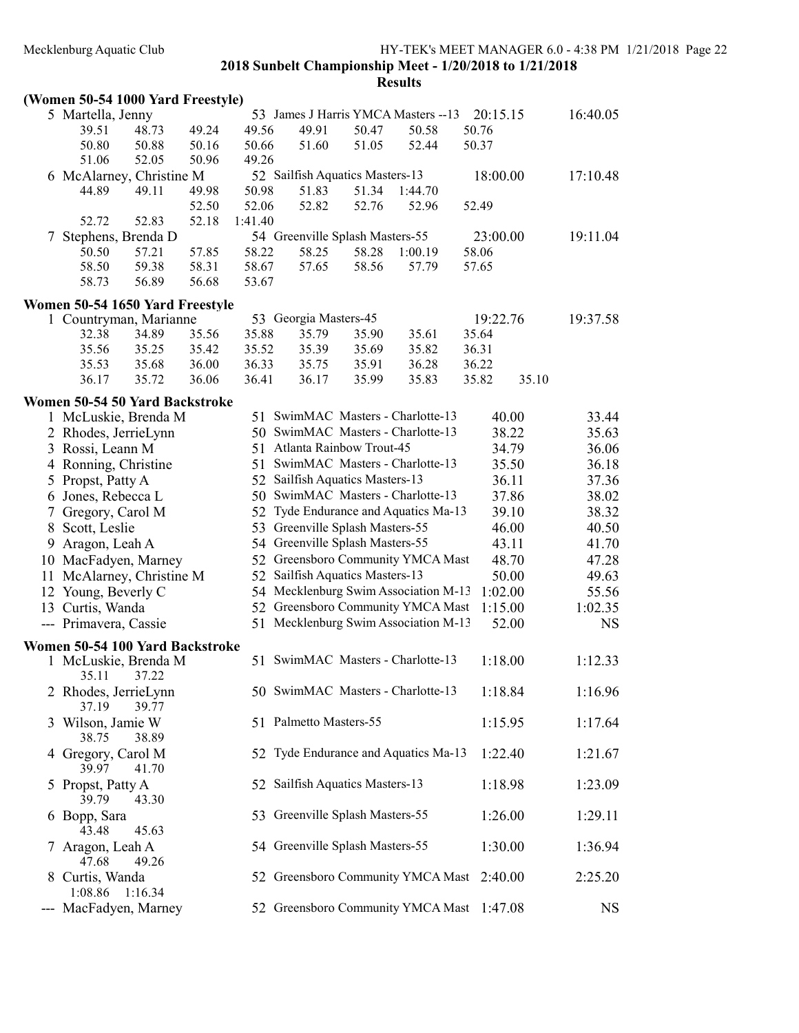|   | MUNICHOUI & Aquatic Cruo          |         |       |         |                                 |       | THE PLANS MILLET MIAINAULIN 0.0 - 4.90 I M<br>2018 Sunbelt Championship Meet - 1/20/2018 to 1/21/2018 |          |       |           |
|---|-----------------------------------|---------|-------|---------|---------------------------------|-------|-------------------------------------------------------------------------------------------------------|----------|-------|-----------|
|   | (Women 50-54 1000 Yard Freestyle) |         |       |         |                                 |       | <b>Results</b>                                                                                        |          |       |           |
|   | 5 Martella, Jenny                 |         |       |         |                                 |       | 53 James J Harris YMCA Masters -- 13                                                                  | 20:15.15 |       | 16:40.05  |
|   | 39.51                             | 48.73   | 49.24 | 49.56   | 49.91                           | 50.47 | 50.58                                                                                                 | 50.76    |       |           |
|   | 50.80                             | 50.88   | 50.16 | 50.66   | 51.60                           | 51.05 | 52.44                                                                                                 | 50.37    |       |           |
|   | 51.06                             | 52.05   | 50.96 | 49.26   |                                 |       |                                                                                                       |          |       |           |
|   | 6 McAlarney, Christine M          |         |       |         | 52 Sailfish Aquatics Masters-13 |       |                                                                                                       | 18:00.00 |       | 17:10.48  |
|   | 44.89                             | 49.11   | 49.98 | 50.98   | 51.83                           | 51.34 | 1:44.70                                                                                               |          |       |           |
|   |                                   |         | 52.50 | 52.06   | 52.82                           | 52.76 | 52.96                                                                                                 | 52.49    |       |           |
|   | 52.72                             | 52.83   | 52.18 | 1:41.40 |                                 |       |                                                                                                       |          |       |           |
| 7 | Stephens, Brenda D                |         |       |         | 54 Greenville Splash Masters-55 |       |                                                                                                       | 23:00.00 |       | 19:11.04  |
|   | 50.50                             | 57.21   | 57.85 | 58.22   | 58.25                           | 58.28 | 1:00.19                                                                                               | 58.06    |       |           |
|   | 58.50                             | 59.38   | 58.31 | 58.67   | 57.65                           | 58.56 | 57.79                                                                                                 | 57.65    |       |           |
|   | 58.73                             | 56.89   | 56.68 | 53.67   |                                 |       |                                                                                                       |          |       |           |
|   | Women 50-54 1650 Yard Freestyle   |         |       |         |                                 |       |                                                                                                       |          |       |           |
|   | 1 Countryman, Marianne            |         |       |         | 53 Georgia Masters-45           |       |                                                                                                       | 19:22.76 |       | 19:37.58  |
|   | 32.38                             | 34.89   | 35.56 | 35.88   | 35.79                           | 35.90 | 35.61                                                                                                 | 35.64    |       |           |
|   | 35.56                             | 35.25   | 35.42 | 35.52   | 35.39                           | 35.69 | 35.82                                                                                                 | 36.31    |       |           |
|   | 35.53                             | 35.68   | 36.00 | 36.33   | 35.75                           | 35.91 | 36.28                                                                                                 | 36.22    |       |           |
|   | 36.17                             | 35.72   | 36.06 | 36.41   | 36.17                           | 35.99 | 35.83                                                                                                 | 35.82    | 35.10 |           |
|   |                                   |         |       |         |                                 |       |                                                                                                       |          |       |           |
|   | Women 50-54 50 Yard Backstroke    |         |       |         |                                 |       |                                                                                                       |          |       |           |
|   | 1 McLuskie, Brenda M              |         |       |         |                                 |       | 51 SwimMAC Masters - Charlotte-13                                                                     |          | 40.00 | 33.44     |
|   | 2 Rhodes, JerrieLynn              |         |       |         |                                 |       | 50 SwimMAC Masters - Charlotte-13                                                                     | 38.22    |       | 35.63     |
|   | 3 Rossi, Leann M                  |         |       |         | 51 Atlanta Rainbow Trout-45     |       |                                                                                                       |          | 34.79 | 36.06     |
|   | 4 Ronning, Christine              |         |       | 51      |                                 |       | SwimMAC Masters - Charlotte-13                                                                        |          | 35.50 | 36.18     |
|   | 5 Propst, Patty A                 |         |       |         | 52 Sailfish Aquatics Masters-13 |       |                                                                                                       | 36.11    |       | 37.36     |
|   | 6 Jones, Rebecca L                |         |       |         |                                 |       | 50 SwimMAC Masters - Charlotte-13                                                                     |          | 37.86 | 38.02     |
|   | 7 Gregory, Carol M                |         |       |         |                                 |       | 52 Tyde Endurance and Aquatics Ma-13                                                                  |          | 39.10 | 38.32     |
|   | 8 Scott, Leslie                   |         |       |         | 53 Greenville Splash Masters-55 |       |                                                                                                       |          | 46.00 | 40.50     |
|   | 9 Aragon, Leah A                  |         |       |         | 54 Greenville Splash Masters-55 |       |                                                                                                       | 43.11    |       | 41.70     |
|   | 10 MacFadyen, Marney              |         |       |         |                                 |       | 52 Greensboro Community YMCA Mast                                                                     |          | 48.70 | 47.28     |
|   | 11 McAlarney, Christine M         |         |       |         | 52 Sailfish Aquatics Masters-13 |       |                                                                                                       |          | 50.00 | 49.63     |
|   | 12 Young, Beverly C               |         |       |         |                                 |       | 54 Mecklenburg Swim Association M-13                                                                  | 1:02.00  |       | 55.56     |
|   | 13 Curtis, Wanda                  |         |       |         |                                 |       | 52 Greensboro Community YMCA Mast                                                                     | 1:15.00  |       | 1:02.35   |
|   | --- Primavera, Cassie             |         |       |         |                                 |       | 51 Mecklenburg Swim Association M-13                                                                  |          | 52.00 | <b>NS</b> |
|   | Women 50-54 100 Yard Backstroke   |         |       |         |                                 |       |                                                                                                       |          |       |           |
|   | 1 McLuskie, Brenda M<br>35.11     | 37.22   |       |         |                                 |       | 51 SwimMAC Masters - Charlotte-13                                                                     | 1:18.00  |       | 1:12.33   |
|   | 2 Rhodes, JerrieLynn<br>37.19     | 39.77   |       |         |                                 |       | 50 SwimMAC Masters - Charlotte-13                                                                     | 1:18.84  |       | 1:16.96   |
|   | 3 Wilson, Jamie W<br>38.75        | 38.89   |       |         | 51 Palmetto Masters-55          |       |                                                                                                       | 1:15.95  |       | 1:17.64   |
|   | 4 Gregory, Carol M<br>39.97       | 41.70   |       |         |                                 |       | 52 Tyde Endurance and Aquatics Ma-13                                                                  | 1:22.40  |       | 1:21.67   |
|   | 5 Propst, Patty A<br>39.79        | 43.30   |       |         | 52 Sailfish Aquatics Masters-13 |       |                                                                                                       | 1:18.98  |       | 1:23.09   |
|   | 6 Bopp, Sara<br>43.48             | 45.63   |       |         | 53 Greenville Splash Masters-55 |       |                                                                                                       | 1:26.00  |       | 1:29.11   |
|   | 7 Aragon, Leah A<br>47.68         | 49.26   |       |         | 54 Greenville Splash Masters-55 |       |                                                                                                       | 1:30.00  |       | 1:36.94   |
|   | 8 Curtis, Wanda<br>1:08.86        | 1:16.34 |       |         |                                 |       | 52 Greensboro Community YMCA Mast                                                                     | 2:40.00  |       | 2:25.20   |
|   | --- MacFadyen, Marney             |         |       |         |                                 |       | 52 Greensboro Community YMCA Mast                                                                     | 1:47.08  |       | <b>NS</b> |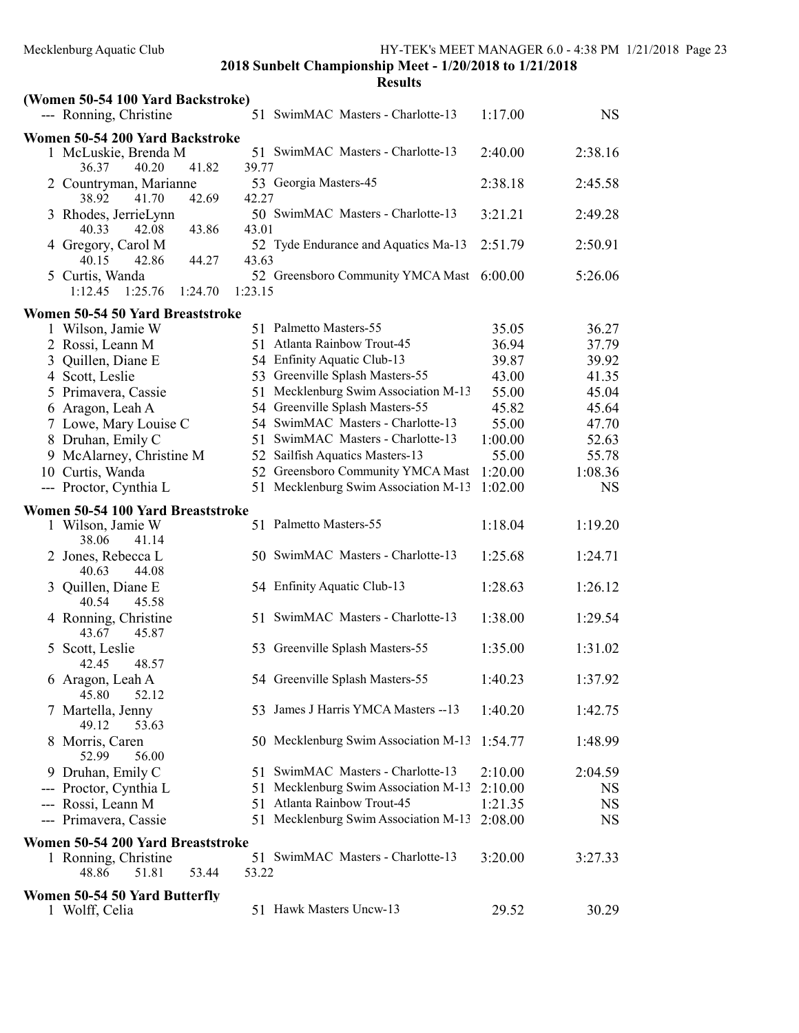|   | (Women 50-54 100 Yard Backstroke)                 |         |                                           |         |           |
|---|---------------------------------------------------|---------|-------------------------------------------|---------|-----------|
|   | --- Ronning, Christine                            |         | 51 SwimMAC Masters - Charlotte-13         | 1:17.00 | <b>NS</b> |
|   | Women 50-54 200 Yard Backstroke                   |         |                                           |         |           |
|   | 1 McLuskie, Brenda M<br>40.20<br>41.82<br>36.37   | 39.77   | 51 SwimMAC Masters - Charlotte-13         | 2:40.00 | 2:38.16   |
|   | 2 Countryman, Marianne<br>42.69<br>38.92<br>41.70 | 42.27   | 53 Georgia Masters-45                     | 2:38.18 | 2:45.58   |
|   | 3 Rhodes, JerrieLynn<br>43.86<br>40.33<br>42.08   | 43.01   | 50 SwimMAC Masters - Charlotte-13         | 3:21.21 | 2:49.28   |
|   | 4 Gregory, Carol M<br>44.27<br>40.15<br>42.86     | 43.63   | 52 Tyde Endurance and Aquatics Ma-13      | 2:51.79 | 2:50.91   |
|   | 5 Curtis, Wanda<br>1:25.76<br>1:12.45<br>1:24.70  | 1:23.15 | 52 Greensboro Community YMCA Mast 6:00.00 |         | 5:26.06   |
|   | Women 50-54 50 Yard Breaststroke                  |         |                                           |         |           |
|   | 1 Wilson, Jamie W                                 |         | 51 Palmetto Masters-55                    | 35.05   | 36.27     |
|   | 2 Rossi, Leann M                                  |         | 51 Atlanta Rainbow Trout-45               | 36.94   | 37.79     |
|   | 3 Quillen, Diane E                                |         | 54 Enfinity Aquatic Club-13               | 39.87   | 39.92     |
|   | 4 Scott, Leslie                                   |         | 53 Greenville Splash Masters-55           | 43.00   | 41.35     |
|   | 5 Primavera, Cassie                               |         | 51 Mecklenburg Swim Association M-13      | 55.00   | 45.04     |
|   | 6 Aragon, Leah A                                  |         | 54 Greenville Splash Masters-55           | 45.82   | 45.64     |
|   | 7 Lowe, Mary Louise C                             |         | 54 SwimMAC Masters - Charlotte-13         | 55.00   | 47.70     |
|   | 8 Druhan, Emily C                                 |         | 51 SwimMAC Masters - Charlotte-13         | 1:00.00 | 52.63     |
|   | 9 McAlarney, Christine M                          | 52      | Sailfish Aquatics Masters-13              | 55.00   | 55.78     |
|   | 10 Curtis, Wanda                                  |         | 52 Greensboro Community YMCA Mast         | 1:20.00 | 1:08.36   |
|   | --- Proctor, Cynthia L                            |         | 51 Mecklenburg Swim Association M-13      | 1:02.00 | <b>NS</b> |
|   | Women 50-54 100 Yard Breaststroke                 |         |                                           |         |           |
|   | 1 Wilson, Jamie W                                 |         | 51 Palmetto Masters-55                    | 1:18.04 | 1:19.20   |
|   | 38.06<br>41.14<br>2 Jones, Rebecca L              |         | 50 SwimMAC Masters - Charlotte-13         | 1:25.68 | 1:24.71   |
|   | 40.63<br>44.08<br>3 Quillen, Diane E              |         | 54 Enfinity Aquatic Club-13               | 1:28.63 | 1:26.12   |
|   | 40.54<br>45.58<br>4 Ronning, Christine<br>45.87   |         | 51 SwimMAC Masters - Charlotte-13         | 1:38.00 | 1:29.54   |
| 5 | 43.67<br>Scott, Leslie<br>48.57<br>42.45          |         | 53 Greenville Splash Masters-55           | 1:35.00 | 1:31.02   |
|   | 6 Aragon, Leah A<br>52.12<br>45.80                |         | 54 Greenville Splash Masters-55           | 1:40.23 | 1:37.92   |
|   | Martella, Jenny<br>49.12<br>53.63                 |         | 53 James J Harris YMCA Masters -- 13      | 1:40.20 | 1:42.75   |
| 8 | Morris, Caren<br>52.99<br>56.00                   |         | 50 Mecklenburg Swim Association M-13      | 1:54.77 | 1:48.99   |
|   | 9 Druhan, Emily C                                 |         | 51 SwimMAC Masters - Charlotte-13         | 2:10.00 | 2:04.59   |
|   | --- Proctor, Cynthia L                            |         | 51 Mecklenburg Swim Association M-13      | 2:10.00 | <b>NS</b> |
|   | --- Rossi, Leann M                                |         | 51 Atlanta Rainbow Trout-45               | 1:21.35 | NS        |
|   | --- Primavera, Cassie                             |         | 51 Mecklenburg Swim Association M-13      | 2:08.00 | NS        |
|   |                                                   |         |                                           |         |           |
|   | Women 50-54 200 Yard Breaststroke                 |         | 51 SwimMAC Masters - Charlotte-13         | 3:20.00 | 3:27.33   |
|   | 1 Ronning, Christine<br>51.81<br>48.86<br>53.44   | 53.22   |                                           |         |           |
|   | Women 50-54 50 Yard Butterfly                     |         |                                           |         |           |
|   | 1 Wolff, Celia                                    |         | 51 Hawk Masters Uncw-13                   | 29.52   | 30.29     |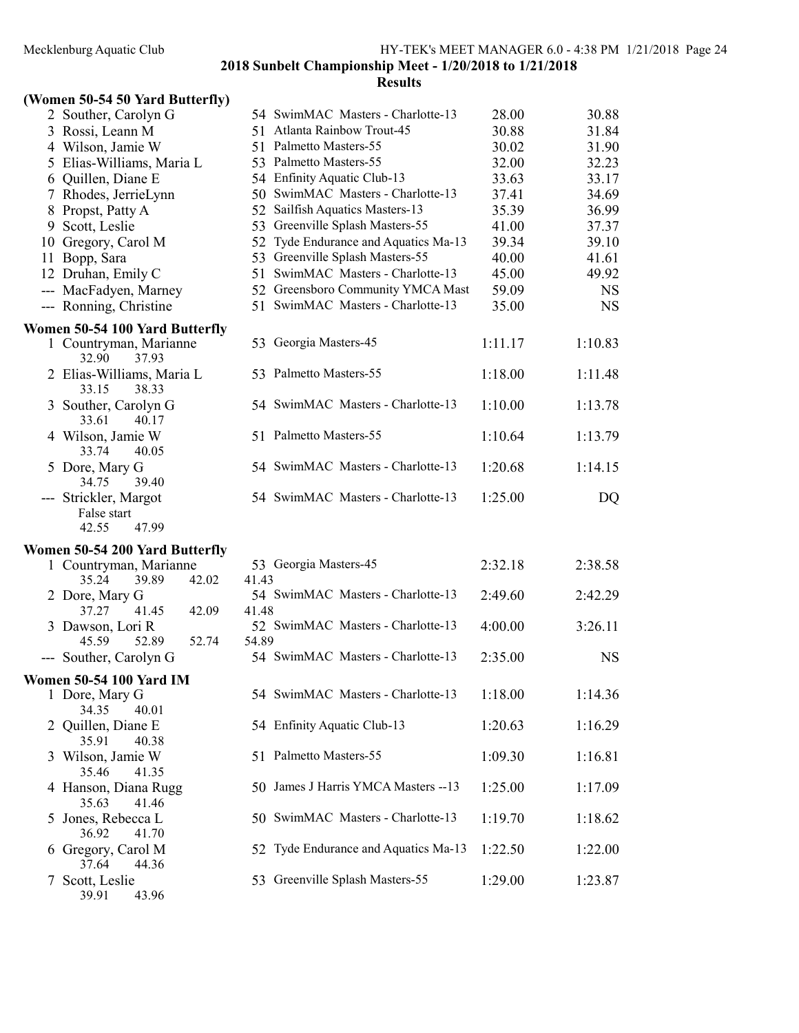### (Women 50-54 50 Yard Butterfly)

|               | 2 Souther, Carolyn G                                   |       | 54 SwimMAC Masters - Charlotte-13    | 28.00   | 30.88     |
|---------------|--------------------------------------------------------|-------|--------------------------------------|---------|-----------|
|               | 3 Rossi, Leann M                                       |       | 51 Atlanta Rainbow Trout-45          | 30.88   | 31.84     |
|               | 4 Wilson, Jamie W                                      |       | 51 Palmetto Masters-55               | 30.02   | 31.90     |
|               | 5 Elias-Williams, Maria L                              |       | 53 Palmetto Masters-55               | 32.00   | 32.23     |
|               | 6 Quillen, Diane E                                     |       | 54 Enfinity Aquatic Club-13          | 33.63   | 33.17     |
|               | 7 Rhodes, JerrieLynn                                   |       | 50 SwimMAC Masters - Charlotte-13    | 37.41   | 34.69     |
|               | 8 Propst, Patty A                                      |       | 52 Sailfish Aquatics Masters-13      | 35.39   | 36.99     |
|               | 9 Scott, Leslie                                        |       | 53 Greenville Splash Masters-55      | 41.00   | 37.37     |
|               | 10 Gregory, Carol M                                    |       | 52 Tyde Endurance and Aquatics Ma-13 | 39.34   | 39.10     |
|               | 11 Bopp, Sara                                          |       | 53 Greenville Splash Masters-55      | 40.00   | 41.61     |
|               | 12 Druhan, Emily C                                     |       | 51 SwimMAC Masters - Charlotte-13    | 45.00   | 49.92     |
|               | --- MacFadyen, Marney                                  |       | 52 Greensboro Community YMCA Mast    | 59.09   | <b>NS</b> |
|               | --- Ronning, Christine                                 |       | 51 SwimMAC Masters - Charlotte-13    | 35.00   | <b>NS</b> |
|               | Women 50-54 100 Yard Butterfly                         |       |                                      |         |           |
|               | 1 Countryman, Marianne<br>32.90<br>37.93               |       | 53 Georgia Masters-45                | 1:11.17 | 1:10.83   |
|               | 2 Elias-Williams, Maria L<br>38.33<br>33.15            |       | 53 Palmetto Masters-55               | 1:18.00 | 1:11.48   |
|               | 3 Souther, Carolyn G<br>33.61<br>40.17                 |       | 54 SwimMAC Masters - Charlotte-13    | 1:10.00 | 1:13.78   |
|               | 4 Wilson, Jamie W<br>33.74<br>40.05                    |       | 51 Palmetto Masters-55               | 1:10.64 | 1:13.79   |
|               | 5 Dore, Mary G<br>39.40<br>34.75                       |       | 54 SwimMAC Masters - Charlotte-13    | 1:20.68 | 1:14.15   |
|               | --- Strickler, Margot<br>False start<br>42.55<br>47.99 |       | 54 SwimMAC Masters - Charlotte-13    | 1:25.00 | DQ        |
|               | Women 50-54 200 Yard Butterfly                         |       |                                      |         |           |
|               | 1 Countryman, Marianne                                 |       | 53 Georgia Masters-45                | 2:32.18 | 2:38.58   |
|               | 35.24<br>39.89<br>42.02                                | 41.43 |                                      |         |           |
|               | 2 Dore, Mary G                                         |       | 54 SwimMAC Masters - Charlotte-13    | 2:49.60 | 2:42.29   |
|               | 37.27<br>41.45<br>42.09                                | 41.48 |                                      |         |           |
|               | 3 Dawson, Lori R                                       |       | 52 SwimMAC Masters - Charlotte-13    | 4:00.00 | 3:26.11   |
|               | 45.59<br>52.89<br>52.74                                | 54.89 |                                      |         |           |
|               | --- Souther, Carolyn G                                 |       | 54 SwimMAC Masters - Charlotte-13    | 2:35.00 | <b>NS</b> |
|               | <b>Women 50-54 100 Yard IM</b>                         |       |                                      |         |           |
|               | 1 Dore, Mary G<br>34.35<br>40.01                       |       | 54 SwimMAC Masters - Charlotte-13    | 1:18.00 | 1:14.36   |
|               | 2 Quillen, Diane E<br>35.91<br>40.38                   |       | 54 Enfinity Aquatic Club-13          | 1:20.63 | 1:16.29   |
|               | 3 Wilson, Jamie W<br>35.46<br>41.35                    |       | 51 Palmetto Masters-55               | 1:09.30 | 1:16.81   |
|               | 4 Hanson, Diana Rugg<br>35.63<br>41.46                 |       | 50 James J Harris YMCA Masters -- 13 | 1:25.00 | 1:17.09   |
|               | 5 Jones, Rebecca L<br>36.92<br>41.70                   |       | 50 SwimMAC Masters - Charlotte-13    | 1:19.70 | 1:18.62   |
|               | 6 Gregory, Carol M<br>37.64<br>44.36                   |       | 52 Tyde Endurance and Aquatics Ma-13 | 1:22.50 | 1:22.00   |
| $\mathcal{T}$ | Scott, Leslie<br>39.91<br>43.96                        |       | 53 Greenville Splash Masters-55      | 1:29.00 | 1:23.87   |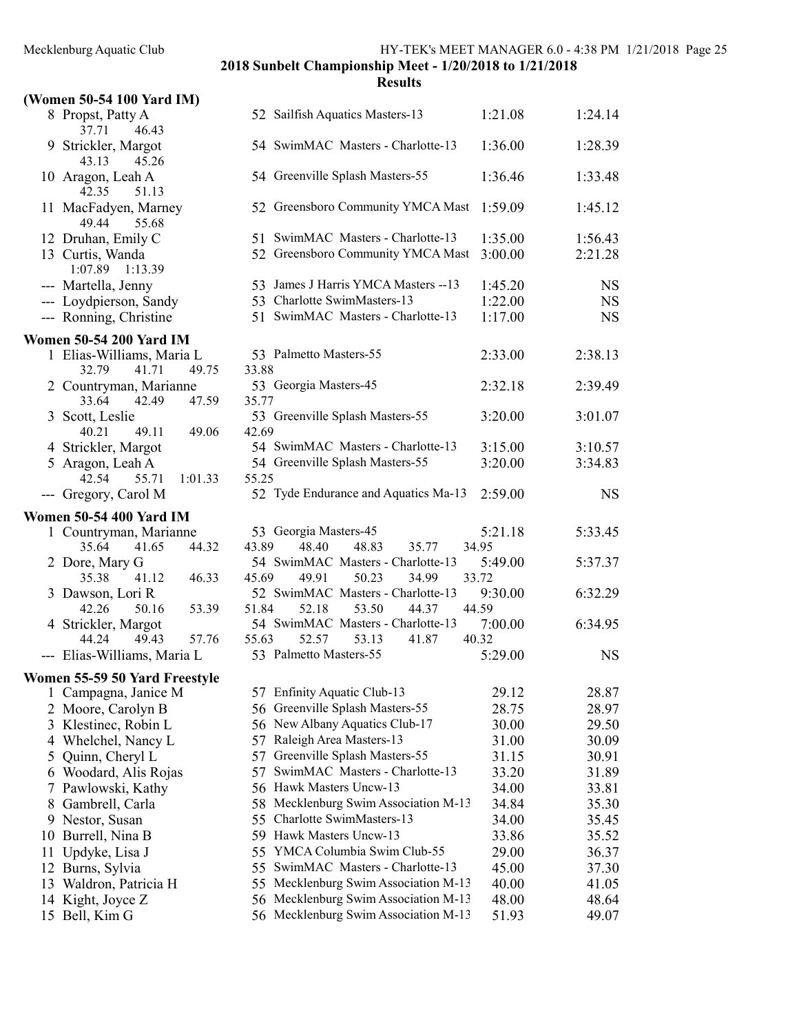|    | (Women 50-54 100 Yard IM)                         |                                                                       |                  |           |
|----|---------------------------------------------------|-----------------------------------------------------------------------|------------------|-----------|
|    | 8 Propst, Patty A<br>46.43<br>37.71               | 52 Sailfish Aquatics Masters-13                                       | 1:21.08          | 1:24.14   |
|    | 9 Strickler, Margot<br>43.13<br>45.26             | 54 SwimMAC Masters - Charlotte-13                                     | 1:36.00          | 1:28.39   |
|    | 10 Aragon, Leah A<br>51.13<br>42.35               | 54 Greenville Splash Masters-55                                       | 1:36.46          | 1:33.48   |
|    | 11 MacFadyen, Marney<br>49.44<br>55.68            | 52 Greensboro Community YMCA Mast                                     | 1:59.09          | 1:45.12   |
|    | 12 Druhan, Emily C                                | 51 SwimMAC Masters - Charlotte-13                                     | 1:35.00          | 1:56.43   |
|    | 13 Curtis, Wanda<br>1:07.89<br>1:13.39            | 52 Greensboro Community YMCA Mast                                     | 3:00.00          | 2:21.28   |
|    | --- Martella, Jenny                               | 53 James J Harris YMCA Masters -- 13                                  | 1:45.20          | <b>NS</b> |
|    | --- Loydpierson, Sandy                            | 53 Charlotte SwimMasters-13                                           | 1:22.00          | <b>NS</b> |
|    | --- Ronning, Christine                            | 51 SwimMAC Masters - Charlotte-13                                     | 1:17.00          | <b>NS</b> |
|    | <b>Women 50-54 200 Yard IM</b>                    |                                                                       |                  |           |
|    | 1 Elias-Williams, Maria L                         | 53 Palmetto Masters-55                                                | 2:33.00          | 2:38.13   |
|    | 32.79<br>49.75<br>41.71                           | 33.88                                                                 |                  |           |
|    | 2 Countryman, Marianne<br>42.49<br>47.59<br>33.64 | 53 Georgia Masters-45<br>35.77                                        | 2:32.18          | 2:39.49   |
|    | 3 Scott, Leslie<br>40.21<br>49.11                 | 53 Greenville Splash Masters-55                                       | 3:20.00          | 3:01.07   |
|    | 49.06<br>4 Strickler, Margot                      | 42.69<br>54 SwimMAC Masters - Charlotte-13                            | 3:15.00          | 3:10.57   |
|    | 5 Aragon, Leah A                                  | 54 Greenville Splash Masters-55                                       | 3:20.00          | 3:34.83   |
|    | 42.54<br>55.71<br>1:01.33                         | 55.25                                                                 |                  |           |
|    | --- Gregory, Carol M                              | 52 Tyde Endurance and Aquatics Ma-13                                  | 2:59.00          | <b>NS</b> |
|    | <b>Women 50-54 400 Yard IM</b>                    |                                                                       |                  |           |
|    | 1 Countryman, Marianne                            | 53 Georgia Masters-45                                                 | 5:21.18          | 5:33.45   |
|    | 35.64<br>41.65<br>44.32                           | 43.89<br>48.40<br>48.83<br>35.77                                      | 34.95            |           |
|    | 2 Dore, Mary G                                    | 54 SwimMAC Masters - Charlotte-13                                     | 5:49.00          | 5:37.37   |
|    | 46.33<br>35.38<br>41.12                           | 45.69<br>49.91<br>50.23<br>34.99                                      | 33.72            |           |
|    | 3 Dawson, Lori R<br>42.26<br>50.16<br>53.39       | 52 SwimMAC Masters - Charlotte-13<br>51.84<br>52.18<br>53.50<br>44.37 | 9:30.00<br>44.59 | 6:32.29   |
|    | 4 Strickler, Margot                               | 54 SwimMAC Masters - Charlotte-13                                     | 7:00.00          | 6:34.95   |
|    | 49.43<br>57.76<br>44.24                           | 52.57<br>55.63<br>53.13<br>41.87                                      | 40.32            |           |
|    | --- Elias-Williams, Maria L                       | 53 Palmetto Masters-55                                                | 5:29.00          | <b>NS</b> |
|    | Women 55-59 50 Yard Freestyle                     |                                                                       |                  |           |
|    | 1 Campagna, Janice M                              | 57 Enfinity Aquatic Club-13                                           | 29.12            | 28.87     |
|    | 2 Moore, Carolyn B                                | 56 Greenville Splash Masters-55                                       | 28.75            | 28.97     |
|    | 3 Klestinec, Robin L                              | 56 New Albany Aquatics Club-17                                        | 30.00            | 29.50     |
| 4  | Whelchel, Nancy L                                 | 57 Raleigh Area Masters-13                                            | 31.00            | 30.09     |
| 5  | Quinn, Cheryl L                                   | Greenville Splash Masters-55<br>57                                    | 31.15            | 30.91     |
| 6  | Woodard, Alis Rojas                               | SwimMAC Masters - Charlotte-13<br>57                                  | 33.20            | 31.89     |
| 7  | Pawlowski, Kathy                                  | 56 Hawk Masters Uncw-13                                               | 34.00            | 33.81     |
| 8  | Gambrell, Carla                                   | 58 Mecklenburg Swim Association M-13                                  | 34.84            | 35.30     |
| 9  | Nestor, Susan                                     | 55 Charlotte SwimMasters-13                                           | 34.00            | 35.45     |
| 10 | Burrell, Nina B                                   | 59 Hawk Masters Uncw-13                                               | 33.86            | 35.52     |
| 11 | Updyke, Lisa J                                    | 55 YMCA Columbia Swim Club-55                                         | 29.00            | 36.37     |
|    | 12 Burns, Sylvia                                  | 55 SwimMAC Masters - Charlotte-13                                     | 45.00            | 37.30     |
| 13 | Waldron, Patricia H                               | 55 Mecklenburg Swim Association M-13                                  | 40.00            | 41.05     |
|    | 14 Kight, Joyce Z                                 | 56 Mecklenburg Swim Association M-13                                  | 48.00            | 48.64     |
|    | 15 Bell, Kim G                                    | 56 Mecklenburg Swim Association M-13                                  | 51.93            | 49.07     |
|    |                                                   |                                                                       |                  |           |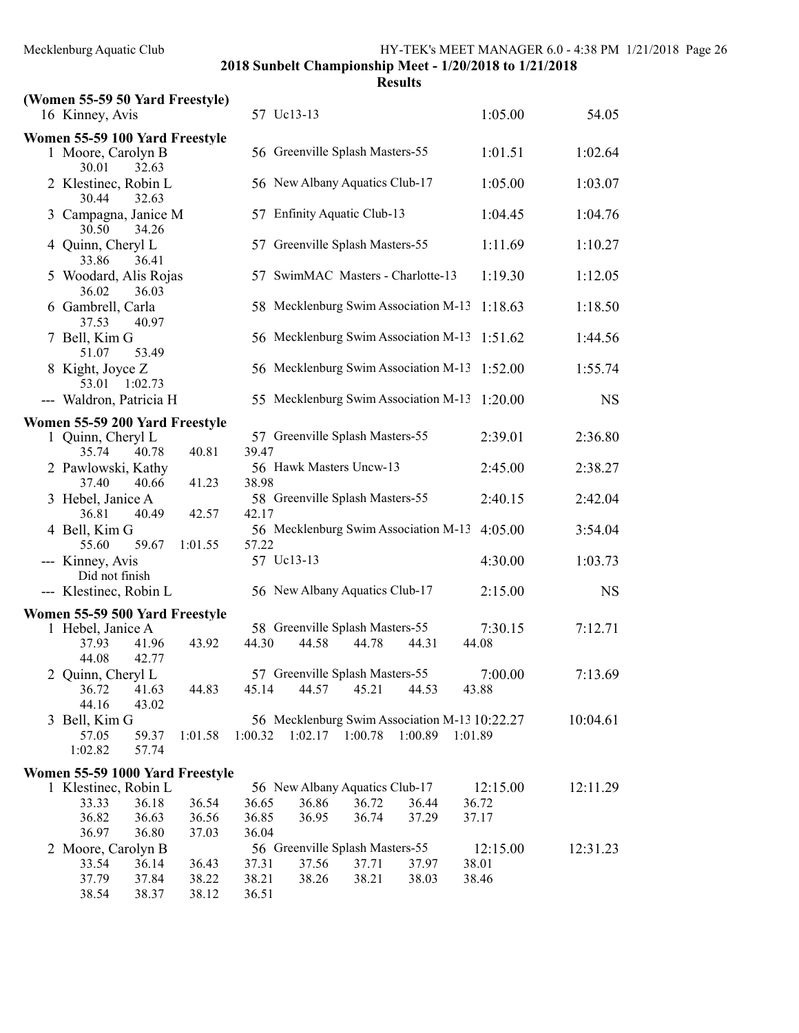| (Women 55-59 50 Yard Freestyle)                                        |         |         |                                      |       |         |                                               |           |
|------------------------------------------------------------------------|---------|---------|--------------------------------------|-------|---------|-----------------------------------------------|-----------|
| 16 Kinney, Avis                                                        |         |         | 57 Uc13-13                           |       |         | 1:05.00                                       | 54.05     |
| Women 55-59 100 Yard Freestyle<br>1 Moore, Carolyn B<br>30.01<br>32.63 |         |         | 56 Greenville Splash Masters-55      |       |         | 1:01.51                                       | 1:02.64   |
| 2 Klestinec, Robin L<br>30.44<br>32.63                                 |         |         | 56 New Albany Aquatics Club-17       |       |         | 1:05.00                                       | 1:03.07   |
| 3 Campagna, Janice M<br>30.50<br>34.26                                 |         |         | 57 Enfinity Aquatic Club-13          |       |         | 1:04.45                                       | 1:04.76   |
| 4 Quinn, Cheryl L<br>33.86<br>36.41                                    |         |         | 57 Greenville Splash Masters-55      |       |         | 1:11.69                                       | 1:10.27   |
| 5 Woodard, Alis Rojas<br>36.02<br>36.03                                |         |         | 57 SwimMAC Masters - Charlotte-13    |       |         | 1:19.30                                       | 1:12.05   |
| 6 Gambrell, Carla<br>37.53<br>40.97                                    |         |         | 58 Mecklenburg Swim Association M-13 |       |         | 1:18.63                                       | 1:18.50   |
| 7 Bell, Kim G<br>51.07<br>53.49                                        |         |         | 56 Mecklenburg Swim Association M-13 |       |         | 1:51.62                                       | 1:44.56   |
| 8 Kight, Joyce Z<br>53.01<br>1:02.73                                   |         |         | 56 Mecklenburg Swim Association M-13 |       |         | 1:52.00                                       | 1:55.74   |
| --- Waldron, Patricia H                                                |         |         | 55 Mecklenburg Swim Association M-13 |       |         | 1:20.00                                       | <b>NS</b> |
| Women 55-59 200 Yard Freestyle                                         |         |         |                                      |       |         |                                               |           |
| 1 Quinn, Cheryl L<br>35.74<br>40.78                                    | 40.81   | 39.47   | 57 Greenville Splash Masters-55      |       |         | 2:39.01                                       | 2:36.80   |
| 2 Pawlowski, Kathy<br>37.40<br>40.66                                   | 41.23   | 38.98   | 56 Hawk Masters Uncw-13              |       |         | 2:45.00                                       | 2:38.27   |
| 3 Hebel, Janice A<br>36.81<br>40.49                                    | 42.57   | 42.17   | 58 Greenville Splash Masters-55      |       |         | 2:40.15                                       | 2:42.04   |
| 4 Bell, Kim G<br>59.67<br>55.60                                        | 1:01.55 | 57.22   | 56 Mecklenburg Swim Association M-13 |       |         | 4:05.00                                       | 3:54.04   |
| --- Kinney, Avis<br>Did not finish                                     |         |         | 57 Uc13-13                           |       |         | 4:30.00                                       | 1:03.73   |
| --- Klestinec, Robin L                                                 |         |         | 56 New Albany Aquatics Club-17       |       |         | 2:15.00                                       | <b>NS</b> |
| Women 55-59 500 Yard Freestyle                                         |         |         |                                      |       |         |                                               |           |
| 1 Hebel, Janice A                                                      |         |         | 58 Greenville Splash Masters-55      |       |         | 7:30.15                                       | 7:12.71   |
| 37.93<br>41.96<br>44.08<br>42.77                                       | 43.92   | 44.30   | 44.58                                | 44.78 | 44.31   | 44.08                                         |           |
| 2 Quinn, Cheryl L                                                      |         |         | 57 Greenville Splash Masters-55      |       |         | 7:00.00                                       | 7:13.69   |
| 36.72<br>41.63<br>44.16<br>43.02                                       | 44.83   | 45.14   | 44.57                                | 45.21 | 44.53   | 43.88                                         |           |
| 3 Bell, Kim G                                                          |         |         |                                      |       |         | 56 Mecklenburg Swim Association M-13 10:22.27 | 10:04.61  |
| 57.05<br>59.37<br>1:02.82<br>57.74                                     | 1:01.58 | 1:00.32 | $1:02.17$ $1:00.78$                  |       | 1:00.89 | 1:01.89                                       |           |
| Women 55-59 1000 Yard Freestyle                                        |         |         |                                      |       |         |                                               |           |
| 1 Klestinec, Robin L                                                   |         |         | 56 New Albany Aquatics Club-17       |       |         | 12:15.00                                      | 12:11.29  |
| 33.33<br>36.18                                                         | 36.54   | 36.65   | 36.86                                | 36.72 | 36.44   | 36.72                                         |           |
| 36.82<br>36.63                                                         | 36.56   | 36.85   | 36.95                                | 36.74 | 37.29   | 37.17                                         |           |
| 36.80<br>36.97<br>2 Moore, Carolyn B                                   | 37.03   | 36.04   | 56 Greenville Splash Masters-55      |       |         | 12:15.00                                      | 12:31.23  |
| 33.54<br>36.14                                                         | 36.43   | 37.31   | 37.56                                | 37.71 | 37.97   | 38.01                                         |           |
| 37.79<br>37.84                                                         | 38.22   | 38.21   | 38.26                                | 38.21 | 38.03   | 38.46                                         |           |
| 38.54<br>38.37                                                         | 38.12   | 36.51   |                                      |       |         |                                               |           |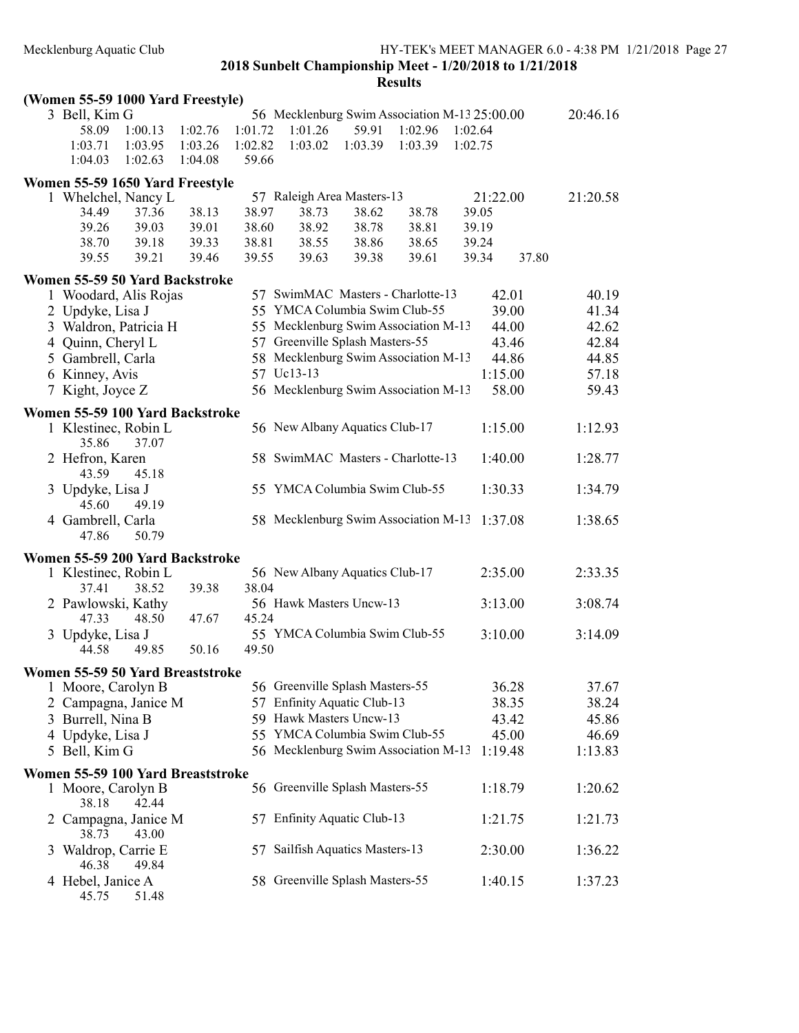| (Women 55-59 1000 Yard Freestyle)  |         |         |                                               |         |         |          |         |          |
|------------------------------------|---------|---------|-----------------------------------------------|---------|---------|----------|---------|----------|
| 3 Bell, Kim G                      |         |         | 56 Mecklenburg Swim Association M-13 25:00.00 |         |         |          |         | 20:46.16 |
| 1:00.13<br>58.09                   | 1:02.76 | 1:01.72 | 1:01.26                                       | 59.91   | 1:02.96 | 1:02.64  |         |          |
| 1:03.95<br>1:03.71                 | 1:03.26 | 1:02.82 | 1:03.02                                       | 1:03.39 | 1:03.39 | 1:02.75  |         |          |
| 1:02.63<br>1:04.03                 | 1:04.08 | 59.66   |                                               |         |         |          |         |          |
| Women 55-59 1650 Yard Freestyle    |         |         |                                               |         |         |          |         |          |
| 1 Whelchel, Nancy L                |         |         | 57 Raleigh Area Masters-13                    |         |         | 21:22.00 |         | 21:20.58 |
| 34.49<br>37.36                     | 38.13   | 38.97   | 38.73                                         | 38.62   | 38.78   | 39.05    |         |          |
| 39.26<br>39.03                     | 39.01   | 38.60   | 38.92                                         | 38.78   | 38.81   | 39.19    |         |          |
| 38.70<br>39.18                     | 39.33   | 38.81   | 38.55                                         | 38.86   | 38.65   | 39.24    |         |          |
| 39.55<br>39.21                     | 39.46   | 39.55   | 39.63                                         | 39.38   | 39.61   | 39.34    | 37.80   |          |
| Women 55-59 50 Yard Backstroke     |         |         |                                               |         |         |          |         |          |
| 1 Woodard, Alis Rojas              |         |         | 57 SwimMAC Masters - Charlotte-13             |         |         |          | 42.01   | 40.19    |
| 2 Updyke, Lisa J                   |         |         | 55 YMCA Columbia Swim Club-55                 |         |         |          | 39.00   | 41.34    |
| 3 Waldron, Patricia H              |         |         | 55 Mecklenburg Swim Association M-13          |         |         |          | 44.00   | 42.62    |
| 4 Quinn, Cheryl L                  |         |         | 57 Greenville Splash Masters-55               |         |         |          | 43.46   | 42.84    |
| 5 Gambrell, Carla                  |         |         | 58 Mecklenburg Swim Association M-13          |         |         |          | 44.86   | 44.85    |
| 6 Kinney, Avis                     |         |         | 57 Uc13-13                                    |         |         |          | 1:15.00 | 57.18    |
| 7 Kight, Joyce Z                   |         |         | 56 Mecklenburg Swim Association M-13          |         |         |          | 58.00   | 59.43    |
|                                    |         |         |                                               |         |         |          |         |          |
| Women 55-59 100 Yard Backstroke    |         |         |                                               |         |         |          |         |          |
| 1 Klestinec, Robin L               |         |         | 56 New Albany Aquatics Club-17                |         |         |          | 1:15.00 | 1:12.93  |
| 37.07<br>35.86                     |         |         |                                               |         |         |          |         |          |
| 2 Hefron, Karen                    |         |         | 58 SwimMAC Masters - Charlotte-13             |         |         |          | 1:40.00 | 1:28.77  |
| 43.59<br>45.18                     |         |         | 55 YMCA Columbia Swim Club-55                 |         |         |          |         |          |
| 3 Updyke, Lisa J<br>45.60<br>49.19 |         |         |                                               |         |         |          | 1:30.33 | 1:34.79  |
| 4 Gambrell, Carla                  |         |         | 58 Mecklenburg Swim Association M-13          |         |         |          | 1:37.08 | 1:38.65  |
| 50.79<br>47.86                     |         |         |                                               |         |         |          |         |          |
|                                    |         |         |                                               |         |         |          |         |          |
| Women 55-59 200 Yard Backstroke    |         |         |                                               |         |         |          |         |          |
| 1 Klestinec, Robin L               |         |         | 56 New Albany Aquatics Club-17                |         |         |          | 2:35.00 | 2:33.35  |
| 38.52<br>37.41                     | 39.38   | 38.04   |                                               |         |         |          |         |          |
| 2 Pawlowski, Kathy                 |         |         | 56 Hawk Masters Uncw-13                       |         |         |          | 3:13.00 | 3:08.74  |
| 47.33<br>48.50                     | 47.67   | 45.24   | 55 YMCA Columbia Swim Club-55                 |         |         |          |         |          |
| 3 Updyke, Lisa J                   |         |         |                                               |         |         |          | 3:10.00 | 3:14.09  |
| 44.58<br>49.85                     | 50.16   | 49.50   |                                               |         |         |          |         |          |
| Women 55-59 50 Yard Breaststroke   |         |         |                                               |         |         |          |         |          |
| 1 Moore, Carolyn B                 |         |         | 56 Greenville Splash Masters-55               |         |         |          | 36.28   | 37.67    |
| Campagna, Janice M                 |         |         | 57 Enfinity Aquatic Club-13                   |         |         |          | 38.35   | 38.24    |
| 3 Burrell, Nina B                  |         |         | 59 Hawk Masters Uncw-13                       |         |         |          | 43.42   | 45.86    |
| 4 Updyke, Lisa J                   |         |         | 55 YMCA Columbia Swim Club-55                 |         |         |          | 45.00   | 46.69    |
| 5 Bell, Kim G                      |         |         | 56 Mecklenburg Swim Association M-13          |         |         |          | 1:19.48 | 1:13.83  |
| Women 55-59 100 Yard Breaststroke  |         |         |                                               |         |         |          |         |          |
| 1 Moore, Carolyn B                 |         |         | 56 Greenville Splash Masters-55               |         |         |          | 1:18.79 | 1:20.62  |
| 42.44<br>38.18                     |         |         |                                               |         |         |          |         |          |
| 2 Campagna, Janice M               |         | 57      | Enfinity Aquatic Club-13                      |         |         |          | 1:21.75 | 1:21.73  |
| 38.73<br>43.00                     |         |         |                                               |         |         |          |         |          |
| 3 Waldrop, Carrie E                |         | 57      | Sailfish Aquatics Masters-13                  |         |         |          | 2:30.00 | 1:36.22  |
| 46.38<br>49.84                     |         |         |                                               |         |         |          |         |          |
| 4 Hebel, Janice A                  |         |         | 58 Greenville Splash Masters-55               |         |         |          | 1:40.15 | 1:37.23  |
| 45.75<br>51.48                     |         |         |                                               |         |         |          |         |          |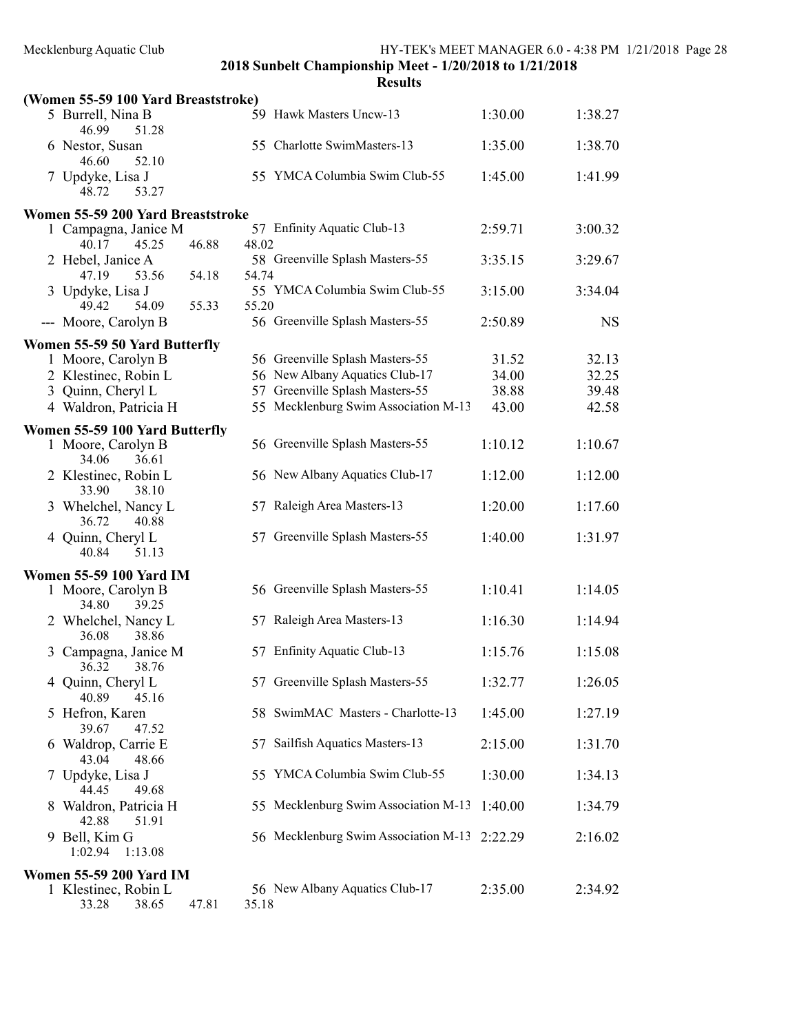| (Women 55-59 100 Yard Breaststroke)                                    |       |       |                                              |         |           |
|------------------------------------------------------------------------|-------|-------|----------------------------------------------|---------|-----------|
| 5 Burrell, Nina B<br>46.99<br>51.28                                    |       |       | 59 Hawk Masters Uncw-13                      | 1:30.00 | 1:38.27   |
| 6 Nestor, Susan<br>52.10<br>46.60                                      |       |       | 55 Charlotte SwimMasters-13                  | 1:35.00 | 1:38.70   |
| 7 Updyke, Lisa J<br>48.72<br>53.27                                     |       |       | 55 YMCA Columbia Swim Club-55                | 1:45.00 | 1:41.99   |
| Women 55-59 200 Yard Breaststroke                                      |       |       |                                              |         |           |
| 1 Campagna, Janice M<br>40.17<br>45.25                                 | 46.88 | 48.02 | 57 Enfinity Aquatic Club-13                  | 2:59.71 | 3:00.32   |
| 2 Hebel, Janice A<br>47.19<br>53.56                                    | 54.18 | 54.74 | 58 Greenville Splash Masters-55              | 3:35.15 | 3:29.67   |
| 3 Updyke, Lisa J<br>49.42<br>54.09                                     | 55.33 | 55.20 | 55 YMCA Columbia Swim Club-55                | 3:15.00 | 3:34.04   |
| --- Moore, Carolyn B                                                   |       |       | 56 Greenville Splash Masters-55              | 2:50.89 | <b>NS</b> |
| Women 55-59 50 Yard Butterfly                                          |       |       |                                              |         |           |
| 1 Moore, Carolyn B                                                     |       |       | 56 Greenville Splash Masters-55              | 31.52   | 32.13     |
| 2 Klestinec, Robin L                                                   |       |       | 56 New Albany Aquatics Club-17               | 34.00   | 32.25     |
| 3 Quinn, Cheryl L                                                      |       |       | 57 Greenville Splash Masters-55              | 38.88   | 39.48     |
| 4 Waldron, Patricia H                                                  |       |       | 55 Mecklenburg Swim Association M-13         | 43.00   | 42.58     |
|                                                                        |       |       |                                              |         |           |
| Women 55-59 100 Yard Butterfly<br>1 Moore, Carolyn B<br>34.06<br>36.61 |       |       | 56 Greenville Splash Masters-55              | 1:10.12 | 1:10.67   |
| 2 Klestinec, Robin L<br>33.90<br>38.10                                 |       |       | 56 New Albany Aquatics Club-17               | 1:12.00 | 1:12.00   |
| 3 Whelchel, Nancy L<br>36.72<br>40.88                                  |       |       | 57 Raleigh Area Masters-13                   | 1:20.00 | 1:17.60   |
| 4 Quinn, Cheryl L<br>40.84<br>51.13                                    |       |       | 57 Greenville Splash Masters-55              | 1:40.00 | 1:31.97   |
| <b>Women 55-59 100 Yard IM</b>                                         |       |       |                                              |         |           |
| 1 Moore, Carolyn B<br>34.80<br>39.25                                   |       |       | 56 Greenville Splash Masters-55              | 1:10.41 | 1:14.05   |
| 2 Whelchel, Nancy L<br>36.08<br>38.86                                  |       |       | 57 Raleigh Area Masters-13                   | 1:16.30 | 1:14.94   |
| 3 Campagna, Janice M<br>36.32<br>38.76                                 |       |       | 57 Enfinity Aquatic Club-13                  | 1:15.76 | 1:15.08   |
| 4 Quinn, Cheryl L<br>40.89<br>45.16                                    |       |       | 57 Greenville Splash Masters-55              | 1:32.77 | 1:26.05   |
| 5 Hefron, Karen<br>39.67<br>47.52                                      |       |       | 58 SwimMAC Masters - Charlotte-13            | 1:45.00 | 1:27.19   |
| 6 Waldrop, Carrie E<br>48.66<br>43.04                                  |       |       | 57 Sailfish Aquatics Masters-13              | 2:15.00 | 1:31.70   |
| 7 Updyke, Lisa J<br>44.45<br>49.68                                     |       |       | 55 YMCA Columbia Swim Club-55                | 1:30.00 | 1:34.13   |
| 8 Waldron, Patricia H<br>42.88<br>51.91                                |       |       | 55 Mecklenburg Swim Association M-13         | 1:40.00 | 1:34.79   |
| 9 Bell, Kim G<br>1:02.94<br>1:13.08                                    |       |       | 56 Mecklenburg Swim Association M-13 2:22.29 |         | 2:16.02   |
| <b>Women 55-59 200 Yard IM</b>                                         |       |       |                                              |         |           |
| 1 Klestinec, Robin L<br>38.65<br>33.28                                 | 47.81 | 35.18 | 56 New Albany Aquatics Club-17               | 2:35.00 | 2:34.92   |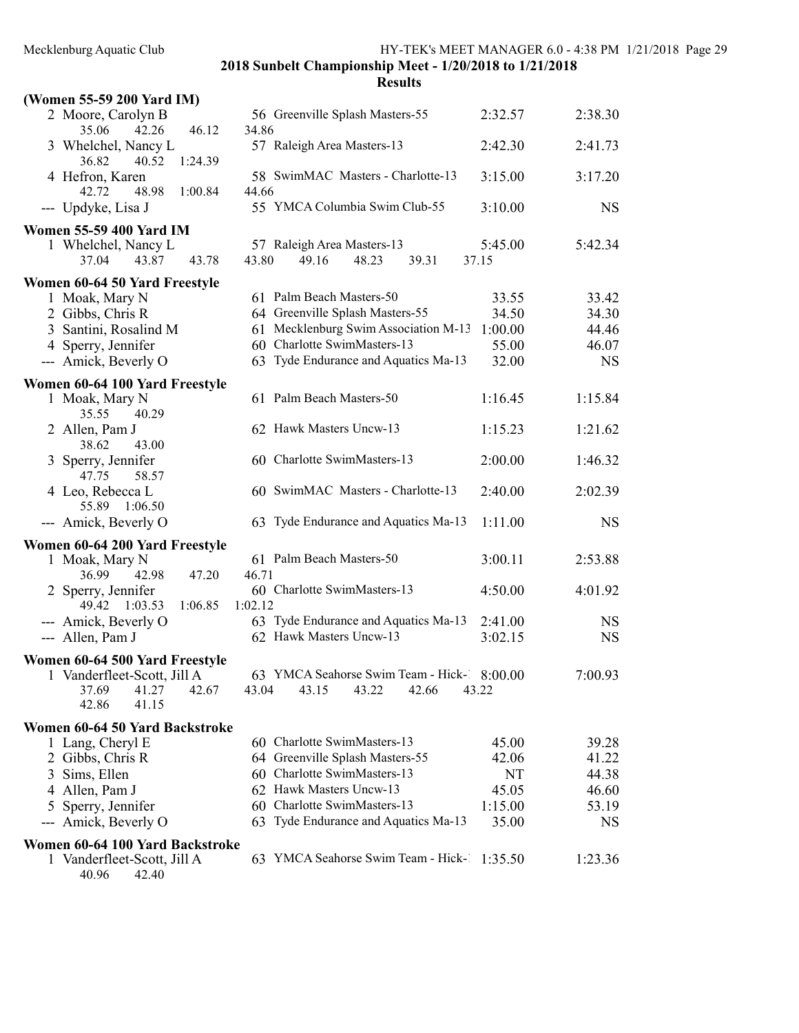| (Women 55-59 200 Yard IM)                     |         |         |                                             |       |       |         |           |
|-----------------------------------------------|---------|---------|---------------------------------------------|-------|-------|---------|-----------|
| 2 Moore, Carolyn B<br>35.06<br>42.26          | 46.12   | 34.86   | 56 Greenville Splash Masters-55             |       |       | 2:32.57 | 2:38.30   |
| 3 Whelchel, Nancy L<br>36.82<br>40.52         | 1:24.39 |         | 57 Raleigh Area Masters-13                  |       |       | 2:42.30 | 2:41.73   |
| 4 Hefron, Karen<br>42.72<br>48.98             | 1:00.84 | 44.66   | 58 SwimMAC Masters - Charlotte-13           |       |       | 3:15.00 | 3:17.20   |
| --- Updyke, Lisa J                            |         |         | 55 YMCA Columbia Swim Club-55               |       |       | 3:10.00 | <b>NS</b> |
| <b>Women 55-59 400 Yard IM</b>                |         |         |                                             |       |       |         |           |
| 1 Whelchel, Nancy L                           |         |         | 57 Raleigh Area Masters-13                  |       |       | 5:45.00 | 5:42.34   |
| 37.04<br>43.87                                | 43.78   | 43.80   | 49.16                                       | 48.23 | 39.31 | 37.15   |           |
| Women 60-64 50 Yard Freestyle                 |         |         |                                             |       |       |         |           |
| 1 Moak, Mary N                                |         |         | 61 Palm Beach Masters-50                    |       |       | 33.55   | 33.42     |
| 2 Gibbs, Chris R                              |         |         | 64 Greenville Splash Masters-55             |       |       | 34.50   | 34.30     |
| 3 Santini, Rosalind M                         |         |         | 61 Mecklenburg Swim Association M-13        |       |       | 1:00.00 | 44.46     |
| 4 Sperry, Jennifer                            |         |         | 60 Charlotte SwimMasters-13                 |       |       | 55.00   | 46.07     |
| --- Amick, Beverly O                          |         |         | 63 Tyde Endurance and Aquatics Ma-13        |       |       | 32.00   | <b>NS</b> |
| Women 60-64 100 Yard Freestyle                |         |         |                                             |       |       |         |           |
| 1 Moak, Mary N<br>35.55<br>40.29              |         |         | 61 Palm Beach Masters-50                    |       |       | 1:16.45 | 1:15.84   |
| 2 Allen, Pam J<br>43.00<br>38.62              |         |         | 62 Hawk Masters Uncw-13                     |       |       | 1:15.23 | 1:21.62   |
| 3 Sperry, Jennifer<br>58.57<br>47.75          |         |         | 60 Charlotte SwimMasters-13                 |       |       | 2:00.00 | 1:46.32   |
| 4 Leo, Rebecca L<br>55.89 1:06.50             |         |         | 60 SwimMAC Masters - Charlotte-13           |       |       | 2:40.00 | 2:02.39   |
| --- Amick, Beverly O                          |         |         | 63 Tyde Endurance and Aquatics Ma-13        |       |       | 1:11.00 | <b>NS</b> |
| Women 60-64 200 Yard Freestyle                |         |         |                                             |       |       |         |           |
| 1 Moak, Mary N                                |         |         | 61 Palm Beach Masters-50                    |       |       | 3:00.11 | 2:53.88   |
| 36.99<br>42.98                                | 47.20   | 46.71   |                                             |       |       |         |           |
| 2 Sperry, Jennifer                            |         |         | 60 Charlotte SwimMasters-13                 |       |       | 4:50.00 | 4:01.92   |
| 1:03.53<br>49.42                              | 1:06.85 | 1:02.12 |                                             |       |       |         |           |
| --- Amick, Beverly O                          |         |         | 63 Tyde Endurance and Aquatics Ma-13        |       |       | 2:41.00 | <b>NS</b> |
| --- Allen, Pam J                              |         |         | 62 Hawk Masters Uncw-13                     |       |       | 3:02.15 | <b>NS</b> |
| Women 60-64 500 Yard Freestyle                |         |         |                                             |       |       |         |           |
| 1 Vanderfleet-Scott, Jill A                   |         |         | 63 YMCA Seahorse Swim Team - Hick- 8:00.00  |       |       |         | 7:00.93   |
| 37.69<br>41.27                                | 42.67   | 43.04   | 43.15                                       | 43.22 | 42.66 | 43.22   |           |
| 42.86<br>41.15                                |         |         |                                             |       |       |         |           |
| Women 60-64 50 Yard Backstroke                |         |         |                                             |       |       |         |           |
| 1 Lang, Cheryl E                              |         |         | 60 Charlotte SwimMasters-13                 |       |       | 45.00   | 39.28     |
| 2 Gibbs, Chris R                              |         |         | 64 Greenville Splash Masters-55             |       |       | 42.06   | 41.22     |
| 3 Sims, Ellen                                 |         |         | 60 Charlotte SwimMasters-13                 |       |       | NT      | 44.38     |
| 4 Allen, Pam J                                |         |         | 62 Hawk Masters Uncw-13                     |       |       | 45.05   | 46.60     |
| 5 Sperry, Jennifer                            |         |         | 60 Charlotte SwimMasters-13                 |       |       | 1:15.00 | 53.19     |
| --- Amick, Beverly O                          |         |         | 63 Tyde Endurance and Aquatics Ma-13        |       |       | 35.00   | <b>NS</b> |
| Women 60-64 100 Yard Backstroke               |         |         |                                             |       |       |         |           |
| 1 Vanderfleet-Scott, Jill A<br>40.96<br>42.40 |         |         | 63 YMCA Seahorse Swim Team - Hick-1 1:35.50 |       |       |         | 1:23.36   |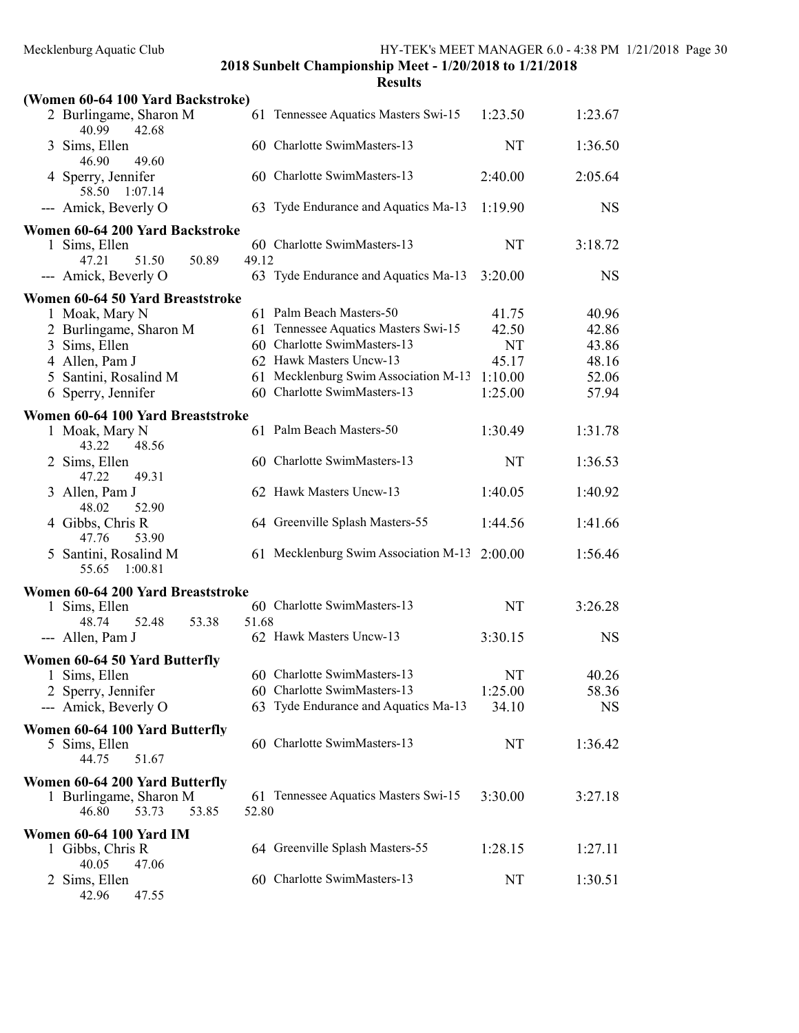| sesults |
|---------|
|---------|

| (Women 60-64 100 Yard Backstroke)                 |                                               |         |           |
|---------------------------------------------------|-----------------------------------------------|---------|-----------|
| 2 Burlingame, Sharon M<br>40.99<br>42.68          | 61 Tennessee Aquatics Masters Swi-15          | 1:23.50 | 1:23.67   |
| 3 Sims, Ellen<br>46.90<br>49.60                   | 60 Charlotte SwimMasters-13                   | NT      | 1:36.50   |
| 4 Sperry, Jennifer<br>58.50<br>1:07.14            | 60 Charlotte SwimMasters-13                   | 2:40.00 | 2:05.64   |
| --- Amick, Beverly O                              | 63 Tyde Endurance and Aquatics Ma-13          | 1:19.90 | <b>NS</b> |
| Women 60-64 200 Yard Backstroke                   |                                               |         |           |
| 1 Sims, Ellen                                     | 60 Charlotte SwimMasters-13                   | NT      | 3:18.72   |
| 47.21<br>51.50<br>50.89                           | 49.12                                         |         |           |
| --- Amick, Beverly O                              | 63 Tyde Endurance and Aquatics Ma-13          | 3:20.00 | <b>NS</b> |
| Women 60-64 50 Yard Breaststroke                  |                                               |         |           |
| 1 Moak, Mary N                                    | 61 Palm Beach Masters-50                      | 41.75   | 40.96     |
| 2 Burlingame, Sharon M                            | 61 Tennessee Aquatics Masters Swi-15          | 42.50   | 42.86     |
| Sims, Ellen<br>3                                  | 60 Charlotte SwimMasters-13                   | NT      | 43.86     |
| 4 Allen, Pam J                                    | 62 Hawk Masters Uncw-13                       | 45.17   | 48.16     |
| Santini, Rosalind M                               | 61 Mecklenburg Swim Association M-13          | 1:10.00 | 52.06     |
| 6 Sperry, Jennifer                                | 60 Charlotte SwimMasters-13                   | 1:25.00 | 57.94     |
| Women 60-64 100 Yard Breaststroke                 |                                               |         |           |
| 1 Moak, Mary N<br>43.22<br>48.56                  | 61 Palm Beach Masters-50                      | 1:30.49 | 1:31.78   |
| 2 Sims, Ellen<br>47.22<br>49.31                   | 60 Charlotte SwimMasters-13                   | NT      | 1:36.53   |
| 3 Allen, Pam J<br>48.02<br>52.90                  | 62 Hawk Masters Uncw-13                       | 1:40.05 | 1:40.92   |
| 4 Gibbs, Chris R<br>47.76<br>53.90                | 64 Greenville Splash Masters-55               | 1:44.56 | 1:41.66   |
| 5 Santini, Rosalind M<br>55.65<br>1:00.81         | 61 Mecklenburg Swim Association M-13 2:00.00  |         | 1:56.46   |
| Women 60-64 200 Yard Breaststroke                 |                                               |         |           |
| 1 Sims, Ellen                                     | 60 Charlotte SwimMasters-13                   | NT      | 3:26.28   |
| 52.48<br>48.74<br>53.38                           | 51.68                                         |         |           |
| --- Allen, Pam J                                  | 62 Hawk Masters Uncw-13                       | 3:30.15 | <b>NS</b> |
| Women 60-64 50 Yard Butterfly                     |                                               |         |           |
| 1 Sims, Ellen                                     | 60 Charlotte SwimMasters-13                   | NT      | 40.26     |
| 2 Sperry, Jennifer                                | 60 Charlotte SwimMasters-13                   | 1:25.00 | 58.36     |
| --- Amick, Beverly O                              | 63 Tyde Endurance and Aquatics Ma-13          | 34.10   | <b>NS</b> |
| Women 60-64 100 Yard Butterfly                    |                                               |         |           |
| 5 Sims, Ellen                                     | 60 Charlotte SwimMasters-13                   | NT      | 1:36.42   |
| 44.75<br>51.67                                    |                                               |         |           |
| Women 60-64 200 Yard Butterfly                    |                                               |         |           |
| 1 Burlingame, Sharon M<br>46.80<br>53.73<br>53.85 | 61 Tennessee Aquatics Masters Swi-15<br>52.80 | 3:30.00 | 3:27.18   |
| Women 60-64 100 Yard IM                           |                                               |         |           |
| 1 Gibbs, Chris R<br>40.05<br>47.06                | 64 Greenville Splash Masters-55               | 1:28.15 | 1:27.11   |
| 2 Sims, Ellen                                     | 60 Charlotte SwimMasters-13                   | NT      | 1:30.51   |

42.96 47.55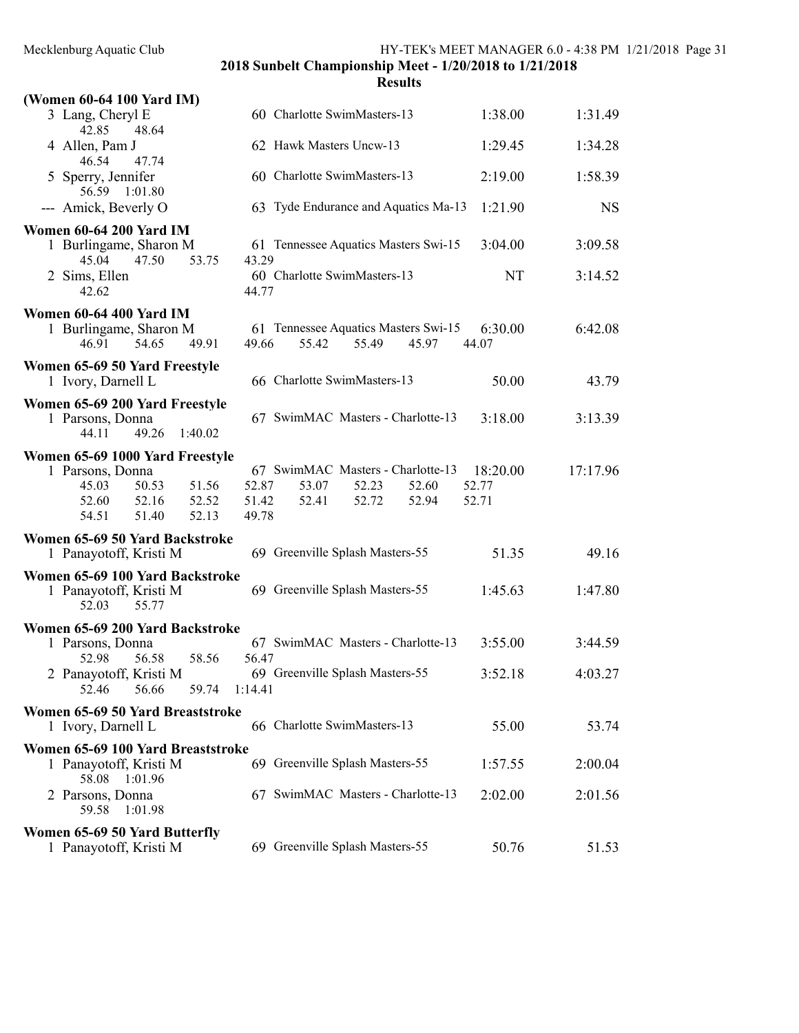| (Women 60-64 100 Yard IM)                                                       |                                                                          |                  |           |
|---------------------------------------------------------------------------------|--------------------------------------------------------------------------|------------------|-----------|
| 3 Lang, Cheryl E<br>42.85<br>48.64                                              | 60 Charlotte SwimMasters-13                                              | 1:38.00          | 1:31.49   |
| 4 Allen, Pam J<br>46.54<br>47.74                                                | 62 Hawk Masters Uncw-13                                                  | 1:29.45          | 1:34.28   |
| 5 Sperry, Jennifer<br>56.59<br>1:01.80                                          | 60 Charlotte SwimMasters-13                                              | 2:19.00          | 1:58.39   |
| --- Amick, Beverly O                                                            | 63 Tyde Endurance and Aquatics Ma-13                                     | 1:21.90          | <b>NS</b> |
| <b>Women 60-64 200 Yard IM</b>                                                  |                                                                          |                  |           |
| 1 Burlingame, Sharon M<br>45.04<br>47.50<br>53.75                               | 61 Tennessee Aquatics Masters Swi-15<br>43.29                            | 3:04.00          | 3:09.58   |
| 2 Sims, Ellen<br>42.62                                                          | 60 Charlotte SwimMasters-13<br>44.77                                     | NT               | 3:14.52   |
| <b>Women 60-64 400 Yard IM</b>                                                  |                                                                          |                  |           |
| 1 Burlingame, Sharon M<br>54.65<br>49.91<br>46.91                               | 61 Tennessee Aquatics Masters Swi-15<br>55.42<br>55.49<br>45.97<br>49.66 | 6:30.00<br>44.07 | 6:42.08   |
| Women 65-69 50 Yard Freestyle                                                   |                                                                          |                  |           |
| 1 Ivory, Darnell L                                                              | 66 Charlotte SwimMasters-13                                              | 50.00            | 43.79     |
| Women 65-69 200 Yard Freestyle                                                  |                                                                          |                  |           |
| 1 Parsons, Donna<br>49.26<br>44.11<br>1:40.02                                   | 67 SwimMAC Masters - Charlotte-13                                        | 3:18.00          | 3:13.39   |
| Women 65-69 1000 Yard Freestyle                                                 |                                                                          |                  |           |
| 1 Parsons, Donna                                                                | 67 SwimMAC Masters - Charlotte-13                                        | 18:20.00         | 17:17.96  |
| 50.53<br>51.56<br>45.03                                                         | 52.87<br>53.07<br>52.23<br>52.60                                         | 52.77            |           |
| 52.52<br>52.60<br>52.16                                                         | 51.42<br>52.72<br>52.41<br>52.94                                         | 52.71            |           |
| 54.51<br>51.40<br>52.13                                                         | 49.78                                                                    |                  |           |
| Women 65-69 50 Yard Backstroke                                                  |                                                                          |                  |           |
| 1 Panayotoff, Kristi M                                                          | 69 Greenville Splash Masters-55                                          | 51.35            | 49.16     |
| Women 65-69 100 Yard Backstroke                                                 |                                                                          |                  |           |
| 1 Panayotoff, Kristi M<br>52.03<br>55.77                                        | 69 Greenville Splash Masters-55                                          | 1:45.63          | 1:47.80   |
| Women 65-69 200 Yard Backstroke                                                 |                                                                          |                  |           |
| 1 Parsons, Donna<br>56.58<br>58.56<br>52.98                                     | 67 SwimMAC Masters - Charlotte-13<br>56.47                               | 3:55.00          | 3:44.59   |
| 2 Panayotoff, Kristi M                                                          | 69 Greenville Splash Masters-55                                          | 3:52.18          | 4:03.27   |
| 56.66<br>52.46<br>59.74                                                         | 1:14.41                                                                  |                  |           |
| Women 65-69 50 Yard Breaststroke                                                |                                                                          |                  |           |
| 1 Ivory, Darnell L                                                              | 66 Charlotte SwimMasters-13                                              | 55.00            | 53.74     |
| Women 65-69 100 Yard Breaststroke<br>1 Panayotoff, Kristi M<br>58.08<br>1:01.96 | 69 Greenville Splash Masters-55                                          | 1:57.55          | 2:00.04   |
| 2 Parsons, Donna<br>59.58<br>1:01.98                                            | 67 SwimMAC Masters - Charlotte-13                                        | 2:02.00          | 2:01.56   |
| Women 65-69 50 Yard Butterfly<br>1 Panayotoff, Kristi M                         | 69 Greenville Splash Masters-55                                          | 50.76            | 51.53     |
|                                                                                 |                                                                          |                  |           |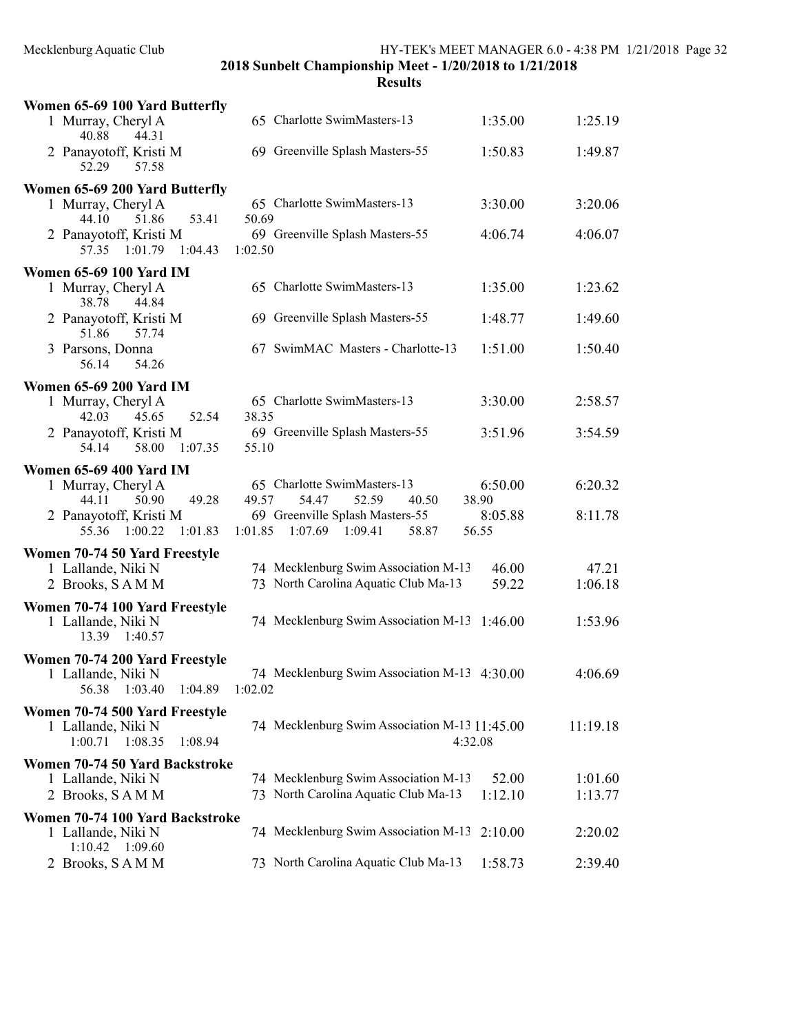| Women 65-69 100 Yard Butterfly                        |                                                                 |                  |          |
|-------------------------------------------------------|-----------------------------------------------------------------|------------------|----------|
| 1 Murray, Cheryl A<br>44.31<br>40.88                  | 65 Charlotte SwimMasters-13                                     | 1:35.00          | 1:25.19  |
| 2 Panayotoff, Kristi M<br>52.29<br>57.58              | 69 Greenville Splash Masters-55                                 | 1:50.83          | 1:49.87  |
| Women 65-69 200 Yard Butterfly                        |                                                                 |                  |          |
| 1 Murray, Cheryl A<br>53.41<br>44.10<br>51.86         | 65 Charlotte SwimMasters-13<br>50.69                            | 3:30.00          | 3:20.06  |
| 2 Panayotoff, Kristi M<br>57.35<br>1:01.79<br>1:04.43 | 69 Greenville Splash Masters-55<br>1:02.50                      | 4:06.74          | 4:06.07  |
| <b>Women 65-69 100 Yard IM</b>                        |                                                                 |                  |          |
| 1 Murray, Cheryl A<br>38.78<br>44.84                  | 65 Charlotte SwimMasters-13                                     | 1:35.00          | 1:23.62  |
| 2 Panayotoff, Kristi M<br>57.74<br>51.86              | 69 Greenville Splash Masters-55                                 | 1:48.77          | 1:49.60  |
| 3 Parsons, Donna<br>54.26<br>56.14                    | 67 SwimMAC Masters - Charlotte-13                               | 1:51.00          | 1:50.40  |
| <b>Women 65-69 200 Yard IM</b>                        |                                                                 |                  |          |
| 1 Murray, Cheryl A<br>42.03<br>45.65<br>52.54         | 65 Charlotte SwimMasters-13<br>38.35                            | 3:30.00          | 2:58.57  |
| 2 Panayotoff, Kristi M<br>54.14                       | 69 Greenville Splash Masters-55                                 | 3:51.96          | 3:54.59  |
| 58.00<br>1:07.35                                      | 55.10                                                           |                  |          |
| <b>Women 65-69 400 Yard IM</b>                        |                                                                 |                  |          |
| 1 Murray, Cheryl A<br>49.28<br>44.11<br>50.90         | 65 Charlotte SwimMasters-13<br>49.57<br>54.47<br>52.59<br>40.50 | 6:50.00<br>38.90 | 6:20.32  |
| 2 Panayotoff, Kristi M                                | 69 Greenville Splash Masters-55                                 | 8:05.88          | 8:11.78  |
| 55.36 1:00.22<br>1:01.83                              | 1:07.69<br>1:09.41<br>58.87<br>1:01.85                          | 56.55            |          |
| Women 70-74 50 Yard Freestyle                         |                                                                 |                  |          |
| 1 Lallande, Niki N                                    | 74 Mecklenburg Swim Association M-13                            | 46.00            | 47.21    |
| 2 Brooks, SAMM                                        | 73 North Carolina Aquatic Club Ma-13                            | 59.22            | 1:06.18  |
| Women 70-74 100 Yard Freestyle                        |                                                                 |                  |          |
| 1 Lallande, Niki N<br>13.39 1:40.57                   | 74 Mecklenburg Swim Association M-13                            | 1:46.00          | 1:53.96  |
| Women 70-74 200 Yard Freestyle                        |                                                                 |                  |          |
| 1 Lallande, Niki N<br>56.38<br>1:03.40<br>1:04.89     | 74 Mecklenburg Swim Association M-13 4:30.00<br>1:02.02         |                  | 4:06.69  |
|                                                       |                                                                 |                  |          |
| Women 70-74 500 Yard Freestyle<br>1 Lallande, Niki N  | 74 Mecklenburg Swim Association M-13 11:45.00                   |                  | 11:19.18 |
| $1:00.71$ $1:08.35$<br>1:08.94                        |                                                                 | 4:32.08          |          |
| Women 70-74 50 Yard Backstroke                        |                                                                 |                  |          |
| 1 Lallande, Niki N                                    | 74 Mecklenburg Swim Association M-13                            | 52.00            | 1:01.60  |
| 2 Brooks, SAMM                                        | 73 North Carolina Aquatic Club Ma-13                            | 1:12.10          | 1:13.77  |
| Women 70-74 100 Yard Backstroke                       |                                                                 |                  |          |
| 1 Lallande, Niki N<br>$1:10.42$ $1:09.60$             | 74 Mecklenburg Swim Association M-13                            | 2:10.00          | 2:20.02  |
| 2 Brooks, SAMM                                        | 73 North Carolina Aquatic Club Ma-13                            | 1:58.73          | 2:39.40  |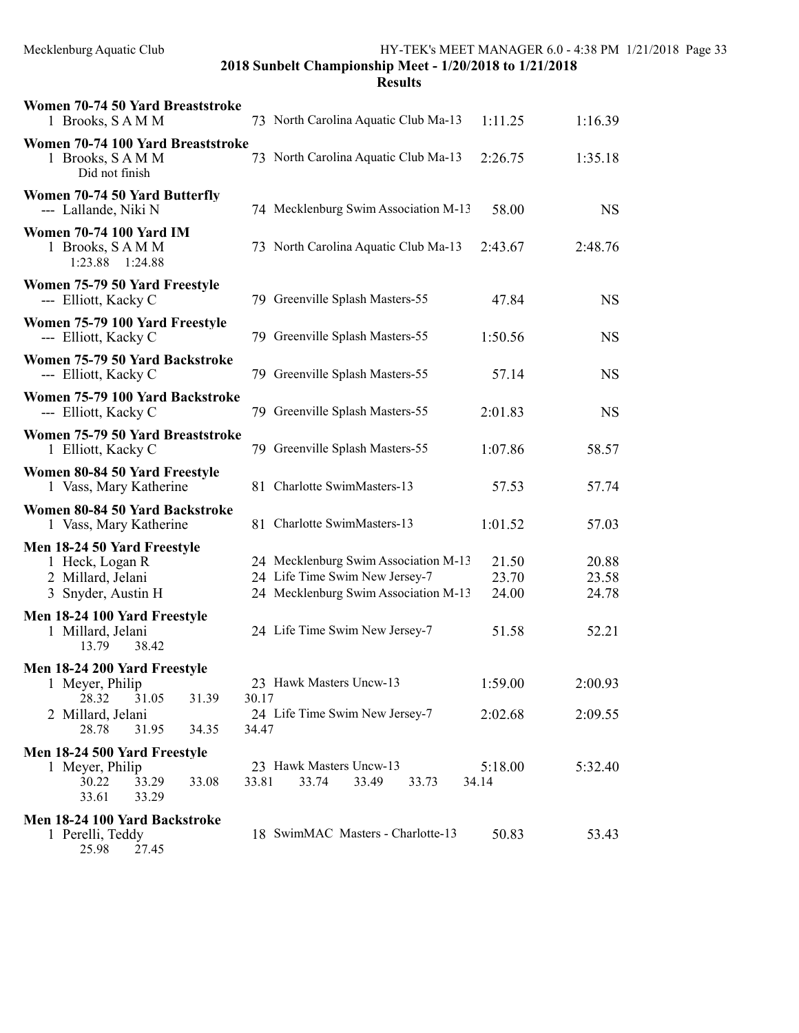| Women 70-74 50 Yard Breaststroke<br>1 Brooks, SAMM                                                                                                               |                | 73 North Carolina Aquatic Club Ma-13                                                                                                             | 1:11.25                          | 1:16.39                          |
|------------------------------------------------------------------------------------------------------------------------------------------------------------------|----------------|--------------------------------------------------------------------------------------------------------------------------------------------------|----------------------------------|----------------------------------|
| Women 70-74 100 Yard Breaststroke<br>1 Brooks, SAMM<br>Did not finish                                                                                            |                | 73 North Carolina Aquatic Club Ma-13                                                                                                             | 2:26.75                          | 1:35.18                          |
| Women 70-74 50 Yard Butterfly<br>--- Lallande, Niki N                                                                                                            |                | 74 Mecklenburg Swim Association M-13                                                                                                             | 58.00                            | <b>NS</b>                        |
| <b>Women 70-74 100 Yard IM</b><br>1 Brooks, SAMM<br>1:23.88 1:24.88                                                                                              |                | 73 North Carolina Aquatic Club Ma-13                                                                                                             | 2:43.67                          | 2:48.76                          |
| Women 75-79 50 Yard Freestyle<br>--- Elliott, Kacky C                                                                                                            |                | 79 Greenville Splash Masters-55                                                                                                                  | 47.84                            | <b>NS</b>                        |
| Women 75-79 100 Yard Freestyle<br>--- Elliott, Kacky C                                                                                                           |                | 79 Greenville Splash Masters-55                                                                                                                  | 1:50.56                          | <b>NS</b>                        |
| Women 75-79 50 Yard Backstroke<br>--- Elliott, Kacky C                                                                                                           |                | 79 Greenville Splash Masters-55                                                                                                                  | 57.14                            | <b>NS</b>                        |
| Women 75-79 100 Yard Backstroke<br>--- Elliott, Kacky C                                                                                                          |                | 79 Greenville Splash Masters-55                                                                                                                  | 2:01.83                          | <b>NS</b>                        |
| Women 75-79 50 Yard Breaststroke<br>1 Elliott, Kacky C                                                                                                           |                | 79 Greenville Splash Masters-55                                                                                                                  | 1:07.86                          | 58.57                            |
| Women 80-84 50 Yard Freestyle<br>1 Vass, Mary Katherine                                                                                                          |                | 81 Charlotte SwimMasters-13                                                                                                                      | 57.53                            | 57.74                            |
| Women 80-84 50 Yard Backstroke<br>1 Vass, Mary Katherine                                                                                                         |                | 81 Charlotte SwimMasters-13                                                                                                                      | 1:01.52                          | 57.03                            |
| Men 18-24 50 Yard Freestyle<br>1 Heck, Logan R<br>2 Millard, Jelani<br>3 Snyder, Austin H<br>Men 18-24 100 Yard Freestyle<br>1 Millard, Jelani<br>38.42<br>13.79 |                | 24 Mecklenburg Swim Association M-13<br>24 Life Time Swim New Jersey-7<br>24 Mecklenburg Swim Association M-13<br>24 Life Time Swim New Jersey-7 | 21.50<br>23.70<br>24.00<br>51.58 | 20.88<br>23.58<br>24.78<br>52.21 |
| Men 18-24 200 Yard Freestyle<br>1 Meyer, Philip<br>28.32<br>31.05<br>31.39<br>2 Millard, Jelani<br>28.78<br>31.95<br>34.35                                       | 30.17<br>34.47 | 23 Hawk Masters Uncw-13<br>24 Life Time Swim New Jersey-7                                                                                        | 1:59.00<br>2:02.68               | 2:00.93<br>2:09.55               |
| Men 18-24 500 Yard Freestyle<br>1 Meyer, Philip<br>30.22<br>33.29<br>33.08<br>33.61<br>33.29                                                                     | 33.81          | 23 Hawk Masters Uncw-13<br>33.74<br>33.49<br>33.73                                                                                               | 5:18.00<br>34.14                 | 5:32.40                          |
| Men 18-24 100 Yard Backstroke<br>1 Perelli, Teddy<br>25.98<br>27.45                                                                                              |                | 18 SwimMAC Masters - Charlotte-13                                                                                                                | 50.83                            | 53.43                            |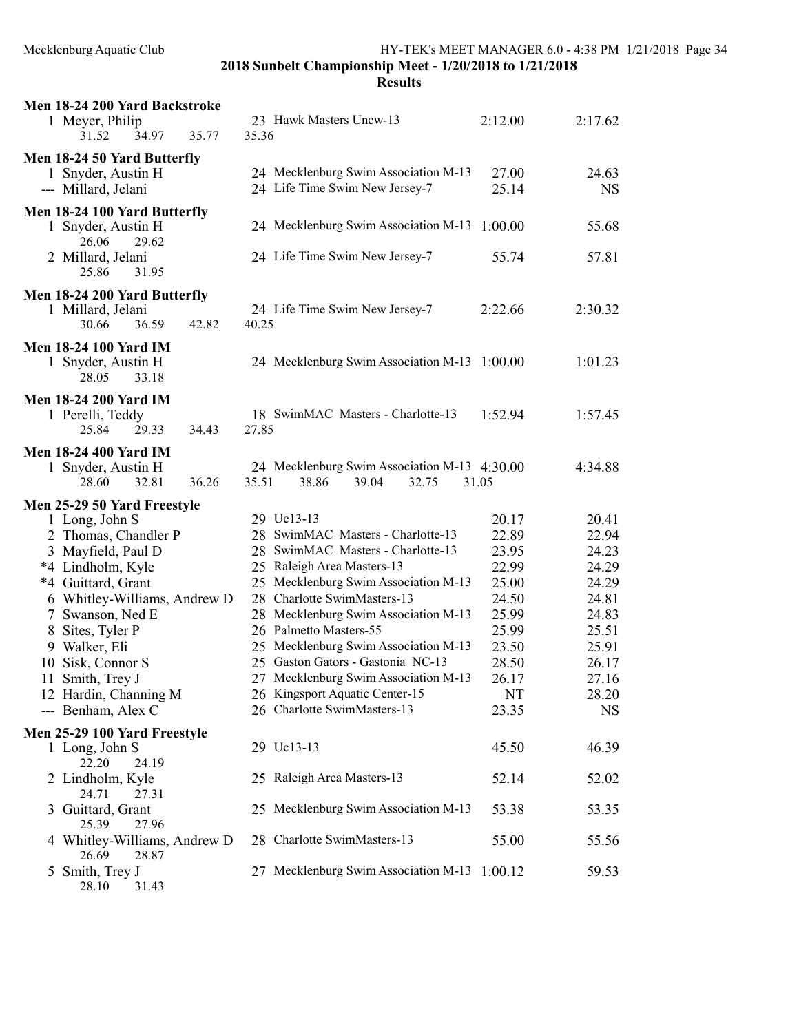Results

| Men 18-24 200 Yard Backstroke<br>1 Meyer, Philip<br>31.52<br>34.97<br>35.77 | 23 Hawk Masters Uncw-13<br>35.36                                                 | 2:12.00        | 2:17.62        |
|-----------------------------------------------------------------------------|----------------------------------------------------------------------------------|----------------|----------------|
| Men 18-24 50 Yard Butterfly<br>1 Snyder, Austin H                           | 24 Mecklenburg Swim Association M-13                                             | 27.00          | 24.63          |
| --- Millard, Jelani                                                         | 24 Life Time Swim New Jersey-7                                                   | 25.14          | <b>NS</b>      |
| Men 18-24 100 Yard Butterfly<br>1 Snyder, Austin H                          | 24 Mecklenburg Swim Association M-13                                             | 1:00.00        | 55.68          |
| 26.06<br>29.62<br>2 Millard, Jelani<br>25.86<br>31.95                       | 24 Life Time Swim New Jersey-7                                                   | 55.74          | 57.81          |
| Men 18-24 200 Yard Butterfly                                                |                                                                                  |                |                |
| 1 Millard, Jelani<br>30.66<br>36.59<br>42.82                                | 24 Life Time Swim New Jersey-7<br>40.25                                          | 2:22.66        | 2:30.32        |
| <b>Men 18-24 100 Yard IM</b><br>1 Snyder, Austin H<br>28.05<br>33.18        | 24 Mecklenburg Swim Association M-13 1:00.00                                     |                | 1:01.23        |
| <b>Men 18-24 200 Yard IM</b><br>1 Perelli, Teddy<br>29.33<br>34.43<br>25.84 | 18 SwimMAC Masters - Charlotte-13<br>27.85                                       | 1:52.94        | 1:57.45        |
| <b>Men 18-24 400 Yard IM</b>                                                |                                                                                  |                |                |
| 1 Snyder, Austin H<br>32.81<br>28.60<br>36.26                               | 24 Mecklenburg Swim Association M-13 4:30.00<br>35.51<br>38.86<br>39.04<br>32.75 | 31.05          | 4:34.88        |
| Men 25-29 50 Yard Freestyle                                                 |                                                                                  |                |                |
| 1 Long, John S                                                              | 29 Uc13-13                                                                       | 20.17          | 20.41          |
| 2 Thomas, Chandler P                                                        | 28 SwimMAC Masters - Charlotte-13                                                | 22.89          | 22.94          |
| 3 Mayfield, Paul D                                                          | 28 SwimMAC Masters - Charlotte-13                                                | 23.95          | 24.23          |
| *4 Lindholm, Kyle                                                           | 25 Raleigh Area Masters-13                                                       | 22.99          | 24.29          |
| *4 Guittard, Grant                                                          | 25 Mecklenburg Swim Association M-13<br>28 Charlotte SwimMasters-13              | 25.00          | 24.29          |
| 6 Whitley-Williams, Andrew D                                                | 28 Mecklenburg Swim Association M-13                                             | 24.50<br>25.99 | 24.81<br>24.83 |
| 7 Swanson, Ned E                                                            | 26 Palmetto Masters-55                                                           | 25.99          | 25.51          |
| 8 Sites, Tyler P<br>9 Walker, Eli                                           | 25 Mecklenburg Swim Association M-13                                             | 23.50          | 25.91          |
| 10 Sisk, Connor S                                                           | 25 Gaston Gators - Gastonia NC-13                                                | 28.50          | 26.17          |
| 11 Smith, Trey J                                                            | 27 Mecklenburg Swim Association M-13                                             | 26.17          | 27.16          |
| 12 Hardin, Channing M                                                       | 26 Kingsport Aquatic Center-15                                                   | NT             | 28.20          |
| --- Benham, Alex C                                                          | 26 Charlotte SwimMasters-13                                                      | 23.35          | <b>NS</b>      |
| Men 25-29 100 Yard Freestyle                                                |                                                                                  |                |                |
| 1 Long, John S<br>22.20<br>24.19                                            | 29 Uc13-13                                                                       | 45.50          | 46.39          |
| 2 Lindholm, Kyle<br>24.71<br>27.31                                          | 25 Raleigh Area Masters-13                                                       | 52.14          | 52.02          |
| Guittard, Grant<br>3<br>25.39<br>27.96                                      | 25 Mecklenburg Swim Association M-13                                             | 53.38          | 53.35          |
| 4 Whitley-Williams, Andrew D<br>26.69<br>28.87                              | 28 Charlotte SwimMasters-13                                                      | 55.00          | 55.56          |
|                                                                             |                                                                                  |                |                |

 $28.10$   $31.43$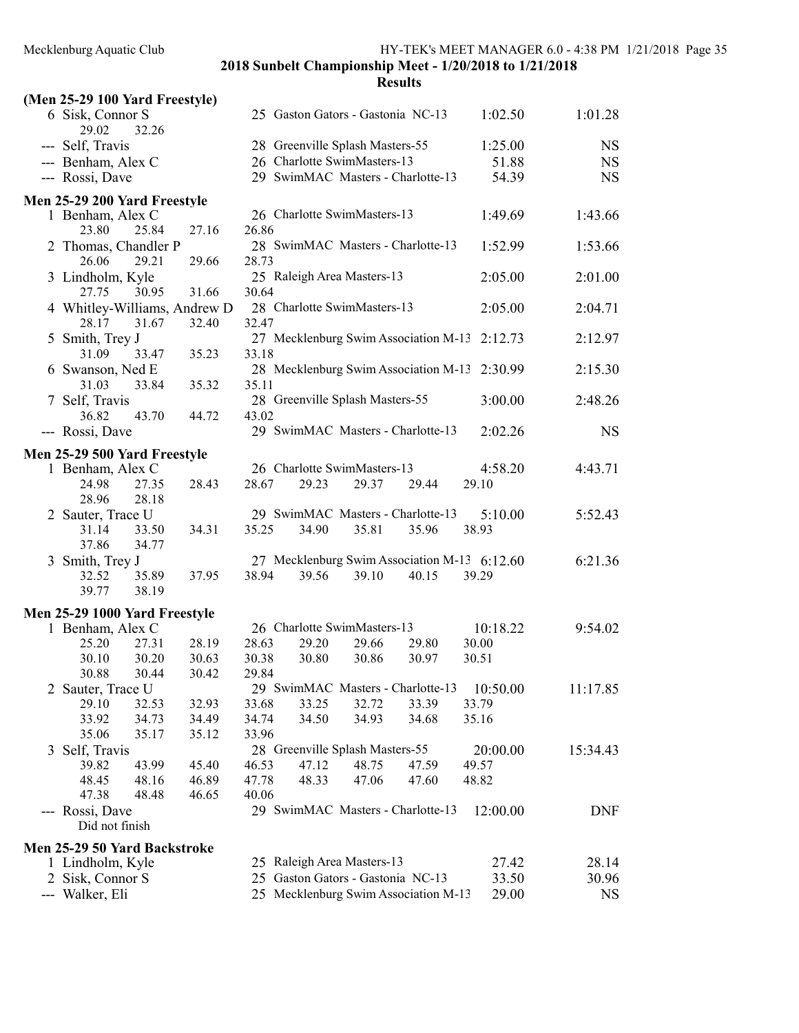|     | (Men 25-29 100 Yard Freestyle)                                        |                |                |                                            |       |       |                                                       |            |
|-----|-----------------------------------------------------------------------|----------------|----------------|--------------------------------------------|-------|-------|-------------------------------------------------------|------------|
|     | 6 Sisk, Connor S<br>29.02<br>32.26                                    |                |                | 25 Gaston Gators - Gastonia NC-13          |       |       | 1:02.50                                               | 1:01.28    |
|     | --- Self, Travis                                                      |                |                | 28 Greenville Splash Masters-55            |       |       | 1:25.00                                               | <b>NS</b>  |
|     | --- Benham, Alex C                                                    |                |                | 26 Charlotte SwimMasters-13                |       |       | 51.88                                                 | <b>NS</b>  |
|     | --- Rossi, Dave                                                       |                |                | 29 SwimMAC Masters - Charlotte-13          |       |       | 54.39                                                 | <b>NS</b>  |
|     | Men 25-29 200 Yard Freestyle                                          |                |                |                                            |       |       |                                                       |            |
|     | 1 Benham, Alex C<br>23.80<br>25.84                                    | 27.16          | 26.86          | 26 Charlotte SwimMasters-13                |       |       | 1:49.69                                               | 1:43.66    |
|     | 2 Thomas, Chandler P<br>26.06<br>29.21                                | 29.66          | 28.73          | 28 SwimMAC Masters - Charlotte-13          |       |       | 1:52.99                                               | 1:53.66    |
|     | 3 Lindholm, Kyle<br>27.75<br>30.95                                    | 31.66          | 30.64          | 25 Raleigh Area Masters-13                 |       |       | 2:05.00                                               | 2:01.00    |
|     | 4 Whitley-Williams, Andrew D<br>28.17<br>31.67                        | 32.40          | 32.47          | 28 Charlotte SwimMasters-13                |       |       | 2:05.00                                               | 2:04.71    |
|     | 5 Smith, Trey J<br>31.09<br>33.47                                     | 35.23          | 33.18          | 27 Mecklenburg Swim Association M-13       |       |       | 2:12.73                                               | 2:12.97    |
|     | 6 Swanson, Ned E<br>31.03<br>33.84                                    | 35.32          | 35.11          | 28 Mecklenburg Swim Association M-13       |       |       | 2:30.99                                               | 2:15.30    |
|     | 7 Self, Travis<br>36.82<br>43.70                                      | 44.72          | 43.02          | 28 Greenville Splash Masters-55            |       |       | 3:00.00                                               | 2:48.26    |
|     | --- Rossi, Dave                                                       |                |                | 29 SwimMAC Masters - Charlotte-13          |       |       | 2:02.26                                               | <b>NS</b>  |
|     | Men 25-29 500 Yard Freestyle                                          |                |                |                                            |       |       |                                                       |            |
|     | 1 Benham, Alex C<br>24.98<br>27.35                                    | 28.43          | 28.67          | 26 Charlotte SwimMasters-13<br>29.23       | 29.37 | 29.44 | 4:58.20<br>29.10                                      | 4:43.71    |
|     | 28.96<br>28.18<br>2 Sauter, Trace U<br>31.14<br>33.50                 | 34.31          | 35.25          | 29 SwimMAC Masters - Charlotte-13<br>34.90 | 35.81 | 35.96 | 5:10.00<br>38.93                                      | 5:52.43    |
|     | 37.86<br>34.77<br>3 Smith, Trey J<br>32.52<br>35.89<br>39.77<br>38.19 | 37.95          | 38.94          | 39.56                                      | 39.10 | 40.15 | 27 Mecklenburg Swim Association M-13 6:12.60<br>39.29 | 6:21.36    |
|     | Men 25-29 1000 Yard Freestyle                                         |                |                |                                            |       |       |                                                       |            |
|     | 1 Benham, Alex C                                                      |                |                | 26 Charlotte SwimMasters-13                |       |       | 10:18.22                                              | 9:54.02    |
|     | 25.20<br>27.31                                                        | 28.19          | 28.63          | 29.20                                      | 29.66 | 29.80 | 30.00                                                 |            |
|     | 30.10<br>30.20<br>30.88<br>30.44                                      | 30.63<br>30.42 | 30.38<br>29.84 | 30.80                                      | 30.86 | 30.97 | 30.51                                                 |            |
|     | 2 Sauter, Trace U                                                     |                |                | 29 SwimMAC Masters - Charlotte-13          |       |       | 10:50.00                                              | 11:17.85   |
|     | 29.10<br>32.53                                                        | 32.93          | 33.68          | 33.25                                      | 32.72 | 33.39 | 33.79                                                 |            |
|     | 33.92<br>34.73                                                        | 34.49          | 34.74          | 34.50                                      | 34.93 | 34.68 | 35.16                                                 |            |
|     | 35.06<br>35.17                                                        | 35.12          | 33.96          |                                            |       |       |                                                       |            |
|     | 3 Self, Travis                                                        |                |                | 28 Greenville Splash Masters-55            |       |       | 20:00.00                                              | 15:34.43   |
|     | 39.82<br>43.99                                                        | 45.40          | 46.53          | 47.12                                      | 48.75 | 47.59 | 49.57                                                 |            |
|     | 48.45<br>48.16                                                        | 46.89          | 47.78          | 48.33                                      | 47.06 | 47.60 | 48.82                                                 |            |
|     | 47.38<br>48.48                                                        | 46.65          | 40.06          |                                            |       |       |                                                       |            |
| --- | Rossi, Dave<br>Did not finish                                         |                |                | 29 SwimMAC Masters - Charlotte-13          |       |       | 12:00.00                                              | <b>DNF</b> |
|     | Men 25-29 50 Yard Backstroke                                          |                |                |                                            |       |       |                                                       |            |
|     | 1 Lindholm, Kyle                                                      |                |                | 25 Raleigh Area Masters-13                 |       |       | 27.42                                                 | 28.14      |
|     | 2 Sisk, Connor S                                                      |                |                | 25 Gaston Gators - Gastonia NC-13          |       |       | 33.50                                                 | 30.96      |
|     | --- Walker, Eli                                                       |                |                | 25 Mecklenburg Swim Association M-13       |       |       | 29.00                                                 | <b>NS</b>  |
|     |                                                                       |                |                |                                            |       |       |                                                       |            |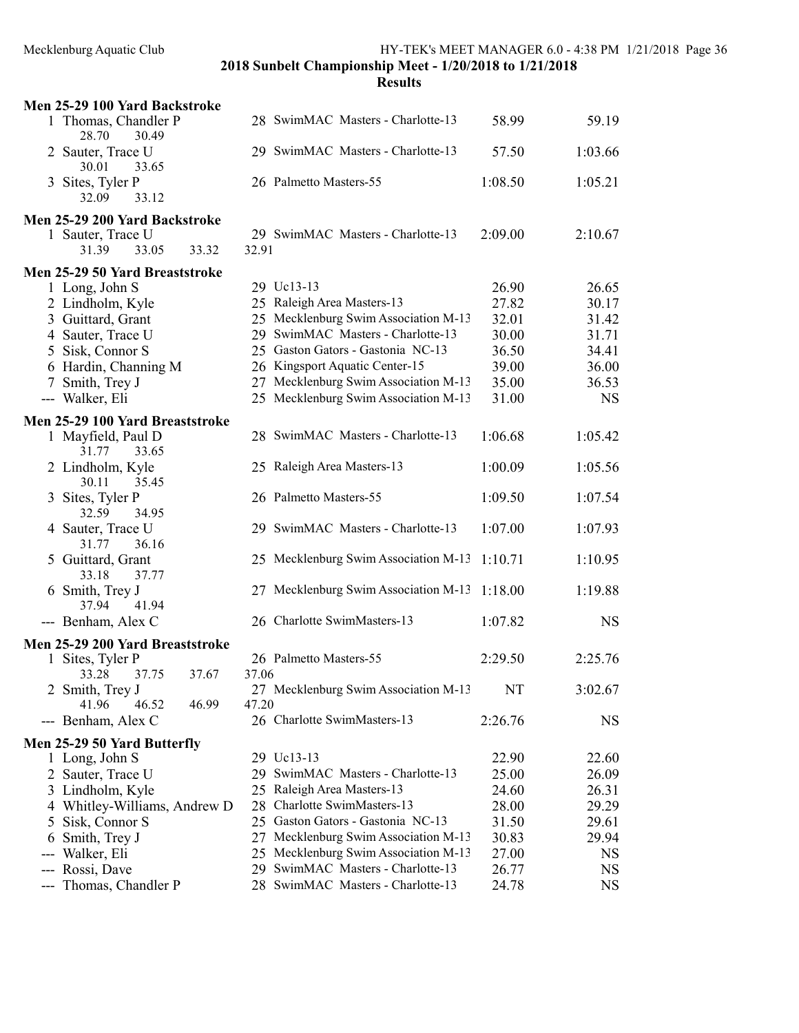| Men 25-29 100 Yard Backstroke                                           |                                       |         |           |
|-------------------------------------------------------------------------|---------------------------------------|---------|-----------|
| 1 Thomas, Chandler P<br>28.70<br>30.49                                  | 28 SwimMAC Masters - Charlotte-13     | 58.99   | 59.19     |
| 2 Sauter, Trace U<br>30.01<br>33.65                                     | 29 SwimMAC Masters - Charlotte-13     | 57.50   | 1:03.66   |
| 3 Sites, Tyler P<br>32.09<br>33.12                                      | 26 Palmetto Masters-55                | 1:08.50 | 1:05.21   |
| Men 25-29 200 Yard Backstroke                                           |                                       |         |           |
| 1 Sauter, Trace U                                                       | 29 SwimMAC Masters - Charlotte-13     | 2:09.00 | 2:10.67   |
| 31.39<br>33.32<br>33.05                                                 | 32.91                                 |         |           |
| Men 25-29 50 Yard Breaststroke                                          |                                       |         |           |
| 1 Long, John S                                                          | 29 Uc13-13                            | 26.90   | 26.65     |
| 2 Lindholm, Kyle                                                        | 25 Raleigh Area Masters-13            | 27.82   | 30.17     |
| 3 Guittard, Grant                                                       | 25 Mecklenburg Swim Association M-13  | 32.01   | 31.42     |
| 4 Sauter, Trace U                                                       | 29 SwimMAC Masters - Charlotte-13     | 30.00   | 31.71     |
| 5 Sisk, Connor S                                                        | 25 Gaston Gators - Gastonia NC-13     | 36.50   | 34.41     |
| 6 Hardin, Channing M                                                    | 26 Kingsport Aquatic Center-15        | 39.00   | 36.00     |
| Smith, Trey J<br>7                                                      | 27 Mecklenburg Swim Association M-13  | 35.00   | 36.53     |
| --- Walker, Eli                                                         | 25 Mecklenburg Swim Association M-13  | 31.00   | <b>NS</b> |
|                                                                         |                                       |         |           |
| Men 25-29 100 Yard Breaststroke<br>1 Mayfield, Paul D<br>31.77<br>33.65 | 28 SwimMAC Masters - Charlotte-13     | 1:06.68 | 1:05.42   |
| 2 Lindholm, Kyle<br>30.11<br>35.45                                      | 25 Raleigh Area Masters-13            | 1:00.09 | 1:05.56   |
| Sites, Tyler P<br>3<br>32.59<br>34.95                                   | 26 Palmetto Masters-55                | 1:09.50 | 1:07.54   |
| 4 Sauter, Trace U<br>36.16<br>31.77                                     | 29 SwimMAC Masters - Charlotte-13     | 1:07.00 | 1:07.93   |
| 5 Guittard, Grant<br>33.18<br>37.77                                     | 25 Mecklenburg Swim Association M-13  | 1:10.71 | 1:10.95   |
| 6 Smith, Trey J<br>37.94<br>41.94                                       | 27 Mecklenburg Swim Association M-13  | 1:18.00 | 1:19.88   |
| --- Benham, Alex C                                                      | 26 Charlotte SwimMasters-13           | 1:07.82 | <b>NS</b> |
| Men 25-29 200 Yard Breaststroke                                         |                                       |         |           |
| 1 Sites, Tyler P                                                        | 26 Palmetto Masters-55                | 2:29.50 | 2:25.76   |
| 33.28<br>37.75<br>37.67                                                 | 37.06                                 |         |           |
| Smith, Trey J                                                           | 27 Mecklenburg Swim Association M-13  | NT      | 3:02.67   |
| 46.99<br>41.96<br>46.52                                                 | 47.20                                 |         |           |
| --- Benham, Alex C                                                      | 26 Charlotte SwimMasters-13           | 2:26.76 | <b>NS</b> |
| Men 25-29 50 Yard Butterfly                                             |                                       |         |           |
| 1 Long, John S                                                          | 29 Uc13-13                            | 22.90   | 22.60     |
| 2<br>Sauter, Trace U                                                    | 29 SwimMAC Masters - Charlotte-13     | 25.00   | 26.09     |
| 3 Lindholm, Kyle                                                        | 25 Raleigh Area Masters-13            | 24.60   | 26.31     |
| 4 Whitley-Williams, Andrew D                                            | 28 Charlotte SwimMasters-13           | 28.00   | 29.29     |
| Sisk, Connor S<br>5                                                     | 25 Gaston Gators - Gastonia NC-13     | 31.50   | 29.61     |
| Smith, Trey J<br>6                                                      | 27 Mecklenburg Swim Association M-13  | 30.83   | 29.94     |
| Walker, Eli<br>---                                                      | 25 Mecklenburg Swim Association M-13  | 27.00   | <b>NS</b> |
| Rossi, Dave<br>---                                                      | SwimMAC Masters - Charlotte-13<br>29. | 26.77   | <b>NS</b> |
| Thomas, Chandler P<br>---                                               | SwimMAC Masters - Charlotte-13<br>28  | 24.78   | <b>NS</b> |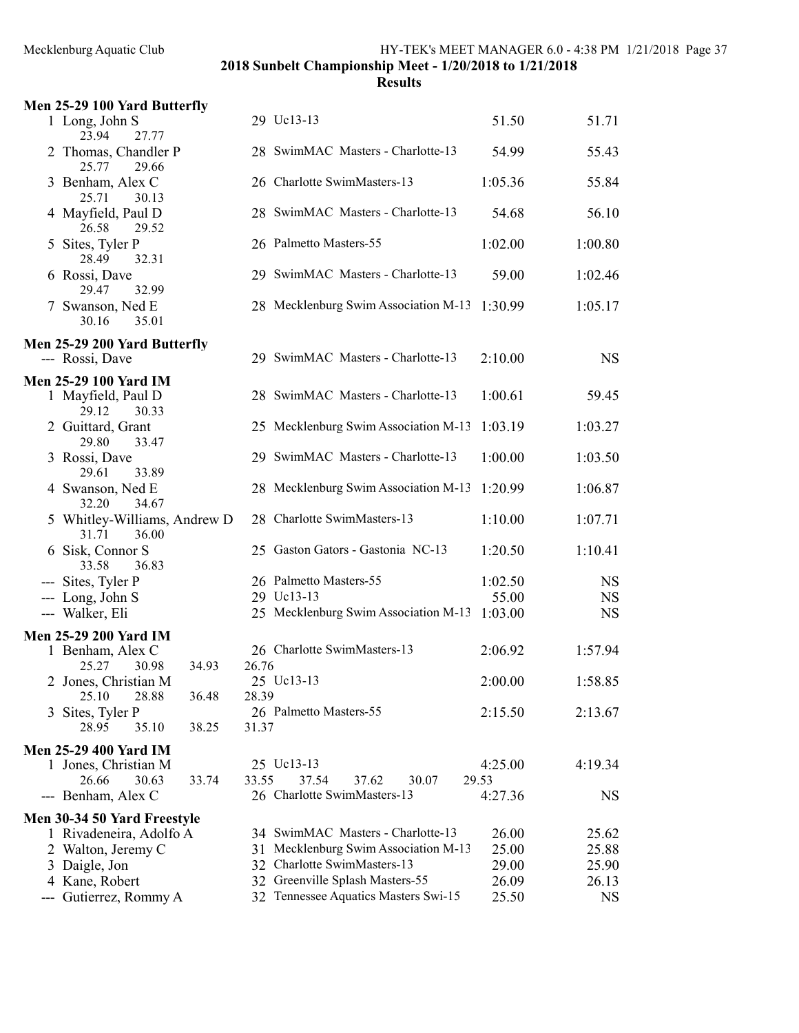| Men 25-29 100 Yard Butterfly                    |                                              |         |           |
|-------------------------------------------------|----------------------------------------------|---------|-----------|
| 1 Long, John S<br>23.94<br>27.77                | 29 Uc13-13                                   | 51.50   | 51.71     |
| 2 Thomas, Chandler P<br>25.77<br>29.66          | 28 SwimMAC Masters - Charlotte-13            | 54.99   | 55.43     |
| 3 Benham, Alex C<br>25.71<br>30.13              | 26 Charlotte SwimMasters-13                  | 1:05.36 | 55.84     |
| 4 Mayfield, Paul D<br>26.58<br>29.52            | 28 SwimMAC Masters - Charlotte-13            | 54.68   | 56.10     |
| 5 Sites, Tyler P<br>32.31<br>28.49              | 26 Palmetto Masters-55                       | 1:02.00 | 1:00.80   |
| 6 Rossi, Dave<br>29.47<br>32.99                 | 29 SwimMAC Masters - Charlotte-13            | 59.00   | 1:02.46   |
| 7 Swanson, Ned E<br>30.16<br>35.01              | 28 Mecklenburg Swim Association M-13 1:30.99 |         | 1:05.17   |
| Men 25-29 200 Yard Butterfly                    |                                              |         |           |
| --- Rossi, Dave                                 | 29 SwimMAC Masters - Charlotte-13            | 2:10.00 | <b>NS</b> |
| <b>Men 25-29 100 Yard IM</b>                    |                                              |         |           |
| 1 Mayfield, Paul D<br>29.12<br>30.33            | 28 SwimMAC Masters - Charlotte-13            | 1:00.61 | 59.45     |
| 2 Guittard, Grant<br>29.80<br>33.47             | 25 Mecklenburg Swim Association M-13         | 1:03.19 | 1:03.27   |
| 3 Rossi, Dave<br>29.61<br>33.89                 | 29 SwimMAC Masters - Charlotte-13            | 1:00.00 | 1:03.50   |
| 4 Swanson, Ned E<br>32.20<br>34.67              | 28 Mecklenburg Swim Association M-13         | 1:20.99 | 1:06.87   |
| 5 Whitley-Williams, Andrew D<br>31.71<br>36.00  | 28 Charlotte SwimMasters-13                  | 1:10.00 | 1:07.71   |
| 6 Sisk, Connor S<br>33.58<br>36.83              | 25 Gaston Gators - Gastonia NC-13            | 1:20.50 | 1:10.41   |
| --- Sites, Tyler P                              | 26 Palmetto Masters-55                       | 1:02.50 | <b>NS</b> |
| --- Long, John S                                | 29 Uc13-13                                   | 55.00   | <b>NS</b> |
| --- Walker, Eli                                 | 25 Mecklenburg Swim Association M-13         | 1:03.00 | <b>NS</b> |
| <b>Men 25-29 200 Yard IM</b>                    |                                              |         |           |
| 1 Benham, Alex C<br>25.27<br>30.98<br>34.93     | 26 Charlotte SwimMasters-13<br>26.76         | 2:06.92 | 1:57.94   |
| 2 Jones, Christian M<br>28.88<br>36.48<br>25.10 | 25 Uc13-13<br>28.39                          | 2:00.00 | 1:58.85   |
| Sites, Tyler P<br>3                             | 26 Palmetto Masters-55                       | 2:15.50 | 2:13.67   |
| 35.10<br>38.25<br>28.95                         | 31.37                                        |         |           |
| <b>Men 25-29 400 Yard IM</b>                    |                                              |         |           |
| 1 Jones, Christian M                            | 25 Uc13-13                                   | 4:25.00 | 4:19.34   |
| 26.66<br>30.63<br>33.74                         | 33.55<br>37.54<br>37.62<br>30.07             | 29.53   |           |
| --- Benham, Alex C                              | 26 Charlotte SwimMasters-13                  | 4:27.36 | <b>NS</b> |
| Men 30-34 50 Yard Freestyle                     |                                              |         |           |
| 1 Rivadeneira, Adolfo A                         | 34 SwimMAC Masters - Charlotte-13            | 26.00   | 25.62     |
| 2 Walton, Jeremy C                              | 31 Mecklenburg Swim Association M-13         | 25.00   | 25.88     |
| 3 Daigle, Jon                                   | 32 Charlotte SwimMasters-13                  | 29.00   | 25.90     |
| 4 Kane, Robert                                  | 32 Greenville Splash Masters-55              | 26.09   | 26.13     |
| Gutierrez, Rommy A                              | 32 Tennessee Aquatics Masters Swi-15         | 25.50   | <b>NS</b> |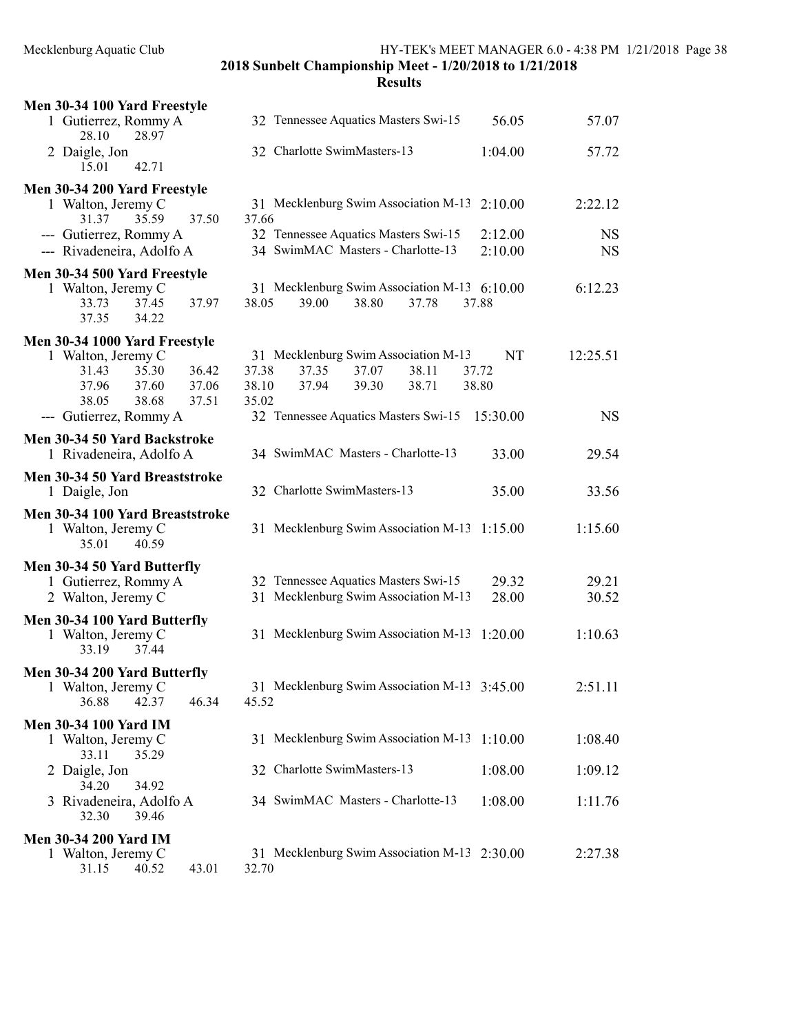| Men 30-34 100 Yard Freestyle                                                                                                         |                                                                                                                                         |                    |                        |
|--------------------------------------------------------------------------------------------------------------------------------------|-----------------------------------------------------------------------------------------------------------------------------------------|--------------------|------------------------|
| 1 Gutierrez, Rommy A<br>28.10<br>28.97                                                                                               | 32 Tennessee Aquatics Masters Swi-15                                                                                                    | 56.05              | 57.07                  |
| 2 Daigle, Jon<br>15.01<br>42.71                                                                                                      | 32 Charlotte SwimMasters-13                                                                                                             | 1:04.00            | 57.72                  |
| Men 30-34 200 Yard Freestyle<br>1 Walton, Jeremy C<br>31.37<br>35.59<br>37.50                                                        | 31 Mecklenburg Swim Association M-13<br>37.66                                                                                           | 2:10.00            | 2:22.12                |
| --- Gutierrez, Rommy A<br>--- Rivadeneira, Adolfo A                                                                                  | 32 Tennessee Aquatics Masters Swi-15<br>34 SwimMAC Masters - Charlotte-13                                                               | 2:12.00<br>2:10.00 | <b>NS</b><br><b>NS</b> |
| Men 30-34 500 Yard Freestyle<br>1 Walton, Jeremy C<br>37.97<br>33.73<br>37.45<br>37.35<br>34.22                                      | 31 Mecklenburg Swim Association M-13 6:10.00<br>38.05<br>38.80<br>39.00<br>37.78<br>37.88                                               |                    | 6:12.23                |
| Men 30-34 1000 Yard Freestyle<br>1 Walton, Jeremy C<br>35.30<br>36.42<br>31.43<br>37.96<br>37.60<br>37.06<br>38.05<br>37.51<br>38.68 | 31 Mecklenburg Swim Association M-13<br>37.38<br>37.35<br>37.07<br>38.11<br>37.72<br>37.94<br>39.30<br>38.71<br>38.10<br>38.80<br>35.02 | NT                 | 12:25.51               |
| --- Gutierrez, Rommy A                                                                                                               | 32 Tennessee Aquatics Masters Swi-15                                                                                                    | 15:30.00           | <b>NS</b>              |
| Men 30-34 50 Yard Backstroke<br>1 Rivadeneira, Adolfo A                                                                              | 34 SwimMAC Masters - Charlotte-13                                                                                                       | 33.00              | 29.54                  |
| Men 30-34 50 Yard Breaststroke<br>1 Daigle, Jon                                                                                      | 32 Charlotte SwimMasters-13                                                                                                             | 35.00              | 33.56                  |
| Men 30-34 100 Yard Breaststroke<br>1 Walton, Jeremy C<br>35.01<br>40.59                                                              | 31 Mecklenburg Swim Association M-13                                                                                                    | 1:15.00            | 1:15.60                |
| Men 30-34 50 Yard Butterfly<br>1 Gutierrez, Rommy A<br>2 Walton, Jeremy C                                                            | 32 Tennessee Aquatics Masters Swi-15<br>31 Mecklenburg Swim Association M-13                                                            | 29.32<br>28.00     | 29.21<br>30.52         |
| Men 30-34 100 Yard Butterfly<br>1 Walton, Jeremy C<br>37.44<br>33.19                                                                 | 31 Mecklenburg Swim Association M-13 1:20.00                                                                                            |                    | 1:10.63                |
| Men 30-34 200 Yard Butterfly<br>1 Walton, Jeremy C<br>36.88<br>42.37<br>46.34                                                        | 31 Mecklenburg Swim Association M-13 3:45.00<br>45.52                                                                                   |                    | 2:51.11                |
| <b>Men 30-34 100 Yard IM</b><br>1 Walton, Jeremy C<br>33.11<br>35.29                                                                 | 31 Mecklenburg Swim Association M-13                                                                                                    | 1:10.00            | 1:08.40                |
| 2 Daigle, Jon                                                                                                                        | 32 Charlotte SwimMasters-13                                                                                                             | 1:08.00            | 1:09.12                |
| 34.20<br>34.92<br>3 Rivadeneira, Adolfo A<br>32.30<br>39.46                                                                          | 34 SwimMAC Masters - Charlotte-13                                                                                                       | 1:08.00            | 1:11.76                |
| <b>Men 30-34 200 Yard IM</b><br>1 Walton, Jeremy C<br>31.15<br>40.52<br>43.01                                                        | 31 Mecklenburg Swim Association M-13 2:30.00<br>32.70                                                                                   |                    | 2:27.38                |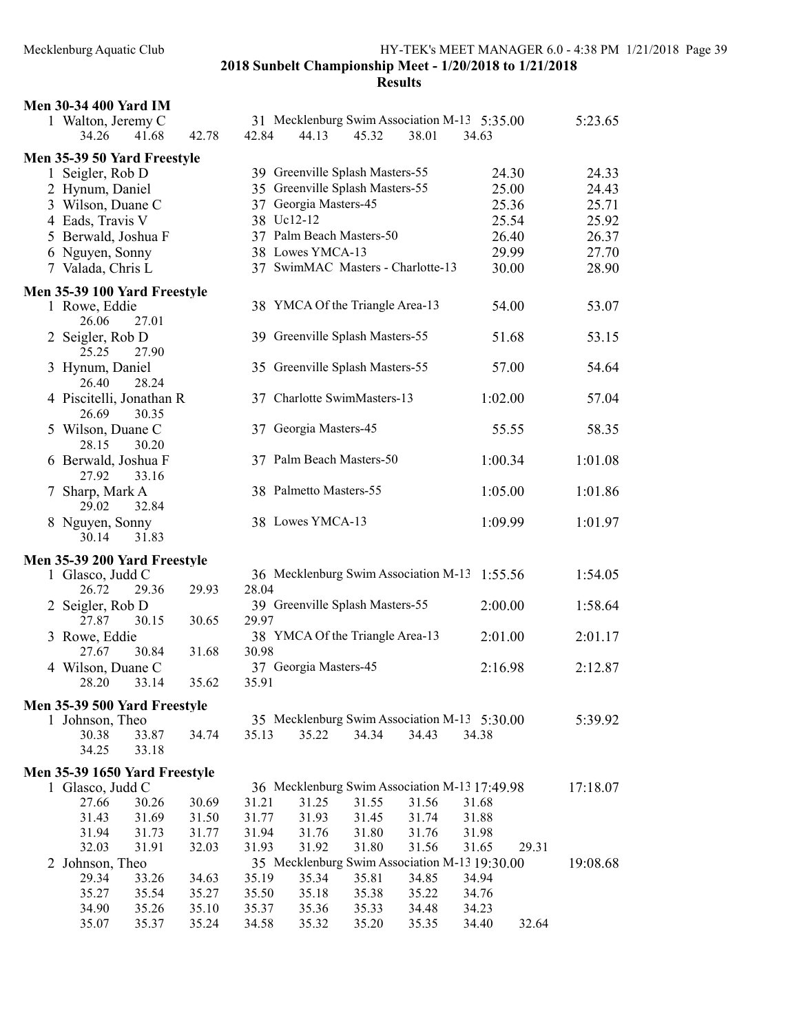| <b>Men 30-34 400 Yard IM</b>                           |                |       |       |                                               |       |       |         |       |          |
|--------------------------------------------------------|----------------|-------|-------|-----------------------------------------------|-------|-------|---------|-------|----------|
| 1 Walton, Jeremy C                                     |                |       |       | 31 Mecklenburg Swim Association M-13 5:35.00  |       |       |         |       | 5:23.65  |
| 34.26                                                  | 41.68          | 42.78 | 42.84 | 44.13                                         | 45.32 | 38.01 | 34.63   |       |          |
| Men 35-39 50 Yard Freestyle                            |                |       |       |                                               |       |       |         |       |          |
| 1 Seigler, Rob D                                       |                |       |       | 39 Greenville Splash Masters-55               |       |       |         | 24.30 | 24.33    |
| 2 Hynum, Daniel                                        |                |       |       | 35 Greenville Splash Masters-55               |       |       |         | 25.00 | 24.43    |
| 3 Wilson, Duane C                                      |                |       |       | 37 Georgia Masters-45                         |       |       |         | 25.36 | 25.71    |
| 4 Eads, Travis V                                       |                |       |       | 38 Uc12-12                                    |       |       |         | 25.54 | 25.92    |
| 5 Berwald, Joshua F                                    |                |       |       | 37 Palm Beach Masters-50                      |       |       |         | 26.40 | 26.37    |
| 6 Nguyen, Sonny                                        |                |       |       | 38 Lowes YMCA-13                              |       |       |         | 29.99 | 27.70    |
| 7 Valada, Chris L                                      |                |       |       | 37 SwimMAC Masters - Charlotte-13             |       |       |         | 30.00 | 28.90    |
|                                                        |                |       |       |                                               |       |       |         |       |          |
| Men 35-39 100 Yard Freestyle<br>1 Rowe, Eddie<br>26.06 | 27.01          |       |       | 38 YMCA Of the Triangle Area-13               |       |       |         | 54.00 | 53.07    |
| 2 Seigler, Rob D<br>25.25                              | 27.90          |       |       | 39 Greenville Splash Masters-55               |       |       |         | 51.68 | 53.15    |
| 3 Hynum, Daniel<br>26.40                               | 28.24          |       |       | 35 Greenville Splash Masters-55               |       |       |         | 57.00 | 54.64    |
| 4 Piscitelli, Jonathan R<br>26.69                      | 30.35          |       |       | 37 Charlotte SwimMasters-13                   |       |       | 1:02.00 |       | 57.04    |
| 5 Wilson, Duane C<br>28.15                             | 30.20          |       |       | 37 Georgia Masters-45                         |       |       |         | 55.55 | 58.35    |
| 6 Berwald, Joshua F<br>27.92                           | 33.16          |       |       | 37 Palm Beach Masters-50                      |       |       | 1:00.34 |       | 1:01.08  |
| 7 Sharp, Mark A<br>29.02                               | 32.84          |       |       | 38 Palmetto Masters-55                        |       |       | 1:05.00 |       | 1:01.86  |
| 8 Nguyen, Sonny<br>30.14                               | 31.83          |       |       | 38 Lowes YMCA-13                              |       |       | 1:09.99 |       | 1:01.97  |
| Men 35-39 200 Yard Freestyle                           |                |       |       |                                               |       |       |         |       |          |
| 1 Glasco, Judd C                                       |                |       |       | 36 Mecklenburg Swim Association M-13          |       |       | 1:55.56 |       | 1:54.05  |
| 26.72                                                  | 29.36          | 29.93 | 28.04 |                                               |       |       |         |       |          |
| 2 Seigler, Rob D                                       |                |       |       | 39 Greenville Splash Masters-55               |       |       | 2:00.00 |       | 1:58.64  |
| 27.87                                                  | 30.15          | 30.65 | 29.97 |                                               |       |       |         |       |          |
| 3 Rowe, Eddie                                          |                |       |       | 38 YMCA Of the Triangle Area-13               |       |       | 2:01.00 |       | 2:01.17  |
| 27.67                                                  | 30.84          | 31.68 | 30.98 |                                               |       |       |         |       |          |
| 4 Wilson, Duane C                                      |                |       |       | 37 Georgia Masters-45                         |       |       | 2:16.98 |       | 2:12.87  |
|                                                        | 28.20 33.14    | 35.62 | 35.91 |                                               |       |       |         |       |          |
| Men 35-39 500 Yard Freestyle                           |                |       |       |                                               |       |       |         |       |          |
| 1 Johnson, Theo                                        |                |       |       | 35 Mecklenburg Swim Association M-13 5:30.00  |       |       |         |       | 5:39.92  |
| 30.38<br>34.25                                         | 33.87<br>33.18 | 34.74 | 35.13 | 35.22                                         | 34.34 | 34.43 | 34.38   |       |          |
|                                                        |                |       |       |                                               |       |       |         |       |          |
| Men 35-39 1650 Yard Freestyle                          |                |       |       | 36 Mecklenburg Swim Association M-13 17:49.98 |       |       |         |       | 17:18.07 |
| 1 Glasco, Judd C<br>27.66                              | 30.26          | 30.69 | 31.21 | 31.25                                         | 31.55 | 31.56 | 31.68   |       |          |
| 31.43                                                  | 31.69          | 31.50 | 31.77 | 31.93                                         | 31.45 | 31.74 | 31.88   |       |          |
| 31.94                                                  | 31.73          | 31.77 | 31.94 | 31.76                                         | 31.80 | 31.76 | 31.98   |       |          |
| 32.03                                                  | 31.91          | 32.03 | 31.93 | 31.92                                         | 31.80 | 31.56 | 31.65   | 29.31 |          |
| 2 Johnson, Theo                                        |                |       |       | 35 Mecklenburg Swim Association M-13 19:30.00 |       |       |         |       | 19:08.68 |
| 29.34                                                  | 33.26          | 34.63 | 35.19 | 35.34                                         | 35.81 | 34.85 | 34.94   |       |          |
| 35.27                                                  | 35.54          | 35.27 | 35.50 | 35.18                                         | 35.38 | 35.22 | 34.76   |       |          |
| 34.90                                                  | 35.26          | 35.10 | 35.37 | 35.36                                         | 35.33 | 34.48 | 34.23   |       |          |
| 35.07                                                  | 35.37          | 35.24 | 34.58 | 35.32                                         | 35.20 | 35.35 | 34.40   | 32.64 |          |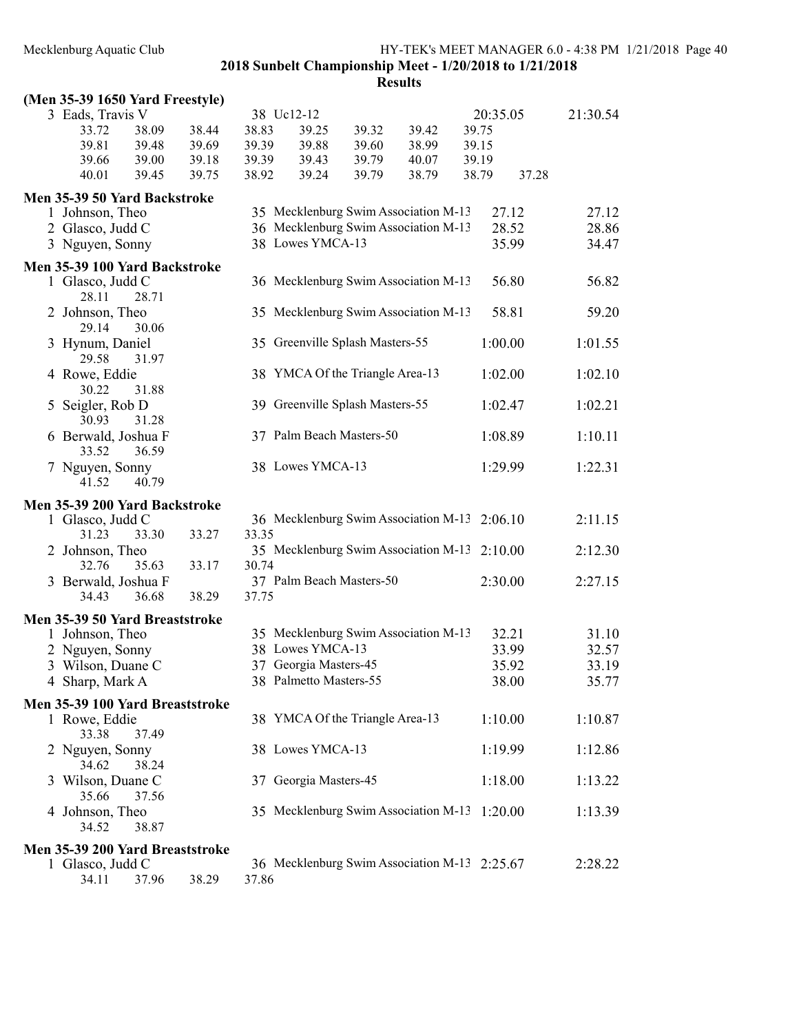### Mecklenburg Aquatic Club HY-TEK's MEET MANAGER 6.0 - 4:38 PM 1/21/2018 Page 40

2018 Sunbelt Championship Meet - 1/20/2018 to 1/21/2018

| (Men 35-39 1650 Yard Freestyle)                     |       |       |       |                                              |       |       |       |          |       |          |
|-----------------------------------------------------|-------|-------|-------|----------------------------------------------|-------|-------|-------|----------|-------|----------|
| 3 Eads, Travis V                                    |       |       |       | 38 Uc12-12                                   |       |       |       | 20:35.05 |       | 21:30.54 |
| 33.72                                               | 38.09 | 38.44 | 38.83 | 39.25                                        | 39.32 | 39.42 | 39.75 |          |       |          |
| 39.81                                               | 39.48 | 39.69 | 39.39 | 39.88                                        | 39.60 | 38.99 | 39.15 |          |       |          |
| 39.66                                               | 39.00 | 39.18 | 39.39 | 39.43                                        | 39.79 | 40.07 | 39.19 |          |       |          |
| 40.01                                               | 39.45 | 39.75 | 38.92 | 39.24                                        | 39.79 | 38.79 | 38.79 |          | 37.28 |          |
| Men 35-39 50 Yard Backstroke                        |       |       |       |                                              |       |       |       |          |       |          |
| 1 Johnson, Theo                                     |       |       |       | 35 Mecklenburg Swim Association M-13         |       |       |       | 27.12    |       | 27.12    |
| 2 Glasco, Judd C                                    |       |       |       | 36 Mecklenburg Swim Association M-13         |       |       |       | 28.52    |       | 28.86    |
|                                                     |       |       |       | 38 Lowes YMCA-13                             |       |       |       |          |       | 34.47    |
| 3 Nguyen, Sonny                                     |       |       |       |                                              |       |       |       | 35.99    |       |          |
| Men 35-39 100 Yard Backstroke                       |       |       |       |                                              |       |       |       |          |       |          |
| 1 Glasco, Judd C<br>28.11                           | 28.71 |       |       | 36 Mecklenburg Swim Association M-13         |       |       |       | 56.80    |       | 56.82    |
| 2 Johnson, Theo                                     |       |       |       | 35 Mecklenburg Swim Association M-13         |       |       |       | 58.81    |       | 59.20    |
| 29.14                                               | 30.06 |       |       |                                              |       |       |       |          |       |          |
| 3 Hynum, Daniel                                     |       |       |       | 35 Greenville Splash Masters-55              |       |       |       | 1:00.00  |       | 1:01.55  |
| 29.58                                               | 31.97 |       |       | 38 YMCA Of the Triangle Area-13              |       |       |       |          |       |          |
| 4 Rowe, Eddie<br>30.22                              | 31.88 |       |       |                                              |       |       |       | 1:02.00  |       | 1:02.10  |
| 5 Seigler, Rob D                                    |       |       |       | 39 Greenville Splash Masters-55              |       |       |       | 1:02.47  |       | 1:02.21  |
| 30.93                                               | 31.28 |       |       |                                              |       |       |       |          |       |          |
| 6 Berwald, Joshua F                                 |       |       |       | 37 Palm Beach Masters-50                     |       |       |       | 1:08.89  |       | 1:10.11  |
| 33.52                                               | 36.59 |       |       |                                              |       |       |       |          |       |          |
| 7 Nguyen, Sonny<br>41.52                            | 40.79 |       |       | 38 Lowes YMCA-13                             |       |       |       | 1:29.99  |       | 1:22.31  |
|                                                     |       |       |       |                                              |       |       |       |          |       |          |
|                                                     |       |       |       |                                              |       |       |       |          |       |          |
| Men 35-39 200 Yard Backstroke                       |       |       |       |                                              |       |       |       |          |       |          |
| 1 Glasco, Judd C                                    |       |       |       | 36 Mecklenburg Swim Association M-13 2:06.10 |       |       |       |          |       | 2:11.15  |
| 31.23                                               | 33.30 | 33.27 | 33.35 |                                              |       |       |       |          |       |          |
| 2 Johnson, Theo                                     |       |       |       | 35 Mecklenburg Swim Association M-13 2:10.00 |       |       |       |          |       | 2:12.30  |
| 32.76                                               | 35.63 | 33.17 | 30.74 |                                              |       |       |       |          |       |          |
| 3 Berwald, Joshua F<br>34.43                        | 36.68 | 38.29 | 37.75 | 37 Palm Beach Masters-50                     |       |       |       | 2:30.00  |       | 2:27.15  |
|                                                     |       |       |       |                                              |       |       |       |          |       |          |
| Men 35-39 50 Yard Breaststroke                      |       |       |       |                                              |       |       |       |          |       |          |
| 1 Johnson, Theo                                     |       |       |       | 35 Mecklenburg Swim Association M-13         |       |       |       | 32.21    |       | 31.10    |
| 2 Nguyen, Sonny                                     |       |       |       | 38 Lowes YMCA-13                             |       |       |       | 33.99    |       | 32.57    |
| 3 Wilson, Duane C                                   |       |       |       | 37 Georgia Masters-45                        |       |       |       | 35.92    |       | 33.19    |
| 4 Sharp, Mark A                                     |       |       |       | 38 Palmetto Masters-55                       |       |       |       | 38.00    |       | 35.77    |
| Men 35-39 100 Yard Breaststroke                     |       |       |       |                                              |       |       |       |          |       |          |
| 1 Rowe, Eddie                                       |       |       |       | 38 YMCA Of the Triangle Area-13              |       |       |       | 1:10.00  |       | 1:10.87  |
| 33.38                                               | 37.49 |       |       |                                              |       |       |       |          |       |          |
| 2 Nguyen, Sonny                                     |       |       |       | 38 Lowes YMCA-13                             |       |       |       | 1:19.99  |       | 1:12.86  |
| 34.62                                               | 38.24 |       |       |                                              |       |       |       |          |       |          |
| 3 Wilson, Duane C                                   |       |       |       | 37 Georgia Masters-45                        |       |       |       | 1:18.00  |       | 1:13.22  |
| 35.66                                               | 37.56 |       |       |                                              |       |       |       |          |       |          |
| 4 Johnson, Theo                                     | 38.87 |       |       | 35 Mecklenburg Swim Association M-13 1:20.00 |       |       |       |          |       | 1:13.39  |
| 34.52                                               |       |       |       |                                              |       |       |       |          |       |          |
| Men 35-39 200 Yard Breaststroke<br>1 Glasco, Judd C |       |       |       | 36 Mecklenburg Swim Association M-13 2:25.67 |       |       |       |          |       | 2:28.22  |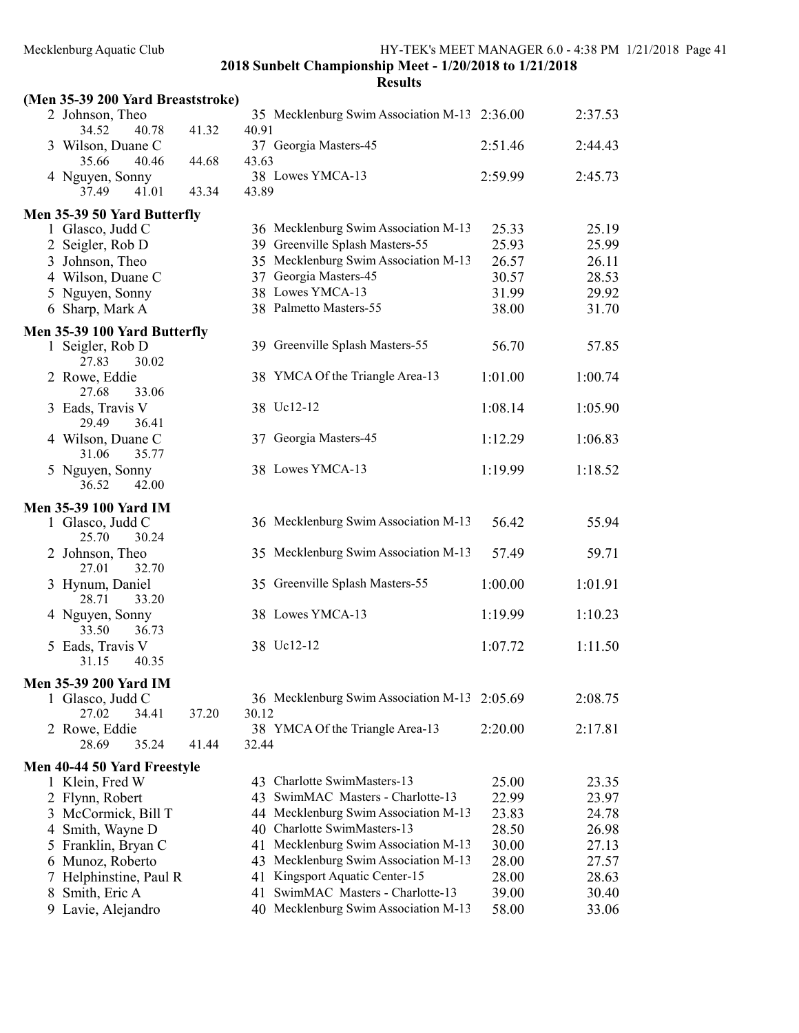|    | (Men 35-39 200 Yard Breaststroke)   |       |       |                                              |         |         |
|----|-------------------------------------|-------|-------|----------------------------------------------|---------|---------|
|    | 2 Johnson, Theo<br>40.78<br>34.52   | 41.32 | 40.91 | 35 Mecklenburg Swim Association M-13 2:36.00 |         | 2:37.53 |
|    | 3 Wilson, Duane C<br>40.46<br>35.66 | 44.68 | 43.63 | 37 Georgia Masters-45                        | 2:51.46 | 2:44.43 |
|    | 4 Nguyen, Sonny<br>37.49<br>41.01   | 43.34 | 43.89 | 38 Lowes YMCA-13                             | 2:59.99 | 2:45.73 |
|    | Men 35-39 50 Yard Butterfly         |       |       |                                              |         |         |
|    | 1 Glasco, Judd C                    |       |       | 36 Mecklenburg Swim Association M-13         | 25.33   | 25.19   |
|    | 2 Seigler, Rob D                    |       |       | 39 Greenville Splash Masters-55              | 25.93   | 25.99   |
|    | 3 Johnson, Theo                     |       |       | 35 Mecklenburg Swim Association M-13         | 26.57   | 26.11   |
|    | 4 Wilson, Duane C                   |       |       | 37 Georgia Masters-45                        | 30.57   | 28.53   |
|    | 5 Nguyen, Sonny                     |       |       | 38 Lowes YMCA-13                             | 31.99   | 29.92   |
|    | 6 Sharp, Mark A                     |       |       | 38 Palmetto Masters-55                       | 38.00   | 31.70   |
|    | Men 35-39 100 Yard Butterfly        |       |       |                                              |         |         |
|    | 1 Seigler, Rob D<br>30.02<br>27.83  |       |       | 39 Greenville Splash Masters-55              | 56.70   | 57.85   |
|    | 2 Rowe, Eddie<br>33.06<br>27.68     |       |       | 38 YMCA Of the Triangle Area-13              | 1:01.00 | 1:00.74 |
|    | 3 Eads, Travis V<br>29.49<br>36.41  |       |       | 38 Uc12-12                                   | 1:08.14 | 1:05.90 |
|    | 4 Wilson, Duane C<br>31.06<br>35.77 |       |       | 37 Georgia Masters-45                        | 1:12.29 | 1:06.83 |
|    | 5 Nguyen, Sonny<br>36.52<br>42.00   |       |       | 38 Lowes YMCA-13                             | 1:19.99 | 1:18.52 |
|    | <b>Men 35-39 100 Yard IM</b>        |       |       |                                              |         |         |
|    | 1 Glasco, Judd C<br>25.70<br>30.24  |       |       | 36 Mecklenburg Swim Association M-13         | 56.42   | 55.94   |
|    | 2 Johnson, Theo<br>32.70<br>27.01   |       |       | 35 Mecklenburg Swim Association M-13         | 57.49   | 59.71   |
|    | 3 Hynum, Daniel<br>28.71<br>33.20   |       |       | 35 Greenville Splash Masters-55              | 1:00.00 | 1:01.91 |
|    | 4 Nguyen, Sonny<br>33.50<br>36.73   |       |       | 38 Lowes YMCA-13                             | 1:19.99 | 1:10.23 |
|    | 5 Eads, Travis V<br>31.15<br>40.35  |       |       | 38 Uc12-12                                   | 1:07.72 | 1:11.50 |
|    | <b>Men 35-39 200 Yard IM</b>        |       |       |                                              |         |         |
|    | 1 Glasco, Judd C<br>27.02<br>34.41  | 37.20 | 30.12 | 36 Mecklenburg Swim Association M-13 2:05.69 |         | 2:08.75 |
|    | 2 Rowe, Eddie<br>35.24<br>28.69     | 41.44 | 32.44 | 38 YMCA Of the Triangle Area-13              | 2:20.00 | 2:17.81 |
|    | Men 40-44 50 Yard Freestyle         |       |       |                                              |         |         |
|    | 1 Klein, Fred W                     |       |       | 43 Charlotte SwimMasters-13                  | 25.00   | 23.35   |
| 2  | Flynn, Robert                       |       |       | 43 SwimMAC Masters - Charlotte-13            | 22.99   | 23.97   |
| 3  | McCormick, Bill T                   |       |       | 44 Mecklenburg Swim Association M-13         | 23.83   | 24.78   |
| 4  | Smith, Wayne D                      |       |       | 40 Charlotte SwimMasters-13                  | 28.50   | 26.98   |
| 5  | Franklin, Bryan C                   |       |       | 41 Mecklenburg Swim Association M-13         | 30.00   | 27.13   |
| 6  | Munoz, Roberto                      |       |       | 43 Mecklenburg Swim Association M-13         | 28.00   | 27.57   |
|    | Helphinstine, Paul R                |       |       | 41 Kingsport Aquatic Center-15               | 28.00   | 28.63   |
| 8  | Smith, Eric A                       |       | 41    | SwimMAC Masters - Charlotte-13               | 39.00   | 30.40   |
| 9. | Lavie, Alejandro                    |       |       | 40 Mecklenburg Swim Association M-13         | 58.00   | 33.06   |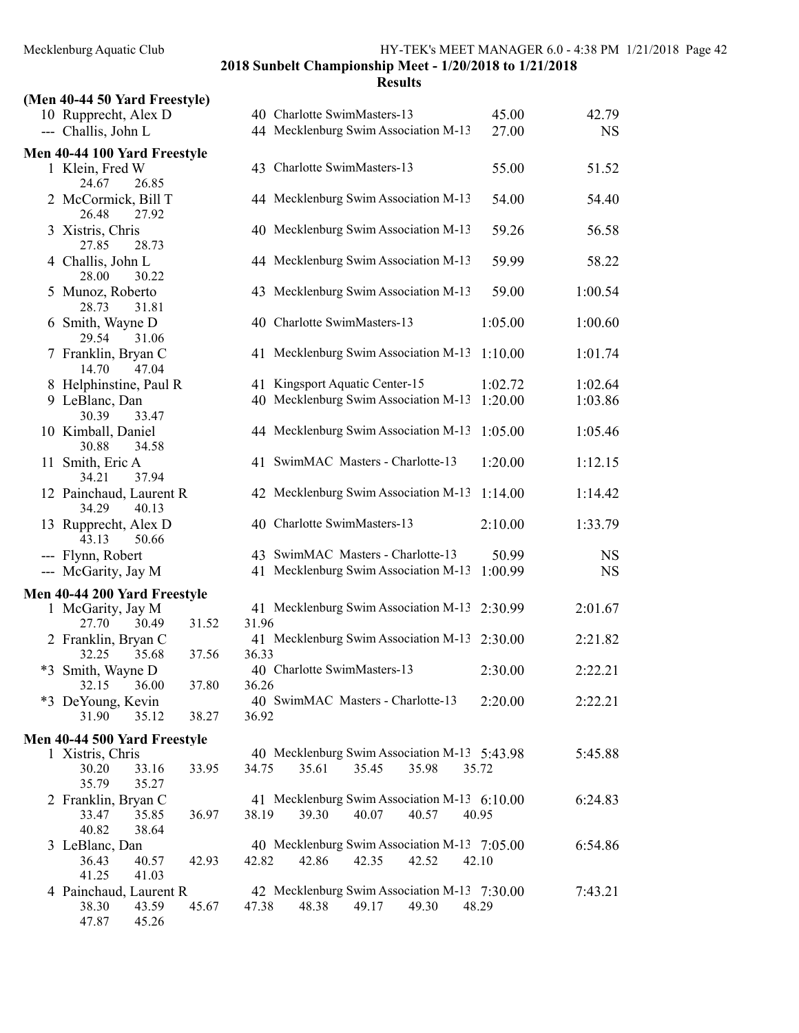40.82 38.64

41.25 41.03

47.87 45.26

2018 Sunbelt Championship Meet - 1/20/2018 to 1/21/2018

### **Results** (Men 40-44 50 Yard Freestyle) 10 Rupprecht, Alex D 40 Charlotte SwimMasters-13 45.00 42.79 --- Challis, John L 44 Mecklenburg Swim Association M-13 27.00 NS Men 40-44 100 Yard Freestyle 1 Klein, Fred W 43 Charlotte SwimMasters-13 55.00 51.52 24.67 26.85 2 McCormick, Bill T 44 Mecklenburg Swim Association M-13 54.00 54.40 26.48 27.92 3 Xistris, Chris 40 Mecklenburg Swim Association M-13 59.26 56.58 27.85 28.73 4 Challis, John L 44 Mecklenburg Swim Association M-13 59.99 58.22 28.00 30.22 5 Munoz, Roberto 43 Mecklenburg Swim Association M-13 59.00 1:00.54 28.73 31.81 6 Smith, Wayne D 40 Charlotte SwimMasters-13 1:05.00 1:00.60 29.54 31.06 7 Franklin, Bryan C 41 Mecklenburg Swim Association M-13 1:10.00 1:01.74 14.70 47.04 8 Helphinstine, Paul R 41 Kingsport Aquatic Center-15 1:02.72 1:02.64 9 LeBlanc, Dan  $40$  Mecklenburg Swim Association M-13 1:20.00  $1:03.86$ 30.39 33.47 10 Kimball, Daniel 44 Mecklenburg Swim Association M-13 1:05.00 1:05.46 30.88 34.58 11 Smith, Eric A 41 SwimMAC Masters - Charlotte-13 1:20.00 1:12.15 34.21 37.94 12 Painchaud, Laurent R 42 Mecklenburg Swim Association M-13 1:14.00 1:14.42 34.29 40.13 13 Rupprecht, Alex D 40 Charlotte SwimMasters-13 2:10.00 1:33.79 43.13 50.66 --- Flynn, Robert 43 SwimMAC Masters - Charlotte-13 50.99 NS --- McGarity, Jay M 41 Mecklenburg Swim Association M-13 1:00.99 NS Men 40-44 200 Yard Freestyle 1 McGarity, Jay M 41 Mecklenburg Swim Association M-13 2:30.99 2:01.67 27.70 30.49 31.52 31.96 2 Franklin, Bryan C 41 Mecklenburg Swim Association M-13 2:30.00 2:21.82 32.25 35.68 37.56 36.33 \*3 Smith, Wayne D 40 Charlotte SwimMasters-13 2:30.00 2:22.21 32.15 36.00 37.80 36.26 \*3 DeYoung, Kevin 40 SwimMAC Masters - Charlotte-13 2:20.00 2:22.21 31.90 35.12 38.27 36.92 Men 40-44 500 Yard Freestyle 1 Xistris, Chris 40 Mecklenburg Swim Association M-13 5:43.98 5:45.88 30.20 33.16 33.95 34.75 35.61 35.45 35.98 35.72 35.79 35.27 2 Franklin, Bryan C 41 Mecklenburg Swim Association M-13 6:10.00 6:24.83

33.47 35.85 36.97 38.19 39.30 40.07 40.57 40.95 3 LeBlanc, Dan 40 Mecklenburg Swim Association M-13 7:05.00 6:54.86 36.43 40.57 42.93 42.82 42.86 42.35 42.52 42.10 4 Painchaud, Laurent R 42 Mecklenburg Swim Association M-13 7:30.00 7:43.21

38.30 43.59 45.67 47.38 48.38 49.17 49.30 48.29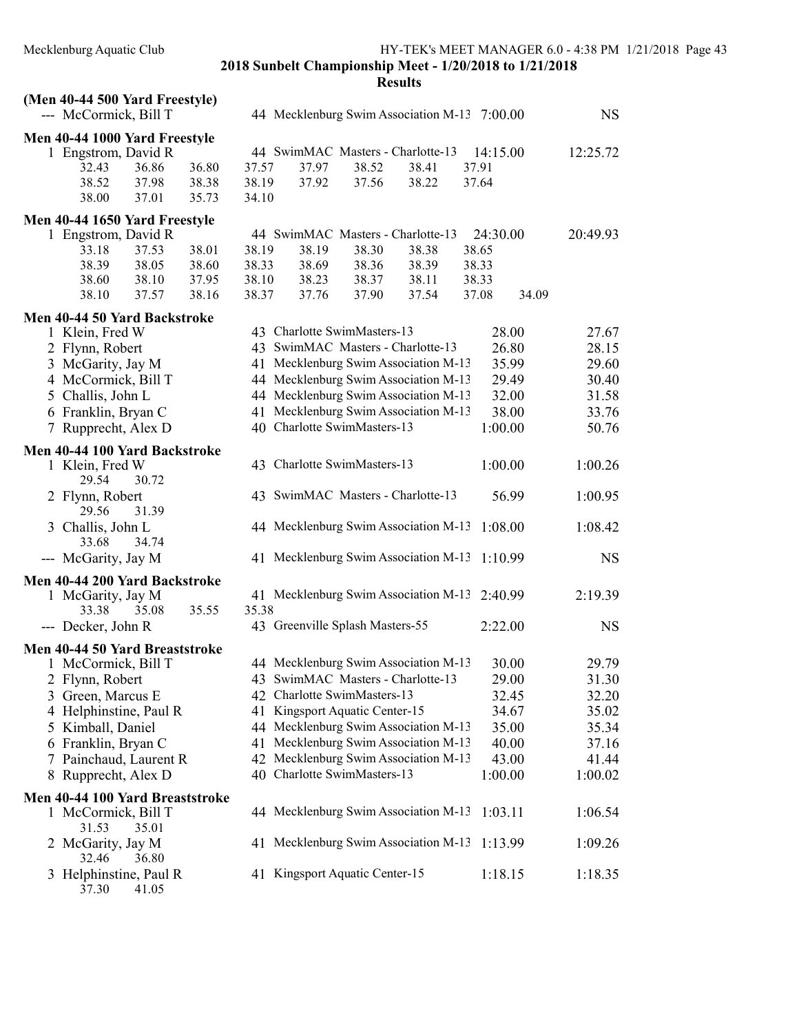| (Men 40-44 500 Yard Freestyle)<br>--- McCormick, Bill T | 44 Mecklenburg Swim Association M-13 7:00.00       | <b>NS</b> |
|---------------------------------------------------------|----------------------------------------------------|-----------|
| Men 40-44 1000 Yard Freestyle                           |                                                    |           |
| 1 Engstrom, David R                                     | 44 SwimMAC Masters - Charlotte-13<br>14:15.00      | 12:25.72  |
| 32.43<br>36.86<br>36.80                                 | 37.97<br>38.52<br>38.41<br>37.57<br>37.91          |           |
| 38.52<br>37.98<br>38.38                                 | 38.19<br>37.92<br>37.56<br>38.22<br>37.64          |           |
| 35.73<br>38.00<br>37.01                                 | 34.10                                              |           |
| Men 40-44 1650 Yard Freestyle                           |                                                    |           |
| 1 Engstrom, David R                                     | 44 SwimMAC Masters - Charlotte-13<br>24:30.00      | 20:49.93  |
| 38.01<br>33.18<br>37.53                                 | 38.19<br>38.19<br>38.30<br>38.38<br>38.65          |           |
| 38.05<br>38.39<br>38.60                                 | 38.33<br>38.69<br>38.39<br>38.33<br>38.36          |           |
| 38.60<br>38.10<br>37.95                                 | 38.10<br>38.23<br>38.37<br>38.11<br>38.33          |           |
| 37.57<br>38.10<br>38.16                                 | 38.37<br>37.54<br>37.08<br>34.09<br>37.76<br>37.90 |           |
| Men 40-44 50 Yard Backstroke                            |                                                    |           |
| 1 Klein, Fred W                                         | 43 Charlotte SwimMasters-13<br>28.00               | 27.67     |
| 2 Flynn, Robert                                         | 43 SwimMAC Masters - Charlotte-13<br>26.80         | 28.15     |
| 3 McGarity, Jay M                                       | 41 Mecklenburg Swim Association M-13<br>35.99      | 29.60     |
| 4 McCormick, Bill T                                     | 44 Mecklenburg Swim Association M-13<br>29.49      | 30.40     |
| 5 Challis, John L                                       | 44 Mecklenburg Swim Association M-13<br>32.00      | 31.58     |
| 6 Franklin, Bryan C                                     | 41 Mecklenburg Swim Association M-13<br>38.00      | 33.76     |
| 7 Rupprecht, Alex D                                     | 40 Charlotte SwimMasters-13<br>1:00.00             | 50.76     |
| Men 40-44 100 Yard Backstroke                           |                                                    |           |
| 1 Klein, Fred W                                         | 43 Charlotte SwimMasters-13<br>1:00.00             | 1:00.26   |
| 30.72<br>29.54                                          |                                                    |           |
| 2 Flynn, Robert                                         | 43 SwimMAC Masters - Charlotte-13<br>56.99         | 1:00.95   |
| 31.39<br>29.56                                          |                                                    |           |
| 3 Challis, John L<br>33.68<br>34.74                     | 44 Mecklenburg Swim Association M-13<br>1:08.00    | 1:08.42   |
| --- McGarity, Jay M                                     | 41 Mecklenburg Swim Association M-13<br>1:10.99    | <b>NS</b> |
|                                                         |                                                    |           |
| Men 40-44 200 Yard Backstroke                           | 41 Mecklenburg Swim Association M-13<br>2:40.99    | 2:19.39   |
| 1 McGarity, Jay M<br>35.55<br>33.38<br>35.08            | 35.38                                              |           |
|                                                         |                                                    |           |
| --- Decker, John R                                      | 43 Greenville Splash Masters-55<br>2:22.00         | <b>NS</b> |
| Men 40-44 50 Yard Breaststroke                          |                                                    |           |
| 1 McCormick, Bill T                                     | 44 Mecklenburg Swim Association M-13<br>30.00      | 29.79     |
| 2 Flynn, Robert                                         | 43 SwimMAC Masters - Charlotte-13<br>29.00         | 31.30     |
| 3 Green, Marcus E                                       | 42 Charlotte SwimMasters-13<br>32.45               | 32.20     |
| 4 Helphinstine, Paul R                                  | 41 Kingsport Aquatic Center-15<br>34.67            | 35.02     |
| 5 Kimball, Daniel                                       | 44 Mecklenburg Swim Association M-13<br>35.00      | 35.34     |
| 6 Franklin, Bryan C                                     | 41 Mecklenburg Swim Association M-13<br>40.00      | 37.16     |
| 7 Painchaud, Laurent R                                  | 42 Mecklenburg Swim Association M-13<br>43.00      | 41.44     |
| 8 Rupprecht, Alex D                                     | 40 Charlotte SwimMasters-13<br>1:00.00             | 1:00.02   |
| Men 40-44 100 Yard Breaststroke                         |                                                    |           |
| 1 McCormick, Bill T                                     | 44 Mecklenburg Swim Association M-13<br>1:03.11    | 1:06.54   |
| 31.53<br>35.01                                          |                                                    |           |
| 2 McGarity, Jay M<br>32.46<br>36.80                     | 41 Mecklenburg Swim Association M-13<br>1:13.99    | 1:09.26   |
| 3 Helphinstine, Paul R                                  | 41 Kingsport Aquatic Center-15<br>1:18.15          | 1:18.35   |
| 37.30<br>41.05                                          |                                                    |           |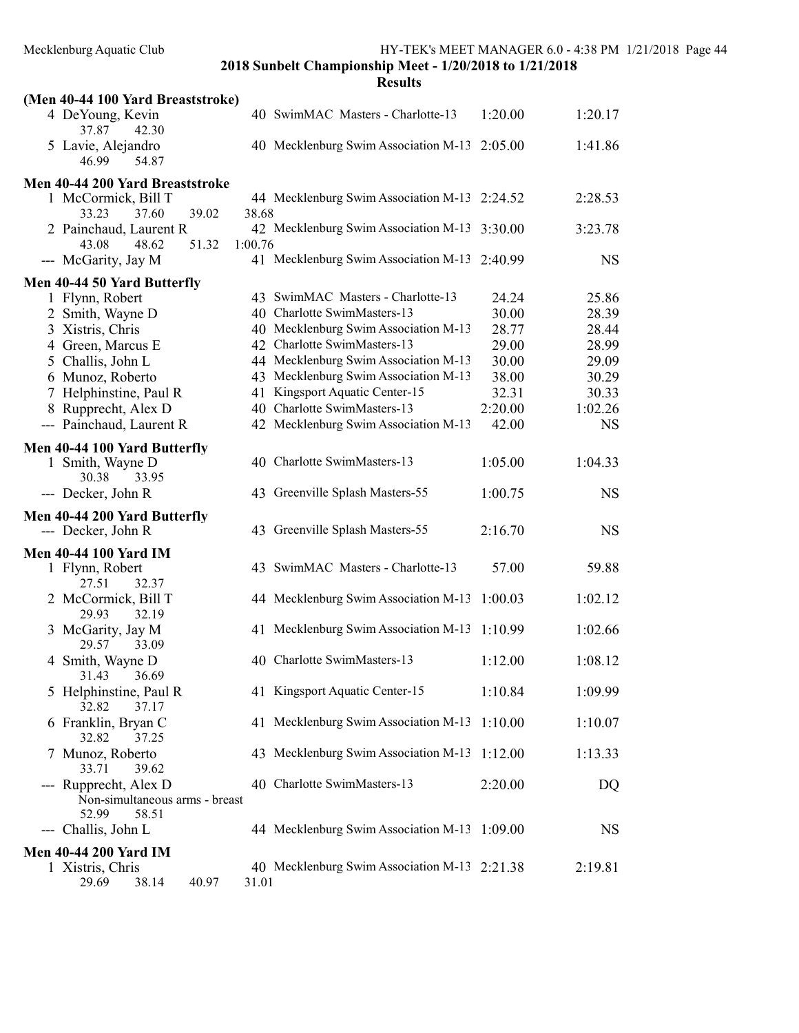| (Men 40-44 100 Yard Breaststroke)                 |         |                                              |         |           |
|---------------------------------------------------|---------|----------------------------------------------|---------|-----------|
| 4 DeYoung, Kevin<br>37.87<br>42.30                |         | 40 SwimMAC Masters - Charlotte-13            | 1:20.00 | 1:20.17   |
| 5 Lavie, Alejandro<br>46.99<br>54.87              |         | 40 Mecklenburg Swim Association M-13 2:05.00 |         | 1:41.86   |
| Men 40-44 200 Yard Breaststroke                   |         |                                              |         |           |
| 1 McCormick, Bill T<br>33.23<br>37.60<br>39.02    | 38.68   | 44 Mecklenburg Swim Association M-13 2:24.52 |         | 2:28.53   |
| 2 Painchaud, Laurent R<br>43.08<br>48.62<br>51.32 | 1:00.76 | 42 Mecklenburg Swim Association M-13 3:30.00 |         | 3:23.78   |
| --- McGarity, Jay M                               |         | 41 Mecklenburg Swim Association M-13 2:40.99 |         | <b>NS</b> |
| Men 40-44 50 Yard Butterfly                       |         |                                              |         |           |
| 1 Flynn, Robert                                   |         | 43 SwimMAC Masters - Charlotte-13            | 24.24   | 25.86     |
| 2 Smith, Wayne D                                  |         | 40 Charlotte SwimMasters-13                  | 30.00   | 28.39     |
| 3 Xistris, Chris                                  |         | 40 Mecklenburg Swim Association M-13         | 28.77   | 28.44     |
| 4 Green, Marcus E                                 |         | 42 Charlotte SwimMasters-13                  | 29.00   | 28.99     |
| 5 Challis, John L                                 |         | 44 Mecklenburg Swim Association M-13         | 30.00   | 29.09     |
| 6 Munoz, Roberto                                  |         | 43 Mecklenburg Swim Association M-13         | 38.00   | 30.29     |
|                                                   |         |                                              |         |           |
| 7 Helphinstine, Paul R                            |         | 41 Kingsport Aquatic Center-15               | 32.31   | 30.33     |
| 8 Rupprecht, Alex D                               |         | 40 Charlotte SwimMasters-13                  | 2:20.00 | 1:02.26   |
| --- Painchaud, Laurent R                          |         | 42 Mecklenburg Swim Association M-13         | 42.00   | <b>NS</b> |
| Men 40-44 100 Yard Butterfly                      |         |                                              |         |           |
| 1 Smith, Wayne D                                  |         | 40 Charlotte SwimMasters-13                  | 1:05.00 | 1:04.33   |
| 30.38<br>33.95                                    |         |                                              |         |           |
| --- Decker, John R                                |         | 43 Greenville Splash Masters-55              | 1:00.75 | <b>NS</b> |
|                                                   |         |                                              |         |           |
| Men 40-44 200 Yard Butterfly                      |         |                                              |         |           |
| --- Decker, John R                                |         | 43 Greenville Splash Masters-55              | 2:16.70 | <b>NS</b> |
| <b>Men 40-44 100 Yard IM</b>                      |         |                                              |         |           |
| 1 Flynn, Robert                                   |         | 43 SwimMAC Masters - Charlotte-13            | 57.00   | 59.88     |
| 27.51<br>32.37                                    |         |                                              |         |           |
| 2 McCormick, Bill T                               |         | 44 Mecklenburg Swim Association M-13         | 1:00.03 | 1:02.12   |
| 29.93<br>32.19                                    |         |                                              |         |           |
|                                                   |         |                                              |         |           |
| 3 McGarity, Jay M                                 |         | 41 Mecklenburg Swim Association M-13         | 1:10.99 | 1:02.66   |
| 29.57<br>33.09                                    |         |                                              |         |           |
| 4 Smith, Wayne D                                  |         | 40 Charlotte SwimMasters-13                  | 1:12.00 | 1:08.12   |
| 31.43 36.69                                       |         |                                              |         |           |
| 5 Helphinstine, Paul R                            |         | 41 Kingsport Aquatic Center-15               | 1:10.84 | 1:09.99   |
| 32.82<br>37.17                                    |         |                                              |         |           |
| 6 Franklin, Bryan C                               |         | 41 Mecklenburg Swim Association M-13         | 1:10.00 | 1:10.07   |
| 32.82<br>37.25                                    |         |                                              |         |           |
| 7 Munoz, Roberto                                  |         | 43 Mecklenburg Swim Association M-13         | 1:12.00 | 1:13.33   |
| 33.71<br>39.62                                    |         |                                              |         |           |
| --- Rupprecht, Alex D                             |         | 40 Charlotte SwimMasters-13                  | 2:20.00 | DQ        |
| Non-simultaneous arms - breast                    |         |                                              |         |           |
| 58.51<br>52.99                                    |         |                                              |         |           |
| Challis, John L<br>---                            |         | 44 Mecklenburg Swim Association M-13 1:09.00 |         | NS        |
|                                                   |         |                                              |         |           |
| <b>Men 40-44 200 Yard IM</b>                      |         |                                              |         |           |
| 1 Xistris, Chris                                  |         | 40 Mecklenburg Swim Association M-13 2:21.38 |         | 2:19.81   |
| 29.69<br>38.14<br>40.97                           | 31.01   |                                              |         |           |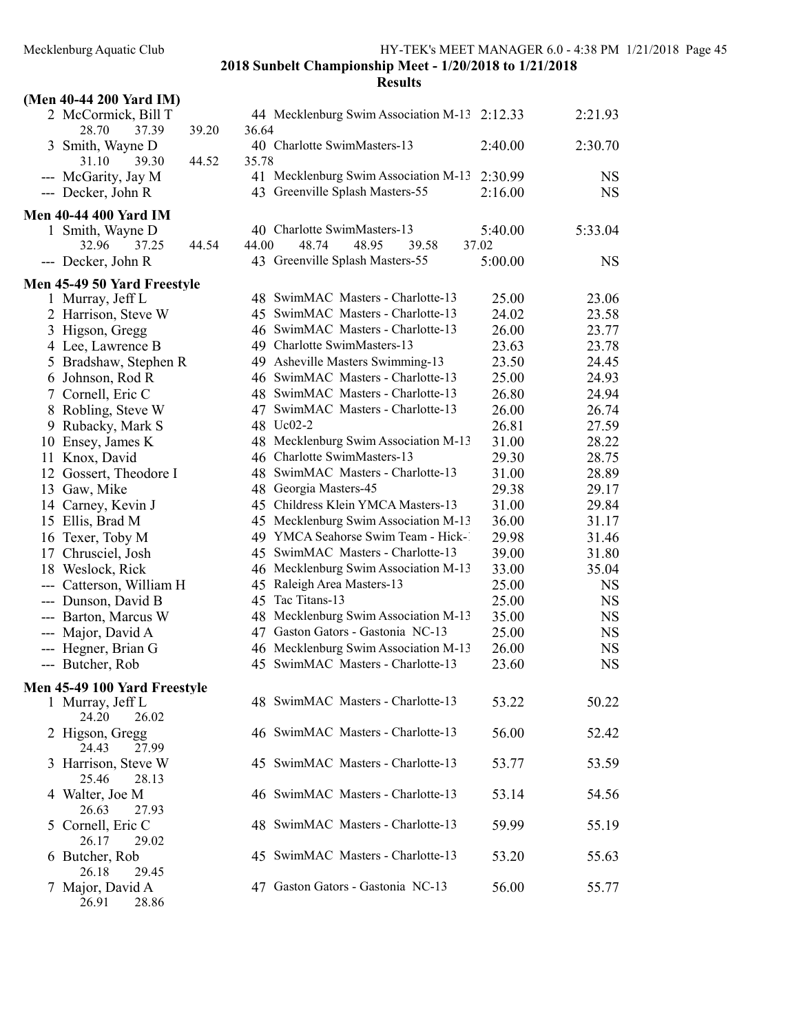| (Men 40-44 200 Yard IM)                 |       |       |                                                                           |                |                        |
|-----------------------------------------|-------|-------|---------------------------------------------------------------------------|----------------|------------------------|
| 2 McCormick, Bill T<br>28.70<br>37.39   | 39.20 | 36.64 | 44 Mecklenburg Swim Association M-13 2:12.33                              |                | 2:21.93                |
| 3 Smith, Wayne D<br>31.10<br>39.30      | 44.52 | 35.78 | 40 Charlotte SwimMasters-13                                               | 2:40.00        | 2:30.70                |
| --- McGarity, Jay M                     |       |       | 41 Mecklenburg Swim Association M-13                                      | 2:30.99        | <b>NS</b>              |
| --- Decker, John R                      |       |       | 43 Greenville Splash Masters-55                                           | 2:16.00        | <b>NS</b>              |
| <b>Men 40-44 400 Yard IM</b>            |       |       |                                                                           |                |                        |
| 1 Smith, Wayne D                        |       |       | 40 Charlotte SwimMasters-13                                               | 5:40.00        | 5:33.04                |
| 32.96<br>37.25                          | 44.54 | 44.00 | 48.74<br>48.95<br>39.58                                                   | 37.02          |                        |
| --- Decker, John R                      |       |       | 43 Greenville Splash Masters-55                                           | 5:00.00        | <b>NS</b>              |
| Men 45-49 50 Yard Freestyle             |       |       |                                                                           |                |                        |
| 1 Murray, Jeff L                        |       |       | 48 SwimMAC Masters - Charlotte-13                                         | 25.00          | 23.06                  |
| 2 Harrison, Steve W                     |       |       | 45 SwimMAC Masters - Charlotte-13                                         | 24.02          | 23.58                  |
| 3 Higson, Gregg                         |       |       | 46 SwimMAC Masters - Charlotte-13                                         | 26.00          | 23.77                  |
| 4 Lee, Lawrence B                       |       |       | 49 Charlotte SwimMasters-13                                               | 23.63          | 23.78                  |
| 5 Bradshaw, Stephen R                   |       |       | 49 Asheville Masters Swimming-13                                          | 23.50          | 24.45                  |
| 6 Johnson, Rod R                        |       |       | 46 SwimMAC Masters - Charlotte-13                                         | 25.00          | 24.93                  |
| 7 Cornell, Eric C                       |       |       | 48 SwimMAC Masters - Charlotte-13                                         | 26.80          | 24.94                  |
| 8 Robling, Steve W                      |       |       | 47 SwimMAC Masters - Charlotte-13                                         | 26.00          | 26.74                  |
| 9 Rubacky, Mark S                       |       |       | 48 Uc02-2                                                                 | 26.81          | 27.59                  |
| 10 Ensey, James K                       |       |       | 48 Mecklenburg Swim Association M-13                                      | 31.00          | 28.22                  |
| 11 Knox, David                          |       |       | 46 Charlotte SwimMasters-13                                               | 29.30          | 28.75                  |
| 12 Gossert, Theodore I                  |       |       | 48 SwimMAC Masters - Charlotte-13                                         | 31.00          | 28.89                  |
| 13 Gaw, Mike                            |       |       | 48 Georgia Masters-45                                                     | 29.38          | 29.17                  |
| 14 Carney, Kevin J                      |       |       | 45 Childress Klein YMCA Masters-13                                        | 31.00          | 29.84                  |
| 15 Ellis, Brad M                        |       |       | 45 Mecklenburg Swim Association M-13                                      | 36.00          | 31.17                  |
| 16 Texer, Toby M                        |       |       | 49 YMCA Seahorse Swim Team - Hick-1                                       | 29.98          | 31.46                  |
| 17 Chrusciel, Josh                      |       |       | 45 SwimMAC Masters - Charlotte-13                                         | 39.00          | 31.80                  |
| 18 Weslock, Rick                        |       |       | 46 Mecklenburg Swim Association M-13                                      | 33.00          | 35.04                  |
| --- Catterson, William H                |       |       | 45 Raleigh Area Masters-13                                                | 25.00          | <b>NS</b>              |
| --- Dunson, David B                     |       |       | 45 Tac Titans-13                                                          | 25.00          | NS                     |
| --- Barton, Marcus W                    |       |       | 48 Mecklenburg Swim Association M-13                                      | 35.00          | <b>NS</b>              |
| --- Major, David A                      |       |       | 47 Gaston Gators - Gastonia NC-13                                         | 25.00          | NS                     |
| --- Hegner, Brian G<br>--- Butcher, Rob |       |       | 46 Mecklenburg Swim Association M-13<br>45 SwimMAC Masters - Charlotte-13 | 26.00<br>23.60 | <b>NS</b><br><b>NS</b> |
|                                         |       |       |                                                                           |                |                        |
| Men 45-49 100 Yard Freestyle            |       |       |                                                                           |                |                        |
| 1 Murray, Jeff L<br>24.20<br>26.02      |       |       | 48 SwimMAC Masters - Charlotte-13                                         | 53.22          | 50.22                  |
| 2 Higson, Gregg<br>24.43<br>27.99       |       |       | 46 SwimMAC Masters - Charlotte-13                                         | 56.00          | 52.42                  |
| 3 Harrison, Steve W<br>25.46<br>28.13   |       |       | 45 SwimMAC Masters - Charlotte-13                                         | 53.77          | 53.59                  |
| 4 Walter, Joe M<br>26.63<br>27.93       |       |       | 46 SwimMAC Masters - Charlotte-13                                         | 53.14          | 54.56                  |
| Cornell, Eric C<br>26.17<br>29.02       |       |       | 48 SwimMAC Masters - Charlotte-13                                         | 59.99          | 55.19                  |
| 6 Butcher, Rob<br>26.18<br>29.45        |       |       | 45 SwimMAC Masters - Charlotte-13                                         | 53.20          | 55.63                  |
| 7 Major, David A<br>26.91<br>28.86      |       |       | 47 Gaston Gators - Gastonia NC-13                                         | 56.00          | 55.77                  |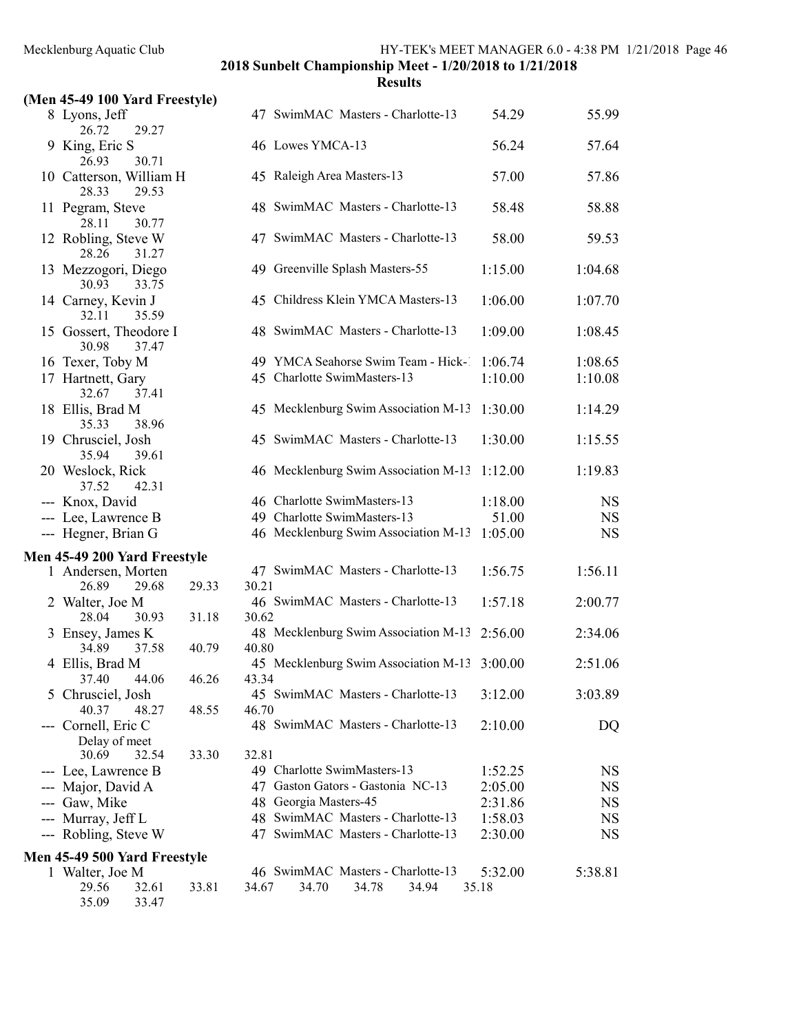|                           |  | (Men 45-49 100 Yard Freestyle) |
|---------------------------|--|--------------------------------|
| $\overline{Q}$ Lyong Laff |  |                                |

| (Men 45-49 100 Yard Freestyle)            |       |       |                                              |         |           |
|-------------------------------------------|-------|-------|----------------------------------------------|---------|-----------|
| 8 Lyons, Jeff<br>29.27<br>26.72           |       |       | 47 SwimMAC Masters - Charlotte-13            | 54.29   | 55.99     |
| 9 King, Eric S<br>26.93<br>30.71          |       |       | 46 Lowes YMCA-13                             | 56.24   | 57.64     |
| 10 Catterson, William H<br>29.53<br>28.33 |       |       | 45 Raleigh Area Masters-13                   | 57.00   | 57.86     |
| 11 Pegram, Steve<br>30.77<br>28.11        |       |       | 48 SwimMAC Masters - Charlotte-13            | 58.48   | 58.88     |
| 12 Robling, Steve W<br>28.26<br>31.27     |       |       | 47 SwimMAC Masters - Charlotte-13            | 58.00   | 59.53     |
| 13 Mezzogori, Diego<br>30.93<br>33.75     |       |       | 49 Greenville Splash Masters-55              | 1:15.00 | 1:04.68   |
| 14 Carney, Kevin J<br>32.11<br>35.59      |       |       | 45 Childress Klein YMCA Masters-13           | 1:06.00 | 1:07.70   |
| 15 Gossert, Theodore I<br>30.98<br>37.47  |       |       | 48 SwimMAC Masters - Charlotte-13            | 1:09.00 | 1:08.45   |
| 16 Texer, Toby M                          |       |       | 49 YMCA Seahorse Swim Team - Hick-1          | 1:06.74 | 1:08.65   |
| 17 Hartnett, Gary<br>37.41<br>32.67       |       |       | 45 Charlotte SwimMasters-13                  | 1:10.00 | 1:10.08   |
| 18 Ellis, Brad M<br>35.33<br>38.96        |       |       | 45 Mecklenburg Swim Association M-13         | 1:30.00 | 1:14.29   |
| 19 Chrusciel, Josh<br>35.94<br>39.61      |       |       | 45 SwimMAC Masters - Charlotte-13            | 1:30.00 | 1:15.55   |
| 20 Weslock, Rick<br>37.52<br>42.31        |       |       | 46 Mecklenburg Swim Association M-13         | 1:12.00 | 1:19.83   |
| --- Knox, David                           |       |       | 46 Charlotte SwimMasters-13                  | 1:18.00 | <b>NS</b> |
|                                           |       |       | 49 Charlotte SwimMasters-13                  | 51.00   | <b>NS</b> |
| --- Lee, Lawrence B                       |       |       |                                              |         |           |
| --- Hegner, Brian G                       |       |       | 46 Mecklenburg Swim Association M-13 1:05.00 |         | <b>NS</b> |
| Men 45-49 200 Yard Freestyle              |       |       |                                              |         |           |
| 1 Andersen, Morten                        |       |       | 47 SwimMAC Masters - Charlotte-13            | 1:56.75 | 1:56.11   |
| 26.89<br>29.68                            | 29.33 | 30.21 |                                              |         |           |
| 2 Walter, Joe M                           |       |       | 46 SwimMAC Masters - Charlotte-13            | 1:57.18 | 2:00.77   |
| 28.04<br>30.93                            | 31.18 | 30.62 |                                              |         |           |
| 3 Ensey, James K                          |       |       | 48 Mecklenburg Swim Association M-13 2:56.00 |         | 2:34.06   |
| 34.89<br>37.58                            | 40.79 | 40.80 |                                              |         |           |
| 4 Ellis, Brad M                           |       |       | 45 Mecklenburg Swim Association M-13 3:00.00 |         | 2:51.06   |
| 37.40 44.06                               | 46.26 | 43.34 |                                              |         |           |
| 5 Chrusciel, Josh                         |       |       | 45 SwimMAC Masters - Charlotte-13            | 3:12.00 | 3:03.89   |
| 40.37<br>48.27                            | 48.55 | 46.70 |                                              |         |           |
| --- Cornell, Eric C                       |       |       | 48 SwimMAC Masters - Charlotte-13            | 2:10.00 | DQ        |
| Delay of meet                             |       |       |                                              |         |           |
| 30.69<br>32.54                            | 33.30 | 32.81 |                                              |         |           |
| --- Lee, Lawrence B                       |       |       | 49 Charlotte SwimMasters-13                  | 1:52.25 | NS        |
| --- Major, David A                        |       |       | 47 Gaston Gators - Gastonia NC-13            | 2:05.00 | <b>NS</b> |
| --- Gaw, Mike                             |       |       | 48 Georgia Masters-45                        | 2:31.86 | NS        |
| --- Murray, Jeff L                        |       |       | 48 SwimMAC Masters - Charlotte-13            | 1:58.03 | NS        |
| --- Robling, Steve W                      |       |       | 47 SwimMAC Masters - Charlotte-13            | 2:30.00 | NS        |
| Men 45-49 500 Yard Freestyle              |       |       |                                              |         |           |
| 1 Walter, Joe M                           |       |       | 46 SwimMAC Masters - Charlotte-13            | 5:32.00 | 5:38.81   |
| 29.56<br>32.61                            | 33.81 | 34.67 | 34.70<br>34.78<br>34.94                      | 35.18   |           |
| 35.09<br>33.47                            |       |       |                                              |         |           |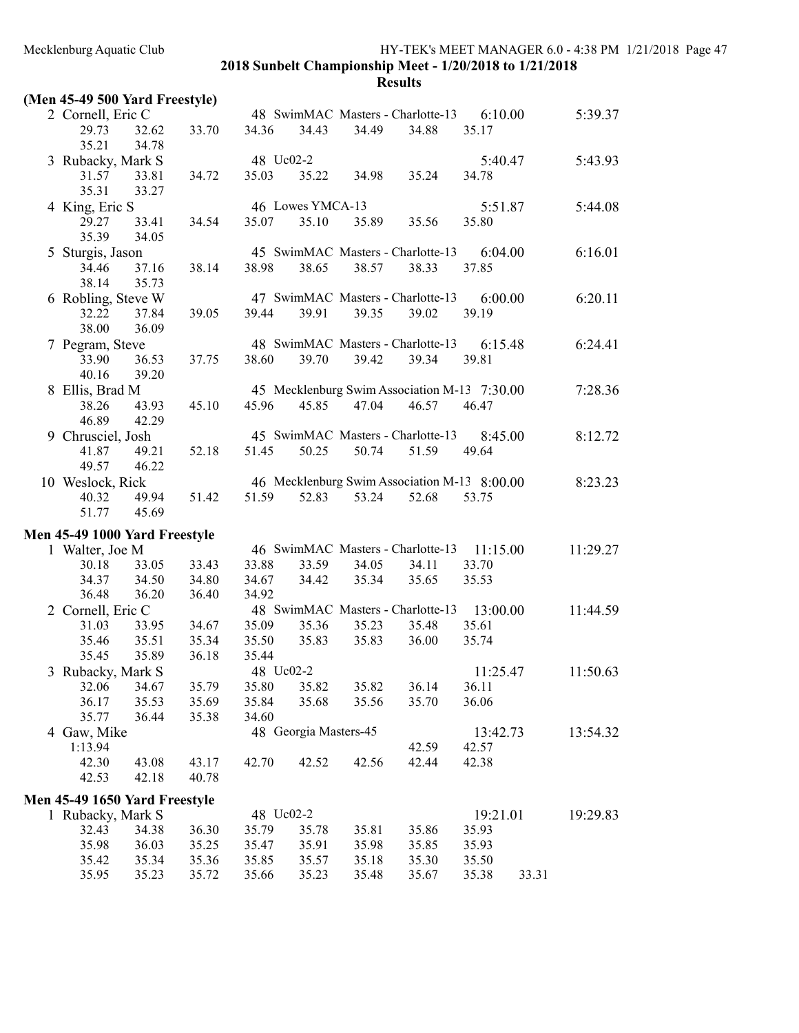|  |  |  |  | (Men 45-49 500 Yard Freestyle) |
|--|--|--|--|--------------------------------|
|--|--|--|--|--------------------------------|

| 2 Cornell, Eric C               |       |       |                                   |                  |       | 48 SwimMAC Masters - Charlotte-13 | 6:10.00                                      | 5:39.37            |
|---------------------------------|-------|-------|-----------------------------------|------------------|-------|-----------------------------------|----------------------------------------------|--------------------|
| 29.73                           | 32.62 | 33.70 | 34.36                             | 34.43            | 34.49 | 34.88                             | 35.17                                        |                    |
| 35.21                           | 34.78 |       |                                   |                  |       |                                   |                                              |                    |
| 3 Rubacky, Mark S               |       |       | 48 Uc02-2                         |                  |       |                                   | 5:40.47                                      | 5:43.93            |
| 31.57                           | 33.81 | 34.72 | 35.03                             | 35.22            | 34.98 | 35.24                             | 34.78                                        |                    |
| 35.31                           | 33.27 |       |                                   |                  |       |                                   |                                              |                    |
| 4 King, Eric S                  |       |       |                                   | 46 Lowes YMCA-13 |       |                                   | 5:51.87                                      | 5:44.08            |
| 29.27                           | 33.41 | 34.54 | 35.07                             | 35.10            | 35.89 | 35.56                             | 35.80                                        |                    |
| 35.39                           | 34.05 |       |                                   |                  |       |                                   |                                              |                    |
| 5 Sturgis, Jason                |       |       |                                   |                  |       | 45 SwimMAC Masters - Charlotte-13 | 6:04.00                                      | 6:16.01            |
| 34.46                           | 37.16 | 38.14 | 38.98                             | 38.65            | 38.57 | 38.33                             | 37.85                                        |                    |
| 38.14                           | 35.73 |       |                                   |                  |       |                                   |                                              |                    |
| 6 Robling, Steve W              |       |       |                                   |                  |       | 47 SwimMAC Masters - Charlotte-13 | 6:00.00                                      | 6:20.11            |
| 32.22                           | 37.84 | 39.05 | 39.44                             | 39.91            | 39.35 | 39.02                             | 39.19                                        |                    |
| 38.00                           | 36.09 |       |                                   |                  |       |                                   |                                              |                    |
| 7 Pegram, Steve                 |       |       |                                   |                  |       | 48 SwimMAC Masters - Charlotte-13 | 6:15.48                                      | 6:24.41            |
| 33.90                           | 36.53 | 37.75 | 38.60                             | 39.70            | 39.42 | 39.34                             | 39.81                                        |                    |
| 40.16                           | 39.20 |       |                                   |                  |       |                                   |                                              |                    |
| 8 Ellis, Brad M                 |       |       |                                   |                  |       |                                   | 45 Mecklenburg Swim Association M-13 7:30.00 | 7:28.36            |
| 38.26                           | 43.93 | 45.10 | 45.96                             | 45.85            | 47.04 | 46.57                             | 46.47                                        |                    |
| 46.89                           | 42.29 |       |                                   |                  |       |                                   |                                              |                    |
| 9 Chrusciel, Josh               |       |       |                                   |                  |       | 45 SwimMAC Masters - Charlotte-13 | 8:45.00                                      | 8:12.72            |
| 41.87                           | 49.21 | 52.18 | 51.45                             | 50.25            | 50.74 | 51.59                             | 49.64                                        |                    |
| 49.57                           | 46.22 |       |                                   |                  |       |                                   |                                              |                    |
| 10 Weslock, Rick                |       |       |                                   |                  |       |                                   | 46 Mecklenburg Swim Association M-13 8:00.00 | 8:23.23            |
| 40.32                           | 49.94 | 51.42 | 51.59                             | 52.83            | 53.24 | 52.68                             | 53.75                                        |                    |
| 51.77                           | 45.69 |       |                                   |                  |       |                                   |                                              |                    |
| Men 45-49 1000 Yard Freestyle   |       |       |                                   |                  |       |                                   |                                              |                    |
| 1 Walter, Joe M                 |       |       |                                   |                  |       | 46 SwimMAC Masters - Charlotte-13 | 11:15.00                                     | 11:29.27           |
| 30.18                           | 33.05 | 33.43 | 33.88                             | 33.59            | 34.05 | 34.11                             | 33.70                                        |                    |
| 34.37                           | 34.50 | 34.80 | 34.67                             | 34.42            | 35.34 | 35.65                             | 35.53                                        |                    |
| 36.48                           | 36.20 | 36.40 | 34.92                             |                  |       |                                   |                                              |                    |
| 2 Cornell, Eric C               |       |       |                                   |                  |       | 48 SwimMAC Masters - Charlotte-13 | 13:00.00                                     | 11:44.59           |
| 31.03                           | 33.95 | 34.67 | 35.09                             | 35.36            | 35.23 | 35.48                             | 35.61                                        |                    |
| 35.46                           | 35.51 | 35.34 | 35.50                             | 35.83            | 35.83 | 36.00                             | 35.74                                        |                    |
| 35.45                           | 35.89 | 36.18 | 35.44                             |                  |       |                                   |                                              |                    |
| $2.5$ D. $1.2$ $1.5$ M. $1.6$ C |       |       | $10 \text{ H} \cdot 00 \text{ H}$ |                  |       |                                   | 11.25A7                                      | 11.50 $\epsilon$ 2 |

| 3 Rubacky, Mark S             |       |       | 48 Uc02-2 |                    |       |       | 11:25.47 |       | 11:50.63 |
|-------------------------------|-------|-------|-----------|--------------------|-------|-------|----------|-------|----------|
| 32.06                         | 34.67 | 35.79 | 35.80     | 35.82              | 35.82 | 36.14 | 36.11    |       |          |
| 36.17                         | 35.53 | 35.69 | 35.84     | 35.68              | 35.56 | 35.70 | 36.06    |       |          |
| 35.77                         | 36.44 | 35.38 | 34.60     |                    |       |       |          |       |          |
| 4 Gaw, Mike                   |       |       | 48        | Georgia Masters-45 |       |       | 13:42.73 |       | 13:54.32 |
| 1:13.94                       |       |       |           |                    |       | 42.59 | 42.57    |       |          |
| 42.30                         | 43.08 | 43.17 | 42.70     | 42.52              | 42.56 | 42.44 | 42.38    |       |          |
| 42.53                         | 42.18 | 40.78 |           |                    |       |       |          |       |          |
| Men 45-49 1650 Yard Freestyle |       |       |           |                    |       |       |          |       |          |
| Rubacky, Mark S               |       |       | 48 Uc02-2 |                    |       |       | 19:21.01 |       | 19:29.83 |
| 32.43                         | 34.38 | 36.30 | 35.79     | 35.78              | 35.81 | 35.86 | 35.93    |       |          |
| 35.98                         | 36.03 | 35.25 | 35.47     | 35.91              | 35.98 | 35.85 | 35.93    |       |          |
| 35.42                         | 35.34 | 35.36 | 35.85     | 35.57              | 35.18 | 35.30 | 35.50    |       |          |
| 35.95                         | 35.23 | 35.72 | 35.66     | 35.23              | 35.48 | 35.67 | 35.38    | 33.31 |          |
|                               |       |       |           |                    |       |       |          |       |          |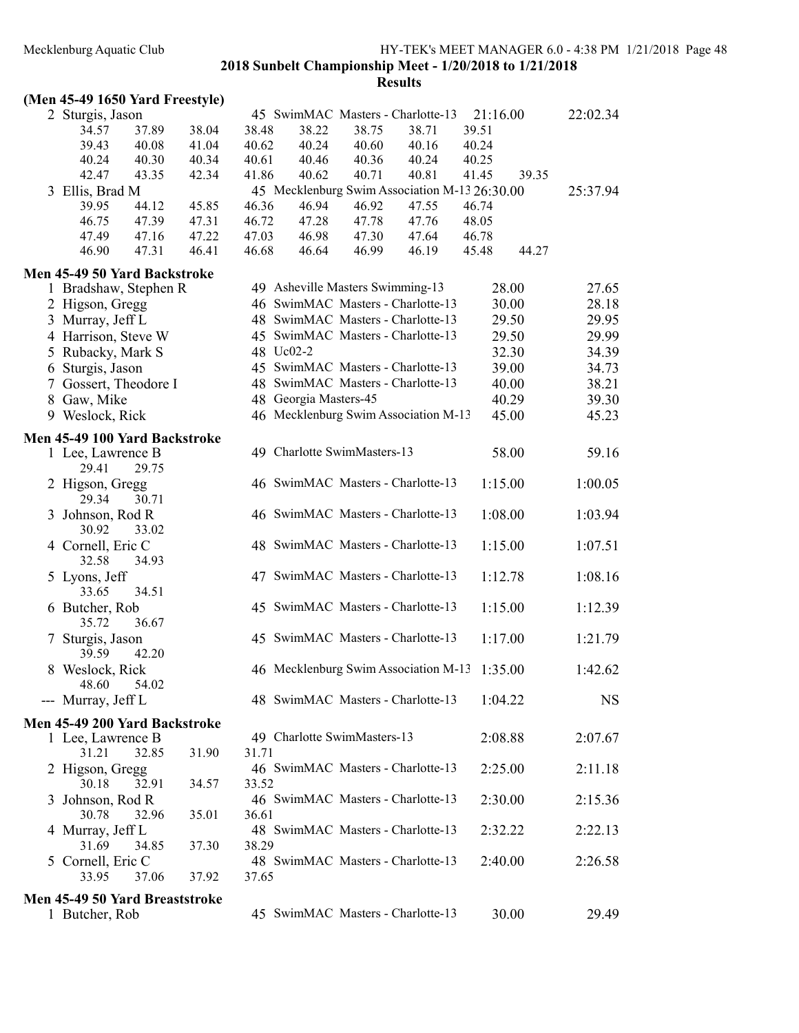#### Results

# (Men 45-49 1650 Yard Freestyle)

| 2 Sturgis, Jason                      |       |       |       |                                  |       | 45 SwimMAC Masters - Charlotte-13             | 21:16.00 |       | 22:02.34  |
|---------------------------------------|-------|-------|-------|----------------------------------|-------|-----------------------------------------------|----------|-------|-----------|
| 34.57                                 | 37.89 | 38.04 | 38.48 | 38.22                            | 38.75 | 38.71                                         | 39.51    |       |           |
| 39.43                                 | 40.08 | 41.04 | 40.62 | 40.24                            | 40.60 | 40.16                                         | 40.24    |       |           |
| 40.24                                 | 40.30 | 40.34 | 40.61 | 40.46                            | 40.36 | 40.24                                         | 40.25    |       |           |
| 42.47                                 | 43.35 | 42.34 | 41.86 | 40.62                            | 40.71 | 40.81                                         | 41.45    | 39.35 |           |
| 3 Ellis, Brad M                       |       |       |       |                                  |       | 45 Mecklenburg Swim Association M-13 26:30.00 |          |       | 25:37.94  |
| 39.95                                 | 44.12 | 45.85 | 46.36 | 46.94                            | 46.92 | 47.55                                         | 46.74    |       |           |
| 46.75                                 | 47.39 | 47.31 | 46.72 | 47.28                            | 47.78 | 47.76                                         | 48.05    |       |           |
| 47.49                                 | 47.16 | 47.22 | 47.03 | 46.98                            | 47.30 | 47.64                                         | 46.78    |       |           |
| 46.90                                 | 47.31 | 46.41 | 46.68 | 46.64                            | 46.99 | 46.19                                         | 45.48    | 44.27 |           |
| Men 45-49 50 Yard Backstroke          |       |       |       |                                  |       |                                               |          |       |           |
| 1 Bradshaw, Stephen R                 |       |       |       | 49 Asheville Masters Swimming-13 |       |                                               | 28.00    |       | 27.65     |
| 2 Higson, Gregg                       |       |       |       |                                  |       | 46 SwimMAC Masters - Charlotte-13             |          | 30.00 | 28.18     |
| 3 Murray, Jeff L                      |       |       |       |                                  |       | 48 SwimMAC Masters - Charlotte-13             |          | 29.50 | 29.95     |
| 4 Harrison, Steve W                   |       |       |       |                                  |       | 45 SwimMAC Masters - Charlotte-13             |          | 29.50 | 29.99     |
| 5 Rubacky, Mark S                     |       |       |       | 48 Uc02-2                        |       |                                               | 32.30    |       | 34.39     |
| 6 Sturgis, Jason                      |       |       |       |                                  |       | 45 SwimMAC Masters - Charlotte-13             | 39.00    |       | 34.73     |
| 7 Gossert, Theodore I                 |       |       |       |                                  |       | 48 SwimMAC Masters - Charlotte-13             | 40.00    |       | 38.21     |
| 8 Gaw, Mike                           |       |       |       | 48 Georgia Masters-45            |       |                                               | 40.29    |       | 39.30     |
| 9 Weslock, Rick                       |       |       |       |                                  |       | 46 Mecklenburg Swim Association M-13          | 45.00    |       | 45.23     |
|                                       |       |       |       |                                  |       |                                               |          |       |           |
| Men 45-49 100 Yard Backstroke         |       |       |       |                                  |       |                                               |          |       |           |
| 1 Lee, Lawrence B                     |       |       |       | 49 Charlotte SwimMasters-13      |       |                                               |          | 58.00 | 59.16     |
| 29.41                                 | 29.75 |       |       |                                  |       |                                               |          |       |           |
| 2 Higson, Gregg                       |       |       |       |                                  |       | 46 SwimMAC Masters - Charlotte-13             | 1:15.00  |       | 1:00.05   |
| 29.34                                 | 30.71 |       |       |                                  |       |                                               |          |       |           |
| 3 Johnson, Rod R                      |       |       |       |                                  |       | 46 SwimMAC Masters - Charlotte-13             | 1:08.00  |       | 1:03.94   |
| 30.92                                 | 33.02 |       |       |                                  |       |                                               |          |       |           |
| 4 Cornell, Eric C                     |       |       |       |                                  |       | 48 SwimMAC Masters - Charlotte-13             | 1:15.00  |       | 1:07.51   |
| 32.58                                 | 34.93 |       |       |                                  |       |                                               |          |       |           |
| 5 Lyons, Jeff                         |       |       |       |                                  |       | 47 SwimMAC Masters - Charlotte-13             | 1:12.78  |       | 1:08.16   |
| 33.65                                 | 34.51 |       |       |                                  |       |                                               |          |       |           |
| 6 Butcher, Rob                        |       |       |       |                                  |       | 45 SwimMAC Masters - Charlotte-13             | 1:15.00  |       | 1:12.39   |
| 35.72                                 | 36.67 |       |       |                                  |       |                                               |          |       |           |
| 7 Sturgis, Jason                      |       |       |       |                                  |       | 45 SwimMAC Masters - Charlotte-13             | 1:17.00  |       | 1:21.79   |
| 39.59                                 | 42.20 |       |       |                                  |       |                                               |          |       |           |
| 8 Weslock, Rick                       |       |       |       |                                  |       | 46 Mecklenburg Swim Association M-13          | 1:35.00  |       | 1:42.62   |
| 48.60                                 | 54.02 |       |       |                                  |       |                                               |          |       |           |
| --- Murray, Jeff L                    |       |       |       |                                  |       | 48 SwimMAC Masters - Charlotte-13             | 1:04.22  |       | <b>NS</b> |
| <b>Men 45-49 200 Yard Backstroke</b>  |       |       |       |                                  |       |                                               |          |       |           |
| 1 Lee, Lawrence B                     |       |       |       | 49 Charlotte SwimMasters-13      |       |                                               | 2:08.88  |       | 2:07.67   |
| 31.21                                 | 32.85 | 31.90 | 31.71 |                                  |       |                                               |          |       |           |
| 2 Higson, Gregg                       |       |       |       |                                  |       | 46 SwimMAC Masters - Charlotte-13             | 2:25.00  |       | 2:11.18   |
| 30.18                                 | 32.91 |       | 33.52 |                                  |       |                                               |          |       |           |
|                                       |       | 34.57 |       |                                  |       | 46 SwimMAC Masters - Charlotte-13             | 2:30.00  |       |           |
| 3 Johnson, Rod R<br>30.78             | 32.96 | 35.01 |       |                                  |       |                                               |          |       | 2:15.36   |
|                                       |       |       | 36.61 |                                  |       | 48 SwimMAC Masters - Charlotte-13             |          |       |           |
| 4 Murray, Jeff L                      |       |       |       |                                  |       |                                               | 2:32.22  |       | 2:22.13   |
| 31.69                                 | 34.85 | 37.30 | 38.29 |                                  |       | 48 SwimMAC Masters - Charlotte-13             |          |       |           |
| 5 Cornell, Eric C<br>33.95            |       |       |       |                                  |       |                                               | 2:40.00  |       | 2:26.58   |
|                                       | 37.06 | 37.92 | 37.65 |                                  |       |                                               |          |       |           |
| <b>Men 45-49 50 Yard Breaststroke</b> |       |       |       |                                  |       |                                               |          |       |           |
| 1 Butcher, Rob                        |       |       |       |                                  |       | 45 SwimMAC Masters - Charlotte-13             | 30.00    |       | 29.49     |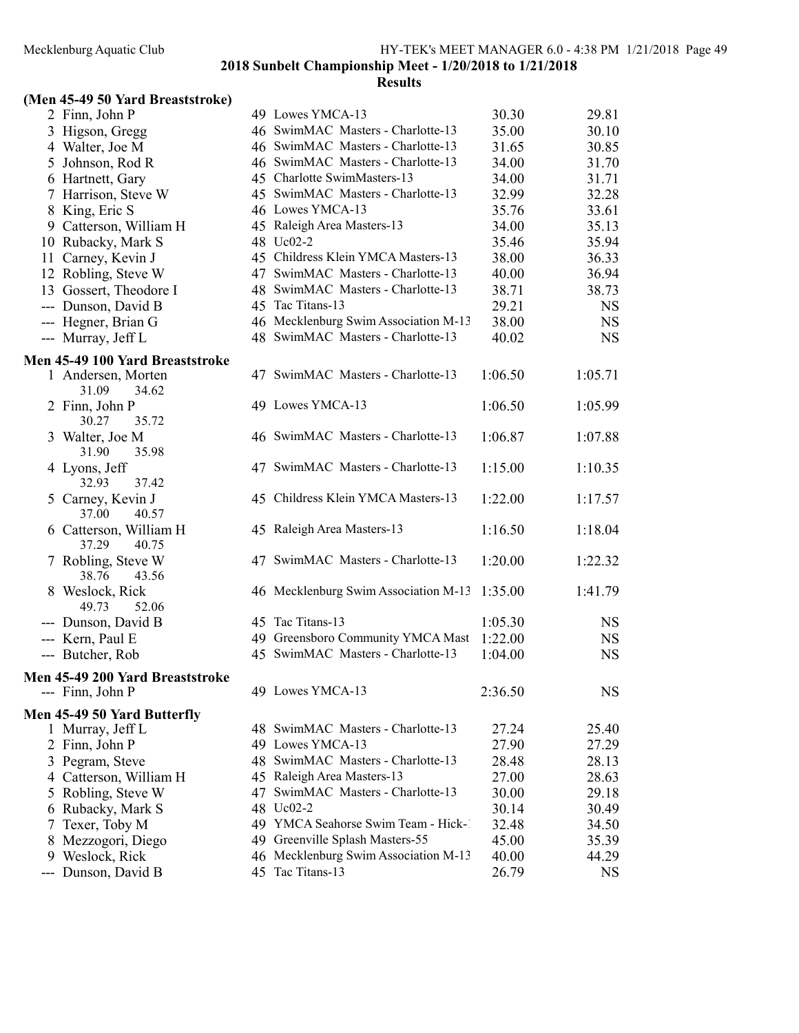# **Results**

### (Men 45-49 50 Yard Breaststroke)

|     | 2 Finn, John P                                      |    | 49 Lowes YMCA-13                     | 30.30   | 29.81     |
|-----|-----------------------------------------------------|----|--------------------------------------|---------|-----------|
|     | 3 Higson, Gregg                                     |    | 46 SwimMAC Masters - Charlotte-13    | 35.00   | 30.10     |
|     | 4 Walter, Joe M                                     |    | 46 SwimMAC Masters - Charlotte-13    | 31.65   | 30.85     |
|     | 5 Johnson, Rod R                                    |    | 46 SwimMAC Masters - Charlotte-13    | 34.00   | 31.70     |
|     | 6 Hartnett, Gary                                    |    | 45 Charlotte SwimMasters-13          | 34.00   | 31.71     |
|     | 7 Harrison, Steve W                                 |    | 45 SwimMAC Masters - Charlotte-13    | 32.99   | 32.28     |
|     | 8 King, Eric S                                      |    | 46 Lowes YMCA-13                     | 35.76   | 33.61     |
|     | 9 Catterson, William H                              |    | 45 Raleigh Area Masters-13           | 34.00   | 35.13     |
|     | 10 Rubacky, Mark S                                  |    | 48 Uc02-2                            | 35.46   | 35.94     |
|     | 11 Carney, Kevin J                                  |    | 45 Childress Klein YMCA Masters-13   | 38.00   | 36.33     |
|     | 12 Robling, Steve W                                 |    | 47 SwimMAC Masters - Charlotte-13    | 40.00   | 36.94     |
|     | 13 Gossert, Theodore I                              |    | 48 SwimMAC Masters - Charlotte-13    | 38.71   | 38.73     |
|     | --- Dunson, David B                                 |    | 45 Tac Titans-13                     | 29.21   | <b>NS</b> |
|     | --- Hegner, Brian G                                 |    | 46 Mecklenburg Swim Association M-13 | 38.00   | NS        |
|     | --- Murray, Jeff L                                  |    | 48 SwimMAC Masters - Charlotte-13    | 40.02   | <b>NS</b> |
|     |                                                     |    |                                      |         |           |
|     | Men 45-49 100 Yard Breaststroke                     |    |                                      |         |           |
|     | 1 Andersen, Morten                                  |    | 47 SwimMAC Masters - Charlotte-13    | 1:06.50 | 1:05.71   |
|     | 31.09<br>34.62                                      |    |                                      |         |           |
|     | 2 Finn, John P                                      |    | 49 Lowes YMCA-13                     | 1:06.50 | 1:05.99   |
|     | 30.27<br>35.72                                      |    |                                      |         |           |
|     | 3 Walter, Joe M                                     |    | 46 SwimMAC Masters - Charlotte-13    | 1:06.87 | 1:07.88   |
|     | 31.90<br>35.98                                      |    |                                      |         |           |
|     | 4 Lyons, Jeff                                       |    | 47 SwimMAC Masters - Charlotte-13    | 1:15.00 | 1:10.35   |
|     | 32.93<br>37.42                                      |    |                                      |         |           |
|     | 5 Carney, Kevin J                                   |    | 45 Childress Klein YMCA Masters-13   | 1:22.00 | 1:17.57   |
|     | 37.00<br>40.57                                      |    |                                      |         |           |
|     | 6 Catterson, William H                              |    | 45 Raleigh Area Masters-13           | 1:16.50 | 1:18.04   |
|     | 37.29<br>40.75                                      |    |                                      |         |           |
|     | 7 Robling, Steve W                                  |    | 47 SwimMAC Masters - Charlotte-13    | 1:20.00 | 1:22.32   |
|     | 38.76<br>43.56                                      |    |                                      |         |           |
|     | 8 Weslock, Rick                                     |    | 46 Mecklenburg Swim Association M-13 | 1:35.00 | 1:41.79   |
|     | 49.73<br>52.06                                      |    |                                      |         |           |
|     | --- Dunson, David B                                 |    | 45 Tac Titans-13                     | 1:05.30 | NS        |
|     | --- Kern, Paul E                                    |    | 49 Greensboro Community YMCA Mast    | 1:22.00 | <b>NS</b> |
|     | --- Butcher, Rob                                    |    | 45 SwimMAC Masters - Charlotte-13    | 1:04.00 | <b>NS</b> |
|     |                                                     |    |                                      |         |           |
|     | Men 45-49 200 Yard Breaststroke<br>--- Finn, John P |    | 49 Lowes YMCA-13                     | 2:36.50 | <b>NS</b> |
|     |                                                     |    |                                      |         |           |
|     | Men 45-49 50 Yard Butterfly                         |    |                                      |         |           |
|     | 1 Murray, Jeff L                                    |    | 48 SwimMAC Masters - Charlotte-13    | 27.24   | 25.40     |
|     | 2 Finn, John P                                      |    | 49 Lowes YMCA-13                     | 27.90   | 27.29     |
|     | 3 Pegram, Steve                                     |    | 48 SwimMAC Masters - Charlotte-13    | 28.48   | 28.13     |
|     | 4 Catterson, William H                              |    | 45 Raleigh Area Masters-13           | 27.00   | 28.63     |
|     | 5 Robling, Steve W                                  | 47 | SwimMAC Masters - Charlotte-13       | 30.00   | 29.18     |
|     | 6 Rubacky, Mark S                                   |    | 48 Uc02-2                            | 30.14   | 30.49     |
| 7   | Texer, Toby M                                       |    | 49 YMCA Seahorse Swim Team - Hick-1  | 32.48   | 34.50     |
| 8   | Mezzogori, Diego                                    |    | 49 Greenville Splash Masters-55      | 45.00   | 35.39     |
|     | 9 Weslock, Rick                                     |    | 46 Mecklenburg Swim Association M-13 | 40.00   | 44.29     |
| --- | Dunson, David B                                     |    | 45 Tac Titans-13                     | 26.79   | NS        |
|     |                                                     |    |                                      |         |           |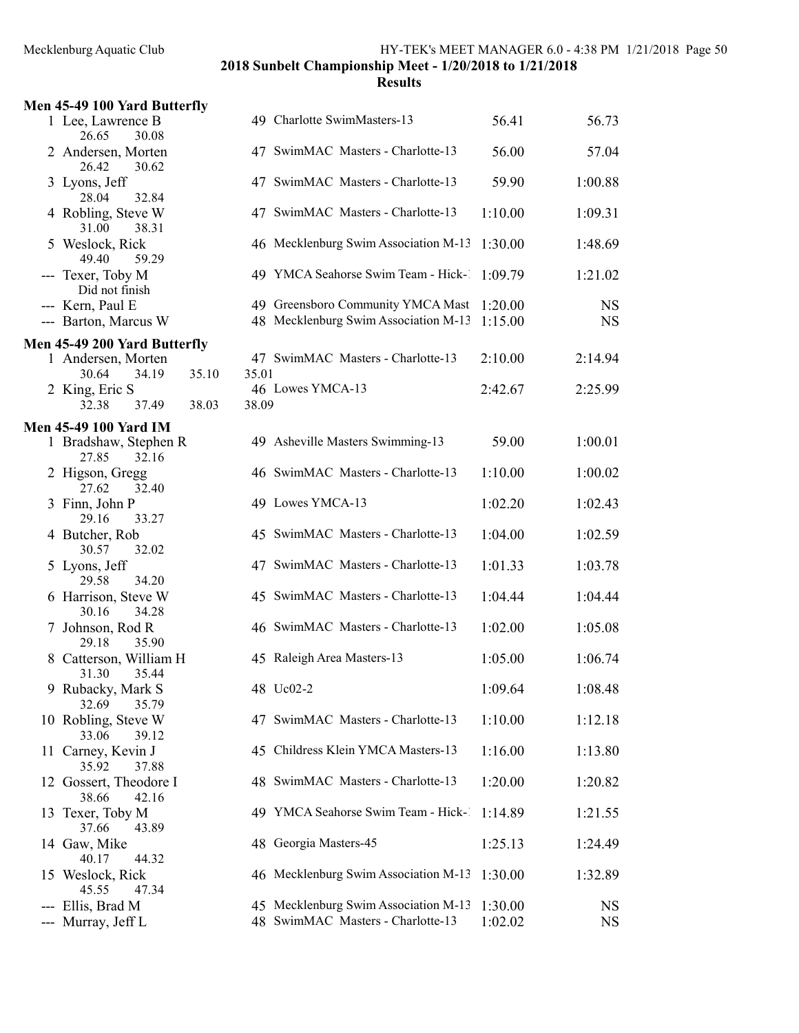|   | Men 45-49 100 Yard Butterfly             |                |                                                                           |                    |                        |
|---|------------------------------------------|----------------|---------------------------------------------------------------------------|--------------------|------------------------|
|   | 1 Lee, Lawrence B<br>26.65<br>30.08      |                | 49 Charlotte SwimMasters-13                                               | 56.41              | 56.73                  |
|   | 2 Andersen, Morten<br>26.42<br>30.62     |                | 47 SwimMAC Masters - Charlotte-13                                         | 56.00              | 57.04                  |
|   | 3 Lyons, Jeff<br>28.04<br>32.84          |                | 47 SwimMAC Masters - Charlotte-13                                         | 59.90              | 1:00.88                |
|   | 4 Robling, Steve W<br>31.00<br>38.31     |                | 47 SwimMAC Masters - Charlotte-13                                         | 1:10.00            | 1:09.31                |
|   | 5 Weslock, Rick<br>49.40<br>59.29        |                | 46 Mecklenburg Swim Association M-13                                      | 1:30.00            | 1:48.69                |
|   | --- Texer, Toby M<br>Did not finish      |                | 49 YMCA Seahorse Swim Team - Hick-                                        | 1:09.79            | 1:21.02                |
|   | --- Kern, Paul E<br>--- Barton, Marcus W |                | 49 Greensboro Community YMCA Mast<br>48 Mecklenburg Swim Association M-13 | 1:20.00<br>1:15.00 | <b>NS</b><br><b>NS</b> |
|   | Men 45-49 200 Yard Butterfly             |                |                                                                           |                    |                        |
|   | 1 Andersen, Morten<br>34.19<br>30.64     | 35.10<br>35.01 | 47 SwimMAC Masters - Charlotte-13                                         | 2:10.00            | 2:14.94                |
|   | 2 King, Eric S<br>32.38<br>37.49         | 38.03<br>38.09 | 46 Lowes YMCA-13                                                          | 2:42.67            | 2:25.99                |
|   | <b>Men 45-49 100 Yard IM</b>             |                |                                                                           |                    |                        |
|   | 1 Bradshaw, Stephen R<br>27.85<br>32.16  |                | 49 Asheville Masters Swimming-13                                          | 59.00              | 1:00.01                |
|   | 2 Higson, Gregg<br>32.40<br>27.62        |                | 46 SwimMAC Masters - Charlotte-13                                         | 1:10.00            | 1:00.02                |
|   | 3 Finn, John P<br>33.27<br>29.16         |                | 49 Lowes YMCA-13                                                          | 1:02.20            | 1:02.43                |
|   | 4 Butcher, Rob<br>32.02<br>30.57         |                | 45 SwimMAC Masters - Charlotte-13                                         | 1:04.00            | 1:02.59                |
|   | 5 Lyons, Jeff<br>29.58<br>34.20          |                | 47 SwimMAC Masters - Charlotte-13                                         | 1:01.33            | 1:03.78                |
|   | 6 Harrison, Steve W<br>34.28<br>30.16    |                | 45 SwimMAC Masters - Charlotte-13                                         | 1:04.44            | 1:04.44                |
|   | 7 Johnson, Rod R<br>29.18<br>35.90       |                | 46 SwimMAC Masters - Charlotte-13                                         | 1:02.00            | 1:05.08                |
| 8 | Catterson, William H<br>31.30<br>35.44   |                | 45 Raleigh Area Masters-13                                                | 1:05.00            | 1:06.74                |
|   | 9 Rubacky, Mark S<br>32.69<br>35.79      |                | 48 Uc02-2                                                                 | 1:09.64            | 1:08.48                |
|   | 10 Robling, Steve W<br>33.06<br>39.12    |                | 47 SwimMAC Masters - Charlotte-13                                         | 1:10.00            | 1:12.18                |
|   | 11 Carney, Kevin J<br>35.92<br>37.88     |                | 45 Childress Klein YMCA Masters-13                                        | 1:16.00            | 1:13.80                |
|   | 12 Gossert, Theodore I<br>38.66<br>42.16 |                | 48 SwimMAC Masters - Charlotte-13                                         | 1:20.00            | 1:20.82                |
|   | 13 Texer, Toby M<br>37.66<br>43.89       |                | 49 YMCA Seahorse Swim Team - Hick-                                        | 1:14.89            | 1:21.55                |
|   | 14 Gaw, Mike<br>40.17<br>44.32           |                | 48 Georgia Masters-45                                                     | 1:25.13            | 1:24.49                |
|   | 15 Weslock, Rick<br>45.55<br>47.34       |                | 46 Mecklenburg Swim Association M-13                                      | 1:30.00            | 1:32.89                |
|   | Ellis, Brad M                            |                | 45 Mecklenburg Swim Association M-13                                      | 1:30.00            | NS                     |
|   | Murray, Jeff L                           |                | 48 SwimMAC Masters - Charlotte-13                                         | 1:02.02            | <b>NS</b>              |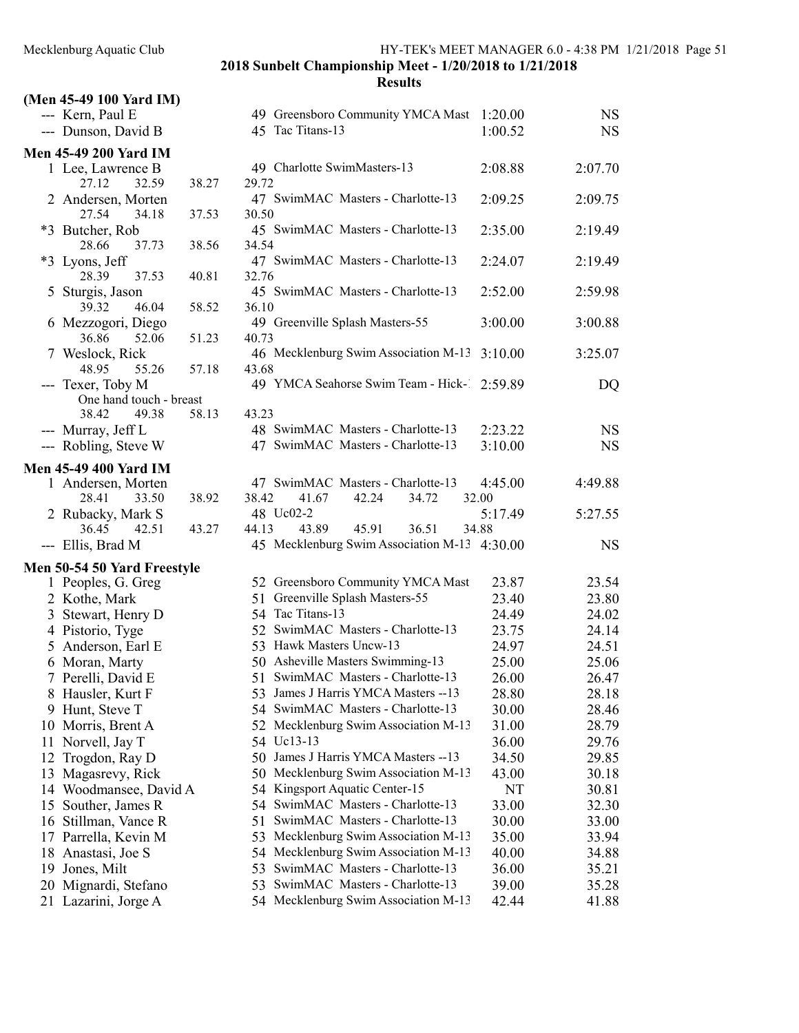| (Men 45-49 100 Yard IM)      |                                              |         |           |
|------------------------------|----------------------------------------------|---------|-----------|
| --- Kern, Paul E             | 49 Greensboro Community YMCA Mast            | 1:20.00 | <b>NS</b> |
| --- Dunson, David B          | 45 Tac Titans-13                             | 1:00.52 | <b>NS</b> |
| <b>Men 45-49 200 Yard IM</b> |                                              |         |           |
| 1 Lee, Lawrence B            | 49 Charlotte SwimMasters-13                  | 2:08.88 | 2:07.70   |
| 27.12<br>32.59<br>38.27      | 29.72                                        |         |           |
| 2 Andersen, Morten           | 47 SwimMAC Masters - Charlotte-13            | 2:09.25 | 2:09.75   |
| 27.54<br>34.18<br>37.53      | 30.50                                        |         |           |
| *3 Butcher, Rob              | 45 SwimMAC Masters - Charlotte-13            | 2:35.00 | 2:19.49   |
| 28.66<br>38.56<br>37.73      | 34.54                                        |         |           |
| *3 Lyons, Jeff               | 47 SwimMAC Masters - Charlotte-13            | 2:24.07 | 2:19.49   |
| 28.39<br>37.53<br>40.81      | 32.76                                        |         |           |
| 5 Sturgis, Jason             | 45 SwimMAC Masters - Charlotte-13            | 2:52.00 | 2:59.98   |
| 39.32<br>46.04<br>58.52      | 36.10                                        |         |           |
| 6 Mezzogori, Diego           | 49 Greenville Splash Masters-55              | 3:00.00 | 3:00.88   |
| 36.86<br>52.06<br>51.23      | 40.73                                        |         |           |
| 7 Weslock, Rick              | 46 Mecklenburg Swim Association M-13         | 3:10.00 | 3:25.07   |
| 48.95<br>57.18<br>55.26      | 43.68                                        |         |           |
| --- Texer, Toby M            | 49 YMCA Seahorse Swim Team - Hick- 2:59.89   |         | DQ        |
| One hand touch - breast      |                                              |         |           |
| 38.42<br>49.38<br>58.13      | 43.23<br>48 SwimMAC Masters - Charlotte-13   |         |           |
| --- Murray, Jeff L           | 47 SwimMAC Masters - Charlotte-13            | 2:23.22 | <b>NS</b> |
| --- Robling, Steve W         |                                              | 3:10.00 | <b>NS</b> |
| <b>Men 45-49 400 Yard IM</b> |                                              |         |           |
| 1 Andersen, Morten           | 47 SwimMAC Masters - Charlotte-13            | 4:45.00 | 4:49.88   |
| 28.41<br>33.50<br>38.92      | 38.42<br>41.67<br>42.24<br>34.72             | 32.00   |           |
| 2 Rubacky, Mark S            | 48 Uc02-2                                    | 5:17.49 | 5:27.55   |
| 36.45<br>42.51<br>43.27      | 43.89<br>45.91<br>44.13<br>36.51             | 34.88   |           |
| --- Ellis, Brad M            | 45 Mecklenburg Swim Association M-13 4:30.00 |         | <b>NS</b> |
| Men 50-54 50 Yard Freestyle  |                                              |         |           |
| 1 Peoples, G. Greg           | 52 Greensboro Community YMCA Mast            | 23.87   | 23.54     |
| 2 Kothe, Mark                | Greenville Splash Masters-55<br>51           | 23.40   | 23.80     |
| 3 Stewart, Henry D           | 54 Tac Titans-13                             | 24.49   | 24.02     |
| 4 Pistorio, Tyge             | 52 SwimMAC Masters - Charlotte-13            | 23.75   | 24.14     |
| 5 Anderson, Earl E           | 53 Hawk Masters Uncw-13                      | 24.97   | 24.51     |
| 6 Moran, Marty               | 50 Asheville Masters Swimming-13             | 25.00   | 25.06     |
| 7 Perelli, David E           | 51 SwimMAC Masters - Charlotte-13            | 26.00   | 26.47     |
| 8 Hausler, Kurt F            | 53 James J Harris YMCA Masters -- 13         | 28.80   | 28.18     |
| 9 Hunt, Steve T              | 54 SwimMAC Masters - Charlotte-13            | 30.00   | 28.46     |
| 10 Morris, Brent A           | 52 Mecklenburg Swim Association M-13         | 31.00   | 28.79     |
| 11<br>Norvell, Jay T         | 54 Uc13-13                                   | 36.00   | 29.76     |
| Trogdon, Ray D<br>12         | 50 James J Harris YMCA Masters --13          | 34.50   | 29.85     |
| Magasrevy, Rick<br>13        | 50 Mecklenburg Swim Association M-13         | 43.00   | 30.18     |
| 14 Woodmansee, David A       | 54 Kingsport Aquatic Center-15               | NT      | 30.81     |
| Souther, James R<br>15       | 54 SwimMAC Masters - Charlotte-13            | 33.00   | 32.30     |
| Stillman, Vance R<br>16      | 51 SwimMAC Masters - Charlotte-13            | 30.00   | 33.00     |
| Parrella, Kevin M<br>17      | 53 Mecklenburg Swim Association M-13         | 35.00   | 33.94     |
| Anastasi, Joe S<br>18        | 54 Mecklenburg Swim Association M-13         | 40.00   | 34.88     |
| Jones, Milt<br>19            | SwimMAC Masters - Charlotte-13<br>53         | 36.00   | 35.21     |
| Mignardi, Stefano<br>20      | SwimMAC Masters - Charlotte-13<br>53         | 39.00   | 35.28     |
| 21 Lazarini, Jorge A         | 54 Mecklenburg Swim Association M-13         | 42.44   | 41.88     |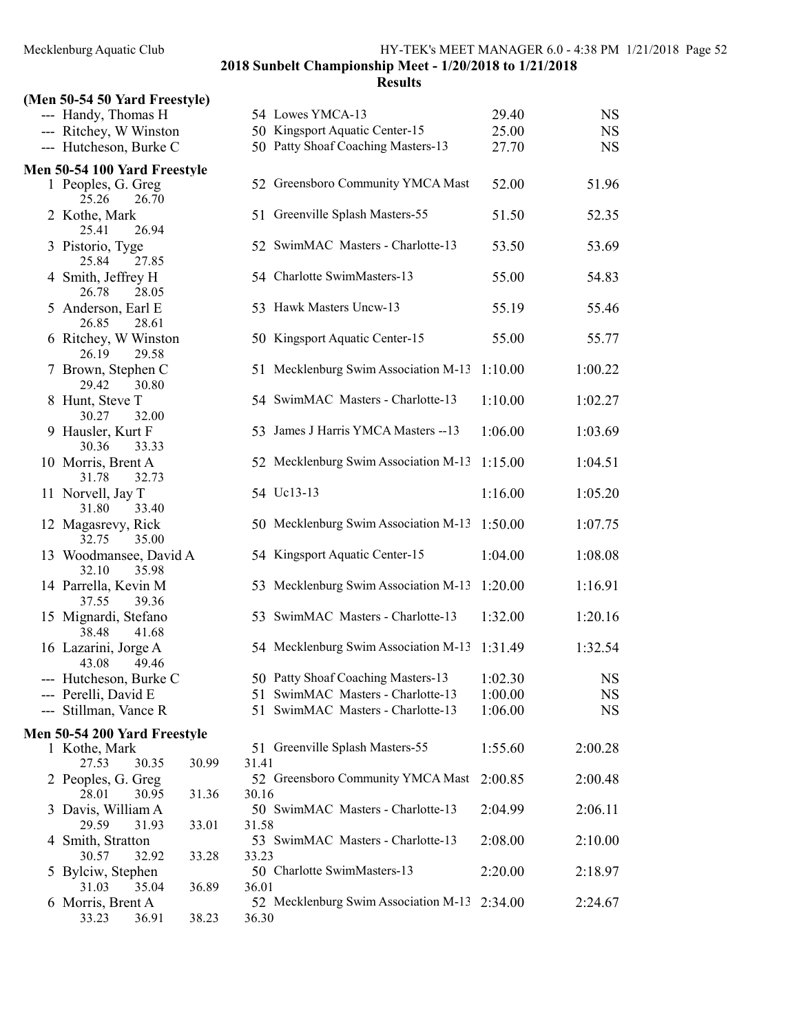# (Men 50-54 50 Yard Freestyle)

|   | (1.1)                                    |       |       |                                              |         |             |
|---|------------------------------------------|-------|-------|----------------------------------------------|---------|-------------|
|   | --- Handy, Thomas H                      |       |       | 54 Lowes YMCA-13                             | 29.40   | <b>NS</b>   |
|   | --- Ritchey, W Winston                   |       |       | 50 Kingsport Aquatic Center-15               | 25.00   | <b>NS</b>   |
|   | --- Hutcheson, Burke C                   |       |       | 50 Patty Shoaf Coaching Masters-13           | 27.70   | <b>NS</b>   |
|   | Men 50-54 100 Yard Freestyle             |       |       |                                              |         |             |
|   | 1 Peoples, G. Greg<br>25.26<br>26.70     |       |       | 52 Greensboro Community YMCA Mast            | 52.00   | 51.96       |
|   | 2 Kothe, Mark<br>26.94<br>25.41          |       |       | 51 Greenville Splash Masters-55              | 51.50   | 52.35       |
|   | 3 Pistorio, Tyge<br>25.84<br>27.85       |       |       | 52 SwimMAC Masters - Charlotte-13            | 53.50   | 53.69       |
|   | 4 Smith, Jeffrey H<br>26.78<br>28.05     |       |       | 54 Charlotte SwimMasters-13                  | 55.00   | 54.83       |
|   | 5 Anderson, Earl E<br>26.85<br>28.61     |       |       | 53 Hawk Masters Uncw-13                      | 55.19   | 55.46       |
|   | 6 Ritchey, W Winston<br>26.19<br>29.58   |       |       | 50 Kingsport Aquatic Center-15               | 55.00   | 55.77       |
|   | 7 Brown, Stephen C<br>29.42<br>30.80     |       |       | 51 Mecklenburg Swim Association M-13         | 1:10.00 | 1:00.22     |
|   | 8 Hunt, Steve T<br>30.27<br>32.00        |       |       | 54 SwimMAC Masters - Charlotte-13            | 1:10.00 | 1:02.27     |
|   | 9 Hausler, Kurt F<br>30.36<br>33.33      |       |       | 53 James J Harris YMCA Masters -- 13         | 1:06.00 | 1:03.69     |
|   | 10 Morris, Brent A<br>31.78<br>32.73     |       |       | 52 Mecklenburg Swim Association M-13         | 1:15.00 | 1:04.51     |
|   | 11 Norvell, Jay T<br>33.40<br>31.80      |       |       | 54 Uc13-13                                   | 1:16.00 | 1:05.20     |
|   | 12 Magasrevy, Rick<br>32.75<br>35.00     |       |       | 50 Mecklenburg Swim Association M-13         | 1:50.00 | 1:07.75     |
|   | 13 Woodmansee, David A<br>32.10<br>35.98 |       |       | 54 Kingsport Aquatic Center-15               | 1:04.00 | 1:08.08     |
|   | 14 Parrella, Kevin M<br>37.55<br>39.36   |       |       | 53 Mecklenburg Swim Association M-13         | 1:20.00 | 1:16.91     |
|   | 15 Mignardi, Stefano<br>38.48<br>41.68   |       |       | 53 SwimMAC Masters - Charlotte-13            | 1:32.00 | 1:20.16     |
|   | 16 Lazarini, Jorge A<br>43.08<br>49.46   |       |       | 54 Mecklenburg Swim Association M-13         | 1:31.49 | 1:32.54     |
|   | --- Hutcheson, Burke C                   |       |       | 50 Patty Shoaf Coaching Masters-13           | 1:02.30 | <b>NS</b>   |
|   | --- Perelli, David E                     |       |       | 51 SwimMAC Masters - Charlotte-13            | 1:00.00 | $_{\rm NS}$ |
|   | --- Stillman, Vance R                    |       | 51    | SwimMAC Masters - Charlotte-13               | 1:06.00 | <b>NS</b>   |
|   | Men 50-54 200 Yard Freestyle             |       |       |                                              |         |             |
|   | 1 Kothe, Mark                            |       |       | 51 Greenville Splash Masters-55              | 1:55.60 | 2:00.28     |
|   | 27.53<br>30.35                           | 30.99 | 31.41 |                                              |         |             |
|   | 2 Peoples, G. Greg                       |       |       | 52 Greensboro Community YMCA Mast            | 2:00.85 | 2:00.48     |
|   | 28.01<br>30.95                           | 31.36 | 30.16 |                                              |         |             |
|   | 3 Davis, William A<br>29.59<br>31.93     | 33.01 | 31.58 | 50 SwimMAC Masters - Charlotte-13            | 2:04.99 | 2:06.11     |
| 4 | Smith, Stratton                          |       |       | 53 SwimMAC Masters - Charlotte-13            | 2:08.00 | 2:10.00     |
| 5 | 30.57<br>32.92<br>Bylciw, Stephen        | 33.28 | 33.23 | 50 Charlotte SwimMasters-13                  | 2:20.00 | 2:18.97     |
|   | 31.03<br>35.04                           | 36.89 | 36.01 |                                              |         |             |
| 6 | Morris, Brent A<br>33.23<br>36.91        | 38.23 | 36.30 | 52 Mecklenburg Swim Association M-13 2:34.00 |         | 2:24.67     |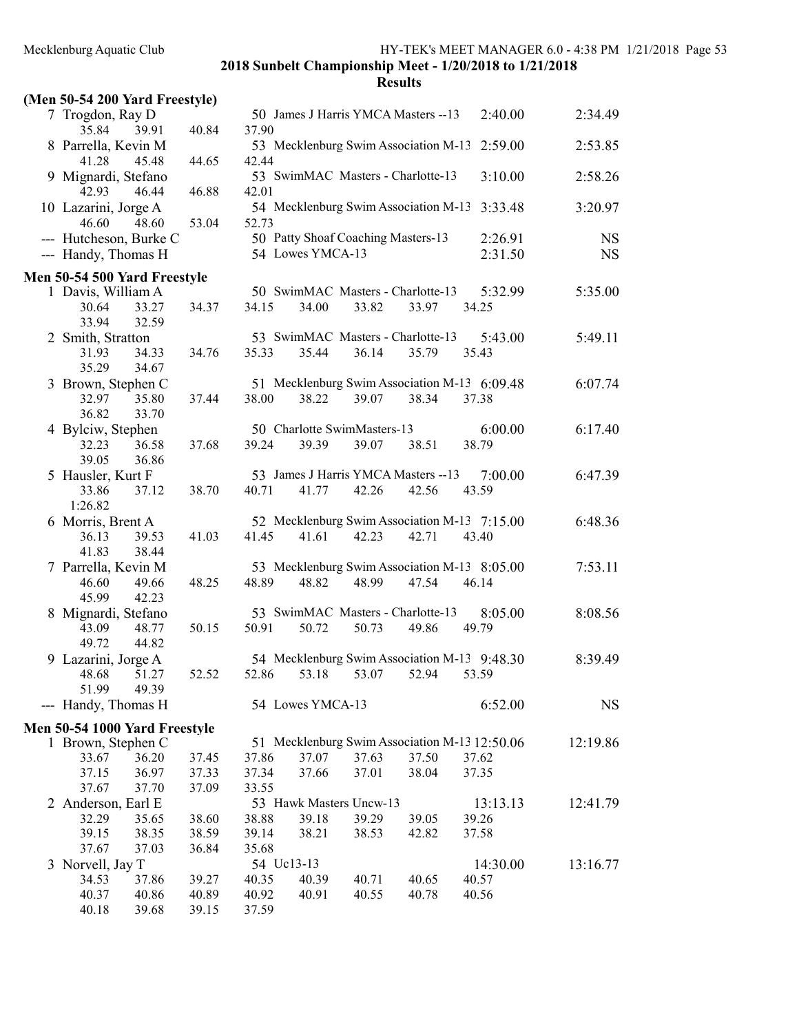| (Men 50-54 200 Yard Freestyle) |                |       |       |                  |                                      |       |                                               |           |
|--------------------------------|----------------|-------|-------|------------------|--------------------------------------|-------|-----------------------------------------------|-----------|
| 7 Trogdon, Ray D<br>35.84      | 39.91          | 40.84 | 37.90 |                  | 50 James J Harris YMCA Masters --13  |       | 2:40.00                                       | 2:34.49   |
| 8 Parrella, Kevin M            |                |       |       |                  | 53 Mecklenburg Swim Association M-13 |       | 2:59.00                                       | 2:53.85   |
| 41.28                          | 45.48          | 44.65 | 42.44 |                  |                                      |       |                                               |           |
| 9 Mignardi, Stefano<br>42.93   | 46.44          | 46.88 | 42.01 |                  | 53 SwimMAC Masters - Charlotte-13    |       | 3:10.00                                       | 2:58.26   |
| 10 Lazarini, Jorge A           |                |       |       |                  | 54 Mecklenburg Swim Association M-13 |       | 3:33.48                                       | 3:20.97   |
| 46.60                          | 48.60          | 53.04 | 52.73 |                  |                                      |       |                                               |           |
| --- Hutcheson, Burke C         |                |       |       |                  | 50 Patty Shoaf Coaching Masters-13   |       | 2:26.91                                       | <b>NS</b> |
| --- Handy, Thomas H            |                |       |       | 54 Lowes YMCA-13 |                                      |       | 2:31.50                                       | <b>NS</b> |
| Men 50-54 500 Yard Freestyle   |                |       |       |                  |                                      |       |                                               |           |
| 1 Davis, William A             |                |       |       |                  | 50 SwimMAC Masters - Charlotte-13    |       | 5:32.99                                       | 5:35.00   |
| 30.64<br>33.94                 | 33.27<br>32.59 | 34.37 | 34.15 | 34.00            | 33.82                                | 33.97 | 34.25                                         |           |
| 2 Smith, Stratton              |                |       |       |                  | 53 SwimMAC Masters - Charlotte-13    |       | 5:43.00                                       | 5:49.11   |
| 31.93<br>35.29                 | 34.33<br>34.67 | 34.76 | 35.33 | 35.44            | 36.14                                | 35.79 | 35.43                                         |           |
| 3 Brown, Stephen C             |                |       |       |                  |                                      |       | 51 Mecklenburg Swim Association M-13 6:09.48  | 6:07.74   |
| 32.97<br>36.82                 | 35.80<br>33.70 | 37.44 | 38.00 | 38.22            | 39.07                                | 38.34 | 37.38                                         |           |
| 4 Bylciw, Stephen              |                |       |       |                  | 50 Charlotte SwimMasters-13          |       | 6:00.00                                       | 6:17.40   |
| 32.23<br>39.05                 | 36.58<br>36.86 | 37.68 | 39.24 | 39.39            | 39.07                                | 38.51 | 38.79                                         |           |
| 5 Hausler, Kurt F              |                |       |       |                  | 53 James J Harris YMCA Masters -- 13 |       | 7:00.00                                       | 6:47.39   |
| 33.86<br>1:26.82               | 37.12          | 38.70 | 40.71 | 41.77            | 42.26                                | 42.56 | 43.59                                         |           |
| 6 Morris, Brent A              |                |       |       |                  |                                      |       | 52 Mecklenburg Swim Association M-13 7:15.00  | 6:48.36   |
| 36.13                          | 39.53          | 41.03 | 41.45 | 41.61            | 42.23                                | 42.71 | 43.40                                         |           |
| 41.83                          | 38.44          |       |       |                  |                                      |       |                                               |           |
| 7 Parrella, Kevin M            |                |       |       |                  |                                      |       | 53 Mecklenburg Swim Association M-13 8:05.00  | 7:53.11   |
| 46.60<br>45.99                 | 49.66<br>42.23 | 48.25 | 48.89 | 48.82            | 48.99                                | 47.54 | 46.14                                         |           |
| 8 Mignardi, Stefano            |                |       |       |                  | 53 SwimMAC Masters - Charlotte-13    |       | 8:05.00                                       | 8:08.56   |
| 43.09<br>49.72                 | 48.77<br>44.82 | 50.15 | 50.91 | 50.72            | 50.73                                | 49.86 | 49.79                                         |           |
| 9 Lazarini, Jorge A            |                |       |       |                  |                                      |       | 54 Mecklenburg Swim Association M-13 9:48.30  | 8:39.49   |
| 48.68<br>51.99                 | 51.27<br>49.39 | 52.52 |       |                  | 52.86 53.18 53.07 52.94              |       | 53.59                                         |           |
| --- Handy, Thomas H            |                |       |       | 54 Lowes YMCA-13 |                                      |       | 6:52.00                                       | <b>NS</b> |
| Men 50-54 1000 Yard Freestyle  |                |       |       |                  |                                      |       |                                               |           |
| 1 Brown, Stephen C             |                |       |       |                  |                                      |       | 51 Mecklenburg Swim Association M-13 12:50.06 | 12:19.86  |
| 33.67                          | 36.20          | 37.45 | 37.86 | 37.07            | 37.63                                | 37.50 | 37.62                                         |           |
| 37.15                          | 36.97          | 37.33 | 37.34 | 37.66            | 37.01                                | 38.04 | 37.35                                         |           |
| 37.67                          | 37.70          | 37.09 | 33.55 |                  |                                      |       |                                               |           |
| 2 Anderson, Earl E             |                |       |       |                  | 53 Hawk Masters Uncw-13              |       | 13:13.13                                      | 12:41.79  |
| 32.29                          | 35.65          | 38.60 | 38.88 | 39.18            | 39.29                                | 39.05 | 39.26                                         |           |
| 39.15                          | 38.35          | 38.59 | 39.14 | 38.21            | 38.53                                | 42.82 | 37.58                                         |           |
| 37.67                          | 37.03          | 36.84 | 35.68 |                  |                                      |       |                                               |           |
| 3 Norvell, Jay T               |                |       |       | 54 Uc13-13       |                                      |       | 14:30.00                                      | 13:16.77  |
| 34.53                          | 37.86          | 39.27 | 40.35 | 40.39            | 40.71                                | 40.65 | 40.57                                         |           |
| 40.37                          | 40.86          | 40.89 | 40.92 | 40.91            | 40.55                                | 40.78 | 40.56                                         |           |
| 40.18                          | 39.68          | 39.15 | 37.59 |                  |                                      |       |                                               |           |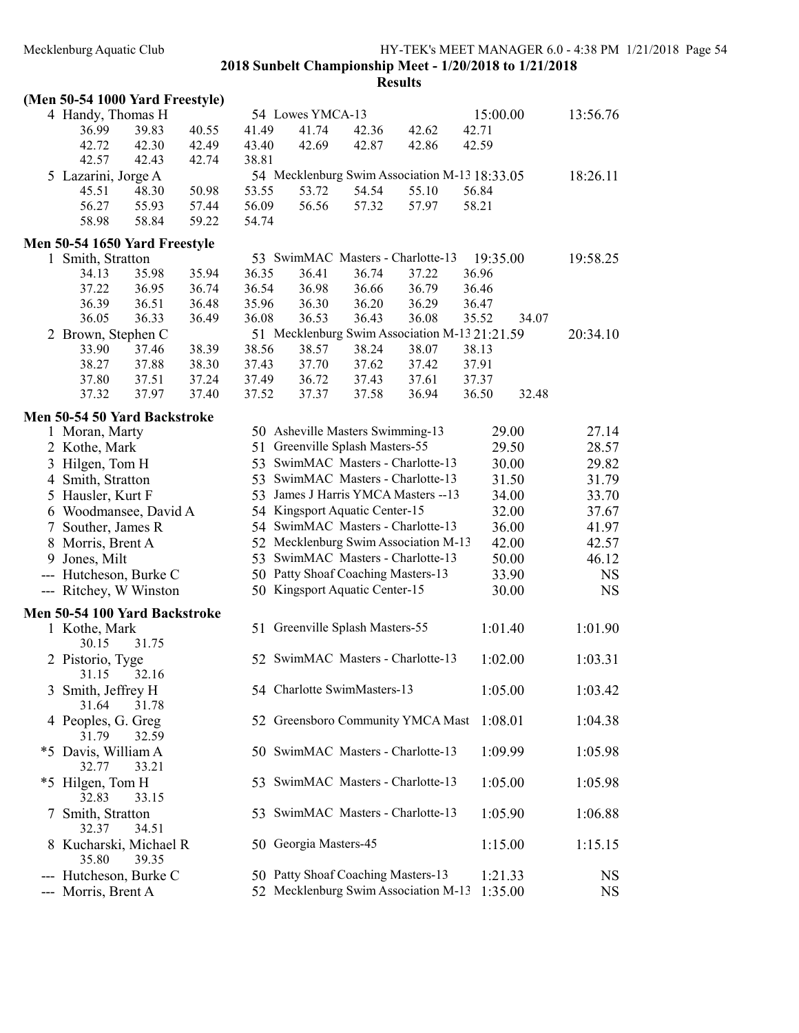|               | (Men 50-54 1000 Yard Freestyle)                    |       |       |       |                                                                     |       |                                               |          |       |           |
|---------------|----------------------------------------------------|-------|-------|-------|---------------------------------------------------------------------|-------|-----------------------------------------------|----------|-------|-----------|
|               | 4 Handy, Thomas H                                  |       |       |       | 54 Lowes YMCA-13                                                    |       |                                               | 15:00.00 |       | 13:56.76  |
|               | 36.99                                              | 39.83 | 40.55 | 41.49 | 41.74                                                               | 42.36 | 42.62                                         | 42.71    |       |           |
|               | 42.72                                              | 42.30 | 42.49 | 43.40 | 42.69                                                               | 42.87 | 42.86                                         | 42.59    |       |           |
|               | 42.57                                              | 42.43 | 42.74 | 38.81 |                                                                     |       |                                               |          |       |           |
|               | 5 Lazarini, Jorge A                                |       |       |       |                                                                     |       | 54 Mecklenburg Swim Association M-13 18:33.05 |          |       | 18:26.11  |
|               | 45.51                                              | 48.30 | 50.98 | 53.55 | 53.72                                                               | 54.54 | 55.10                                         | 56.84    |       |           |
|               | 56.27                                              | 55.93 | 57.44 | 56.09 | 56.56                                                               | 57.32 | 57.97                                         | 58.21    |       |           |
|               | 58.98                                              | 58.84 | 59.22 | 54.74 |                                                                     |       |                                               |          |       |           |
|               |                                                    |       |       |       |                                                                     |       |                                               |          |       |           |
|               | Men 50-54 1650 Yard Freestyle<br>1 Smith, Stratton |       |       |       | 53 SwimMAC Masters - Charlotte-13                                   |       |                                               | 19:35.00 |       | 19:58.25  |
|               | 34.13                                              | 35.98 | 35.94 | 36.35 | 36.41                                                               | 36.74 | 37.22                                         | 36.96    |       |           |
|               | 37.22                                              | 36.95 | 36.74 | 36.54 | 36.98                                                               | 36.66 | 36.79                                         | 36.46    |       |           |
|               | 36.39                                              | 36.51 | 36.48 | 35.96 | 36.30                                                               | 36.20 | 36.29                                         | 36.47    |       |           |
|               | 36.05                                              | 36.33 | 36.49 | 36.08 | 36.53                                                               | 36.43 | 36.08                                         | 35.52    | 34.07 |           |
|               | 2 Brown, Stephen C                                 |       |       |       |                                                                     |       | 51 Mecklenburg Swim Association M-13 21:21.59 |          |       | 20:34.10  |
|               | 33.90                                              | 37.46 | 38.39 | 38.56 | 38.57                                                               | 38.24 | 38.07                                         | 38.13    |       |           |
|               | 38.27                                              | 37.88 | 38.30 | 37.43 | 37.70                                                               | 37.62 | 37.42                                         | 37.91    |       |           |
|               | 37.80                                              | 37.51 | 37.24 | 37.49 | 36.72                                                               | 37.43 | 37.61                                         | 37.37    |       |           |
|               | 37.32                                              | 37.97 | 37.40 | 37.52 | 37.37                                                               | 37.58 | 36.94                                         | 36.50    | 32.48 |           |
|               |                                                    |       |       |       |                                                                     |       |                                               |          |       |           |
|               | Men 50-54 50 Yard Backstroke                       |       |       |       |                                                                     |       |                                               |          |       |           |
|               | 1 Moran, Marty                                     |       |       |       | 50 Asheville Masters Swimming-13<br>51 Greenville Splash Masters-55 |       |                                               |          | 29.00 | 27.14     |
|               | 2 Kothe, Mark                                      |       |       |       |                                                                     |       |                                               |          | 29.50 | 28.57     |
|               | 3 Hilgen, Tom H                                    |       |       |       | 53 SwimMAC Masters - Charlotte-13                                   |       |                                               |          | 30.00 | 29.82     |
|               | 4 Smith, Stratton                                  |       |       |       | 53 SwimMAC Masters - Charlotte-13                                   |       |                                               |          | 31.50 | 31.79     |
|               | 5 Hausler, Kurt F                                  |       |       |       |                                                                     |       | 53 James J Harris YMCA Masters -- 13          |          | 34.00 | 33.70     |
|               | 6 Woodmansee, David A                              |       |       |       | 54 Kingsport Aquatic Center-15                                      |       |                                               |          | 32.00 | 37.67     |
| 7             | Souther, James R                                   |       |       |       | 54 SwimMAC Masters - Charlotte-13                                   |       |                                               |          | 36.00 | 41.97     |
| 8             | Morris, Brent A                                    |       |       |       |                                                                     |       | 52 Mecklenburg Swim Association M-13          |          | 42.00 | 42.57     |
| 9             | Jones, Milt                                        |       |       |       | 53 SwimMAC Masters - Charlotte-13                                   |       |                                               |          | 50.00 | 46.12     |
|               | --- Hutcheson, Burke C                             |       |       |       | 50 Patty Shoaf Coaching Masters-13                                  |       |                                               |          | 33.90 | <b>NS</b> |
|               | --- Ritchey, W Winston                             |       |       |       | 50 Kingsport Aquatic Center-15                                      |       |                                               |          | 30.00 | <b>NS</b> |
|               | Men 50-54 100 Yard Backstroke                      |       |       |       |                                                                     |       |                                               |          |       |           |
|               | 1 Kothe, Mark                                      |       |       |       | 51 Greenville Splash Masters-55                                     |       |                                               | 1:01.40  |       | 1:01.90   |
|               | 30.15                                              | 31.75 |       |       |                                                                     |       |                                               |          |       |           |
|               | 2 Pistorio, Tyge                                   |       |       |       | 52 SwimMAC Masters - Charlotte-13                                   |       |                                               | 1:02.00  |       | 1:03.31   |
|               | 31.15 32.16                                        |       |       |       |                                                                     |       |                                               |          |       |           |
|               | 3 Smith, Jeffrey H                                 |       |       |       | 54 Charlotte SwimMasters-13                                         |       |                                               | 1:05.00  |       | 1:03.42   |
|               | 31.64                                              | 31.78 |       |       |                                                                     |       |                                               |          |       |           |
|               | 4 Peoples, G. Greg                                 |       |       |       |                                                                     |       | 52 Greensboro Community YMCA Mast             | 1:08.01  |       | 1:04.38   |
|               | 31.79                                              | 32.59 |       |       |                                                                     |       |                                               |          |       |           |
|               | *5 Davis, William A                                |       |       |       | 50 SwimMAC Masters - Charlotte-13                                   |       |                                               | 1:09.99  |       | 1:05.98   |
|               | 32.77                                              | 33.21 |       |       |                                                                     |       |                                               |          |       |           |
|               | *5 Hilgen, Tom H                                   |       |       |       | 53 SwimMAC Masters - Charlotte-13                                   |       |                                               | 1:05.00  |       | 1:05.98   |
|               | 32.83                                              | 33.15 |       |       |                                                                     |       |                                               |          |       |           |
| $\frac{1}{2}$ | Smith, Stratton                                    |       |       | 53    | SwimMAC Masters - Charlotte-13                                      |       |                                               | 1:05.90  |       | 1:06.88   |
|               | 32.37                                              | 34.51 |       |       |                                                                     |       |                                               |          |       |           |
|               | 8 Kucharski, Michael R                             |       |       |       | 50 Georgia Masters-45                                               |       |                                               | 1:15.00  |       | 1:15.15   |
|               | 35.80                                              | 39.35 |       |       |                                                                     |       |                                               |          |       |           |
|               | --- Hutcheson, Burke C                             |       |       |       | 50 Patty Shoaf Coaching Masters-13                                  |       |                                               | 1:21.33  |       | <b>NS</b> |
|               | --- Morris, Brent A                                |       |       |       |                                                                     |       | 52 Mecklenburg Swim Association M-13          | 1:35.00  |       | <b>NS</b> |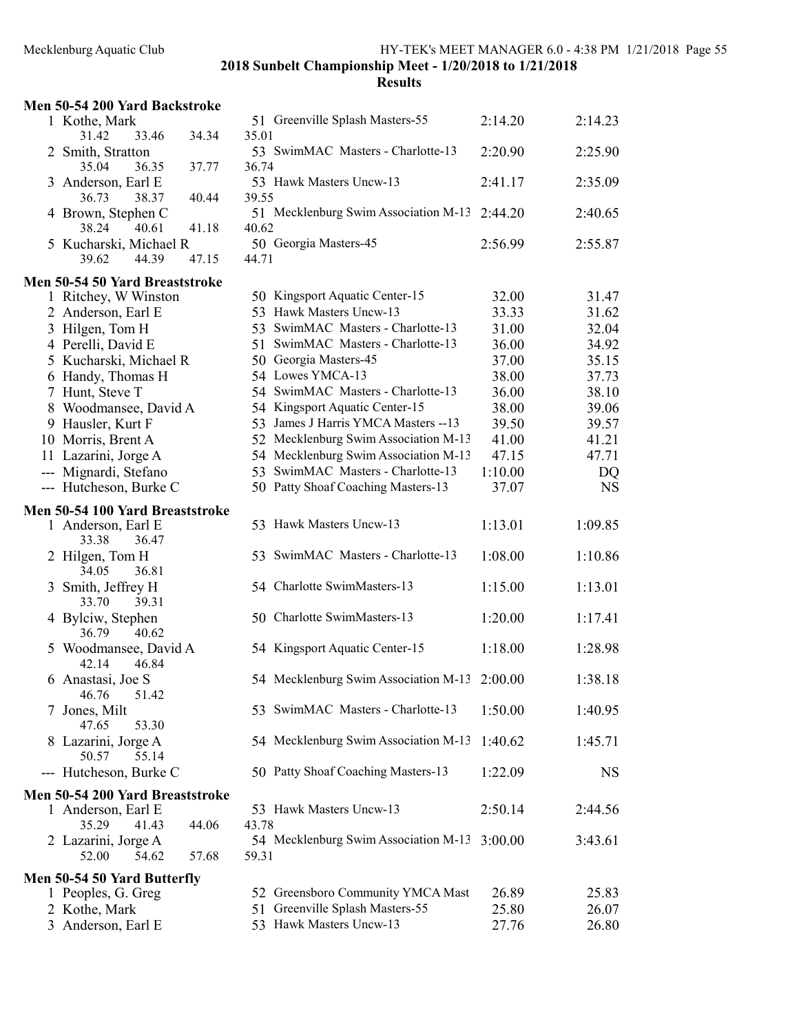| Men 50-54 200 Yard Backstroke            |       |                                               |         |           |
|------------------------------------------|-------|-----------------------------------------------|---------|-----------|
| 1 Kothe, Mark<br>33.46<br>31.42          | 34.34 | 51 Greenville Splash Masters-55<br>35.01      | 2:14.20 | 2:14.23   |
| 2 Smith, Stratton<br>35.04<br>36.35      | 37.77 | 53 SwimMAC Masters - Charlotte-13<br>36.74    | 2:20.90 | 2:25.90   |
| 3 Anderson, Earl E<br>36.73<br>38.37     | 40.44 | 53 Hawk Masters Uncw-13<br>39.55              | 2:41.17 | 2:35.09   |
| 4 Brown, Stephen C<br>38.24<br>40.61     | 41.18 | 51 Mecklenburg Swim Association M-13<br>40.62 | 2:44.20 | 2:40.65   |
| 5 Kucharski, Michael R<br>39.62<br>44.39 | 47.15 | 50 Georgia Masters-45<br>44.71                | 2:56.99 | 2:55.87   |
| Men 50-54 50 Yard Breaststroke           |       |                                               |         |           |
| 1 Ritchey, W Winston                     |       | 50 Kingsport Aquatic Center-15                | 32.00   | 31.47     |
| 2 Anderson, Earl E                       |       | 53 Hawk Masters Uncw-13                       | 33.33   | 31.62     |
| 3 Hilgen, Tom H                          |       | 53 SwimMAC Masters - Charlotte-13             | 31.00   | 32.04     |
| 4 Perelli, David E                       |       | 51 SwimMAC Masters - Charlotte-13             | 36.00   | 34.92     |
| 5 Kucharski, Michael R                   |       | 50 Georgia Masters-45                         | 37.00   | 35.15     |
| 6 Handy, Thomas H                        |       | 54 Lowes YMCA-13                              | 38.00   | 37.73     |
| 7 Hunt, Steve T                          |       | 54 SwimMAC Masters - Charlotte-13             | 36.00   | 38.10     |
| 8 Woodmansee, David A                    |       | 54 Kingsport Aquatic Center-15                | 38.00   | 39.06     |
| 9 Hausler, Kurt F                        |       | 53 James J Harris YMCA Masters -- 13          | 39.50   | 39.57     |
| 10 Morris, Brent A                       |       | 52 Mecklenburg Swim Association M-13          | 41.00   | 41.21     |
| 11 Lazarini, Jorge A                     |       | 54 Mecklenburg Swim Association M-13          | 47.15   | 47.71     |
| --- Mignardi, Stefano                    |       | 53 SwimMAC Masters - Charlotte-13             | 1:10.00 | DQ        |
| --- Hutcheson, Burke C                   |       | 50 Patty Shoaf Coaching Masters-13            | 37.07   | <b>NS</b> |
| Men 50-54 100 Yard Breaststroke          |       |                                               |         |           |
| 1 Anderson, Earl E<br>33.38<br>36.47     |       | 53 Hawk Masters Uncw-13                       | 1:13.01 | 1:09.85   |
| 2 Hilgen, Tom H<br>36.81<br>34.05        |       | 53 SwimMAC Masters - Charlotte-13             | 1:08.00 | 1:10.86   |
| 3 Smith, Jeffrey H<br>39.31<br>33.70     |       | 54 Charlotte SwimMasters-13                   | 1:15.00 | 1:13.01   |
| 4 Bylciw, Stephen<br>36.79<br>40.62      |       | 50 Charlotte SwimMasters-13                   | 1:20.00 | 1:17.41   |
| 5 Woodmansee, David A<br>42.14<br>46.84  |       | 54 Kingsport Aquatic Center-15                | 1:18.00 | 1:28.98   |
| 6 Anastasi, Joe S<br>46.76<br>51.42      |       | 54 Mecklenburg Swim Association M-13 2:00.00  |         | 1:38.18   |
| 7 Jones, Milt<br>47.65<br>53.30          |       | 53 SwimMAC Masters - Charlotte-13             | 1:50.00 | 1:40.95   |
| 8 Lazarini, Jorge A<br>50.57<br>55.14    |       | 54 Mecklenburg Swim Association M-13          | 1:40.62 | 1:45.71   |
| --- Hutcheson, Burke C                   |       | 50 Patty Shoaf Coaching Masters-13            | 1:22.09 | <b>NS</b> |
| Men 50-54 200 Yard Breaststroke          |       |                                               |         |           |
| 1 Anderson, Earl E<br>41.43<br>35.29     | 44.06 | 53 Hawk Masters Uncw-13<br>43.78              | 2:50.14 | 2:44.56   |
| 2 Lazarini, Jorge A<br>54.62<br>52.00    | 57.68 | 54 Mecklenburg Swim Association M-13<br>59.31 | 3:00.00 | 3:43.61   |
| Men 50-54 50 Yard Butterfly              |       |                                               |         |           |
| 1 Peoples, G. Greg                       |       | 52 Greensboro Community YMCA Mast             | 26.89   | 25.83     |
| 2 Kothe, Mark                            |       | 51 Greenville Splash Masters-55               | 25.80   | 26.07     |
| 3 Anderson, Earl E                       |       | 53 Hawk Masters Uncw-13                       | 27.76   | 26.80     |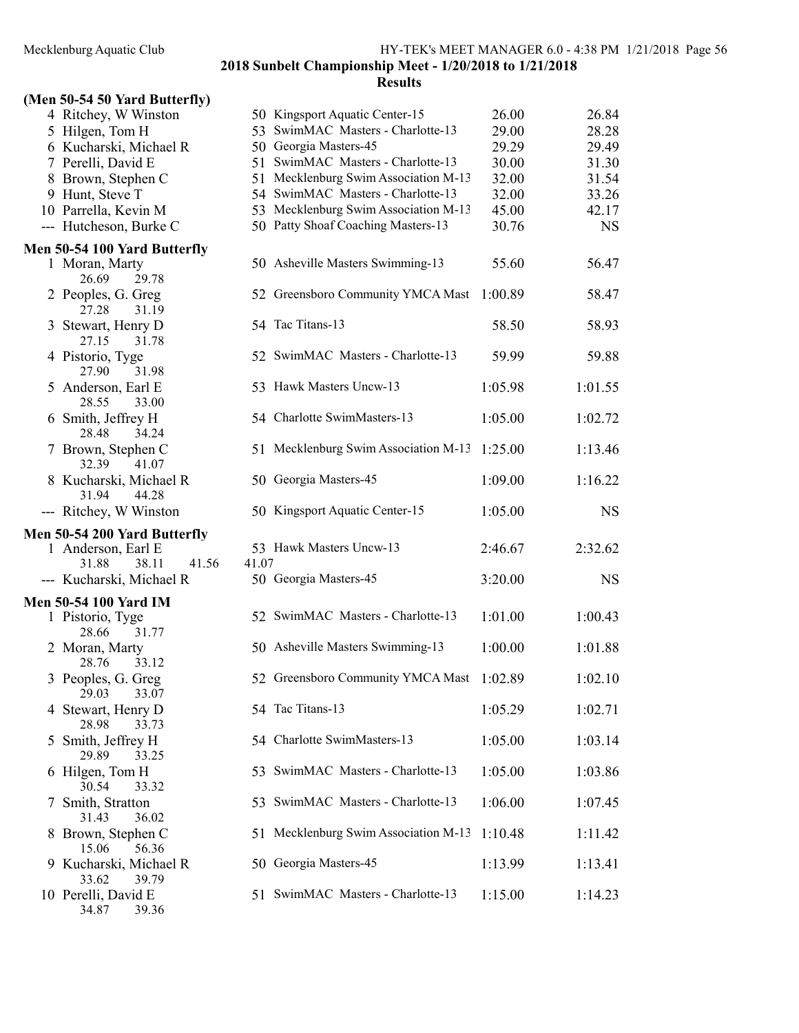# (Men 50-54 50 Yard Butterfly)

|               | 4 Ritchey, W Winston         |       | 50 Kingsport Aquatic Center-15       | 26.00   | 26.84     |
|---------------|------------------------------|-------|--------------------------------------|---------|-----------|
|               | 5 Hilgen, Tom H              |       | 53 SwimMAC Masters - Charlotte-13    | 29.00   | 28.28     |
|               | 6 Kucharski, Michael R       |       | 50 Georgia Masters-45                | 29.29   | 29.49     |
|               | 7 Perelli, David E           |       | 51 SwimMAC Masters - Charlotte-13    | 30.00   | 31.30     |
|               | 8 Brown, Stephen C           |       | 51 Mecklenburg Swim Association M-13 | 32.00   | 31.54     |
|               | 9 Hunt, Steve T              |       | 54 SwimMAC Masters - Charlotte-13    | 32.00   | 33.26     |
|               | 10 Parrella, Kevin M         |       | 53 Mecklenburg Swim Association M-13 | 45.00   | 42.17     |
|               | --- Hutcheson, Burke C       |       | 50 Patty Shoaf Coaching Masters-13   | 30.76   | <b>NS</b> |
|               | Men 50-54 100 Yard Butterfly |       |                                      |         |           |
|               | 1 Moran, Marty               |       | 50 Asheville Masters Swimming-13     | 55.60   | 56.47     |
|               | 26.69<br>29.78               |       |                                      |         |           |
|               | 2 Peoples, G. Greg           |       | 52 Greensboro Community YMCA Mast    | 1:00.89 | 58.47     |
|               | 27.28<br>31.19               |       |                                      |         |           |
|               | 3 Stewart, Henry D           |       | 54 Tac Titans-13                     | 58.50   | 58.93     |
|               | 27.15<br>31.78               |       |                                      |         |           |
|               | 4 Pistorio, Tyge             |       | 52 SwimMAC Masters - Charlotte-13    | 59.99   | 59.88     |
|               | 27.90<br>31.98               |       |                                      |         |           |
|               | 5 Anderson, Earl E           |       | 53 Hawk Masters Uncw-13              | 1:05.98 | 1:01.55   |
|               | 28.55<br>33.00               |       |                                      |         |           |
|               | 6 Smith, Jeffrey H           |       | 54 Charlotte SwimMasters-13          | 1:05.00 | 1:02.72   |
|               | 34.24<br>28.48               |       |                                      |         |           |
|               | 7 Brown, Stephen C           |       | 51 Mecklenburg Swim Association M-13 | 1:25.00 | 1:13.46   |
|               | 32.39<br>41.07               |       |                                      |         |           |
|               | 8 Kucharski, Michael R       |       | 50 Georgia Masters-45                | 1:09.00 | 1:16.22   |
|               | 31.94<br>44.28               |       |                                      |         |           |
|               | --- Ritchey, W Winston       |       | 50 Kingsport Aquatic Center-15       | 1:05.00 | <b>NS</b> |
|               | Men 50-54 200 Yard Butterfly |       |                                      |         |           |
|               | 1 Anderson, Earl E           |       | 53 Hawk Masters Uncw-13              | 2:46.67 | 2:32.62   |
|               | 38.11<br>31.88<br>41.56      | 41.07 |                                      |         |           |
|               | --- Kucharski, Michael R     |       | 50 Georgia Masters-45                | 3:20.00 | <b>NS</b> |
|               | <b>Men 50-54 100 Yard IM</b> |       |                                      |         |           |
|               | 1 Pistorio, Tyge             |       | 52 SwimMAC Masters - Charlotte-13    | 1:01.00 | 1:00.43   |
|               | 28.66<br>31.77               |       |                                      |         |           |
|               | 2 Moran, Marty               |       | 50 Asheville Masters Swimming-13     | 1:00.00 | 1:01.88   |
|               | 28.76<br>33.12               |       |                                      |         |           |
|               | 3 Peoples, G. Greg           |       | 52 Greensboro Community YMCA Mast    | 1:02.89 | 1:02.10   |
|               | 29.03<br>33.07               |       |                                      |         |           |
|               | 4 Stewart, Henry D           |       | 54 Tac Titans-13                     | 1:05.29 | 1:02.71   |
|               | 28.98<br>33.73               |       |                                      |         |           |
| 5             | Smith, Jeffrey H             |       | 54 Charlotte SwimMasters-13          | 1:05.00 | 1:03.14   |
|               | 29.89<br>33.25               |       |                                      |         |           |
|               | 6 Hilgen, Tom H              |       | 53 SwimMAC Masters - Charlotte-13    | 1:05.00 | 1:03.86   |
|               | 30.54<br>33.32               |       |                                      |         |           |
| $\mathcal{L}$ | Smith, Stratton              |       | 53 SwimMAC Masters - Charlotte-13    | 1:06.00 | 1:07.45   |
|               | 36.02<br>31.43               |       |                                      |         |           |
|               | 8 Brown, Stephen C           |       | 51 Mecklenburg Swim Association M-13 | 1:10.48 | 1:11.42   |
|               | 15.06<br>56.36               |       |                                      |         |           |
|               | 9 Kucharski, Michael R       |       | 50 Georgia Masters-45                | 1:13.99 | 1:13.41   |
|               | 33.62<br>39.79               |       |                                      |         |           |
|               | 10 Perelli, David E          |       | 51 SwimMAC Masters - Charlotte-13    | 1:15.00 | 1:14.23   |
|               | 34.87<br>39.36               |       |                                      |         |           |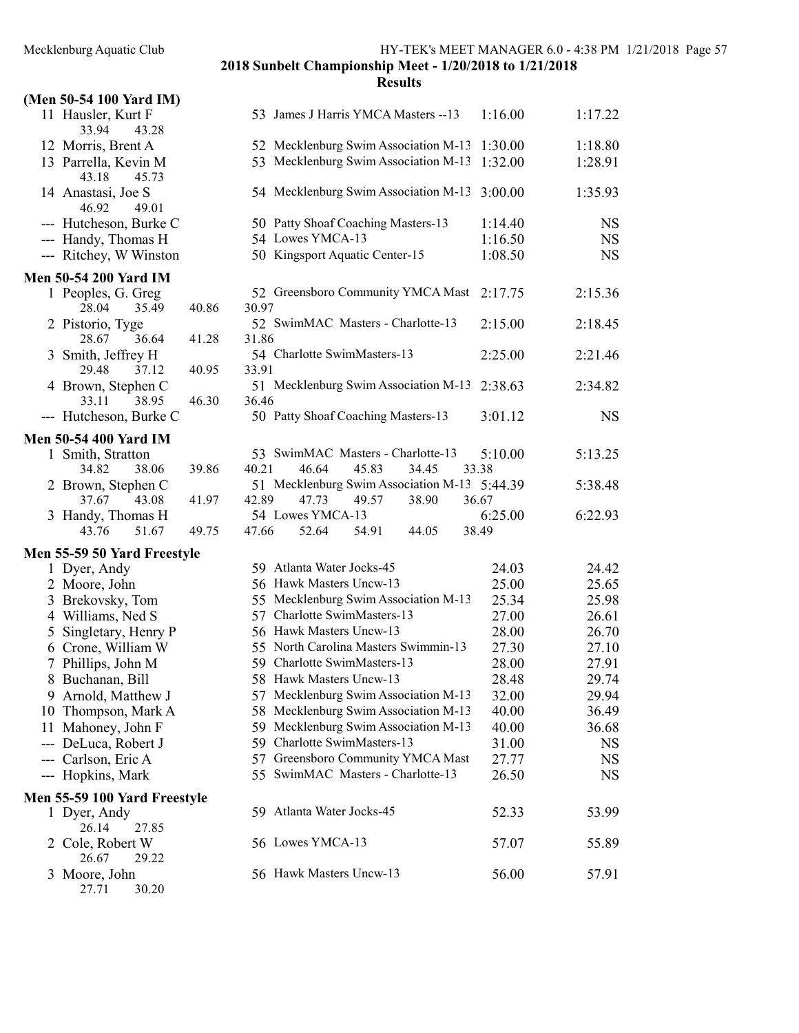|   | (Men 50-54 100 Yard IM)              |       |                                               |         |             |
|---|--------------------------------------|-------|-----------------------------------------------|---------|-------------|
|   | 11 Hausler, Kurt F<br>33.94<br>43.28 |       | 53 James J Harris YMCA Masters -- 13          | 1:16.00 | 1:17.22     |
|   | 12 Morris, Brent A                   |       | 52 Mecklenburg Swim Association M-13          | 1:30.00 | 1:18.80     |
|   | 13 Parrella, Kevin M                 |       | 53 Mecklenburg Swim Association M-13          | 1:32.00 | 1:28.91     |
|   | 43.18<br>45.73                       |       |                                               |         |             |
|   | 14 Anastasi, Joe S<br>49.01<br>46.92 |       | 54 Mecklenburg Swim Association M-13          | 3:00.00 | 1:35.93     |
|   | --- Hutcheson, Burke C               |       | 50 Patty Shoaf Coaching Masters-13            | 1:14.40 | <b>NS</b>   |
|   | --- Handy, Thomas H                  |       | 54 Lowes YMCA-13                              | 1:16.50 | NS          |
|   | --- Ritchey, W Winston               |       | 50 Kingsport Aquatic Center-15                | 1:08.50 | NS          |
|   |                                      |       |                                               |         |             |
|   | <b>Men 50-54 200 Yard IM</b>         |       |                                               |         |             |
|   | 1 Peoples, G. Greg                   |       | 52 Greensboro Community YMCA Mast             | 2:17.75 | 2:15.36     |
|   | 28.04<br>35.49                       | 40.86 | 30.97                                         |         |             |
|   | 2 Pistorio, Tyge                     |       | 52 SwimMAC Masters - Charlotte-13             | 2:15.00 | 2:18.45     |
|   | 28.67<br>36.64                       | 41.28 | 31.86                                         |         |             |
|   | 3 Smith, Jeffrey H<br>29.48          |       | 54 Charlotte SwimMasters-13                   | 2:25.00 | 2:21.46     |
|   | 37.12                                | 40.95 | 33.91                                         |         |             |
|   | 4 Brown, Stephen C<br>33.11          |       | 51 Mecklenburg Swim Association M-13<br>36.46 | 2:38.63 | 2:34.82     |
|   | 38.95                                | 46.30 |                                               |         |             |
|   | --- Hutcheson, Burke C               |       | 50 Patty Shoaf Coaching Masters-13            | 3:01.12 | $_{\rm NS}$ |
|   | <b>Men 50-54 400 Yard IM</b>         |       |                                               |         |             |
|   | 1 Smith, Stratton                    |       | 53 SwimMAC Masters - Charlotte-13             | 5:10.00 | 5:13.25     |
|   | 38.06<br>34.82                       | 39.86 | 45.83<br>40.21<br>46.64<br>34.45              | 33.38   |             |
|   | 2 Brown, Stephen C                   |       | 51 Mecklenburg Swim Association M-13          | 5:44.39 | 5:38.48     |
|   | 37.67<br>43.08                       | 41.97 | 42.89<br>47.73<br>49.57<br>38.90<br>36.67     |         |             |
|   |                                      |       |                                               |         |             |
|   | 3 Handy, Thomas H                    |       | 54 Lowes YMCA-13                              | 6:25.00 | 6:22.93     |
|   | 43.76<br>51.67                       | 49.75 | 52.64<br>47.66<br>54.91<br>44.05              | 38.49   |             |
|   |                                      |       |                                               |         |             |
|   | Men 55-59 50 Yard Freestyle          |       |                                               |         |             |
|   | 1 Dyer, Andy                         |       | 59 Atlanta Water Jocks-45                     | 24.03   | 24.42       |
|   | 2 Moore, John                        |       | 56 Hawk Masters Uncw-13                       | 25.00   | 25.65       |
|   | 3 Brekovsky, Tom                     |       | 55 Mecklenburg Swim Association M-13          | 25.34   | 25.98       |
|   | 4 Williams, Ned S                    |       | 57 Charlotte SwimMasters-13                   | 27.00   | 26.61       |
| 5 | Singletary, Henry P                  |       | 56 Hawk Masters Uncw-13                       | 28.00   | 26.70       |
|   | 6 Crone, William W                   |       | 55 North Carolina Masters Swimmin-13          | 27.30   | 27.10       |
|   | 7 Phillips, John M                   |       | 59 Charlotte SwimMasters-13                   | 28.00   | 27.91       |
|   | 8 Buchanan, Bill                     |       | 58 Hawk Masters Uncw-13                       | 28.48   | 29.74       |
|   | 9 Arnold, Matthew J                  |       | 57 Mecklenburg Swim Association M-13          | 32.00   | 29.94       |
|   | 10 Thompson, Mark A                  |       | 58 Mecklenburg Swim Association M-13          | 40.00   | 36.49       |
|   | 11 Mahoney, John F                   |       | 59 Mecklenburg Swim Association M-13          | 40.00   | 36.68       |
|   | DeLuca, Robert J                     |       | 59 Charlotte SwimMasters-13                   | 31.00   | <b>NS</b>   |
|   | --- Carlson, Eric A                  |       | 57 Greensboro Community YMCA Mast             | 27.77   | <b>NS</b>   |
|   | --- Hopkins, Mark                    |       | 55 SwimMAC Masters - Charlotte-13             | 26.50   | <b>NS</b>   |
|   | Men 55-59 100 Yard Freestyle         |       |                                               |         |             |
|   | 1 Dyer, Andy                         |       | 59 Atlanta Water Jocks-45                     | 52.33   | 53.99       |
|   | 26.14<br>27.85                       |       |                                               |         |             |
|   | 2 Cole, Robert W<br>26.67<br>29.22   |       | 56 Lowes YMCA-13                              | 57.07   | 55.89       |
| 3 | Moore, John                          |       | 56 Hawk Masters Uncw-13                       | 56.00   | 57.91       |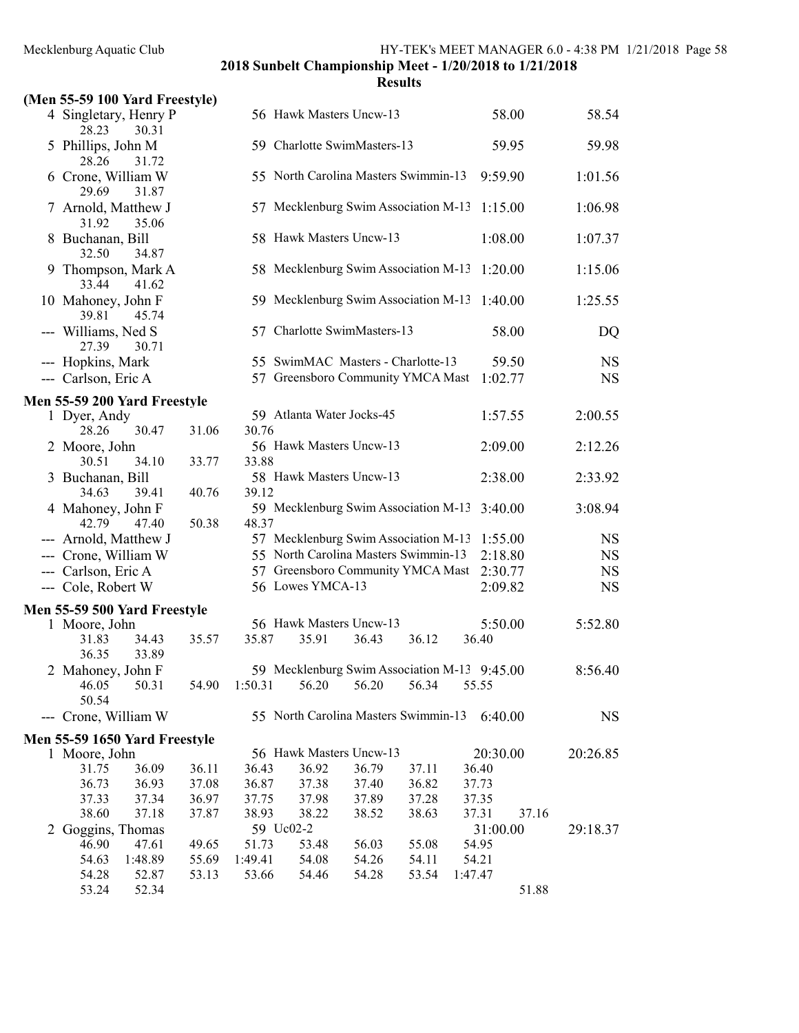| (Men 55-59 100 Yard Freestyle)          |       |         |                                              |       |       |         |                |           |
|-----------------------------------------|-------|---------|----------------------------------------------|-------|-------|---------|----------------|-----------|
| 4 Singletary, Henry P<br>28.23<br>30.31 |       |         | 56 Hawk Masters Uncw-13                      |       |       |         | 58.00          | 58.54     |
| 5 Phillips, John M<br>28.26<br>31.72    |       |         | 59 Charlotte SwimMasters-13                  |       |       |         | 59.95          | 59.98     |
| 6 Crone, William W<br>29.69<br>31.87    |       |         | 55 North Carolina Masters Swimmin-13         |       |       |         | 9:59.90        | 1:01.56   |
| 7 Arnold, Matthew J<br>31.92<br>35.06   |       |         | 57 Mecklenburg Swim Association M-13         |       |       |         | 1:15.00        | 1:06.98   |
| 8 Buchanan, Bill<br>34.87<br>32.50      |       |         | 58 Hawk Masters Uncw-13                      |       |       |         | 1:08.00        | 1:07.37   |
| 9 Thompson, Mark A<br>33.44<br>41.62    |       |         | 58 Mecklenburg Swim Association M-13         |       |       |         | 1:20.00        | 1:15.06   |
| 10 Mahoney, John F<br>39.81<br>45.74    |       |         | 59 Mecklenburg Swim Association M-13         |       |       |         | 1:40.00        | 1:25.55   |
| --- Williams, Ned S<br>30.71<br>27.39   |       |         | 57 Charlotte SwimMasters-13                  |       |       |         | 58.00          | DQ        |
| --- Hopkins, Mark                       |       |         | 55 SwimMAC Masters - Charlotte-13            |       |       |         | 59.50          | <b>NS</b> |
| --- Carlson, Eric A                     |       |         | 57 Greensboro Community YMCA Mast            |       |       |         | 1:02.77        | <b>NS</b> |
|                                         |       |         |                                              |       |       |         |                |           |
| Men 55-59 200 Yard Freestyle            |       |         |                                              |       |       |         |                |           |
| 1 Dyer, Andy                            |       |         | 59 Atlanta Water Jocks-45                    |       |       |         | 1:57.55        | 2:00.55   |
| 28.26<br>30.47                          | 31.06 | 30.76   |                                              |       |       |         |                |           |
| 2 Moore, John<br>30.51<br>34.10         | 33.77 | 33.88   | 56 Hawk Masters Uncw-13                      |       |       |         | 2:09.00        | 2:12.26   |
| 3 Buchanan, Bill                        |       |         | 58 Hawk Masters Uncw-13                      |       |       |         | 2:38.00        | 2:33.92   |
| 34.63<br>39.41                          | 40.76 | 39.12   |                                              |       |       |         |                |           |
| 4 Mahoney, John F<br>42.79<br>47.40     | 50.38 | 48.37   | 59 Mecklenburg Swim Association M-13         |       |       |         | 3:40.00        | 3:08.94   |
| --- Arnold, Matthew J                   |       |         | 57 Mecklenburg Swim Association M-13         |       |       |         | 1:55.00        | <b>NS</b> |
| --- Crone, William W                    |       |         | 55 North Carolina Masters Swimmin-13         |       |       |         | 2:18.80        | <b>NS</b> |
| --- Carlson, Eric A                     |       |         | 57 Greensboro Community YMCA Mast            |       |       |         | 2:30.77        | <b>NS</b> |
|                                         |       |         | 56 Lowes YMCA-13                             |       |       |         |                | <b>NS</b> |
| --- Cole, Robert W                      |       |         |                                              |       |       |         | 2:09.82        |           |
| Men 55-59 500 Yard Freestyle            |       |         |                                              |       |       |         |                |           |
| 1 Moore, John                           |       |         | 56 Hawk Masters Uncw-13                      |       |       |         | 5:50.00        | 5:52.80   |
| 31.83<br>34.43<br>36.35<br>33.89        | 35.57 | 35.87   | 35.91                                        | 36.43 | 36.12 |         | 36.40          |           |
| 2 Mahoney, John F                       |       |         | 59 Mecklenburg Swim Association M-13 9:45.00 |       |       |         |                | 8:56.40   |
| 50.31<br>46.05                          | 54.90 | 1:50.31 | 56.20                                        | 56.20 | 56.34 |         | 55.55          |           |
| 50.54                                   |       |         |                                              |       |       |         |                |           |
| Crone, William W                        |       |         | 55 North Carolina Masters Swimmin-13 6:40.00 |       |       |         |                | <b>NS</b> |
| Men 55-59 1650 Yard Freestyle           |       |         |                                              |       |       |         |                |           |
| 1 Moore, John                           |       |         | 56 Hawk Masters Uncw-13                      |       |       |         | 20:30.00       | 20:26.85  |
| 36.09<br>31.75                          | 36.11 | 36.43   | 36.92                                        | 36.79 | 37.11 |         | 36.40          |           |
| 36.73<br>36.93                          | 37.08 | 36.87   | 37.38                                        | 37.40 | 36.82 |         | 37.73          |           |
| 37.33<br>37.34                          | 36.97 | 37.75   | 37.98                                        | 37.89 | 37.28 |         | 37.35          |           |
| 38.60<br>37.18                          | 37.87 | 38.93   | 38.22                                        | 38.52 | 38.63 |         | 37.31<br>37.16 |           |
| 2 Goggins, Thomas                       |       |         | 59 Uc02-2                                    |       |       |         | 31:00.00       | 29:18.37  |
| 46.90<br>47.61                          | 49.65 | 51.73   | 53.48                                        | 56.03 | 55.08 |         | 54.95          |           |
| 54.63<br>1:48.89                        | 55.69 | 1:49.41 | 54.08                                        | 54.26 | 54.11 |         | 54.21          |           |
| 54.28<br>52.87                          | 53.13 | 53.66   | 54.46                                        | 54.28 | 53.54 | 1:47.47 |                |           |
| 53.24<br>52.34                          |       |         |                                              |       |       |         | 51.88          |           |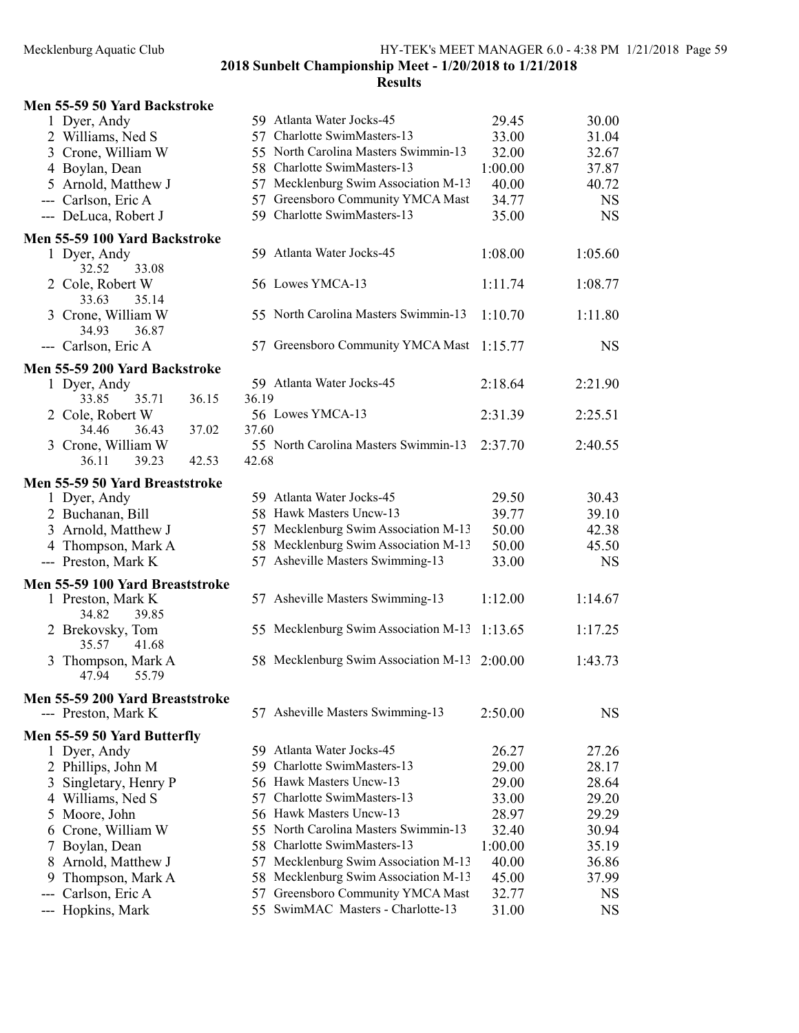| Men 55-59 50 Yard Backstroke        |                                              |         |           |
|-------------------------------------|----------------------------------------------|---------|-----------|
| 1 Dyer, Andy                        | 59 Atlanta Water Jocks-45                    | 29.45   | 30.00     |
| 2 Williams, Ned S                   | 57 Charlotte SwimMasters-13                  | 33.00   | 31.04     |
| 3 Crone, William W                  | 55 North Carolina Masters Swimmin-13         | 32.00   | 32.67     |
| 4 Boylan, Dean                      | 58 Charlotte SwimMasters-13                  | 1:00.00 | 37.87     |
| 5 Arnold, Matthew J                 | 57 Mecklenburg Swim Association M-13         | 40.00   | 40.72     |
| --- Carlson, Eric A                 | 57 Greensboro Community YMCA Mast            | 34.77   | <b>NS</b> |
| --- DeLuca, Robert J                | 59 Charlotte SwimMasters-13                  | 35.00   | <b>NS</b> |
| Men 55-59 100 Yard Backstroke       |                                              |         |           |
| 1 Dyer, Andy                        | 59 Atlanta Water Jocks-45                    | 1:08.00 | 1:05.60   |
| 33.08<br>32.52                      |                                              |         |           |
| 2 Cole, Robert W                    | 56 Lowes YMCA-13                             | 1:11.74 | 1:08.77   |
| 33.63<br>35.14                      |                                              |         |           |
| 3 Crone, William W                  | 55 North Carolina Masters Swimmin-13         | 1:10.70 | 1:11.80   |
| 34.93<br>36.87                      |                                              |         |           |
| --- Carlson, Eric A                 | 57 Greensboro Community YMCA Mast            | 1:15.77 | <b>NS</b> |
| Men 55-59 200 Yard Backstroke       |                                              |         |           |
| 1 Dyer, Andy                        | 59 Atlanta Water Jocks-45                    | 2:18.64 | 2:21.90   |
| 36.15<br>33.85<br>35.71             | 36.19                                        |         |           |
| 2 Cole, Robert W                    | 56 Lowes YMCA-13                             | 2:31.39 | 2:25.51   |
| 37.02<br>34.46<br>36.43             | 37.60                                        |         |           |
| 3 Crone, William W                  | 55 North Carolina Masters Swimmin-13         | 2:37.70 | 2:40.55   |
| 42.53<br>36.11<br>39.23             | 42.68                                        |         |           |
| Men 55-59 50 Yard Breaststroke      |                                              |         |           |
| 1 Dyer, Andy                        | 59 Atlanta Water Jocks-45                    | 29.50   | 30.43     |
| 2 Buchanan, Bill                    | 58 Hawk Masters Uncw-13                      | 39.77   | 39.10     |
| 3 Arnold, Matthew J                 | 57 Mecklenburg Swim Association M-13         | 50.00   | 42.38     |
| 4 Thompson, Mark A                  | 58 Mecklenburg Swim Association M-13         | 50.00   | 45.50     |
| --- Preston, Mark K                 | 57 Asheville Masters Swimming-13             | 33.00   | <b>NS</b> |
|                                     |                                              |         |           |
| Men 55-59 100 Yard Breaststroke     |                                              |         |           |
| 1 Preston, Mark K<br>34.82<br>39.85 | 57 Asheville Masters Swimming-13             | 1:12.00 | 1:14.67   |
| 2 Brekovsky, Tom                    | 55 Mecklenburg Swim Association M-13         | 1:13.65 | 1:17.25   |
| 35.57<br>41.68                      |                                              |         |           |
| 3 Thompson, Mark A                  | 58 Mecklenburg Swim Association M-13 2:00.00 |         | 1:43.73   |
| 47.94<br>55.79                      |                                              |         |           |
|                                     |                                              |         |           |
| Men 55-59 200 Yard Breaststroke     |                                              |         |           |
| --- Preston, Mark K                 | 57 Asheville Masters Swimming-13             | 2:50.00 | <b>NS</b> |
| Men 55-59 50 Yard Butterfly         |                                              |         |           |
| 1 Dyer, Andy                        | 59 Atlanta Water Jocks-45                    | 26.27   | 27.26     |
| 2 Phillips, John M                  | Charlotte SwimMasters-13<br>59.              | 29.00   | 28.17     |
| Singletary, Henry P<br>3            | 56 Hawk Masters Uncw-13                      | 29.00   | 28.64     |
| 4 Williams, Ned S                   | Charlotte SwimMasters-13<br>57               | 33.00   | 29.20     |
| Moore, John<br>5                    | 56 Hawk Masters Uncw-13                      | 28.97   | 29.29     |
| Crone, William W<br>6               | 55 North Carolina Masters Swimmin-13         | 32.40   | 30.94     |
| Boylan, Dean<br>7                   | 58 Charlotte SwimMasters-13                  | 1:00.00 | 35.19     |
| Arnold, Matthew J<br>8              | Mecklenburg Swim Association M-13<br>57.     | 40.00   | 36.86     |
| Thompson, Mark A<br>9               | Mecklenburg Swim Association M-13<br>58      | 45.00   | 37.99     |
| Carlson, Eric A                     | Greensboro Community YMCA Mast<br>57         | 32.77   | <b>NS</b> |
| Hopkins, Mark                       | 55 SwimMAC Masters - Charlotte-13            | 31.00   | <b>NS</b> |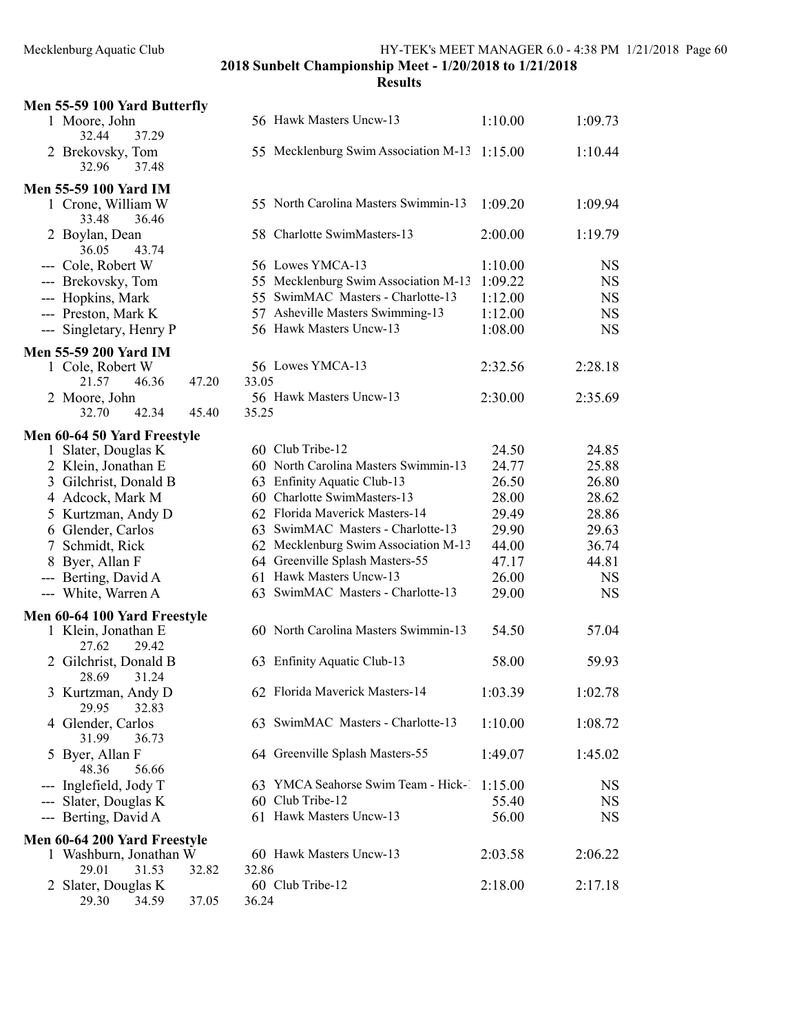|       | Men 55-59 100 Yard Butterfly             |       |       |                                                            |         |           |
|-------|------------------------------------------|-------|-------|------------------------------------------------------------|---------|-----------|
|       | 1 Moore, John<br>37.29<br>32.44          |       |       | 56 Hawk Masters Uncw-13                                    | 1:10.00 | 1:09.73   |
|       | 2 Brekovsky, Tom<br>32.96<br>37.48       |       |       | 55 Mecklenburg Swim Association M-13 1:15.00               |         | 1:10.44   |
|       | <b>Men 55-59 100 Yard IM</b>             |       |       |                                                            |         |           |
|       | 1 Crone, William W<br>33.48<br>36.46     |       |       | 55 North Carolina Masters Swimmin-13                       | 1:09.20 | 1:09.94   |
|       | 2 Boylan, Dean<br>36.05<br>43.74         |       |       | 58 Charlotte SwimMasters-13                                | 2:00.00 | 1:19.79   |
|       | --- Cole, Robert W                       |       |       | 56 Lowes YMCA-13                                           | 1:10.00 | <b>NS</b> |
|       | --- Brekovsky, Tom                       |       |       | 55 Mecklenburg Swim Association M-13                       | 1:09.22 | <b>NS</b> |
|       | --- Hopkins, Mark                        |       |       | 55 SwimMAC Masters - Charlotte-13                          | 1:12.00 | <b>NS</b> |
|       | --- Preston, Mark K                      |       |       | 57 Asheville Masters Swimming-13                           | 1:12.00 | <b>NS</b> |
|       | --- Singletary, Henry P                  |       |       | 56 Hawk Masters Uncw-13                                    | 1:08.00 | <b>NS</b> |
|       |                                          |       |       |                                                            |         |           |
|       | Men 55-59 200 Yard IM                    |       |       |                                                            |         |           |
|       | 1 Cole, Robert W                         |       |       | 56 Lowes YMCA-13                                           | 2:32.56 | 2:28.18   |
|       | 46.36<br>21.57                           | 47.20 | 33.05 |                                                            |         |           |
|       | 2 Moore, John                            |       |       | 56 Hawk Masters Uncw-13                                    | 2:30.00 | 2:35.69   |
|       | 42.34<br>32.70                           | 45.40 | 35.25 |                                                            |         |           |
|       | Men 60-64 50 Yard Freestyle              |       |       |                                                            |         |           |
|       | 1 Slater, Douglas K                      |       |       | 60 Club Tribe-12                                           | 24.50   | 24.85     |
|       | 2 Klein, Jonathan E                      |       |       | 60 North Carolina Masters Swimmin-13                       | 24.77   | 25.88     |
|       |                                          |       |       |                                                            | 26.50   | 26.80     |
|       | 3 Gilchrist, Donald B                    |       |       | 63 Enfinity Aquatic Club-13<br>60 Charlotte SwimMasters-13 |         |           |
|       | 4 Adcock, Mark M                         |       |       |                                                            | 28.00   | 28.62     |
|       | 5 Kurtzman, Andy D                       |       |       | 62 Florida Maverick Masters-14                             | 29.49   | 28.86     |
|       | 6 Glender, Carlos                        |       |       | 63 SwimMAC Masters - Charlotte-13                          | 29.90   | 29.63     |
|       | 7 Schmidt, Rick                          |       |       | 62 Mecklenburg Swim Association M-13                       | 44.00   | 36.74     |
|       | 8 Byer, Allan F                          |       |       | 64 Greenville Splash Masters-55                            | 47.17   | 44.81     |
|       | --- Berting, David A                     |       |       | 61 Hawk Masters Uncw-13                                    | 26.00   | <b>NS</b> |
|       | --- White, Warren A                      |       |       | 63 SwimMAC Masters - Charlotte-13                          | 29.00   | <b>NS</b> |
|       | Men 60-64 100 Yard Freestyle             |       |       |                                                            |         |           |
|       | 1 Klein, Jonathan E<br>27.62<br>29.42    |       |       | 60 North Carolina Masters Swimmin-13                       | 54.50   | 57.04     |
|       | 2 Gilchrist, Donald B<br>28.69<br>31.24  |       |       | 63 Enfinity Aquatic Club-13                                | 58.00   | 59.93     |
|       | 3 Kurtzman, Andy D<br>29.95<br>32.83     |       |       | 62 Florida Maverick Masters-14                             | 1:03.39 | 1:02.78   |
|       | 4 Glender, Carlos<br>31.99<br>36.73      |       |       | 63 SwimMAC Masters - Charlotte-13                          | 1:10.00 | 1:08.72   |
|       | 5 Byer, Allan F<br>48.36<br>56.66        |       |       | 64 Greenville Splash Masters-55                            | 1:49.07 | 1:45.02   |
|       | --- Inglefield, Jody T                   |       |       | 63 YMCA Seahorse Swim Team - Hick-1                        | 1:15.00 | <b>NS</b> |
| $---$ | Slater, Douglas K                        |       |       | 60 Club Tribe-12                                           | 55.40   | <b>NS</b> |
|       | --- Berting, David A                     |       |       | 61 Hawk Masters Uncw-13                                    | 56.00   | NS        |
|       |                                          |       |       |                                                            |         |           |
|       | Men 60-64 200 Yard Freestyle             |       |       |                                                            |         |           |
|       | 1 Washburn, Jonathan W<br>29.01<br>31.53 | 32.82 | 32.86 | 60 Hawk Masters Uncw-13                                    | 2:03.58 | 2:06.22   |
|       | 2 Slater, Douglas K<br>29.30<br>34.59    | 37.05 | 36.24 | 60 Club Tribe-12                                           | 2:18.00 | 2:17.18   |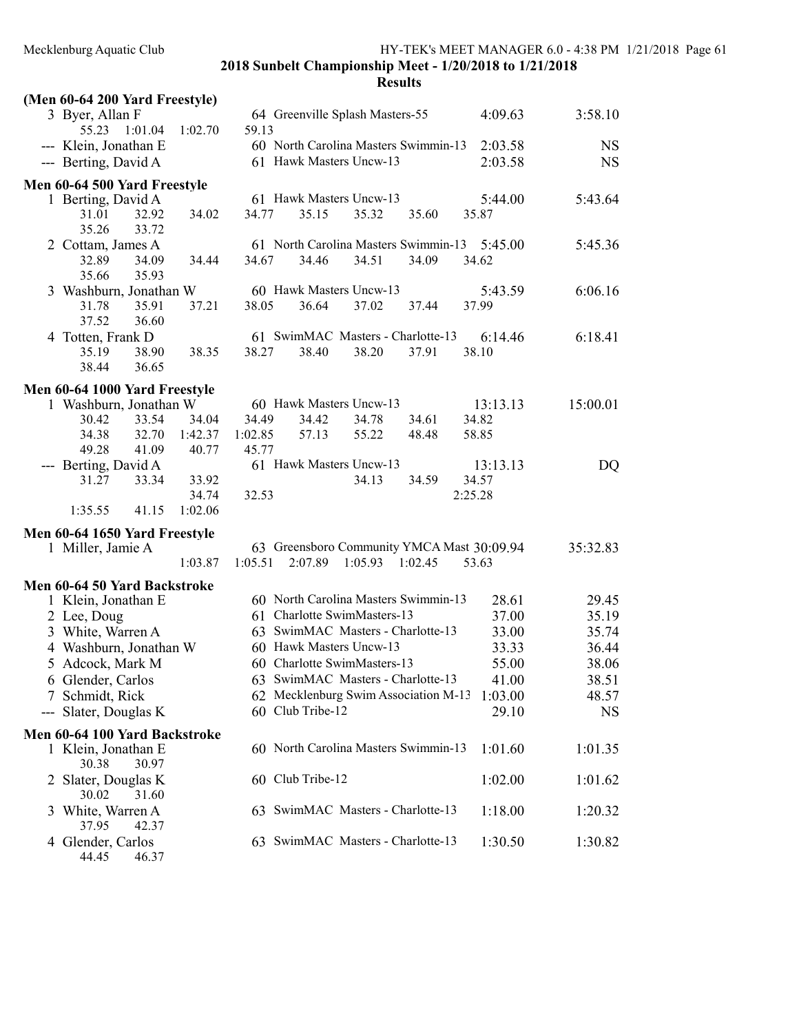| (Men 60-64 200 Yard Freestyle) |                                            |                      |
|--------------------------------|--------------------------------------------|----------------------|
| 3 Byer, Allan F                | 64 Greenville Splash Masters-55            | 3:58.10<br>4:09.63   |
| 1:01.04<br>55.23<br>1:02.70    | 59.13                                      |                      |
| --- Klein, Jonathan E          | 60 North Carolina Masters Swimmin-13       | 2:03.58<br><b>NS</b> |
| --- Berting, David A           | 61 Hawk Masters Uncw-13                    | 2:03.58<br><b>NS</b> |
| Men 60-64 500 Yard Freestyle   |                                            |                      |
| 1 Berting, David A             | 61 Hawk Masters Uncw-13                    | 5:43.64<br>5:44.00   |
| 31.01<br>32.92<br>34.02        | 35.15<br>34.77<br>35.32<br>35.60           | 35.87                |
| 35.26<br>33.72                 |                                            |                      |
| 2 Cottam, James A              | 61 North Carolina Masters Swimmin-13       | 5:45.36<br>5:45.00   |
| 32.89<br>34.09<br>34.44        | 34.67<br>34.46<br>34.51<br>34.09           | 34.62                |
| 35.93<br>35.66                 |                                            |                      |
| Washburn, Jonathan W<br>3      | 60 Hawk Masters Uncw-13                    | 6:06.16<br>5:43.59   |
| 35.91<br>37.21<br>31.78        | 38.05<br>36.64<br>37.02<br>37.44           | 37.99                |
| 37.52<br>36.60                 |                                            |                      |
| 4 Totten, Frank D              | 61 SwimMAC Masters - Charlotte-13          | 6:18.41<br>6:14.46   |
| 35.19<br>38.90<br>38.35        | 38.27<br>38.40<br>37.91<br>38.20           | 38.10                |
| 38.44<br>36.65                 |                                            |                      |
| Men 60-64 1000 Yard Freestyle  |                                            |                      |
| 1 Washburn, Jonathan W         | 60 Hawk Masters Uncw-13                    | 15:00.01<br>13:13.13 |
| 30.42<br>33.54<br>34.04        | 34.49<br>34.42<br>34.78<br>34.61           | 34.82                |
| 34.38<br>32.70<br>1:42.37      | 55.22<br>1:02.85<br>57.13<br>48.48         | 58.85                |
| 49.28<br>41.09<br>40.77        | 45.77                                      |                      |
| --- Berting, David A           | 61 Hawk Masters Uncw-13                    | 13:13.13<br>DQ       |
| 33.34<br>33.92<br>31.27        | 34.13<br>34.59                             | 34.57                |
| 34.74                          | 32.53                                      | 2:25.28              |
| 1:35.55<br>41.15<br>1:02.06    |                                            |                      |
| Men 60-64 1650 Yard Freestyle  |                                            |                      |
| 1 Miller, Jamie A              | 63 Greensboro Community YMCA Mast 30:09.94 | 35:32.83             |
| 1:03.87                        | 1:05.51<br>2:07.89<br>1:05.93<br>1:02.45   | 53.63                |
| Men 60-64 50 Yard Backstroke   |                                            |                      |
| 1 Klein, Jonathan E            | 60 North Carolina Masters Swimmin-13       | 28.61<br>29.45       |
| 2 Lee, Doug                    | 61 Charlotte SwimMasters-13                | 37.00<br>35.19       |
| 3 White, Warren A              | 63 SwimMAC Masters - Charlotte-13          | 33.00<br>35.74       |
| 4 Washburn, Jonathan W         | 60 Hawk Masters Uncw-13                    | 33.33<br>36.44       |
| 5 Adcock, Mark M               | 60 Charlotte SwimMasters-13                | 55.00<br>38.06       |
| 6 Glender, Carlos              | 63 SwimMAC Masters - Charlotte-13          | 38.51<br>41.00       |
| 7 Schmidt, Rick                | 62 Mecklenburg Swim Association M-13       | 48.57<br>1:03.00     |
| --- Slater, Douglas K          | 60 Club Tribe-12                           | 29.10<br><b>NS</b>   |
| Men 60-64 100 Yard Backstroke  |                                            |                      |
| 1 Klein, Jonathan E            | 60 North Carolina Masters Swimmin-13       | 1:01.60<br>1:01.35   |
| 30.38<br>30.97                 |                                            |                      |
| Slater, Douglas K<br>2         | 60 Club Tribe-12                           | 1:02.00<br>1:01.62   |
| 31.60<br>30.02                 |                                            |                      |
| White, Warren A                | 63 SwimMAC Masters - Charlotte-13          | 1:18.00<br>1:20.32   |
| 37.95<br>42.37                 |                                            |                      |
| 4 Glender, Carlos              | 63 SwimMAC Masters - Charlotte-13          | 1:30.50<br>1:30.82   |
| 44.45<br>46.37                 |                                            |                      |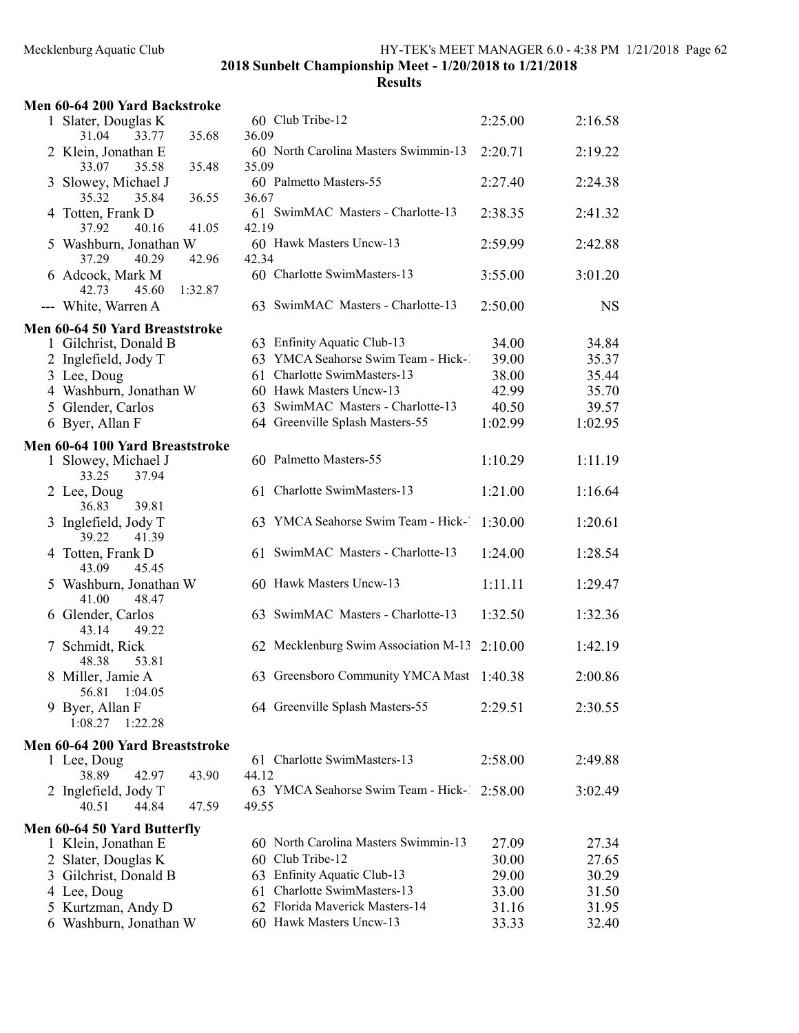| Men 60-64 200 Yard Backstroke                                            |                                                      |         |           |
|--------------------------------------------------------------------------|------------------------------------------------------|---------|-----------|
| 1 Slater, Douglas K                                                      | 60 Club Tribe-12                                     | 2:25.00 | 2:16.58   |
| 31.04<br>33.77<br>35.68<br>2 Klein, Jonathan E<br>35.48                  | 36.09<br>60 North Carolina Masters Swimmin-13        | 2:20.71 | 2:19.22   |
| 33.07<br>35.58<br>3 Slowey, Michael J<br>35.32                           | 35.09<br>60 Palmetto Masters-55                      | 2:27.40 | 2:24.38   |
| 35.84<br>36.55<br>4 Totten, Frank D<br>37.92<br>40.16<br>41.05           | 36.67<br>61 SwimMAC Masters - Charlotte-13<br>42.19  | 2:38.35 | 2:41.32   |
| 5 Washburn, Jonathan W<br>37.29<br>40.29<br>42.96                        | 60 Hawk Masters Uncw-13<br>42.34                     | 2:59.99 | 2:42.88   |
| 6 Adcock, Mark M<br>1:32.87<br>42.73<br>45.60                            | 60 Charlotte SwimMasters-13                          | 3:55.00 | 3:01.20   |
| --- White, Warren A                                                      | 63 SwimMAC Masters - Charlotte-13                    | 2:50.00 | <b>NS</b> |
| Men 60-64 50 Yard Breaststroke                                           |                                                      |         |           |
| 1 Gilchrist, Donald B                                                    | 63 Enfinity Aquatic Club-13                          | 34.00   | 34.84     |
| 2 Inglefield, Jody T                                                     | 63 YMCA Seahorse Swim Team - Hick-1                  | 39.00   | 35.37     |
| 3 Lee, Doug                                                              | 61 Charlotte SwimMasters-13                          | 38.00   | 35.44     |
| 4 Washburn, Jonathan W                                                   | 60 Hawk Masters Uncw-13                              | 42.99   | 35.70     |
| 5 Glender, Carlos                                                        | 63 SwimMAC Masters - Charlotte-13                    | 40.50   | 39.57     |
| 6 Byer, Allan F                                                          | 64 Greenville Splash Masters-55                      | 1:02.99 | 1:02.95   |
|                                                                          |                                                      |         |           |
| Men 60-64 100 Yard Breaststroke<br>1 Slowey, Michael J<br>33.25<br>37.94 | 60 Palmetto Masters-55                               | 1:10.29 | 1:11.19   |
| 2 Lee, Doug<br>39.81<br>36.83                                            | 61 Charlotte SwimMasters-13                          | 1:21.00 | 1:16.64   |
| 3 Inglefield, Jody T<br>41.39<br>39.22                                   | 63 YMCA Seahorse Swim Team - Hick-1                  | 1:30.00 | 1:20.61   |
| 4 Totten, Frank D<br>43.09<br>45.45                                      | 61 SwimMAC Masters - Charlotte-13                    | 1:24.00 | 1:28.54   |
| 5 Washburn, Jonathan W<br>41.00<br>48.47                                 | 60 Hawk Masters Uncw-13                              | 1:11.11 | 1:29.47   |
| 6 Glender, Carlos<br>49.22<br>43.14                                      | 63 SwimMAC Masters - Charlotte-13                    | 1:32.50 | 1:32.36   |
| 7 Schmidt, Rick<br>48.38<br>53.81                                        | 62 Mecklenburg Swim Association M-13                 | 2:10.00 | 1:42.19   |
| 8 Miller, Jamie A<br>56.81<br>1:04.05                                    | 63 Greensboro Community YMCA Mast                    | 1:40.38 | 2:00.86   |
| 9 Byer, Allan F<br>1:08.27<br>1:22.28                                    | 64 Greenville Splash Masters-55                      | 2:29.51 | 2:30.55   |
| Men 60-64 200 Yard Breaststroke                                          |                                                      |         |           |
| 1 Lee, Doug<br>38.89<br>42.97<br>43.90                                   | 61 Charlotte SwimMasters-13<br>44.12                 | 2:58.00 | 2:49.88   |
| 2 Inglefield, Jody T<br>40.51<br>44.84<br>47.59                          | 63 YMCA Seahorse Swim Team - Hick-1 2:58.00<br>49.55 |         | 3:02.49   |
| Men 60-64 50 Yard Butterfly                                              |                                                      |         |           |
| 1 Klein, Jonathan E                                                      | 60 North Carolina Masters Swimmin-13                 | 27.09   | 27.34     |
| 2 Slater, Douglas K                                                      | 60 Club Tribe-12                                     | 30.00   | 27.65     |
| 3 Gilchrist, Donald B                                                    | 63 Enfinity Aquatic Club-13                          | 29.00   | 30.29     |
| 4 Lee, Doug                                                              | 61 Charlotte SwimMasters-13                          | 33.00   | 31.50     |
| 5 Kurtzman, Andy D                                                       | 62 Florida Maverick Masters-14                       | 31.16   | 31.95     |
| 6 Washburn, Jonathan W                                                   | 60 Hawk Masters Uncw-13                              | 33.33   | 32.40     |
|                                                                          |                                                      |         |           |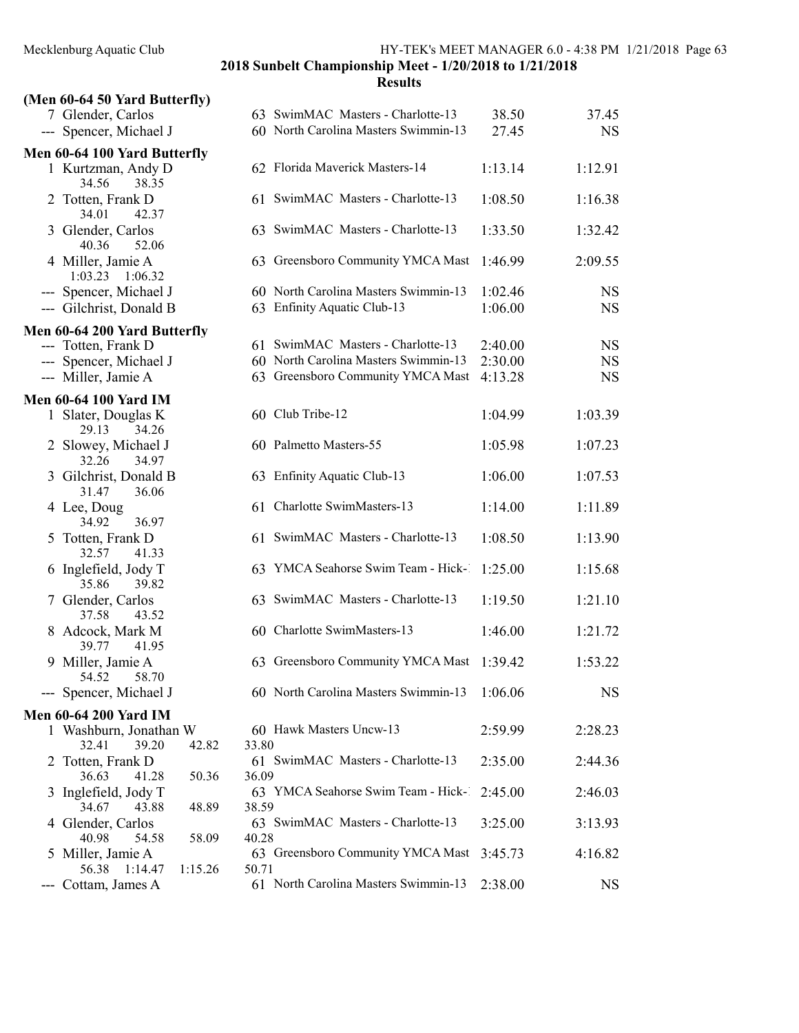|   | (Men 60-64 50 Yard Butterfly)                     |       |                                                                     |                    |                        |
|---|---------------------------------------------------|-------|---------------------------------------------------------------------|--------------------|------------------------|
|   | 7 Glender, Carlos                                 |       | 63 SwimMAC Masters - Charlotte-13                                   | 38.50              | 37.45                  |
|   | --- Spencer, Michael J                            |       | 60 North Carolina Masters Swimmin-13                                | 27.45              | <b>NS</b>              |
|   | Men 60-64 100 Yard Butterfly                      |       |                                                                     |                    |                        |
|   | 1 Kurtzman, Andy D<br>34.56<br>38.35              |       | 62 Florida Maverick Masters-14                                      | 1:13.14            | 1:12.91                |
|   | 2 Totten, Frank D<br>34.01<br>42.37               |       | 61 SwimMAC Masters - Charlotte-13                                   | 1:08.50            | 1:16.38                |
|   | 3 Glender, Carlos<br>40.36<br>52.06               |       | 63 SwimMAC Masters - Charlotte-13                                   | 1:33.50            | 1:32.42                |
|   | 4 Miller, Jamie A<br>1:03.23<br>1:06.32           |       | 63 Greensboro Community YMCA Mast                                   | 1:46.99            | 2:09.55                |
|   | --- Spencer, Michael J<br>--- Gilchrist, Donald B |       | 60 North Carolina Masters Swimmin-13<br>63 Enfinity Aquatic Club-13 | 1:02.46<br>1:06.00 | <b>NS</b><br><b>NS</b> |
|   | Men 60-64 200 Yard Butterfly                      |       |                                                                     |                    |                        |
|   | --- Totten, Frank D                               |       | 61 SwimMAC Masters - Charlotte-13                                   | 2:40.00            | <b>NS</b>              |
|   | --- Spencer, Michael J                            |       | 60 North Carolina Masters Swimmin-13                                | 2:30.00            | <b>NS</b>              |
|   | --- Miller, Jamie A                               |       | 63 Greensboro Community YMCA Mast                                   | 4:13.28            | <b>NS</b>              |
|   | <b>Men 60-64 100 Yard IM</b>                      |       |                                                                     |                    |                        |
|   | 1 Slater, Douglas K<br>29.13<br>34.26             |       | 60 Club Tribe-12                                                    | 1:04.99            | 1:03.39                |
|   | 2 Slowey, Michael J<br>32.26<br>34.97             |       | 60 Palmetto Masters-55                                              | 1:05.98            | 1:07.23                |
| 3 | Gilchrist, Donald B<br>31.47<br>36.06             |       | 63 Enfinity Aquatic Club-13                                         | 1:06.00            | 1:07.53                |
|   | 4 Lee, Doug<br>34.92<br>36.97                     |       | 61 Charlotte SwimMasters-13                                         | 1:14.00            | 1:11.89                |
| 5 | Totten, Frank D<br>32.57<br>41.33                 |       | 61 SwimMAC Masters - Charlotte-13                                   | 1:08.50            | 1:13.90                |
| 6 | Inglefield, Jody T<br>35.86<br>39.82              |       | 63 YMCA Seahorse Swim Team - Hick-1                                 | 1:25.00            | 1:15.68                |
| 7 | Glender, Carlos<br>37.58<br>43.52                 |       | 63 SwimMAC Masters - Charlotte-13                                   | 1:19.50            | 1:21.10                |
| 8 | Adcock, Mark M<br>39.77<br>41.95                  |       | 60 Charlotte SwimMasters-13                                         | 1:46.00            | 1:21.72                |
|   | 9 Miller, Jamie A<br>54.52<br>58.70               |       | 63 Greensboro Community YMCA Mast                                   | 1:39.42            | 1:53.22                |
|   | --- Spencer, Michael J                            |       | 60 North Carolina Masters Swimmin-13                                | 1:06.06            | <b>NS</b>              |
|   | <b>Men 60-64 200 Yard IM</b>                      |       |                                                                     |                    |                        |
|   | 1 Washburn, Jonathan W<br>32.41<br>39.20<br>42.82 | 33.80 | 60 Hawk Masters Uncw-13                                             | 2:59.99            | 2:28.23                |
| 2 | Totten, Frank D<br>36.63<br>41.28<br>50.36        | 36.09 | 61 SwimMAC Masters - Charlotte-13                                   | 2:35.00            | 2:44.36                |
| 3 | Inglefield, Jody T<br>34.67<br>48.89<br>43.88     | 38.59 | 63 YMCA Seahorse Swim Team - Hick-                                  | 2:45.00            | 2:46.03                |
|   | 4 Glender, Carlos<br>40.98<br>58.09<br>54.58      | 40.28 | 63 SwimMAC Masters - Charlotte-13                                   | 3:25.00            | 3:13.93                |
| 5 | Miller, Jamie A<br>1:15.26<br>56.38<br>1:14.47    | 50.71 | 63 Greensboro Community YMCA Mast                                   | 3:45.73            | 4:16.82                |
|   | Cottam, James A                                   |       | 61 North Carolina Masters Swimmin-13                                | 2:38.00            | <b>NS</b>              |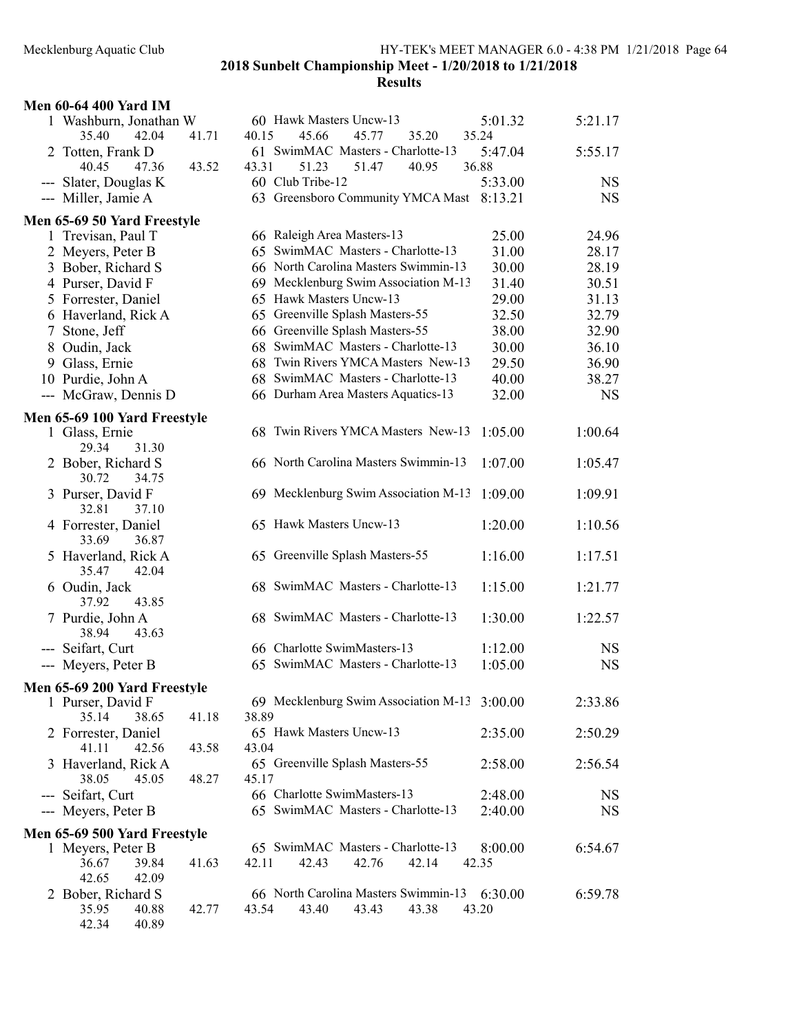| <b>Men 60-64 400 Yard IM</b>                           |       |                                                                          |                  |           |
|--------------------------------------------------------|-------|--------------------------------------------------------------------------|------------------|-----------|
| 1 Washburn, Jonathan W<br>35.40<br>42.04               | 41.71 | 60 Hawk Masters Uncw-13<br>45.66<br>45.77<br>40.15<br>35.20              | 5:01.32<br>35.24 | 5:21.17   |
| 2 Totten, Frank D<br>40.45<br>47.36                    | 43.52 | 61 SwimMAC Masters - Charlotte-13<br>43.31<br>51.23<br>51.47<br>40.95    | 5:47.04<br>36.88 | 5:55.17   |
| --- Slater, Douglas K                                  |       | 60 Club Tribe-12                                                         | 5:33.00          | <b>NS</b> |
| --- Miller, Jamie A                                    |       | 63 Greensboro Community YMCA Mast 8:13.21                                |                  | <b>NS</b> |
| Men 65-69 50 Yard Freestyle                            |       |                                                                          |                  |           |
| 1 Trevisan, Paul T                                     |       | 66 Raleigh Area Masters-13                                               | 25.00            | 24.96     |
| 2 Meyers, Peter B                                      |       | 65 SwimMAC Masters - Charlotte-13                                        | 31.00            | 28.17     |
| 3 Bober, Richard S                                     |       | 66 North Carolina Masters Swimmin-13                                     | 30.00            | 28.19     |
| 4 Purser, David F                                      |       | 69 Mecklenburg Swim Association M-13                                     | 31.40            | 30.51     |
| 5 Forrester, Daniel                                    |       | 65 Hawk Masters Uncw-13                                                  | 29.00            | 31.13     |
| 6 Haverland, Rick A                                    |       | 65 Greenville Splash Masters-55                                          | 32.50            | 32.79     |
| 7 Stone, Jeff                                          |       | 66 Greenville Splash Masters-55                                          | 38.00            | 32.90     |
| 8 Oudin, Jack                                          |       | 68 SwimMAC Masters - Charlotte-13                                        | 30.00            | 36.10     |
| 9 Glass, Ernie                                         |       | 68 Twin Rivers YMCA Masters New-13                                       | 29.50            | 36.90     |
| 10 Purdie, John A                                      |       | 68 SwimMAC Masters - Charlotte-13                                        | 40.00            | 38.27     |
| --- McGraw, Dennis D                                   |       | 66 Durham Area Masters Aquatics-13                                       | 32.00            | <b>NS</b> |
|                                                        |       |                                                                          |                  |           |
| Men 65-69 100 Yard Freestyle                           |       | 68 Twin Rivers YMCA Masters New-13                                       |                  |           |
| 1 Glass, Ernie<br>29.34<br>31.30                       |       |                                                                          | 1:05.00          | 1:00.64   |
| 2 Bober, Richard S<br>30.72<br>34.75                   |       | 66 North Carolina Masters Swimmin-13                                     | 1:07.00          | 1:05.47   |
| 3 Purser, David F<br>32.81<br>37.10                    |       | 69 Mecklenburg Swim Association M-13                                     | 1:09.00          | 1:09.91   |
| 4 Forrester, Daniel<br>33.69<br>36.87                  |       | 65 Hawk Masters Uncw-13                                                  | 1:20.00          | 1:10.56   |
| 5 Haverland, Rick A<br>35.47<br>42.04                  |       | 65 Greenville Splash Masters-55                                          | 1:16.00          | 1:17.51   |
| 6 Oudin, Jack<br>37.92<br>43.85                        |       | 68 SwimMAC Masters - Charlotte-13                                        | 1:15.00          | 1:21.77   |
| 7 Purdie, John A<br>38.94<br>43.63                     |       | 68 SwimMAC Masters - Charlotte-13                                        | 1:30.00          | 1:22.57   |
| --- Seifart, Curt                                      |       | 66 Charlotte SwimMasters-13                                              | 1:12.00          | <b>NS</b> |
| --- Meyers, Peter B                                    |       | 65 SwimMAC Masters - Charlotte-13                                        | 1:05.00          | <b>NS</b> |
| Men 65-69 200 Yard Freestyle                           |       |                                                                          |                  |           |
| 1 Purser, David F                                      |       | 69 Mecklenburg Swim Association M-13 3:00.00                             |                  | 2:33.86   |
| 35.14<br>38.65                                         | 41.18 | 38.89                                                                    |                  |           |
| 2 Forrester, Daniel<br>41.11<br>42.56                  | 43.58 | 65 Hawk Masters Uncw-13<br>43.04                                         | 2:35.00          | 2:50.29   |
| 3 Haverland, Rick A<br>38.05<br>45.05                  | 48.27 | 65 Greenville Splash Masters-55<br>45.17                                 | 2:58.00          | 2:56.54   |
| --- Seifart, Curt                                      |       | 66 Charlotte SwimMasters-13                                              | 2:48.00          | <b>NS</b> |
| --- Meyers, Peter B                                    |       | 65 SwimMAC Masters - Charlotte-13                                        | 2:40.00          | <b>NS</b> |
| Men 65-69 500 Yard Freestyle                           |       |                                                                          |                  |           |
| 1 Meyers, Peter B                                      |       | 65 SwimMAC Masters - Charlotte-13                                        | 8:00.00          | 6:54.67   |
| 36.67<br>39.84<br>42.65<br>42.09                       | 41.63 | 42.76<br>42.14<br>42.11<br>42.43                                         | 42.35            |           |
| 2 Bober, Richard S<br>35.95<br>40.88<br>42.34<br>40.89 | 42.77 | 66 North Carolina Masters Swimmin-13<br>43.54<br>43.40<br>43.43<br>43.38 | 6:30.00<br>43.20 | 6:59.78   |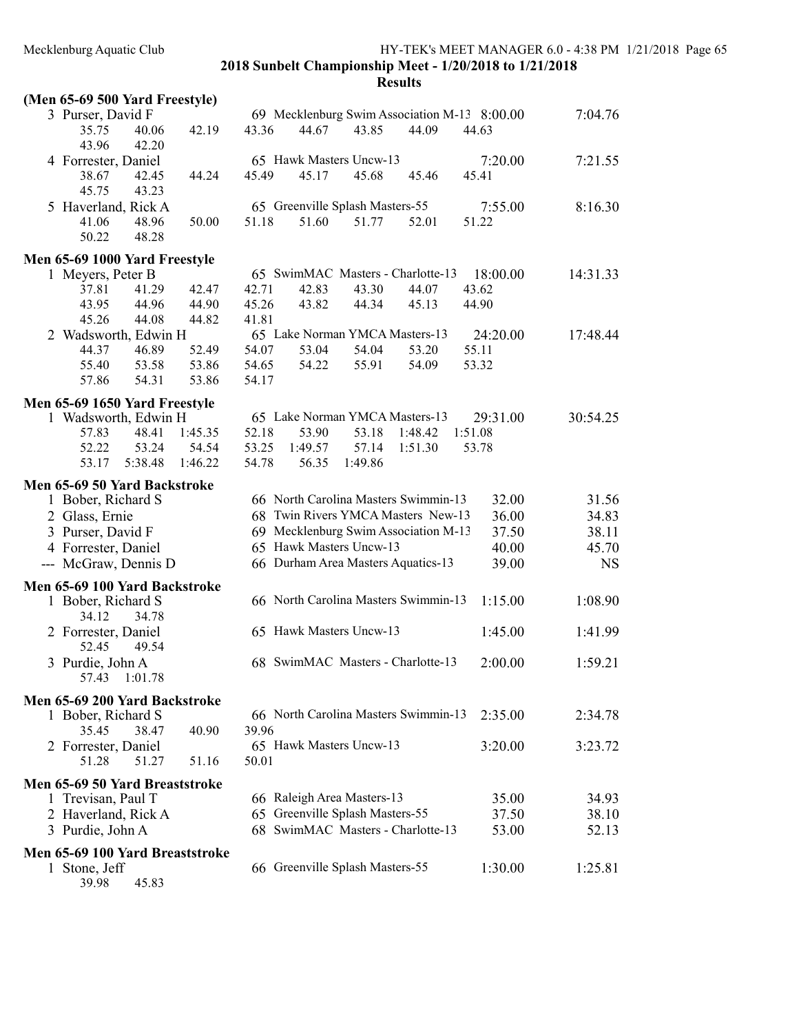| (Men 65-69 500 Yard Freestyle)            |                                              |                      |
|-------------------------------------------|----------------------------------------------|----------------------|
| 3 Purser, David F                         | 69 Mecklenburg Swim Association M-13 8:00.00 | 7:04.76              |
| 35.75<br>40.06<br>42.19<br>43.96<br>42.20 | 43.36<br>43.85<br>44.09<br>44.67             | 44.63                |
| 4 Forrester, Daniel                       | 65 Hawk Masters Uncw-13                      | 7:20.00<br>7:21.55   |
| 38.67<br>42.45<br>44.24<br>45.75<br>43.23 | 45.49<br>45.17<br>45.68<br>45.46             | 45.41                |
| 5 Haverland, Rick A                       | 65 Greenville Splash Masters-55              | 7:55.00<br>8:16.30   |
| 50.00<br>41.06<br>48.96<br>50.22<br>48.28 | 51.18<br>51.60<br>51.77<br>52.01             | 51.22                |
| Men 65-69 1000 Yard Freestyle             |                                              |                      |
| 1 Meyers, Peter B                         | 65 SwimMAC Masters - Charlotte-13            | 18:00.00<br>14:31.33 |
| 37.81<br>41.29<br>42.47                   | 42.71<br>42.83<br>43.30<br>44.07             | 43.62                |
| 43.95<br>44.96<br>44.90                   | 45.26<br>43.82<br>44.34<br>45.13             | 44.90                |
| 45.26<br>44.08<br>44.82                   | 41.81                                        |                      |
| 2 Wadsworth, Edwin H                      | 65 Lake Norman YMCA Masters-13               | 24:20.00<br>17:48.44 |
| 46.89<br>52.49<br>44.37                   | 54.07<br>53.04<br>54.04<br>53.20             | 55.11                |
| 55.40<br>53.58<br>53.86                   | 55.91<br>54.65<br>54.22<br>54.09             | 53.32                |
| 57.86<br>54.31<br>53.86                   | 54.17                                        |                      |
| Men 65-69 1650 Yard Freestyle             |                                              |                      |
| 1 Wadsworth, Edwin H                      | 65 Lake Norman YMCA Masters-13               | 29:31.00<br>30:54.25 |
| 57.83<br>48.41<br>1:45.35                 | 52.18<br>53.18<br>1:48.42<br>53.90           | 1:51.08              |
| 54.54<br>52.22<br>53.24                   | 53.25<br>1:49.57<br>57.14<br>1:51.30         | 53.78                |
| 53.17<br>5:38.48<br>1:46.22               | 54.78<br>56.35<br>1:49.86                    |                      |
| Men 65-69 50 Yard Backstroke              |                                              |                      |
| 1 Bober, Richard S                        | 66 North Carolina Masters Swimmin-13         | 32.00<br>31.56       |
| 2 Glass, Ernie                            | 68 Twin Rivers YMCA Masters New-13           | 36.00<br>34.83       |
| 3 Purser, David F                         | 69 Mecklenburg Swim Association M-13         | 37.50<br>38.11       |
| 4 Forrester, Daniel                       | 65 Hawk Masters Uncw-13                      | 45.70<br>40.00       |
| --- McGraw, Dennis D                      | 66 Durham Area Masters Aquatics-13           | 39.00<br><b>NS</b>   |
| Men 65-69 100 Yard Backstroke             |                                              |                      |
| 1 Bober, Richard S<br>34.12<br>34.78      | 66 North Carolina Masters Swimmin-13         | 1:08.90<br>1:15.00   |
| 2 Forrester, Daniel<br>52.45<br>49.54     | 65 Hawk Masters Uncw-13                      | 1:45.00<br>1:41.99   |
| 3 Purdie, John A<br>57.43<br>1:01.78      | 68 SwimMAC Masters - Charlotte-13            | 2:00.00<br>1:59.21   |
| Men 65-69 200 Yard Backstroke             |                                              |                      |
| 1 Bober, Richard S                        | 66 North Carolina Masters Swimmin-13         | 2:35.00<br>2:34.78   |
| 35.45<br>38.47<br>40.90                   | 39.96                                        |                      |
| 2 Forrester, Daniel                       | 65 Hawk Masters Uncw-13                      | 3:20.00<br>3:23.72   |
| 51.16<br>51.28<br>51.27                   | 50.01                                        |                      |
| Men 65-69 50 Yard Breaststroke            |                                              |                      |
| 1 Trevisan, Paul T                        | 66 Raleigh Area Masters-13                   | 35.00<br>34.93       |
| 2 Haverland, Rick A                       | 65 Greenville Splash Masters-55              | 37.50<br>38.10       |
| 3 Purdie, John A                          | 68 SwimMAC Masters - Charlotte-13            | 53.00<br>52.13       |
|                                           |                                              |                      |
| Men 65-69 100 Yard Breaststroke           |                                              |                      |
| 1 Stone, Jeff<br>45.83<br>39.98           | 66 Greenville Splash Masters-55              | 1:30.00<br>1:25.81   |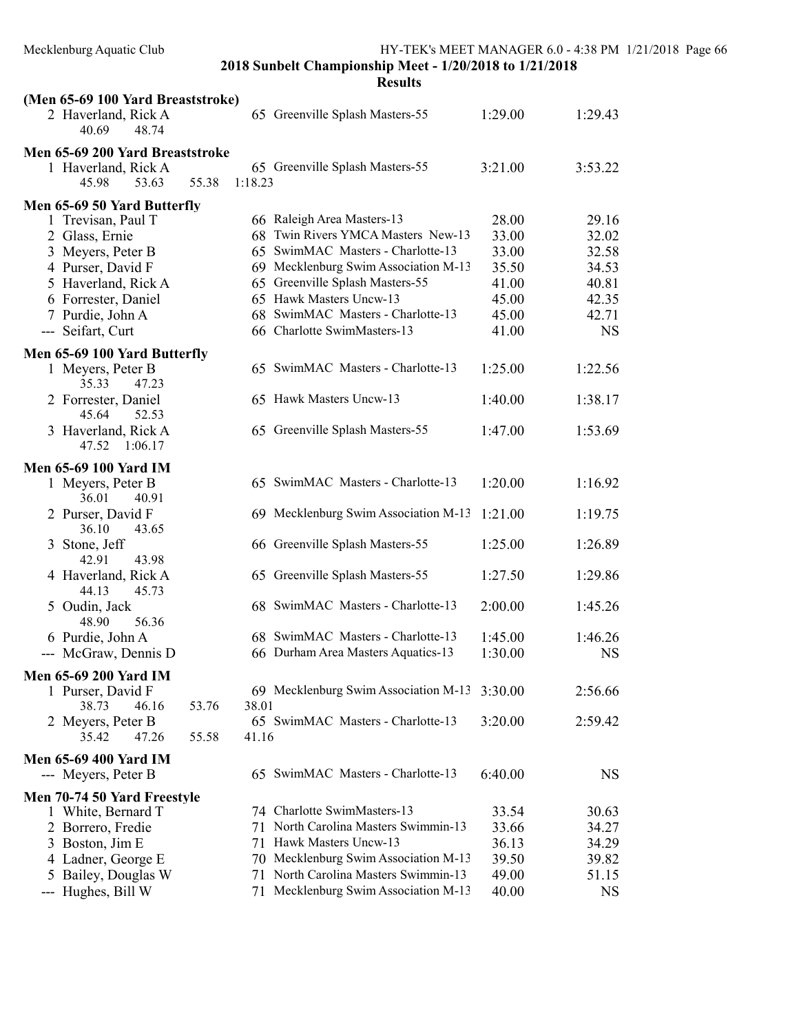| (Men 65-69 100 Yard Breaststroke)            |                                              |         |           |
|----------------------------------------------|----------------------------------------------|---------|-----------|
| 2 Haverland, Rick A<br>40.69<br>48.74        | 65 Greenville Splash Masters-55              | 1:29.00 | 1:29.43   |
| Men 65-69 200 Yard Breaststroke              |                                              |         |           |
| 1 Haverland, Rick A                          | 65 Greenville Splash Masters-55              | 3:21.00 | 3:53.22   |
| 55.38<br>45.98<br>53.63                      | 1:18.23                                      |         |           |
| Men 65-69 50 Yard Butterfly                  |                                              |         |           |
| 1 Trevisan, Paul T                           | 66 Raleigh Area Masters-13                   | 28.00   | 29.16     |
| 2 Glass, Ernie                               | 68 Twin Rivers YMCA Masters New-13           | 33.00   | 32.02     |
| 3 Meyers, Peter B                            | 65 SwimMAC Masters - Charlotte-13            | 33.00   | 32.58     |
| 4 Purser, David F                            | 69 Mecklenburg Swim Association M-13         | 35.50   | 34.53     |
| 5 Haverland, Rick A                          | 65 Greenville Splash Masters-55              | 41.00   | 40.81     |
| 6 Forrester, Daniel                          | 65 Hawk Masters Uncw-13                      | 45.00   | 42.35     |
| 7 Purdie, John A                             | 68 SwimMAC Masters - Charlotte-13            | 45.00   | 42.71     |
| --- Seifart, Curt                            | 66 Charlotte SwimMasters-13                  | 41.00   | <b>NS</b> |
|                                              |                                              |         |           |
| Men 65-69 100 Yard Butterfly                 |                                              |         |           |
| 1 Meyers, Peter B<br>35.33<br>47.23          | 65 SwimMAC Masters - Charlotte-13            | 1:25.00 | 1:22.56   |
| 2 Forrester, Daniel<br>52.53<br>45.64        | 65 Hawk Masters Uncw-13                      | 1:40.00 | 1:38.17   |
| 3 Haverland, Rick A                          | 65 Greenville Splash Masters-55              | 1:47.00 | 1:53.69   |
| 47.52 1:06.17                                |                                              |         |           |
| <b>Men 65-69 100 Yard IM</b>                 |                                              |         |           |
| 1 Meyers, Peter B                            | 65 SwimMAC Masters - Charlotte-13            | 1:20.00 | 1:16.92   |
| 36.01<br>40.91                               |                                              |         |           |
| 2 Purser, David F<br>36.10<br>43.65          | 69 Mecklenburg Swim Association M-13         | 1:21.00 | 1:19.75   |
| 3 Stone, Jeff<br>42.91<br>43.98              | 66 Greenville Splash Masters-55              | 1:25.00 | 1:26.89   |
| 4 Haverland, Rick A<br>44.13<br>45.73        | 65 Greenville Splash Masters-55              | 1:27.50 | 1:29.86   |
| 5 Oudin, Jack<br>56.36<br>48.90              | 68 SwimMAC Masters - Charlotte-13            | 2:00.00 | 1:45.26   |
| 6 Purdie, John A                             | 68 SwimMAC Masters - Charlotte-13            | 1:45.00 | 1:46.26   |
| --- McGraw, Dennis D                         | 66 Durham Area Masters Aquatics-13           | 1:30.00 | <b>NS</b> |
|                                              |                                              |         |           |
| Men 65-69 200 Yard IM                        | 69 Mecklenburg Swim Association M-13 3:30.00 |         | 2:56.66   |
| 1 Purser, David F<br>38.73<br>46.16<br>53.76 | 38.01                                        |         |           |
|                                              | 65 SwimMAC Masters - Charlotte-13            | 3:20.00 | 2:59.42   |
| 2 Meyers, Peter B<br>35.42<br>47.26<br>55.58 | 41.16                                        |         |           |
| <b>Men 65-69 400 Yard IM</b>                 |                                              |         |           |
| --- Meyers, Peter B                          | 65 SwimMAC Masters - Charlotte-13            | 6:40.00 | <b>NS</b> |
|                                              |                                              |         |           |
| Men 70-74 50 Yard Freestyle                  | 74 Charlotte SwimMasters-13                  |         |           |
| 1 White, Bernard T                           | North Carolina Masters Swimmin-13            | 33.54   | 30.63     |
| 2 Borrero, Fredie                            | 71                                           | 33.66   | 34.27     |
| 3 Boston, Jim E                              | Hawk Masters Uncw-13<br>71                   | 36.13   | 34.29     |
| 4 Ladner, George E                           | Mecklenburg Swim Association M-13<br>70      | 39.50   | 39.82     |
| 5 Bailey, Douglas W                          | North Carolina Masters Swimmin-13<br>71      | 49.00   | 51.15     |
| --- Hughes, Bill W                           | Mecklenburg Swim Association M-13<br>71      | 40.00   | <b>NS</b> |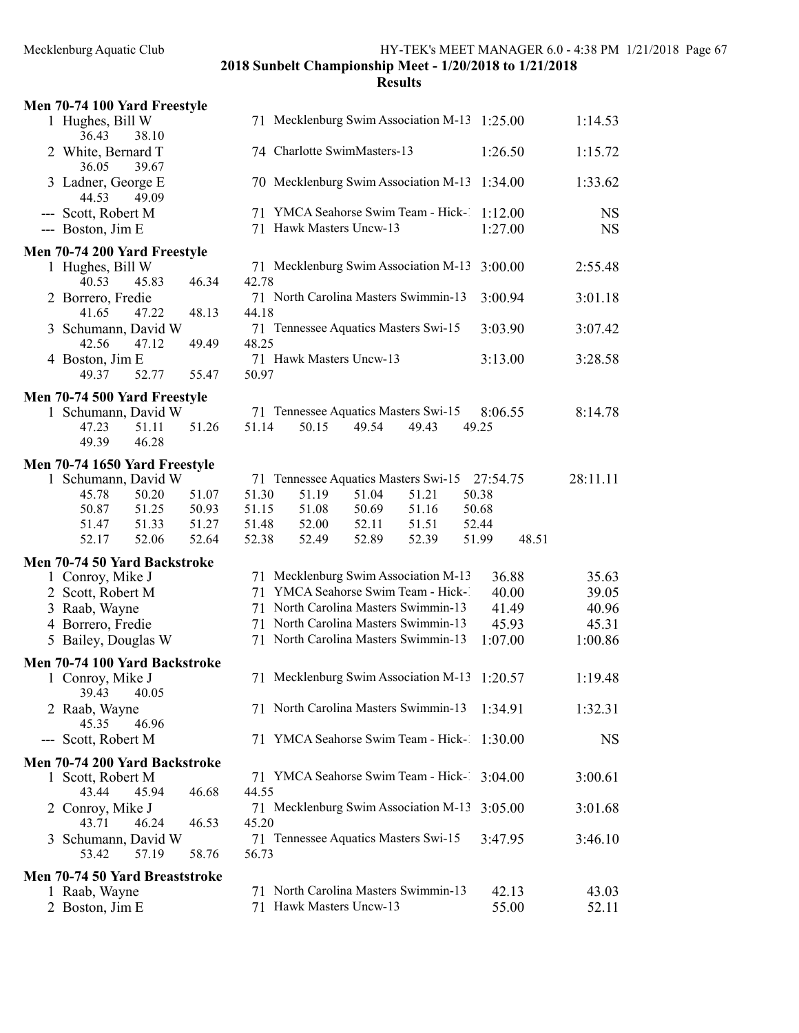| 1 Hughes, Bill W<br>36.43<br>38.10                                                                 |                                                                                                                                                         |                                                                                                                                                                                                                                                                                                                                                                               |                                                                                                          |                                  |                                                                                                              |                                                                                                                                                                                                                                                                                                                                                                                                                                                                                                                                                                                                                                                                                                    | 1:14.53                                                                                                                                                                                                                                                                                                                                                              |
|----------------------------------------------------------------------------------------------------|---------------------------------------------------------------------------------------------------------------------------------------------------------|-------------------------------------------------------------------------------------------------------------------------------------------------------------------------------------------------------------------------------------------------------------------------------------------------------------------------------------------------------------------------------|----------------------------------------------------------------------------------------------------------|----------------------------------|--------------------------------------------------------------------------------------------------------------|----------------------------------------------------------------------------------------------------------------------------------------------------------------------------------------------------------------------------------------------------------------------------------------------------------------------------------------------------------------------------------------------------------------------------------------------------------------------------------------------------------------------------------------------------------------------------------------------------------------------------------------------------------------------------------------------------|----------------------------------------------------------------------------------------------------------------------------------------------------------------------------------------------------------------------------------------------------------------------------------------------------------------------------------------------------------------------|
| 2 White, Bernard T<br>36.05                                                                        |                                                                                                                                                         |                                                                                                                                                                                                                                                                                                                                                                               |                                                                                                          |                                  |                                                                                                              |                                                                                                                                                                                                                                                                                                                                                                                                                                                                                                                                                                                                                                                                                                    | 1:15.72                                                                                                                                                                                                                                                                                                                                                              |
| 3 Ladner, George E                                                                                 |                                                                                                                                                         |                                                                                                                                                                                                                                                                                                                                                                               |                                                                                                          |                                  |                                                                                                              |                                                                                                                                                                                                                                                                                                                                                                                                                                                                                                                                                                                                                                                                                                    | 1:33.62                                                                                                                                                                                                                                                                                                                                                              |
| --- Scott, Robert M<br>--- Boston, Jim E                                                           |                                                                                                                                                         |                                                                                                                                                                                                                                                                                                                                                                               |                                                                                                          |                                  |                                                                                                              |                                                                                                                                                                                                                                                                                                                                                                                                                                                                                                                                                                                                                                                                                                    | <b>NS</b><br><b>NS</b>                                                                                                                                                                                                                                                                                                                                               |
| 1 Hughes, Bill W                                                                                   |                                                                                                                                                         |                                                                                                                                                                                                                                                                                                                                                                               |                                                                                                          |                                  |                                                                                                              |                                                                                                                                                                                                                                                                                                                                                                                                                                                                                                                                                                                                                                                                                                    | 2:55.48                                                                                                                                                                                                                                                                                                                                                              |
| 2 Borrero, Fredie                                                                                  |                                                                                                                                                         |                                                                                                                                                                                                                                                                                                                                                                               |                                                                                                          |                                  |                                                                                                              |                                                                                                                                                                                                                                                                                                                                                                                                                                                                                                                                                                                                                                                                                                    | 3:01.18                                                                                                                                                                                                                                                                                                                                                              |
| 3 Schumann, David W                                                                                |                                                                                                                                                         |                                                                                                                                                                                                                                                                                                                                                                               |                                                                                                          |                                  |                                                                                                              |                                                                                                                                                                                                                                                                                                                                                                                                                                                                                                                                                                                                                                                                                                    | 3:07.42                                                                                                                                                                                                                                                                                                                                                              |
| 4 Boston, Jim E<br>52.77<br>49.37                                                                  |                                                                                                                                                         |                                                                                                                                                                                                                                                                                                                                                                               |                                                                                                          |                                  |                                                                                                              |                                                                                                                                                                                                                                                                                                                                                                                                                                                                                                                                                                                                                                                                                                    | 3:28.58                                                                                                                                                                                                                                                                                                                                                              |
| 1 Schumann, David W<br>47.23<br>51.11<br>49.39<br>46.28                                            |                                                                                                                                                         | 50.15                                                                                                                                                                                                                                                                                                                                                                         | 49.54                                                                                                    | 49.43                            | 49.25                                                                                                        |                                                                                                                                                                                                                                                                                                                                                                                                                                                                                                                                                                                                                                                                                                    | 8:14.78                                                                                                                                                                                                                                                                                                                                                              |
| 1 Schumann, David W<br>45.78<br>50.20<br>50.87<br>51.25<br>51.33<br>51.47<br>52.06<br>52.17        |                                                                                                                                                         | 51.19<br>51.08<br>52.00<br>52.49                                                                                                                                                                                                                                                                                                                                              | 51.04<br>50.69<br>52.11<br>52.89                                                                         | 51.21<br>51.16<br>51.51<br>52.39 | 50.38<br>50.68<br>52.44<br>51.99                                                                             | 48.51                                                                                                                                                                                                                                                                                                                                                                                                                                                                                                                                                                                                                                                                                              | 28:11.11                                                                                                                                                                                                                                                                                                                                                             |
| 1 Conroy, Mike J<br>2 Scott, Robert M<br>3 Raab, Wayne<br>4 Borrero, Fredie<br>5 Bailey, Douglas W |                                                                                                                                                         |                                                                                                                                                                                                                                                                                                                                                                               |                                                                                                          |                                  |                                                                                                              |                                                                                                                                                                                                                                                                                                                                                                                                                                                                                                                                                                                                                                                                                                    | 35.63<br>39.05<br>40.96<br>45.31<br>1:00.86                                                                                                                                                                                                                                                                                                                          |
|                                                                                                    |                                                                                                                                                         |                                                                                                                                                                                                                                                                                                                                                                               |                                                                                                          |                                  |                                                                                                              |                                                                                                                                                                                                                                                                                                                                                                                                                                                                                                                                                                                                                                                                                                    | 1:19.48                                                                                                                                                                                                                                                                                                                                                              |
| 39.43<br>40.05<br>2 Raab, Wayne                                                                    |                                                                                                                                                         |                                                                                                                                                                                                                                                                                                                                                                               |                                                                                                          |                                  |                                                                                                              |                                                                                                                                                                                                                                                                                                                                                                                                                                                                                                                                                                                                                                                                                                    | 1:32.31                                                                                                                                                                                                                                                                                                                                                              |
| --- Scott, Robert M                                                                                |                                                                                                                                                         |                                                                                                                                                                                                                                                                                                                                                                               |                                                                                                          |                                  |                                                                                                              |                                                                                                                                                                                                                                                                                                                                                                                                                                                                                                                                                                                                                                                                                                    | <b>NS</b>                                                                                                                                                                                                                                                                                                                                                            |
| 1 Scott, Robert M                                                                                  |                                                                                                                                                         |                                                                                                                                                                                                                                                                                                                                                                               |                                                                                                          |                                  |                                                                                                              |                                                                                                                                                                                                                                                                                                                                                                                                                                                                                                                                                                                                                                                                                                    | 3:00.61                                                                                                                                                                                                                                                                                                                                                              |
| 2 Conroy, Mike J                                                                                   |                                                                                                                                                         |                                                                                                                                                                                                                                                                                                                                                                               |                                                                                                          |                                  |                                                                                                              |                                                                                                                                                                                                                                                                                                                                                                                                                                                                                                                                                                                                                                                                                                    | 3:01.68                                                                                                                                                                                                                                                                                                                                                              |
| 3 Schumann, David W<br>53.42<br>57.19                                                              |                                                                                                                                                         |                                                                                                                                                                                                                                                                                                                                                                               |                                                                                                          |                                  |                                                                                                              |                                                                                                                                                                                                                                                                                                                                                                                                                                                                                                                                                                                                                                                                                                    | 3:46.10                                                                                                                                                                                                                                                                                                                                                              |
| 1 Raab, Wayne<br>2 Boston, Jim E                                                                   |                                                                                                                                                         |                                                                                                                                                                                                                                                                                                                                                                               |                                                                                                          |                                  |                                                                                                              |                                                                                                                                                                                                                                                                                                                                                                                                                                                                                                                                                                                                                                                                                                    | 43.03<br>52.11                                                                                                                                                                                                                                                                                                                                                       |
|                                                                                                    | 39.67<br>44.53<br>49.09<br>40.53<br>45.83<br>41.65<br>47.22<br>42.56<br>47.12<br>1 Conroy, Mike J<br>46.96<br>45.35<br>43.44<br>45.94<br>43.71<br>46.24 | Men 70-74 100 Yard Freestyle<br>Men 70-74 200 Yard Freestyle<br>46.34<br>48.13<br>49.49<br>55.47<br>Men 70-74 500 Yard Freestyle<br>51.26<br>Men 70-74 1650 Yard Freestyle<br>51.07<br>50.93<br>51.27<br>52.64<br>Men 70-74 50 Yard Backstroke<br>Men 70-74 100 Yard Backstroke<br>Men 70-74 200 Yard Backstroke<br>46.68<br>46.53<br>58.76<br>Men 70-74 50 Yard Breaststroke | 42.78<br>44.18<br>48.25<br>50.97<br>51.14<br>51.30<br>51.15<br>51.48<br>52.38<br>44.55<br>45.20<br>56.73 |                                  | 74 Charlotte SwimMasters-13<br>71 Hawk Masters Uncw-13<br>71 Hawk Masters Uncw-13<br>71 Hawk Masters Uncw-13 | 70 Mecklenburg Swim Association M-13<br>71 YMCA Seahorse Swim Team - Hick-1<br>71 Mecklenburg Swim Association M-13<br>71 North Carolina Masters Swimmin-13<br>71 Tennessee Aquatics Masters Swi-15<br>71 Tennessee Aquatics Masters Swi-15<br>71 Tennessee Aquatics Masters Swi-15<br>71 Mecklenburg Swim Association M-13<br>71 YMCA Seahorse Swim Team - Hick-1<br>71 North Carolina Masters Swimmin-13<br>71 North Carolina Masters Swimmin-13<br>71 North Carolina Masters Swimmin-13<br>71 Mecklenburg Swim Association M-13<br>71 North Carolina Masters Swimmin-13<br>71 Mecklenburg Swim Association M-13<br>71 Tennessee Aquatics Masters Swi-15<br>71 North Carolina Masters Swimmin-13 | 71 Mecklenburg Swim Association M-13 1:25.00<br>1:26.50<br>1:34.00<br>1:12.00<br>1:27.00<br>3:00.00<br>3:00.94<br>3:03.90<br>3:13.00<br>8:06.55<br>27:54.75<br>36.88<br>40.00<br>41.49<br>45.93<br>1:07.00<br>1:20.57<br>1:34.91<br>71 YMCA Seahorse Swim Team - Hick- 1:30.00<br>71 YMCA Seahorse Swim Team - Hick- 3:04.00<br>3:05.00<br>3:47.95<br>42.13<br>55.00 |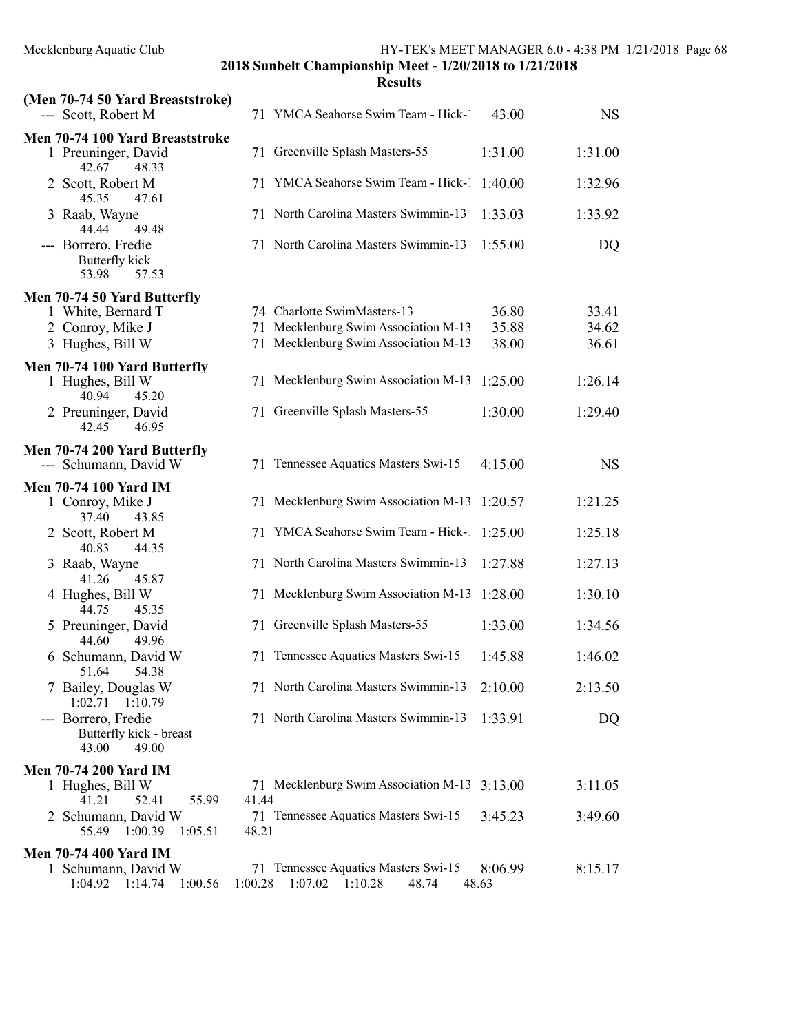| (Men 70-74 50 Yard Breaststroke)<br>--- Scott, Robert M          |         | 71 YMCA Seahorse Swim Team - Hick-1                                  | 43.00            | <b>NS</b> |
|------------------------------------------------------------------|---------|----------------------------------------------------------------------|------------------|-----------|
| Men 70-74 100 Yard Breaststroke<br>1 Preuninger, David           |         | 71 Greenville Splash Masters-55                                      | 1:31.00          | 1:31.00   |
| 42.67<br>48.33<br>2 Scott, Robert M                              | 71      | YMCA Seahorse Swim Team - Hick-1                                     | 1:40.00          | 1:32.96   |
| 47.61<br>45.35<br>3 Raab, Wayne<br>44.44<br>49.48                |         | 71 North Carolina Masters Swimmin-13                                 | 1:33.03          | 1:33.92   |
| --- Borrero, Fredie<br>Butterfly kick<br>57.53<br>53.98          |         | 71 North Carolina Masters Swimmin-13                                 | 1:55.00          | DQ        |
| Men 70-74 50 Yard Butterfly                                      |         |                                                                      |                  |           |
| 1 White, Bernard T                                               |         | 74 Charlotte SwimMasters-13                                          | 36.80            | 33.41     |
| 2 Conroy, Mike J                                                 |         | 71 Mecklenburg Swim Association M-13                                 | 35.88            | 34.62     |
| 3 Hughes, Bill W                                                 |         | 71 Mecklenburg Swim Association M-13                                 | 38.00            | 36.61     |
| Men 70-74 100 Yard Butterfly                                     |         |                                                                      |                  |           |
| 1 Hughes, Bill W                                                 |         | 71 Mecklenburg Swim Association M-13                                 | 1:25.00          | 1:26.14   |
| 40.94<br>45.20<br>2 Preuninger, David<br>42.45<br>46.95          |         | 71 Greenville Splash Masters-55                                      | 1:30.00          | 1:29.40   |
|                                                                  |         |                                                                      |                  |           |
| Men 70-74 200 Yard Butterfly<br>--- Schumann, David W            |         | 71 Tennessee Aquatics Masters Swi-15                                 | 4:15.00          | <b>NS</b> |
| <b>Men 70-74 100 Yard IM</b>                                     |         |                                                                      |                  |           |
| 1 Conroy, Mike J<br>43.85<br>37.40                               |         | 71 Mecklenburg Swim Association M-13                                 | 1:20.57          | 1:21.25   |
| 2 Scott, Robert M<br>40.83<br>44.35                              | 71      | YMCA Seahorse Swim Team - Hick-1                                     | 1:25.00          | 1:25.18   |
| 3 Raab, Wayne<br>45.87<br>41.26                                  |         | 71 North Carolina Masters Swimmin-13                                 | 1:27.88          | 1:27.13   |
| 4 Hughes, Bill W<br>44.75<br>45.35                               |         | 71 Mecklenburg Swim Association M-13                                 | 1:28.00          | 1:30.10   |
| 5 Preuninger, David<br>44.60<br>49.96                            |         | 71 Greenville Splash Masters-55                                      | 1:33.00          | 1:34.56   |
| 6 Schumann, David W<br>51.64 54.38                               | 71      | Tennessee Aquatics Masters Swi-15                                    | 1:45.88          | 1:46.02   |
| 7 Bailey, Douglas W<br>1:02.71<br>1:10.79                        |         | 71 North Carolina Masters Swimmin-13                                 | 2:10.00          | 2:13.50   |
| --- Borrero, Fredie<br>Butterfly kick - breast<br>49.00<br>43.00 |         | 71 North Carolina Masters Swimmin-13                                 | 1:33.91          | DQ        |
| <b>Men 70-74 200 Yard IM</b>                                     |         |                                                                      |                  |           |
| 1 Hughes, Bill W                                                 |         | 71 Mecklenburg Swim Association M-13                                 | 3:13.00          | 3:11.05   |
| 41.21<br>52.41<br>55.99                                          | 41.44   |                                                                      |                  |           |
| 2 Schumann, David W<br>1:00.39<br>1:05.51<br>55.49               | 48.21   | 71 Tennessee Aquatics Masters Swi-15                                 | 3:45.23          | 3:49.60   |
| <b>Men 70-74 400 Yard IM</b>                                     |         |                                                                      |                  |           |
| 1 Schumann, David W<br>1:04.92<br>1:14.74<br>1:00.56             | 1:00.28 | 71 Tennessee Aquatics Masters Swi-15<br>$1:07.02$ $1:10.28$<br>48.74 | 8:06.99<br>48.63 | 8:15.17   |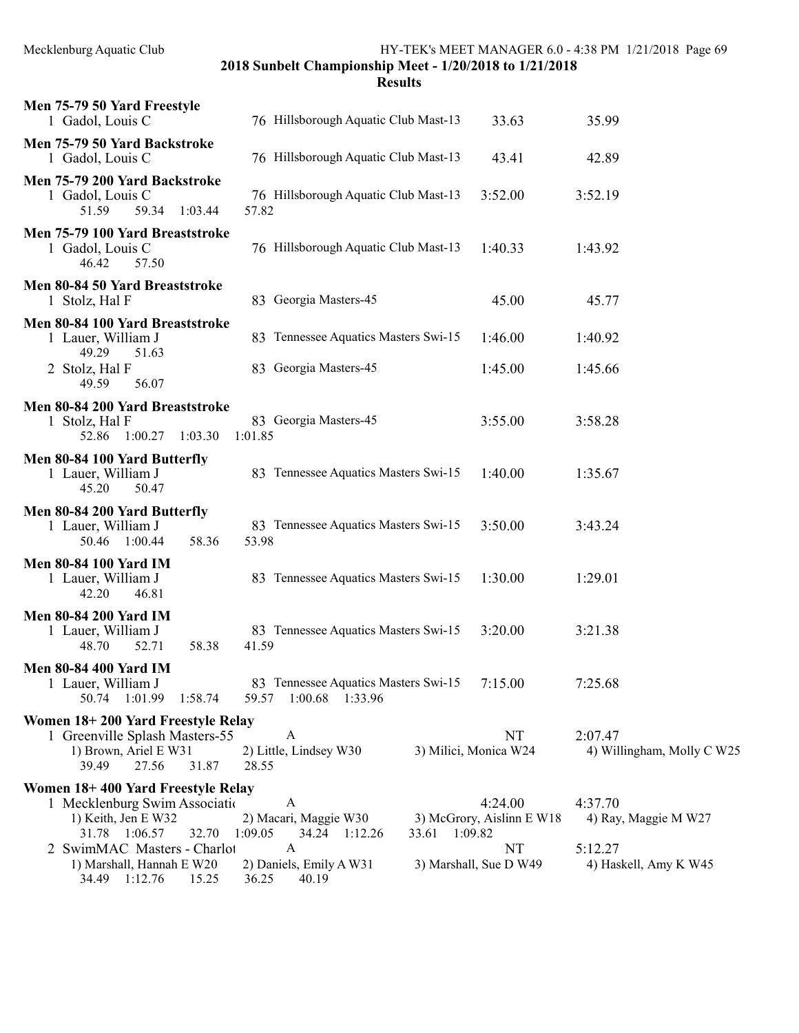| Mecklenburg Aquatic Club |  |
|--------------------------|--|
|--------------------------|--|

HY-TEK's MEET MANAGER 6.0 - 4:38 PM 1/21/2018 Page 69

2018 Sunbelt Championship Meet - 1/20/2018 to 1/21/2018

| Men 75-79 50 Yard Freestyle<br>1 Gadol, Louis C                                                                                                                                  | 76 Hillsborough Aquatic Club Mast-13                                                                    | 33.63                                                                | 35.99                                                               |
|----------------------------------------------------------------------------------------------------------------------------------------------------------------------------------|---------------------------------------------------------------------------------------------------------|----------------------------------------------------------------------|---------------------------------------------------------------------|
| Men 75-79 50 Yard Backstroke<br>1 Gadol, Louis C                                                                                                                                 | 76 Hillsborough Aquatic Club Mast-13                                                                    | 43.41                                                                | 42.89                                                               |
| Men 75-79 200 Yard Backstroke<br>1 Gadol, Louis C<br>51.59<br>59.34<br>1:03.44                                                                                                   | 76 Hillsborough Aquatic Club Mast-13<br>57.82                                                           | 3:52.00                                                              | 3:52.19                                                             |
| Men 75-79 100 Yard Breaststroke<br>1 Gadol, Louis C<br>57.50<br>46.42                                                                                                            | 76 Hillsborough Aquatic Club Mast-13                                                                    | 1:40.33                                                              | 1:43.92                                                             |
| Men 80-84 50 Yard Breaststroke<br>1 Stolz, Hal F                                                                                                                                 | 83 Georgia Masters-45                                                                                   | 45.00                                                                | 45.77                                                               |
| Men 80-84 100 Yard Breaststroke<br>1 Lauer, William J                                                                                                                            | 83 Tennessee Aquatics Masters Swi-15                                                                    | 1:46.00                                                              | 1:40.92                                                             |
| 49.29<br>51.63<br>2 Stolz, Hal F<br>49.59<br>56.07                                                                                                                               | 83 Georgia Masters-45                                                                                   | 1:45.00                                                              | 1:45.66                                                             |
| Men 80-84 200 Yard Breaststroke<br>1 Stolz, Hal F<br>52.86 1:00.27 1:03.30                                                                                                       | 83 Georgia Masters-45<br>1:01.85                                                                        | 3:55.00                                                              | 3:58.28                                                             |
| Men 80-84 100 Yard Butterfly<br>1 Lauer, William J<br>45.20<br>50.47                                                                                                             | 83 Tennessee Aquatics Masters Swi-15                                                                    | 1:40.00                                                              | 1:35.67                                                             |
| Men 80-84 200 Yard Butterfly<br>1 Lauer, William J<br>50.46 1:00.44<br>58.36                                                                                                     | 83 Tennessee Aquatics Masters Swi-15<br>53.98                                                           | 3:50.00                                                              | 3:43.24                                                             |
| <b>Men 80-84 100 Yard IM</b><br>1 Lauer, William J<br>42.20<br>46.81                                                                                                             | 83 Tennessee Aquatics Masters Swi-15                                                                    | 1:30.00                                                              | 1:29.01                                                             |
| <b>Men 80-84 200 Yard IM</b><br>1 Lauer, William J<br>58.38<br>48.70<br>52.71                                                                                                    | 83 Tennessee Aquatics Masters Swi-15<br>41.59                                                           | 3:20.00                                                              | 3:21.38                                                             |
| <b>Men 80-84 400 Yard IM</b><br>1 Lauer, William J<br>50.74  1:01.99  1:58.74                                                                                                    | 83 Tennessee Aquatics Masters Swi-15<br>59.57 1:00.68 1:33.96                                           | 7:15.00                                                              | 7:25.68                                                             |
| Women 18+200 Yard Freestyle Relay<br>1 Greenville Splash Masters-55<br>1) Brown, Ariel E W31<br>39.49<br>27.56<br>31.87                                                          | A<br>2) Little, Lindsey W30<br>28.55                                                                    | <b>NT</b><br>3) Milici, Monica W24                                   | 2:07.47<br>4) Willingham, Molly C W25                               |
| Women 18+400 Yard Freestyle Relay<br>1 Mecklenburg Swim Association<br>1) Keith, Jen E W32<br>31.78 1:06.57<br>32.70<br>2 SwimMAC Masters - Charlot<br>1) Marshall, Hannah E W20 | A<br>2) Macari, Maggie W30<br>1:09.05<br>33.61 1:09.82<br>34.24 1:12.26<br>A<br>2) Daniels, Emily A W31 | 4:24.00<br>3) McGrory, Aislinn E W18<br>NT<br>3) Marshall, Sue D W49 | 4:37.70<br>4) Ray, Maggie M W27<br>5:12.27<br>4) Haskell, Amy K W45 |
| 34.49 1:12.76<br>15.25                                                                                                                                                           | 36.25<br>40.19                                                                                          |                                                                      |                                                                     |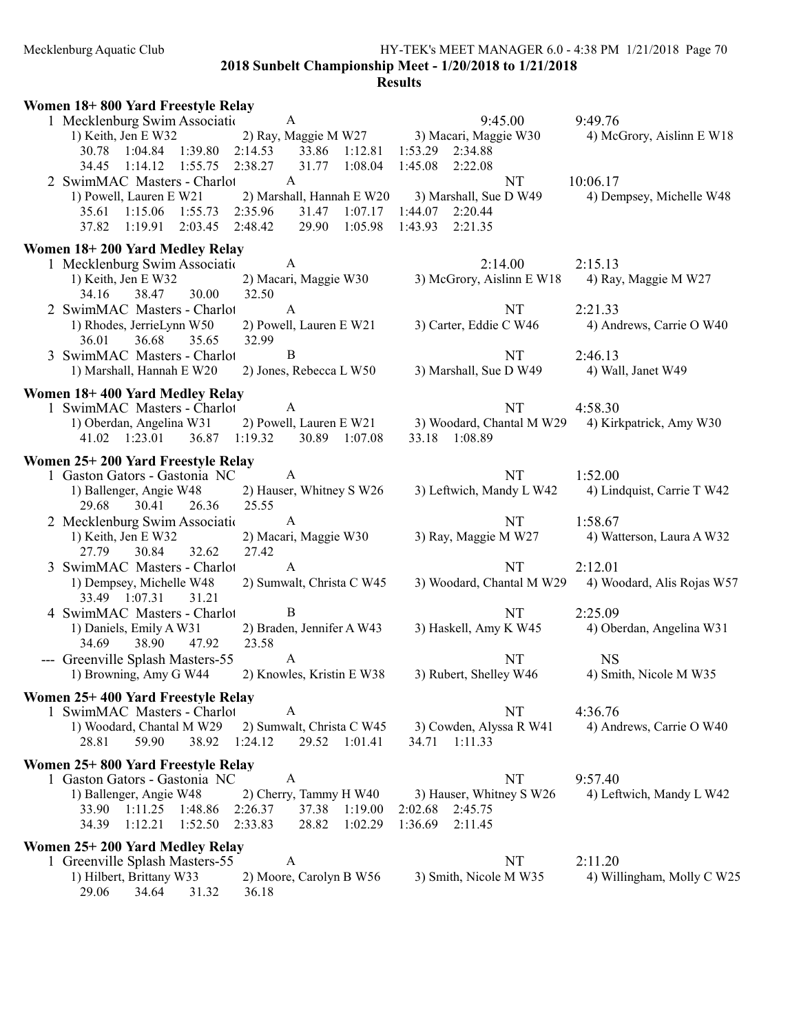### Mecklenburg Aquatic Club HY-TEK's MEET MANAGER 6.0 - 4:38 PM 1/21/2018 Page 70 2018 Sunbelt Championship Meet - 1/20/2018 to 1/21/2018

| Women 18+800 Yard Freestyle Relay                                                                      |                                          |                                       |  |  |  |
|--------------------------------------------------------------------------------------------------------|------------------------------------------|---------------------------------------|--|--|--|
| 1 Mecklenburg Swim Association<br>A                                                                    | 9:45.00                                  | 9:49.76                               |  |  |  |
| 2) Ray, Maggie M W27<br>1) Keith, Jen E W32<br>2:14.53<br>30.78  1:04.84  1:39.80<br>33.86 1:12.81     | 3) Macari, Maggie W30<br>1:53.29 2:34.88 | 4) McGrory, Aislinn E W18             |  |  |  |
| 34.45 1:14.12 1:55.75<br>2:38.27<br>31.77<br>1:08.04                                                   | 1:45.08<br>2:22.08                       |                                       |  |  |  |
| $\mathbf{A}$<br>2 SwimMAC Masters - Charlot                                                            | NT                                       | 10:06.17                              |  |  |  |
| 2) Marshall, Hannah E W20<br>1) Powell, Lauren E W21                                                   | 3) Marshall, Sue D W49                   | 4) Dempsey, Michelle W48              |  |  |  |
| 2:35.96<br>1:15.06 1:55.73<br>31.47<br>1:07.17<br>35.61                                                | 1:44.07 2:20.44                          |                                       |  |  |  |
| 2:03.45<br>2:48.42<br>29.90<br>1:05.98<br>37.82<br>1:19.91                                             | 1:43.93<br>2:21.35                       |                                       |  |  |  |
| Women 18+200 Yard Medley Relay                                                                         |                                          |                                       |  |  |  |
| $\mathbf{A}$<br>1 Mecklenburg Swim Association                                                         | 2:14.00                                  | 2:15.13                               |  |  |  |
| 1) Keith, Jen E W32<br>2) Macari, Maggie W30                                                           | 3) McGrory, Aislinn E W18                | 4) Ray, Maggie M W27                  |  |  |  |
| 38.47<br>32.50<br>30.00<br>34.16                                                                       |                                          |                                       |  |  |  |
| 2 SwimMAC Masters - Charlot<br>$\mathbf{A}$                                                            | NT                                       | 2:21.33                               |  |  |  |
| 1) Rhodes, JerrieLynn W50<br>2) Powell, Lauren E W21<br>36.01<br>36.68<br>32.99<br>35.65               | 3) Carter, Eddie C W46                   | 4) Andrews, Carrie O W40              |  |  |  |
| 3 SwimMAC Masters - Charlot<br>B                                                                       | NT                                       | 2:46.13                               |  |  |  |
| 1) Marshall, Hannah E W20<br>2) Jones, Rebecca L W50                                                   | 3) Marshall, Sue D W49                   | 4) Wall, Janet W49                    |  |  |  |
| Women 18+400 Yard Medley Relay                                                                         |                                          |                                       |  |  |  |
| 1 SwimMAC Masters - Charlot<br>A                                                                       | NT                                       | 4:58.30                               |  |  |  |
| 1) Oberdan, Angelina W31<br>2) Powell, Lauren E W21                                                    | 3) Woodard, Chantal M W29                | 4) Kirkpatrick, Amy W30               |  |  |  |
| 41.02 1:23.01<br>36.87<br>1:19.32<br>30.89 1:07.08                                                     | 33.18<br>1:08.89                         |                                       |  |  |  |
| Women 25+200 Yard Freestyle Relay                                                                      |                                          |                                       |  |  |  |
| $\mathbf{A}$<br>1 Gaston Gators - Gastonia NC                                                          | NT                                       | 1:52.00                               |  |  |  |
| 2) Hauser, Whitney S W26<br>1) Ballenger, Angie W48                                                    | 3) Leftwich, Mandy L W42                 | 4) Lindquist, Carrie T W42            |  |  |  |
| 29.68 30.41<br>26.36<br>25.55                                                                          |                                          |                                       |  |  |  |
| $\mathbf{A}$<br>2 Mecklenburg Swim Association                                                         | NT                                       | 1:58.67                               |  |  |  |
| 1) Keith, Jen E W32<br>2) Macari, Maggie W30                                                           | 3) Ray, Maggie M W27                     | 4) Watterson, Laura A W32             |  |  |  |
| 27.42<br>27.79<br>30.84<br>32.62                                                                       |                                          |                                       |  |  |  |
| 3 SwimMAC Masters - Charlot<br>A                                                                       | NT                                       | 2:12.01                               |  |  |  |
| 2) Sumwalt, Christa C W45<br>1) Dempsey, Michelle W48<br>33.49 1:07.31<br>31.21                        | 3) Woodard, Chantal M W29                | 4) Woodard, Alis Rojas W57            |  |  |  |
| $\bf{B}$<br>4 SwimMAC Masters - Charlot                                                                | NT                                       | 2:25.09                               |  |  |  |
| 2) Braden, Jennifer A W43<br>1) Daniels, Emily A W31                                                   | 3) Haskell, Amy K W45                    | 4) Oberdan, Angelina W31              |  |  |  |
| 38.90<br>34.69<br>47.92<br>23.58                                                                       |                                          |                                       |  |  |  |
| --- Greenville Splash Masters-55<br>A                                                                  | NT                                       | <b>NS</b>                             |  |  |  |
| 2) Knowles, Kristin E W38<br>1) Browning, Amy G W44                                                    | 3) Rubert, Shelley W46                   | 4) Smith, Nicole M W35                |  |  |  |
| Women 25+400 Yard Freestyle Relay                                                                      |                                          |                                       |  |  |  |
| $\mathbf{A}$<br>1 SwimMAC Masters - Charlot                                                            | NT                                       | 4:36.76                               |  |  |  |
| 1) Woodard, Chantal M W29 2) Sumwalt, Christa C W45                                                    | 3) Cowden, Alyssa R W41                  | 4) Andrews, Carrie O W40              |  |  |  |
| 28.81<br>59.90<br>38.92 1:24.12<br>29.52 1:01.41                                                       | 34.71 1:11.33                            |                                       |  |  |  |
| Women 25+800 Yard Freestyle Relay                                                                      |                                          |                                       |  |  |  |
| 1 Gaston Gators - Gastonia NC<br>A                                                                     | NT                                       | 9:57.40                               |  |  |  |
| 1) Ballenger, Angie W48<br>2) Cherry, Tammy H W40                                                      | 3) Hauser, Whitney S W26                 | 4) Leftwich, Mandy L W42              |  |  |  |
| 33.90 1:11.25 1:48.86<br>2:26.37<br>37.38 1:19.00<br>28.82 1:02.29<br>34.39 1:12.21 1:52.50<br>2:33.83 | 2:02.68 2:45.75<br>1:36.69<br>2:11.45    |                                       |  |  |  |
|                                                                                                        |                                          |                                       |  |  |  |
| Women 25+200 Yard Medley Relay<br>A                                                                    |                                          |                                       |  |  |  |
| 1 Greenville Splash Masters-55<br>1) Hilbert, Brittany W33<br>2) Moore, Carolyn B W56                  | NT<br>3) Smith, Nicole M W35             | 2:11.20<br>4) Willingham, Molly C W25 |  |  |  |
| 29.06<br>34.64<br>31.32<br>36.18                                                                       |                                          |                                       |  |  |  |
|                                                                                                        |                                          |                                       |  |  |  |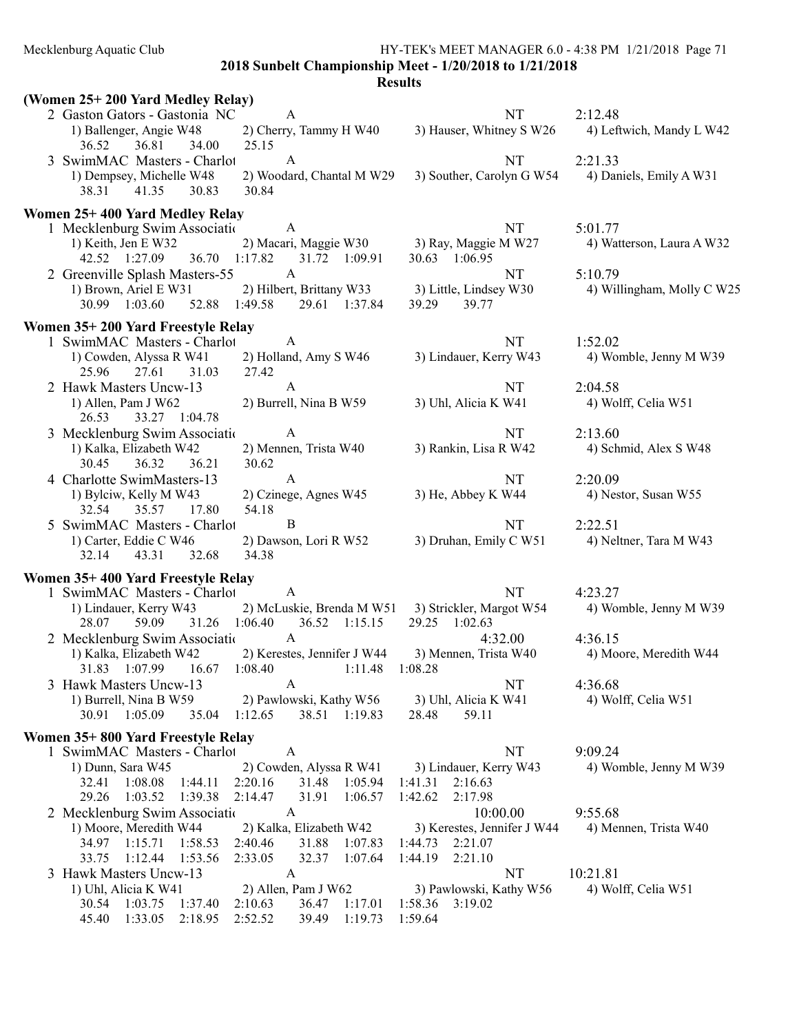Mecklenburg Aquatic Club HY-TEK's MEET MANAGER 6.0 - 4:38 PM 1/21/2018 Page 71

2018 Sunbelt Championship Meet - 1/20/2018 to 1/21/2018

|                                   | (Women 25+200 Yard Medley Relay)                                          |                                                            |                                                     |                            |  |
|-----------------------------------|---------------------------------------------------------------------------|------------------------------------------------------------|-----------------------------------------------------|----------------------------|--|
|                                   | 2 Gaston Gators - Gastonia NC                                             | A                                                          | <b>NT</b>                                           | 2:12.48                    |  |
|                                   | 1) Ballenger, Angie W48                                                   |                                                            | 2) Cherry, Tammy H W40 3) Hauser, Whitney S W26     | 4) Leftwich, Mandy L W42   |  |
|                                   | 36.81<br>36.52<br>34.00                                                   | 25.15                                                      |                                                     |                            |  |
|                                   | 3 SwimMAC Masters - Charlot                                               | A                                                          | NT                                                  | 2:21.33                    |  |
|                                   | 1) Dempsey, Michelle W48<br>41.35<br>38.31<br>30.83                       | 30.84                                                      | 2) Woodard, Chantal M W29 3) Souther, Carolyn G W54 | 4) Daniels, Emily A W31    |  |
|                                   |                                                                           |                                                            |                                                     |                            |  |
|                                   | Women 25+400 Yard Medley Relay                                            |                                                            |                                                     |                            |  |
|                                   | 1 Mecklenburg Swim Association A                                          | 2) Macari, Maggie W30 3) Ray, Maggie M W27                 | NT                                                  | 5:01.77                    |  |
|                                   | 1) Keith, Jen E W32<br>42.52 1:27.09 36.70 1:17.82 31.72 1:09.91          |                                                            | 30.63 1:06.95                                       | 4) Watterson, Laura A W32  |  |
|                                   | 2 Greenville Splash Masters-55                                            | $\mathbf{A}$                                               | <b>NT</b>                                           | 5:10.79                    |  |
|                                   | 1) Brown, Ariel E W31                                                     | 2) Hilbert, Brittany W33 3) Little, Lindsey W30            |                                                     | 4) Willingham, Molly C W25 |  |
|                                   | 30.99 1:03.60 52.88 1:49.58                                               | 29.61 1:37.84                                              | 39.77<br>39.29                                      |                            |  |
|                                   | Women 35+200 Yard Freestyle Relay                                         |                                                            |                                                     |                            |  |
|                                   | 1 SwimMAC Masters - Charlot                                               | $\overline{A}$                                             | NT                                                  | 1:52.02                    |  |
|                                   | 1) Cowden, Alyssa R W41                                                   | 2) Holland, Amy S W46                                      | 3) Lindauer, Kerry W43                              | 4) Womble, Jenny M W39     |  |
|                                   | 25.96<br>27.61<br>31.03                                                   | 27.42                                                      |                                                     |                            |  |
|                                   | 2 Hawk Masters Uncw-13                                                    | A                                                          | NT                                                  | 2:04.58                    |  |
|                                   | 1) Allen, Pam J W62                                                       | 2) Burrell, Nina B W59                                     | 3) Uhl, Alicia K W41                                | 4) Wolff, Celia W51        |  |
|                                   | 33.27 1:04.78<br>26.53                                                    |                                                            |                                                     |                            |  |
|                                   | 3 Mecklenburg Swim Associatio                                             | $\mathbf{A}$                                               | NT                                                  | 2:13.60                    |  |
|                                   | 1) Kalka, Elizabeth W42                                                   | 2) Mennen, Trista W40                                      | 3) Rankin, Lisa R W42                               | 4) Schmid, Alex S W48      |  |
|                                   | 30.45<br>36.32<br>36.21                                                   | 30.62                                                      |                                                     |                            |  |
|                                   | 4 Charlotte SwimMasters-13                                                | $\mathbf{A}$                                               | NT                                                  | 2:20.09                    |  |
|                                   | 1) Bylciw, Kelly M W43<br>35.57<br>17.80<br>32.54                         | 2) Czinege, Agnes W45<br>54.18                             | 3) He, Abbey K W44                                  | 4) Nestor, Susan W55       |  |
|                                   | 5 SwimMAC Masters - Charlot                                               | $\mathbf B$                                                | NT                                                  | 2:22.51                    |  |
|                                   | 1) Carter, Eddie C W46                                                    | 2) Dawson, Lori R W52                                      | 3) Druhan, Emily C W51                              | 4) Neltner, Tara M W43     |  |
|                                   | 32.14 43.31<br>32.68                                                      | 34.38                                                      |                                                     |                            |  |
|                                   |                                                                           |                                                            |                                                     |                            |  |
|                                   | Women 35+400 Yard Freestyle Relay<br>1 SwimMAC Masters - Charlot          | $\overline{A}$                                             | <b>NT</b>                                           | 4:23.27                    |  |
|                                   | 1) Lindauer, Kerry W43                                                    | 2) McLuskie, Brenda M W51 3) Strickler, Margot W54         |                                                     | 4) Womble, Jenny M W39     |  |
|                                   | 28.07<br>59.09                                                            | 31.26 1:06.40 36.52 1:15.15                                | 29.25 1:02.63                                       |                            |  |
|                                   | 2 Mecklenburg Swim Association A                                          |                                                            | 4:32.00                                             | 4:36.15                    |  |
|                                   | 1) Kalka, Elizabeth W42 2) Kerestes, Jennifer J W44 3) Mennen, Trista W40 |                                                            |                                                     | 4) Moore, Meredith W44     |  |
|                                   | 31.83 1:07.99 16.67 1:08.40 1:11.48 1:08.28                               |                                                            |                                                     |                            |  |
|                                   | 3 Hawk Masters Uncw-13                                                    | A                                                          | NT                                                  | 4:36.68                    |  |
|                                   | 1) Burrell, Nina B W59                                                    | 2) Pawlowski, Kathy W56                                    | 3) Uhl, Alicia K W41                                | 4) Wolff, Celia W51        |  |
|                                   | 30.91 1:05.09<br>35.04                                                    | 1:12.65<br>38.51 1:19.83                                   | 59.11<br>28.48                                      |                            |  |
| Women 35+800 Yard Freestyle Relay |                                                                           |                                                            |                                                     |                            |  |
|                                   | 1 SwimMAC Masters - Charlot                                               | A                                                          | <b>NT</b>                                           | 9:09.24                    |  |
|                                   | 1) Dunn, Sara W45                                                         | 2) Cowden, Alyssa R W41                                    | 3) Lindauer, Kerry W43                              | 4) Womble, Jenny M W39     |  |
|                                   | 1:08.08 1:44.11<br>32.41                                                  | 2:20.16<br>31.48 1:05.94                                   | 2:16.63<br>1:41.31                                  |                            |  |
|                                   | 29.26<br>1:39.38<br>1:03.52                                               | 2:14.47<br>31.91<br>1:06.57                                | 1:42.62<br>2:17.98                                  |                            |  |
|                                   | 2 Mecklenburg Swim Association                                            | A                                                          | 10:00.00                                            | 9:55.68                    |  |
|                                   | 1) Moore, Meredith W44                                                    | 2) Kalka, Elizabeth W42                                    | 3) Kerestes, Jennifer J W44                         | 4) Mennen, Trista W40      |  |
|                                   | 34.97 1:15.71<br>1:58.53<br>1:12.44<br>1:53.56                            | 2:40.46<br>31.88<br>1:07.83<br>2:33.05<br>32.37<br>1:07.64 | 1:44.73<br>2:21.07                                  |                            |  |
|                                   | 33.75<br>3 Hawk Masters Uncw-13                                           | A                                                          | 1:44.19<br>2:21.10<br>NT                            | 10:21.81                   |  |
|                                   | 1) Uhl, Alicia K W41                                                      | 2) Allen, Pam J W62                                        | 3) Pawlowski, Kathy W56                             | 4) Wolff, Celia W51        |  |
|                                   | 1:03.75<br>30.54<br>1:37.40                                               | 2:10.63<br>36.47<br>1:17.01                                | 1:58.36 3:19.02                                     |                            |  |
|                                   | 2:18.95<br>45.40<br>1:33.05                                               | 2:52.52<br>1:19.73<br>39.49                                | 1:59.64                                             |                            |  |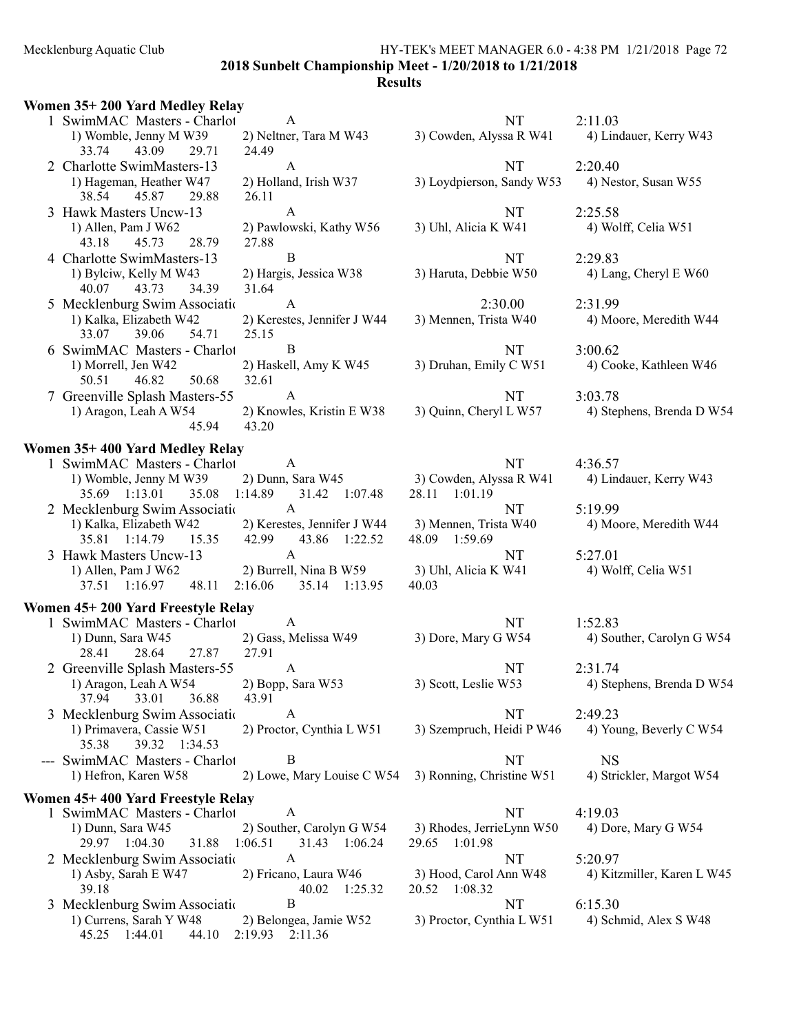### Mecklenburg Aquatic Club HY-TEK's MEET MANAGER 6.0 - 4:38 PM 1/21/2018 Page 72 2018 Sunbelt Championship Meet - 1/20/2018 to 1/21/2018

### **Results**

### Women 35+ 200 Yard Medley Relay 1 SwimMAC Masters - Charlot A NT 2:11.03<br>1) Womble, Jenny M W39 2) Neltner, Tara M W43 3) Cowden, Alyssa R W41 4) Line 3) Cowden, Alyssa R W41 4) Lindauer, Kerry W43 33.74 43.09 29.71 24.49 2 Charlotte SwimMasters-13 A<br>
1) Hageman, Heather W47 2) Holland, Irish W37 3) Loydpierson, Sandy W53 4) Nestor, Susan W55 2) Holland, Irish W37 3) Loydpierson, Sandy W53 38.54 45.87 29.88 26.11 3 Hawk Masters Uncw-13 A NT 2:25.58 1) Allen, Pam J W62 2) Pawlowski, Kathy W56 3) Uhl, Alicia K W41 4) Wolff, Celia W51 43.18 45.73 28.79 27.88 4 Charlotte SwimMasters-13 B NT 2:29.83 1) Bylciw, Kelly M W43 2) Hargis, Jessica W38 3) Haruta, Debbie W50 4) Lang, Cheryl E W60 40.07 43.73 34.39 31.64 40.07 43.73 34.39 5 Mecklenburg Swim Association M-13 A 2:30.00 2:31.99 1) Kalka, Elizabeth W42 2) Kerestes, Jennifer J W44 3) Mennen, Trista W40 4) Moore, Meredith W44 33.07 39.06 54.71 25.15 6 SwimMAC Masters - Charlot B 13:00.62 1) Morrell, Jen W42 2) Haskell, Amy K W45 3) Druhan, Emily C W51 4) Cooke, Kathleen W46 50.51 46.82 50.68 32.61 46.82 50.68 7 Greenville Splash Masters-55 A NT 3:03.78 1) Aragon, Leah A W54 2) Knowles, Kristin E W38 3) Quinn, Cheryl L W57 4) Stephens, Brenda D W54 45.94 43.20 Women 35+ 400 Yard Medley Relay 1 SwimMAC Masters - Charlot A NT 4:36.57 1) Womble, Jenny M W39 2) Dunn, Sara W45 3) Cowden, Alyssa R W41 4) Lindauer, Kerry W43 35.69 1:13.01 35.08 1:14.89 31.42 1:07.48 28.11 1:01.19 35.69 1:13.01 35.08 1:14.89 31.42 1:07.48 28.11 1:01.19 2 Mecklenburg Swim Association M-13 A NT 5:19.99 1) Kalka, Elizabeth W42 2) Kerestes, Jennifer J W44 3) Mennen, Trista W40 4) Moore, Meredith W44 35.81 1:14.79 15.35 42.99 43.86 1:22.52 48.09 1:59.69 35.81 1:14.79 15.35 42.99 43.86 1:22.52 3 Hawk Masters Uncw-13 A NT 5:27.01 1) Allen, Pam J W62 2) Burrell, Nina B W59 3) Uhl, Alicia K W41 4) Wolff, Celia W51 37.51 1:16.97 48.11 2:16.06 35.14 1:13.95 40.03 Women 45+ 200 Yard Freestyle Relay 1 SwimMAC Masters - Charlot A NT 1:52.83<br>1) Dunn, Sara W45 2) Gass, Melissa W49 3) Dore, Mary G W54 4) Sou 4) Souther, Carolyn G W54 28.41 28.64 27.87 27.91 2 Greenville Splash Masters-55 A NT 2:31.74 1) Aragon, Leah A W54 2) Bopp, Sara W53 3) Scott, Leslie W53 4) Stephens, Brenda D W54 37.94 33.01 36.88 43.91 3 Mecklenburg Swim Association M-13 A NT 2:49.23 1) Primavera, Cassie W51 2) Proctor, Cynthia L W51 3) Szempruch, Heidi P W46 4) Young, Beverly C W54 35.38 39.32 1:34.53 --- SwimMAC Masters - Charlot B<br>1) Hefron, Karen W58 2) Lowe, Mary Louise C W54 3) Ronning, Christine W51 4) Stri 2) Lowe, Mary Louise C W54 3) Ronning, Christine W51 4) Strickler, Margot W54 Women 45+ 400 Yard Freestyle Relay 1 SwimMAC Masters - Charlot A NT 4:19.03 1) Dunn, Sara W45 2) Souther, Carolyn G W54 3) Rhodes, JerrieLynn W50 4) Dore, Mary G W54 29.97 1:04.30 31.88 1:06.51 31.43 1:06.24 29.65 1:01.98 2 Mecklenburg Swim Association M-13 A NT 5:20.97 1) Asby, Sarah E W47 2) Fricano, Laura W46 3) Hood, Carol Ann W48 4) Kitzmiller, Karen L W45<br>39.18 40.02 1:25.32 20.52 1:08.32 40.02 1:25.32 20.52<br>B 3 Mecklenburg Swim Association M-13 B 15.30 1) Currens, Sarah Y W48 2) Belongea, Jamie W52 3) Proctor, Cynthia L W51 4) Schmid, Alex S W48<br>45.25 1:44.01 44.10 2:19.93 2:11.36 45.25 1:44.01 44.10 2:19.93 2:11.36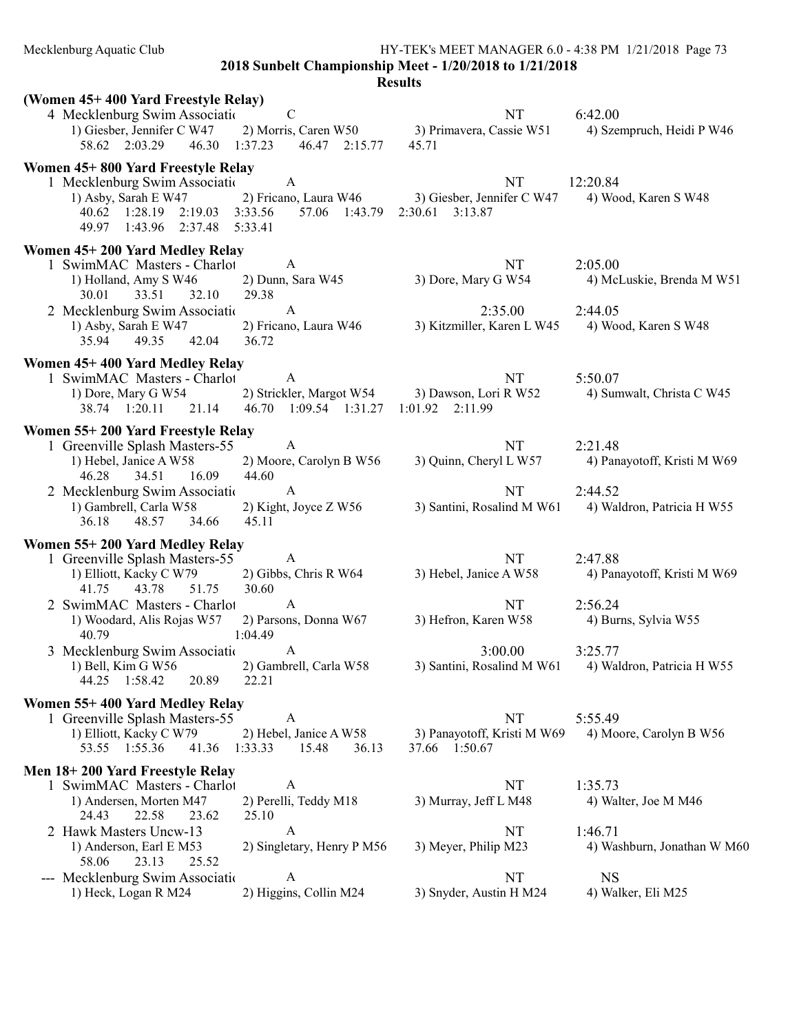2018 Sunbelt Championship Meet - 1/20/2018 to 1/21/2018

| (Women 45+400 Yard Freestyle Relay)                                                                                                                 |                                                                     |                                                     |                                        |
|-----------------------------------------------------------------------------------------------------------------------------------------------------|---------------------------------------------------------------------|-----------------------------------------------------|----------------------------------------|
| 4 Mecklenburg Swim Associatio<br>1) Giesber, Jennifer C W47<br>58.62 2:03.29<br>46.30                                                               | $\mathbf C$<br>2) Morris, Caren W50<br>1:37.23<br>46.47 2:15.77     | NT<br>3) Primavera, Cassie W51<br>45.71             | 6:42.00<br>4) Szempruch, Heidi P W46   |
| Women 45+800 Yard Freestyle Relay<br>1 Mecklenburg Swim Association<br>1) Asby, Sarah E W47<br>40.62 1:28.19 2:19.03<br>49.97<br>1:43.96<br>2:37.48 | A<br>2) Fricano, Laura W46<br>3:33.56<br>57.06 1:43.79<br>5:33.41   | NT<br>3) Giesber, Jennifer C W47<br>2:30.61 3:13.87 | 12:20.84<br>4) Wood, Karen S W48       |
| Women 45+200 Yard Medley Relay<br>1 SwimMAC Masters - Charlot<br>1) Holland, Amy S W46<br>30.01<br>33.51<br>32.10                                   | A<br>2) Dunn, Sara W45<br>29.38                                     | NT<br>3) Dore, Mary G W54                           | 2:05.00<br>4) McLuskie, Brenda M W51   |
| 2 Mecklenburg Swim Association<br>1) Asby, Sarah E W47<br>35.94<br>49.35<br>42.04                                                                   | $\mathbf{A}$<br>2) Fricano, Laura W46<br>36.72                      | 2:35.00<br>3) Kitzmiller, Karen L W45               | 2:44.05<br>4) Wood, Karen S W48        |
| Women 45+400 Yard Medley Relay<br>1 SwimMAC Masters - Charlot<br>1) Dore, Mary G W54<br>38.74 1:20.11<br>21.14                                      | A<br>2) Strickler, Margot W54<br>46.70<br>1:09.54 1:31.27           | NT<br>3) Dawson, Lori R W52<br>$1:01.92$ $2:11.99$  | 5:50.07<br>4) Sumwalt, Christa C W45   |
| Women 55+200 Yard Freestyle Relay<br>1 Greenville Splash Masters-55<br>1) Hebel, Janice A W58<br>46.28<br>34.51<br>16.09                            | A<br>2) Moore, Carolyn B W56<br>44.60                               | NT<br>3) Quinn, Cheryl L W57                        | 2:21.48<br>4) Panayotoff, Kristi M W69 |
| 2 Mecklenburg Swim Association<br>1) Gambrell, Carla W58<br>36.18<br>48.57<br>34.66                                                                 | $\mathbf{A}$<br>2) Kight, Joyce Z W56<br>45.11                      | NT<br>3) Santini, Rosalind M W61                    | 2:44.52<br>4) Waldron, Patricia H W55  |
| Women 55+200 Yard Medley Relay<br>1 Greenville Splash Masters-55<br>1) Elliott, Kacky C W79<br>41.75<br>43.78<br>51.75                              | A<br>2) Gibbs, Chris R W64<br>30.60                                 | NT<br>3) Hebel, Janice A W58                        | 2:47.88<br>4) Panayotoff, Kristi M W69 |
| 2 SwimMAC Masters - Charlot<br>1) Woodard, Alis Rojas W57<br>40.79                                                                                  | $\mathbf{A}$<br>2) Parsons, Donna W67<br>1:04.49                    | NT<br>3) Hefron, Karen W58                          | 2:56.24<br>4) Burns, Sylvia W55        |
| 3 Mecklenburg Swim Association<br>1) Bell, Kim G $W56$<br>44.25 1:58.42 20.89 22.21                                                                 | $\mathbf{A}$<br>2) Gambrell, Carla W58                              | 3:00.00<br>3) Santini, Rosalind M W61               | 3:25.77<br>4) Waldron, Patricia H W55  |
| Women 55+400 Yard Medley Relay<br>1 Greenville Splash Masters-55<br>1) Elliott, Kacky C W79<br>53.55 1:55.36<br>41.36                               | $\mathbf{A}$<br>2) Hebel, Janice A W58<br>1:33.33<br>15.48<br>36.13 | NT<br>3) Panayotoff, Kristi M W69<br>37.66 1:50.67  | 5:55.49<br>4) Moore, Carolyn B W56     |
| Men 18+200 Yard Freestyle Relay<br>1 SwimMAC Masters - Charlot<br>1) Andersen, Morten M47<br>24.43<br>22.58<br>23.62                                | A<br>2) Perelli, Teddy M18<br>25.10                                 | NT<br>3) Murray, Jeff L M48                         | 1:35.73<br>4) Walter, Joe M M46        |
| 2 Hawk Masters Uncw-13<br>1) Anderson, Earl E M53<br>58.06<br>23.13<br>25.52                                                                        | A<br>2) Singletary, Henry P M56                                     | NT<br>3) Meyer, Philip M23                          | 1:46.71<br>4) Washburn, Jonathan W M60 |
| --- Mecklenburg Swim Associatio<br>1) Heck, Logan R M24                                                                                             | A<br>2) Higgins, Collin M24                                         | NT<br>3) Snyder, Austin H M24                       | <b>NS</b><br>4) Walker, Eli M25        |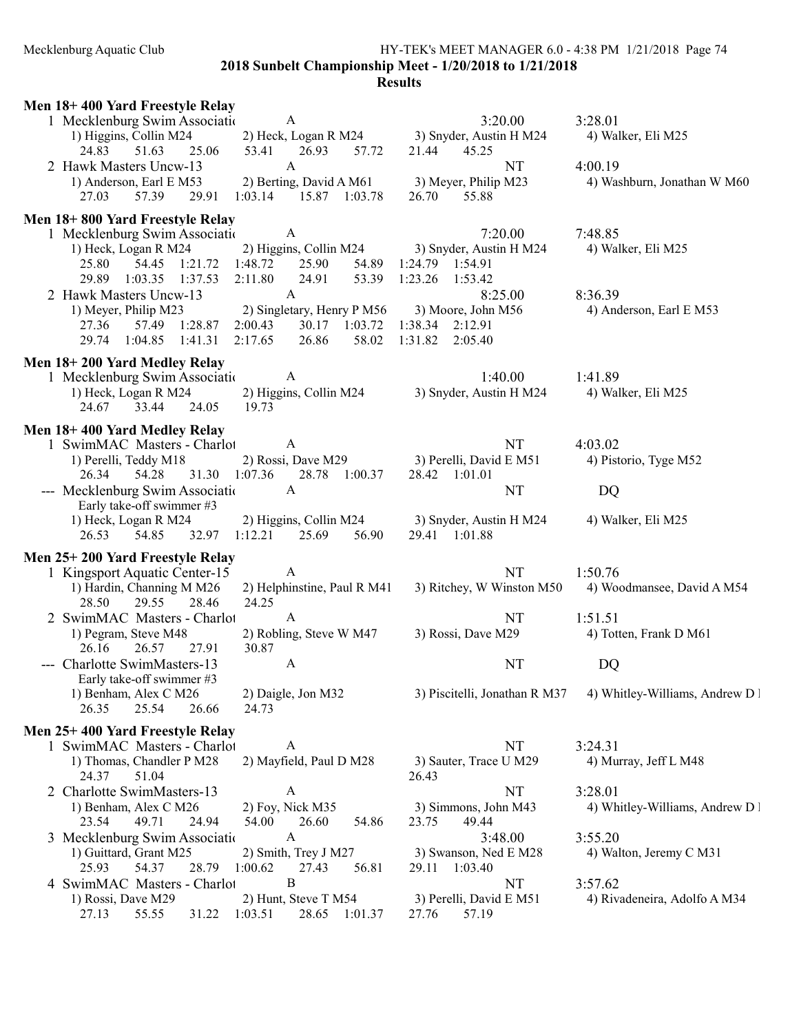#### Mecklenburg Aquatic Club HY-TEK's MEET MANAGER 6.0 - 4:38 PM 1/21/2018 Page 74 2018 Sunbelt Championship Meet - 1/20/2018 to 1/21/2018

| Men 18+400 Yard Freestyle Relay                                                                        |                                           |                                 |
|--------------------------------------------------------------------------------------------------------|-------------------------------------------|---------------------------------|
| 1 Mecklenburg Swim Association<br>$\mathbf{A}$                                                         | 3:20.00                                   | 3:28.01                         |
| 2) Heck, Logan R M24 3) Snyder, Austin H M24<br>1) Higgins, Collin M24                                 |                                           | 4) Walker, Eli M25              |
| 24.83<br>25.06<br>51.63<br>53.41<br>26.93<br>57.72<br>2 Hawk Masters Uncw-13<br>$\mathbf{A}$           | 21.44<br>45.25<br><b>NT</b>               | 4:00.19                         |
| 2) Berting, David A M61 3) Meyer, Philip M23<br>1) Anderson, Earl E M53                                |                                           | 4) Washburn, Jonathan W M60     |
| 29.91<br>$1:03.14$ $15.87$ $1:03.78$<br>27.03<br>57.39                                                 | 26.70<br>55.88                            |                                 |
|                                                                                                        |                                           |                                 |
| Men 18+800 Yard Freestyle Relay<br>1 Mecklenburg Swim Associatio<br>A                                  | 7:20.00                                   | 7:48.85                         |
| 1) Heck, Logan R M24<br>2) Higgins, Collin M24                                                         | 3) Snyder, Austin H M24                   | 4) Walker, Eli M25              |
| 54.45 1:21.72<br>1:48.72<br>25.90<br>25.80                                                             | 54.89 1:24.79 1:54.91                     |                                 |
| 29.89<br>1:03.35 1:37.53<br>2:11.80<br>24.91<br>53.39 1:23.26                                          | 1:53.42                                   |                                 |
| 2 Hawk Masters Uncw-13<br>$\mathbf{A}$                                                                 | 8:25.00                                   | 8:36.39                         |
| 2) Singletary, Henry P M56<br>1) Meyer, Philip M23                                                     | 3) Moore, John M56                        | 4) Anderson, Earl E M53         |
| 2:00.43 30.17 1:03.72 1:38.34 2:12.91<br>27.36<br>57.49 1:28.87                                        |                                           |                                 |
| 29.74 1:04.85 1:41.31<br>2:17.65<br>26.86                                                              | 58.02 1:31.82 2:05.40                     |                                 |
| Men 18+200 Yard Medley Relay                                                                           |                                           |                                 |
| 1 Mecklenburg Swim Association<br>A                                                                    | 1:40.00                                   | 1:41.89                         |
| 1) Heck, Logan R M24<br>2) Higgins, Collin M24                                                         | 3) Snyder, Austin H M24                   | 4) Walker, Eli M25              |
| 24.67<br>33.44 24.05<br>19.73                                                                          |                                           |                                 |
| Men 18+400 Yard Medley Relay                                                                           |                                           |                                 |
| 1 SwimMAC Masters - Charlot<br>A A                                                                     | NT                                        | 4:03.02                         |
| 2) Rossi, Dave M29<br>1) Perelli, Teddy M18                                                            | 3) Perelli, David E M51                   | 4) Pistorio, Tyge M52           |
| 31.30 1:07.36<br>28.78 1:00.37<br>26.34<br>54.28<br>--- Mecklenburg Swim Associatio<br>A               | 28.42 1:01.01<br>NT                       | DQ                              |
| Early take-off swimmer #3                                                                              |                                           |                                 |
|                                                                                                        |                                           |                                 |
|                                                                                                        | 3) Snyder, Austin H M24                   | 4) Walker, Eli M25              |
| 2) Higgins, Collin M24<br>1) Heck, Logan R M24<br>25.69<br>26.53<br>54.85<br>32.97 1:12.21<br>56.90    | 29.41 1:01.88                             |                                 |
|                                                                                                        |                                           |                                 |
| Men 25+200 Yard Freestyle Relay<br>1 Kingsport Aquatic Center-15<br>A                                  | NT                                        | 1:50.76                         |
| 1) Hardin, Channing M M26<br>2) Helphinstine, Paul R M41                                               | 3) Ritchey, W Winston M50                 | 4) Woodmansee, David A M54      |
| 24.25<br>28.50<br>29.55<br>28.46                                                                       |                                           |                                 |
| 2 SwimMAC Masters - Charlot<br>A                                                                       | NT                                        | 1:51.51                         |
| 2) Robling, Steve W M47<br>1) Pegram, Steve M48                                                        | 3) Rossi, Dave M29                        | 4) Totten, Frank D M61          |
| 26.16<br>27.91<br>30.87<br>26.57                                                                       |                                           |                                 |
| --- Charlotte SwimMasters-13<br>A                                                                      | NT                                        | DQ                              |
| Early take-off swimmer #3<br>1) Benham, Alex C M26<br>2) Daigle, Jon M32                               | 3) Piscitelli, Jonathan R M37             | 4) Whitley-Williams, Andrew D I |
| 26.35<br>25.54<br>26.66<br>24.73                                                                       |                                           |                                 |
|                                                                                                        |                                           |                                 |
| Men 25+400 Yard Freestyle Relay<br>1 SwimMAC Masters - Charlot<br>A                                    | NT                                        | 3:24.31                         |
| 2) Mayfield, Paul D M28<br>1) Thomas, Chandler P M28                                                   | 3) Sauter, Trace U M29                    | 4) Murray, Jeff L M48           |
| 24.37<br>51.04                                                                                         | 26.43                                     |                                 |
| 2 Charlotte SwimMasters-13<br>A                                                                        | NT                                        | 3:28.01                         |
| 2) Foy, Nick M35<br>1) Benham, Alex C M26                                                              | 3) Simmons, John M43                      | 4) Whitley-Williams, Andrew D I |
| 23.54<br>49.71<br>24.94<br>54.00<br>26.60<br>54.86                                                     | 49.44<br>23.75                            |                                 |
| 3 Mecklenburg Swim Associatio<br>A                                                                     | 3:48.00                                   | 3:55.20                         |
| 1) Guittard, Grant M25<br>2) Smith, Trey J M27<br>25.93<br>54.37<br>28.79<br>1:00.62<br>27.43<br>56.81 | 3) Swanson, Ned E M28<br>29.11 1:03.40    | 4) Walton, Jeremy C M31         |
| B<br>4 SwimMAC Masters - Charlot                                                                       | NT                                        | 3:57.62                         |
| 2) Hunt, Steve T M54<br>1) Rossi, Dave M29<br>27.13<br>55.55<br>1:03.51<br>28.65 1:01.37<br>31.22      | 3) Perelli, David E M51<br>57.19<br>27.76 | 4) Rivadeneira, Adolfo A M34    |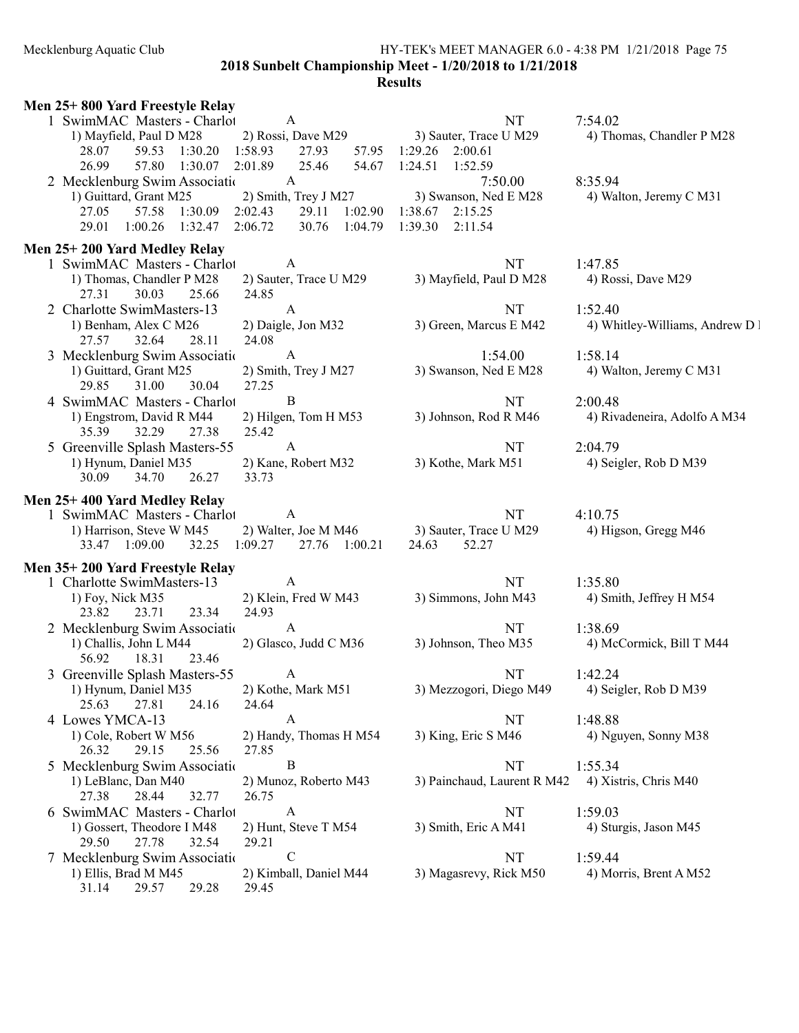#### Mecklenburg Aquatic Club HY-TEK's MEET MANAGER 6.0 - 4:38 PM 1/21/2018 Page 75 2018 Sunbelt Championship Meet - 1/20/2018 to 1/21/2018

| Men 25+800 Yard Freestyle Relay                          |                                                                        |
|----------------------------------------------------------|------------------------------------------------------------------------|
| 1 SwimMAC Masters - Charlot                              | NT                                                                     |
| $\mathbf{A}$                                             | 7:54.02                                                                |
| 1) Mayfield, Paul D M28                                  | 2) Rossi, Dave M29 3) Sauter, Trace U M29<br>4) Thomas, Chandler P M28 |
| 59.53 1:30.20 1:58.93<br>27.93<br>28.07                  | 57.95 1:29.26 2:00.61                                                  |
| 26.99<br>57.80 1:30.07<br>2:01.89<br>25.46               | 54.67 1:24.51<br>1:52.59                                               |
| 2 Mecklenburg Swim Association                           | 7:50.00                                                                |
| A                                                        | 8:35.94                                                                |
| 1) Guittard, Grant M25                                   | 2) Smith, Trey J M27 3) Swanson, Ned E M28<br>4) Walton, Jeremy C M31  |
| 29.11 1:02.90<br>27.05<br>57.58 1:30.09<br>2:02.43       | 1:38.67 2:15.25                                                        |
| $1:00.26$ $1:32.47$<br>2:06.72<br>30.76 1:04.79<br>29.01 | 1:39.30<br>2:11.54                                                     |
| Men 25+200 Yard Medley Relay                             |                                                                        |
| 1 SwimMAC Masters - Charlot                              | <b>NT</b>                                                              |
| $\mathbf{A}$                                             | 1:47.85                                                                |
| 1) Thomas, Chandler P M28                                | 3) Mayfield, Paul D M28                                                |
| 2) Sauter, Trace U M29                                   | 4) Rossi, Dave M29                                                     |
| 27.31<br>30.03<br>25.66<br>24.85                         |                                                                        |
| 2 Charlotte SwimMasters-13                               | <b>NT</b>                                                              |
| $\mathbf{A}$                                             | 1:52.40                                                                |
| 1) Benham, Alex C M26                                    | 3) Green, Marcus E M42                                                 |
| 2) Daigle, Jon M32                                       | 4) Whitley-Williams, Andrew D !                                        |
| 24.08<br>27.57<br>32.64<br>28.11                         |                                                                        |
| 3 Mecklenburg Swim Associatio                            | 1:54.00                                                                |
| $\mathbf{A}$                                             | 1:58.14                                                                |
| 1) Guittard, Grant M25                                   | 3) Swanson, Ned E M28                                                  |
| 2) Smith, Trey J M27                                     | 4) Walton, Jeremy C M31                                                |
| 31.00<br>30.04<br>27.25<br>29.85                         |                                                                        |
| $\mathbf B$                                              | NT                                                                     |
| 4 SwimMAC Masters - Charlot                              | 2:00.48                                                                |
| 1) Engstrom, David R M44                                 | 3) Johnson, Rod R M46                                                  |
| 2) Hilgen, Tom H M53                                     | 4) Rivadeneira, Adolfo A M34                                           |
| 27.38<br>25.42<br>35.39<br>32.29                         |                                                                        |
| 5 Greenville Splash Masters-55                           | NT                                                                     |
| $\mathbf{A}$                                             | 2:04.79                                                                |
| 2) Kane, Robert M32                                      | 3) Kothe, Mark M51                                                     |
| 1) Hynum, Daniel M35                                     | 4) Seigler, Rob D M39                                                  |
| 30.09<br>34.70<br>26.27<br>33.73                         |                                                                        |
| Men 25+400 Yard Medley Relay                             |                                                                        |
| A                                                        | <b>NT</b>                                                              |
| 1 SwimMAC Masters - Charlot                              | 4:10.75                                                                |
| 2) Walter, Joe M M46                                     | 3) Sauter, Trace U M29                                                 |
| 1) Harrison, Steve W M45                                 | 4) Higson, Gregg M46                                                   |
| $1:09.27$ 27.76 $1:00.21$                                | 24.63                                                                  |
| 33.47 1:09.00 32.25                                      | 52.27                                                                  |
|                                                          |                                                                        |
| Men 35+200 Yard Freestyle Relay<br>A                     |                                                                        |
| 1 Charlotte SwimMasters-13<br>2) Klein, Fred W M43       | NT<br>1:35.80<br>3) Simmons, John M43                                  |
| 1) Foy, Nick M35<br>23.34<br>23.82<br>23.71<br>24.93     | 4) Smith, Jeffrey H M54                                                |
| 2 Mecklenburg Swim Associatio                            | NT                                                                     |
| A                                                        | 1:38.69                                                                |
| 1) Challis, John L M44                                   | 3) Johnson, Theo M35                                                   |
| 2) Glasco, Judd C M36                                    | 4) McCormick, Bill T M44                                               |
| 56.92<br>18.31<br>23.46                                  |                                                                        |
| 3 Greenville Splash Masters-55                           | NT                                                                     |
| A                                                        | 1:42.24                                                                |
| 2) Kothe, Mark M51                                       | 4) Seigler, Rob D M39                                                  |
| 1) Hynum, Daniel M35                                     | 3) Mezzogori, Diego M49                                                |
| 25.63<br>27.81<br>24.16<br>24.64                         |                                                                        |
| 4 Lowes YMCA-13                                          | 1:48.88                                                                |
| A                                                        | NT                                                                     |
| 1) Cole, Robert W M56                                    | 3) King, Eric S M46                                                    |
| 2) Handy, Thomas H M54                                   | 4) Nguyen, Sonny M38                                                   |
| 26.32<br>29.15<br>25.56<br>27.85                         |                                                                        |
| $\bf{B}$                                                 | NT                                                                     |
| 5 Mecklenburg Swim Associatio                            | 1:55.34                                                                |
| 1) LeBlanc, Dan M40                                      | 3) Painchaud, Laurent R M42                                            |
| 2) Munoz, Roberto M43                                    | 4) Xistris, Chris M40                                                  |
| 28.44<br>27.38<br>32.77<br>26.75                         |                                                                        |
| 6 SwimMAC Masters - Charlot                              | NT                                                                     |
| $\mathbf{A}$                                             | 1:59.03                                                                |
| 1) Gossert, Theodore I M48                               | 3) Smith, Eric A M41                                                   |
| 2) Hunt, Steve T M54                                     | 4) Sturgis, Jason M45                                                  |
| 29.50<br>27.78<br>32.54<br>29.21                         |                                                                        |
| ${\bf C}$                                                | NT                                                                     |
| 7 Mecklenburg Swim Association                           | 1:59.44                                                                |
| 1) Ellis, Brad M M45                                     | 3) Magasrevy, Rick M50                                                 |
| 2) Kimball, Daniel M44                                   | 4) Morris, Brent A M52                                                 |
| 29.28<br>31.14<br>29.57<br>29.45                         |                                                                        |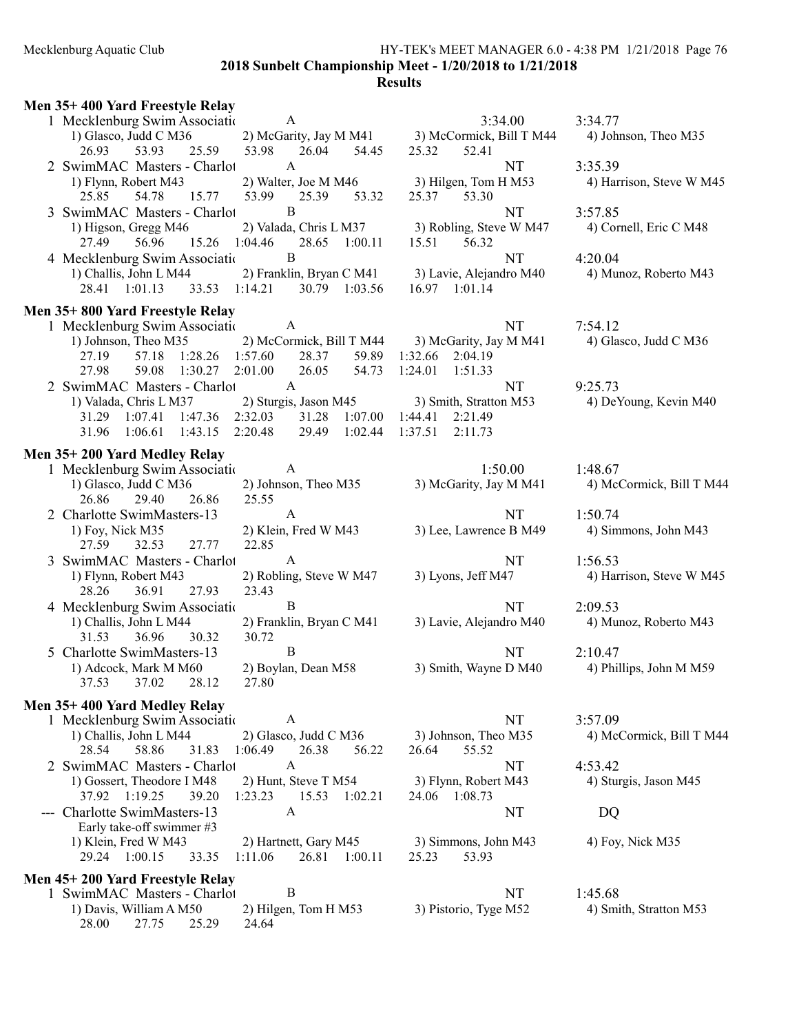### Mecklenburg Aquatic Club HY-TEK's MEET MANAGER 6.0 - 4:38 PM 1/21/2018 Page 76 2018 Sunbelt Championship Meet - 1/20/2018 to 1/21/2018

**Results** 

| Men 35+400 Yard Freestyle Relay                      |                                              |         |         |                                                 |             |
|------------------------------------------------------|----------------------------------------------|---------|---------|-------------------------------------------------|-------------|
| 1 Mecklenburg Swim Associatio                        | A                                            |         |         | 3:34.00                                         | 3:34.77     |
| 1) Glasco, Judd C M36                                |                                              |         |         | 2) McGarity, Jay M M41 3) McCormick, Bill T M44 | 4) Johr     |
| 53.93<br>26.93<br>25.59                              | 53.98<br>26.04                               | 54.45   | 25.32   | 52.41                                           |             |
| 2 SwimMAC Masters - Charlot                          | A                                            |         |         | NT                                              | 3:35.39     |
| 1) Flynn, Robert M43                                 | 2) Walter, Joe M M46                         |         |         | 3) Hilgen, Tom H M53                            | $4)$ Har    |
| 25.85<br>54.78<br>15.77                              | 53.99<br>25.39                               | 53.32   | 25.37   | 53.30                                           |             |
| 3 SwimMAC Masters - Charlot                          | B                                            |         |         | NT                                              | 3:57.85     |
| 1) Higson, Gregg M46<br>27.49<br>56.96<br>15.26      | 2) Valada, Chris L M37<br>1:04.46            | 1:00.11 |         | 3) Robling, Steve W M47<br>56.32                | $4)$ Cor    |
| 4 Mecklenburg Swim Associatio                        | 28.65<br>B                                   |         | 15.51   | NT                                              | 4:20.04     |
| 1) Challis, John L M44                               | 2) Franklin, Bryan C M41                     |         |         | 3) Lavie, Alejandro M40                         | 4) Mur      |
| 28.41 1:01.13<br>33.53                               | 1:14.21<br>30.79 1:03.56                     |         |         | 16.97 1:01.14                                   |             |
|                                                      |                                              |         |         |                                                 |             |
| Men 35+800 Yard Freestyle Relay                      |                                              |         |         |                                                 |             |
| 1 Mecklenburg Swim Association                       | A                                            |         |         | NT                                              | 7:54.12     |
| 1) Johnson, Theo M35<br>27.19<br>57.18<br>1:28.26    | 2) McCormick, Bill T M44<br>28.37<br>1:57.60 | 59.89   | 1:32.66 | 3) McGarity, Jay M M41<br>2:04.19               | 4) Glas     |
| 27.98<br>59.08<br>1:30.27                            | 2:01.00<br>26.05                             | 54.73   | 1:24.01 | 1:51.33                                         |             |
| 2 SwimMAC Masters - Charlot                          | A                                            |         |         | NT                                              | 9:25.73     |
| 1) Valada, Chris L M37                               | 2) Sturgis, Jason M45                        |         |         | 3) Smith, Stratton M53                          | $4)$ DeY    |
| 31.29<br>1:07.41<br>1:47.36                          | 2:32.03<br>31.28                             | 1:07.00 | 1:44.41 | 2:21.49                                         |             |
| 31.96<br>1:06.61<br>1:43.15                          | 2:20.48<br>29.49                             | 1:02.44 | 1:37.51 | 2:11.73                                         |             |
| Men 35+200 Yard Medley Relay                         |                                              |         |         |                                                 |             |
| 1 Mecklenburg Swim Associatio                        | A                                            |         |         | 1:50.00                                         | 1:48.67     |
| 1) Glasco, Judd C M36                                | 2) Johnson, Theo M35                         |         |         | 3) McGarity, Jay M M41                          | $4)$ Mc     |
| 29.40<br>26.86<br>26.86                              | 25.55                                        |         |         |                                                 |             |
| 2 Charlotte SwimMasters-13                           | $\mathbf{A}$                                 |         |         | NT                                              | 1:50.74     |
| 1) Foy, Nick M35                                     | 2) Klein, Fred W M43                         |         |         | 3) Lee, Lawrence B M49                          | 4) Sim      |
| 32.53<br>27.77<br>27.59                              | 22.85                                        |         |         |                                                 |             |
| 3 SwimMAC Masters - Charlot                          | A                                            |         |         | NT                                              | 1:56.53     |
| 1) Flynn, Robert M43                                 | 2) Robling, Steve W M47                      |         |         | 3) Lyons, Jeff M47                              | $4)$ Har    |
| 27.93<br>28.26<br>36.91                              | 23.43                                        |         |         |                                                 |             |
| 4 Mecklenburg Swim Association                       | B                                            |         |         | NT                                              | 2:09.53     |
| 1) Challis, John L M44                               | 2) Franklin, Bryan C M41                     |         |         | 3) Lavie, Alejandro M40                         | 4) Mur      |
| 36.96<br>30.32<br>31.53                              | 30.72                                        |         |         |                                                 |             |
| 5 Charlotte SwimMasters-13                           | B                                            |         |         | NT                                              | 2:10.47     |
| 1) Adcock, Mark M M60<br>37.53<br>37.02<br>28.12     | 2) Boylan, Dean M58<br>27.80                 |         |         | 3) Smith, Wayne D M40                           | 4) Phil     |
|                                                      |                                              |         |         |                                                 |             |
| Men 35+400 Yard Medley Relay                         |                                              |         |         |                                                 |             |
| 1 Mecklenburg Swim Association                       | A                                            |         |         | NT                                              | 3:57.09     |
| 1) Challis, John L M44                               | 2) Glasco, Judd C M36                        |         |         | 3) Johnson, Theo M35                            | $4)$ Mc $1$ |
| 28.54<br>58.86<br>31.83                              | 1:06.49<br>26.38                             | 56.22   | 26.64   | 55.52                                           |             |
| 2 SwimMAC Masters - Charlot                          | A                                            |         |         | NT<br>3) Flynn, Robert M43                      | 4:53.42     |
| 1) Gossert, Theodore I M48<br>37.92 1:19.25<br>39.20 | 2) Hunt, Steve T M54<br>1:23.23<br>15.53     | 1:02.21 |         | 24.06 1:08.73                                   | 4) Stur     |
| Charlotte SwimMasters-13                             | A                                            |         |         | NT                                              | DQ          |
| Early take-off swimmer #3                            |                                              |         |         |                                                 |             |
| 1) Klein, Fred W M43                                 | 2) Hartnett, Gary M45                        |         |         | 3) Simmons, John M43                            | 4) Foy      |
| 29.24 1:00.15<br>33.35                               | 1:11.06<br>26.81                             | 1:00.11 | 25.23   | 53.93                                           |             |
| Men 45+200 Yard Freestyle Relay                      |                                              |         |         |                                                 |             |
| 1 SwimMAC Masters - Charlot                          | B                                            |         |         | NT                                              | 1:45.68     |
| 1) Davis, William A M50                              | 2) Hilgen, Tom H M53                         |         |         | 3) Pistorio, Tyge M52                           | 4) Smi      |
| 27.75<br>28.00<br>25.29                              | 24.64                                        |         |         |                                                 |             |

1) McCormick, Bill T M44 4) Johnson, Theo M35 1) Robling, Steve W M47 4) Cornell, Eric C M48 1) Lavie, Alejandro M40 4) Munoz, Roberto M43  $2.97$  1:01.14 1) McGarity, Jay M M41 4) Glasco, Judd C M36  $2.66$  2:04.19

# 4.41 2:21.49<br>51 2:11.73

- 
- 

## 1:53.42<br>1) Flynn, Robert M43 4) Sturgis, Jason M45  $-1:08.73$

1) Simmons, John M43 4) Foy, Nick M35<br>3.23 53.93

 $1)$  Hilgen, Tom H M53 4) Harrison, Steve W M45

1) Smith, Stratton M53 4) DeYoung, Kevin M40

1) McGarity, Jay M M41 4) McCormick, Bill T M44

 $1)$  Lee, Lawrence B M49  $4)$  Simmons, John M43

1) Lyons, Jeff M47 4) Harrison, Steve W M45

1) Lavie, Alejandro M40 4) Munoz, Roberto M43

1) MT 2:10.47<br>(1) Smith, Wayne D M40 4) Phillips, John M M59

1) Johnson, Theo M35 4) McCormick, Bill T M44

1) Pistorio, Tyge M52 4) Smith, Stratton M53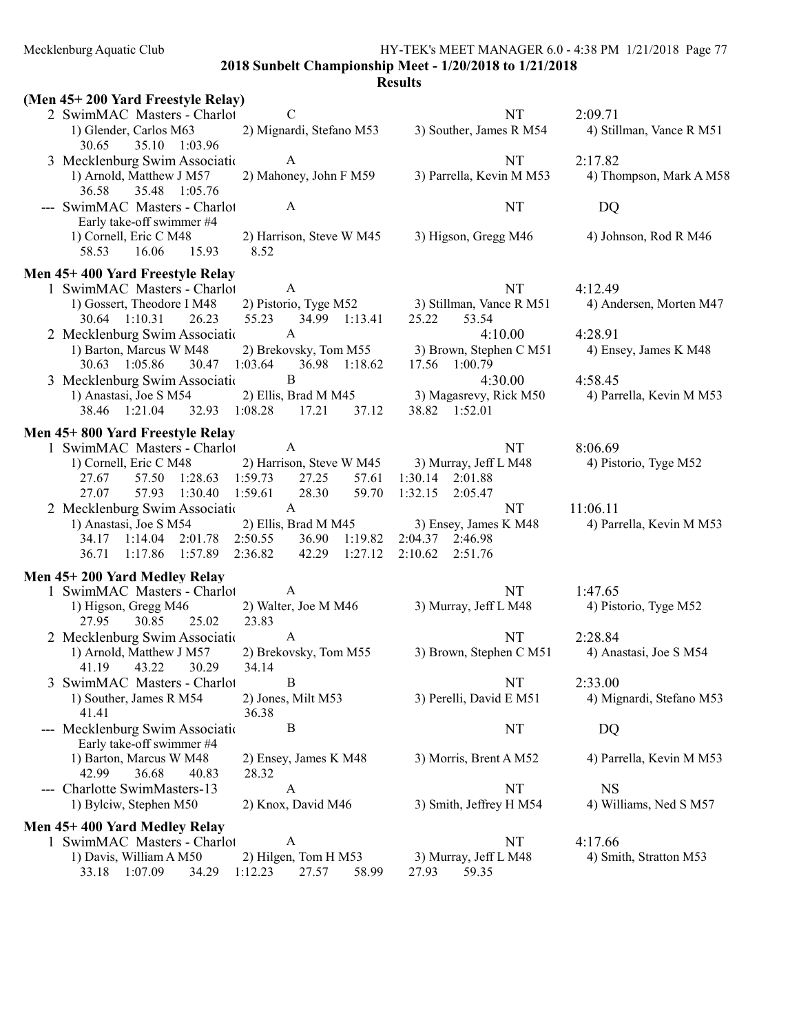2018 Sunbelt Championship Meet - 1/20/2018 to 1/21/2018

| (Men 45+200 Yard Freestyle Relay)                                                                                  |                                                                                             |
|--------------------------------------------------------------------------------------------------------------------|---------------------------------------------------------------------------------------------|
| $\mathcal{C}$<br>2 SwimMAC Masters - Charlot                                                                       | <b>NT</b><br>2:09.71                                                                        |
| 2) Mignardi, Stefano M53<br>1) Glender, Carlos M63<br>35.10 1:03.96<br>30.65                                       | 3) Souther, James R M54<br>4) Stillman, Vance R M51                                         |
| 3 Mecklenburg Swim Association<br>A                                                                                | <b>NT</b><br>2:17.82                                                                        |
| 1) Arnold, Matthew J M57<br>2) Mahoney, John F M59<br>36.58<br>35.48 1:05.76                                       | 3) Parrella, Kevin M M53<br>4) Thompson, Mark A M58                                         |
| --- SwimMAC Masters - Charlot<br>A                                                                                 | NT<br>DQ                                                                                    |
| Early take-off swimmer #4<br>1) Cornell, Eric C M48<br>2) Harrison, Steve W M45<br>16.06<br>8.52<br>58.53<br>15.93 | 3) Higson, Gregg M46<br>4) Johnson, Rod R M46                                               |
| Men 45+400 Yard Freestyle Relay                                                                                    |                                                                                             |
| A<br>1 SwimMAC Masters - Charlot                                                                                   | <b>NT</b><br>4:12.49                                                                        |
| 1) Gossert, Theodore I M48<br>26.23<br>55.23<br>34.99 1:13.41<br>30.64 1:10.31                                     | 2) Pistorio, Tyge M52 3) Stillman, Vance R M51<br>4) Andersen, Morten M47<br>25.22<br>53.54 |
| 2 Mecklenburg Swim Association<br>$\mathbf{A}$                                                                     | 4:10.00<br>4:28.91                                                                          |
| 2) Brekovsky, Tom M55<br>1) Barton, Marcus W M48<br>30.63 1:05.86<br>30.47 1:03.64<br>36.98 1:18.62                | 3) Brown, Stephen C M51<br>4) Ensey, James K M48<br>17.56 1:00.79                           |
| B<br>3 Mecklenburg Swim Association                                                                                | 4:30.00<br>4:58.45                                                                          |
| 1) Anastasi, Joe S M54                                                                                             | 2) Ellis, Brad M M45 3) Magasrevy, Rick M50<br>4) Parrella, Kevin M M53                     |
| 32.93 1:08.28 17.21<br>38.46 1:21.04<br>37.12                                                                      | 38.82 1:52.01                                                                               |
| Men 45+800 Yard Freestyle Relay                                                                                    |                                                                                             |
| 1 SwimMAC Masters - Charlot<br>$\overline{A}$                                                                      | NT<br>8:06.69                                                                               |
| 1) Cornell, Eric C M48 2) Harrison, Steve W M45                                                                    | 3) Murray, Jeff L M48<br>4) Pistorio, Tyge M52                                              |
| 57.50 1:28.63 1:59.73<br>27.25<br>57.61<br>27.67<br>1:59.61<br>28.30<br>57.93<br>1:30.40<br>59.70<br>27.07         | 1:30.14 2:01.88<br>1:32.15<br>2:05.47                                                       |
| 2 Mecklenburg Swim Association<br>A                                                                                | <b>NT</b><br>11:06.11                                                                       |
| 1) Anastasi, Joe S M54<br>2) Ellis, Brad M M45                                                                     | 3) Ensey, James K M48<br>4) Parrella, Kevin M M53                                           |
| 34.17 1:14.04 2:01.78 2:50.55<br>36.90<br>1:19.82                                                                  | 2:04.37 2:46.98                                                                             |
| 1:17.86 1:57.89<br>2:36.82<br>42.29<br>1:27.12<br>36.71                                                            | 2:10.62<br>2:51.76                                                                          |
| Men 45+200 Yard Medley Relay                                                                                       |                                                                                             |
| 1 SwimMAC Masters - Charlot<br>A                                                                                   | NT.<br>1:47.65                                                                              |
| 2) Walter, Joe M M46<br>1) Higson, Gregg M46<br>23.83<br>27.95<br>30.85<br>25.02                                   | 3) Murray, Jeff L M48<br>4) Pistorio, Tyge M52                                              |
| 2 Mecklenburg Swim Associatio<br>$\mathbf{A}$                                                                      | <b>NT</b><br>2:28.84                                                                        |
| 1) Arnold, Matthew J M57<br>2) Brekovsky, Tom M55                                                                  | 3) Brown, Stephen C M51<br>4) Anastasi, Joe S M54                                           |
| 41.19<br>43.22<br>30.29<br>34.14                                                                                   |                                                                                             |
| 3 SwimMAC Masters - Charlot<br>B<br>1) Souther, James R M54<br>2) Jones, Milt M53                                  | 2:33.00<br>NT<br>3) Perelli, David E M51<br>4) Mignardi, Stefano M53                        |
| 41.41<br>36.38                                                                                                     |                                                                                             |
| --- Mecklenburg Swim Associatio<br>$\boldsymbol{B}$                                                                | NT<br>DQ                                                                                    |
| Early take-off swimmer #4<br>1) Barton, Marcus W M48<br>2) Ensey, James K M48                                      | 3) Morris, Brent A M52<br>4) Parrella, Kevin M M53                                          |
| 42.99<br>36.68<br>40.83<br>28.32                                                                                   |                                                                                             |
| --- Charlotte SwimMasters-13<br>$\mathbf{A}$                                                                       | NT<br><b>NS</b>                                                                             |
| 1) Bylciw, Stephen M50<br>2) Knox, David M46                                                                       | 3) Smith, Jeffrey H M54<br>4) Williams, Ned S M57                                           |
| Men 45+400 Yard Medley Relay                                                                                       |                                                                                             |
| 1 SwimMAC Masters - Charlot<br>A                                                                                   | NT<br>4:17.66                                                                               |
| 2) Hilgen, Tom H M53<br>1) Davis, William A M50                                                                    | 3) Murray, Jeff L M48<br>4) Smith, Stratton M53                                             |
| 33.18 1:07.09<br>1:12.23<br>27.57<br>58.99<br>34.29                                                                | 27.93<br>59.35                                                                              |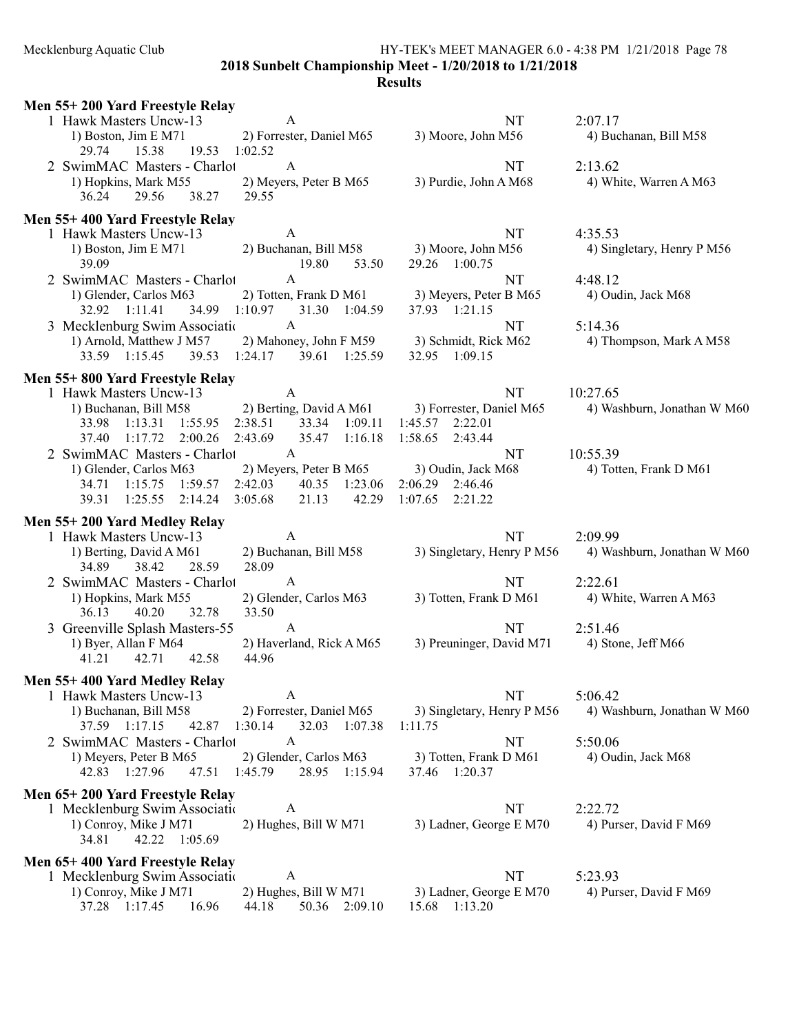2018 Sunbelt Championship Meet - 1/20/2018 to 1/21/2018

| Men 55+200 Yard Freestyle Relay                                                                                                       |                                                                                                 |                                                                            |                                         |
|---------------------------------------------------------------------------------------------------------------------------------------|-------------------------------------------------------------------------------------------------|----------------------------------------------------------------------------|-----------------------------------------|
| 1 Hawk Masters Uncw-13<br>1) Boston, Jim E M71<br>15.38<br>29.74<br>19.53                                                             | A<br>2) Forrester, Daniel M65<br>1:02.52                                                        | NT<br>3) Moore, John M56                                                   | 2:07.17<br>4) Buchanan, Bill M58        |
| 2 SwimMAC Masters - Charlot<br>1) Hopkins, Mark M55<br>29.56<br>36.24<br>38.27                                                        | A<br>2) Meyers, Peter B M65<br>29.55                                                            | NT<br>3) Purdie, John A M68                                                | 2:13.62<br>4) White, Warren A M63       |
| Men 55+400 Yard Freestyle Relay                                                                                                       |                                                                                                 |                                                                            |                                         |
| 1 Hawk Masters Uncw-13<br>1) Boston, Jim E $M71$<br>39.09                                                                             | $\mathbf{A}$<br>2) Buchanan, Bill M58<br>19.80<br>53.50                                         | NT<br>3) Moore, John M56<br>29.26 1:00.75                                  | 4:35.53<br>4) Singletary, Henry P M56   |
| 2 SwimMAC Masters - Charlot<br>1) Glender, Carlos M63<br>32.92 1:11.41                                                                | $\mathbf{A}$<br>2) Totten, Frank D M61<br>34.99 1:10.97 31.30 1:04.59                           | NT<br>3) Meyers, Peter B M65<br>37.93 1:21.15                              | 4:48.12<br>4) Oudin, Jack M68           |
| 3 Mecklenburg Swim Association<br>1) Arnold, Matthew J M57<br>33.59 1:15.45                                                           | $\mathbf{A}$<br>2) Mahoney, John F M59 3) Schmidt, Rick M62<br>39.53 1:24.17 39.61 1:25.59      | NT<br>32.95 1:09.15                                                        | 5:14.36<br>4) Thompson, Mark A M58      |
| Men 55+800 Yard Freestyle Relay                                                                                                       |                                                                                                 |                                                                            |                                         |
| 1 Hawk Masters Uncw-13<br>1) Buchanan, Bill M58 2) Berting, David A M61<br>1:55.95<br>33.98<br>1:13.31<br>1:17.72<br>2:00.26<br>37.40 | A<br>2:38.51<br>33.34 1:09.11<br>2:43.69<br>35.47 1:16.18                                       | NT<br>3) Forrester, Daniel M65<br>1:45.57<br>2:22.01<br>1:58.65<br>2:43.44 | 10:27.65<br>4) Washburn, Jonathan W M60 |
| 2 SwimMAC Masters - Charlot<br>1) Glender, Carlos M63<br>1:59.57<br>34.71 1:15.75<br>1:25.55<br>2:14.24<br>39.31                      | $\mathbf{A}$<br>2) Meyers, Peter B M65<br>2:42.03<br>40.35 1:23.06<br>3:05.68<br>21.13<br>42.29 | NT<br>3) Oudin, Jack M68<br>2:06.29 2:46.46<br>1:07.65<br>2:21.22          | 10:55.39<br>4) Totten, Frank D M61      |
| Men 55+200 Yard Medley Relay                                                                                                          |                                                                                                 |                                                                            |                                         |
| 1 Hawk Masters Uncw-13<br>1) Berting, David A M61<br>38.42<br>28.59<br>34.89                                                          | A<br>2) Buchanan, Bill M58<br>28.09                                                             | NT<br>3) Singletary, Henry P M56                                           | 2:09.99<br>4) Washburn, Jonathan W M60  |
| 2 SwimMAC Masters - Charlot<br>1) Hopkins, Mark M55<br>36.13<br>40.20<br>32.78                                                        | A<br>2) Glender, Carlos M63<br>33.50                                                            | NT<br>3) Totten, Frank D M61                                               | 2:22.61<br>4) White, Warren A M63       |
| 3 Greenville Splash Masters-55<br>1) Byer, Allan F M64<br>41.21<br>42.71<br>42.58                                                     | A<br>2) Haverland, Rick A M65<br>44.96                                                          | <b>NT</b><br>3) Preuninger, David M71                                      | 2:51.46<br>4) Stone, Jeff M66           |
| Men 55+400 Yard Medley Relay<br>1 Hawk Masters Uncw-13<br>1) Buchanan, Bill M58<br>37.59 1:17.15<br>42.87                             | A<br>2) Forrester, Daniel M65<br>1:30.14<br>32.03 1:07.38                                       | NT<br>3) Singletary, Henry P M56<br>1:11.75                                | 5:06.42<br>4) Washburn, Jonathan W M60  |
| 2 SwimMAC Masters - Charlot<br>1) Meyers, Peter B M65<br>42.83 1:27.96<br>47.51                                                       | $\mathbf{A}$<br>2) Glender, Carlos M63<br>1:45.79<br>28.95 1:15.94                              | NT<br>3) Totten, Frank D M61<br>37.46 1:20.37                              | 5:50.06<br>4) Oudin, Jack M68           |
| Men 65+200 Yard Freestyle Relay<br>1 Mecklenburg Swim Association<br>1) Conroy, Mike J M71<br>34.81<br>42.22 1:05.69                  | A<br>2) Hughes, Bill W M71                                                                      | NT<br>3) Ladner, George E M70                                              | 2:22.72<br>4) Purser, David F M69       |
| Men 65+400 Yard Freestyle Relay<br>1 Mecklenburg Swim Association<br>1) Conroy, Mike J M71<br>37.28 1:17.45<br>16.96                  | A<br>2) Hughes, Bill W M71<br>44.18<br>50.36<br>2:09.10                                         | NT<br>3) Ladner, George E M70<br>15.68 1:13.20                             | 5:23.93<br>4) Purser, David F M69       |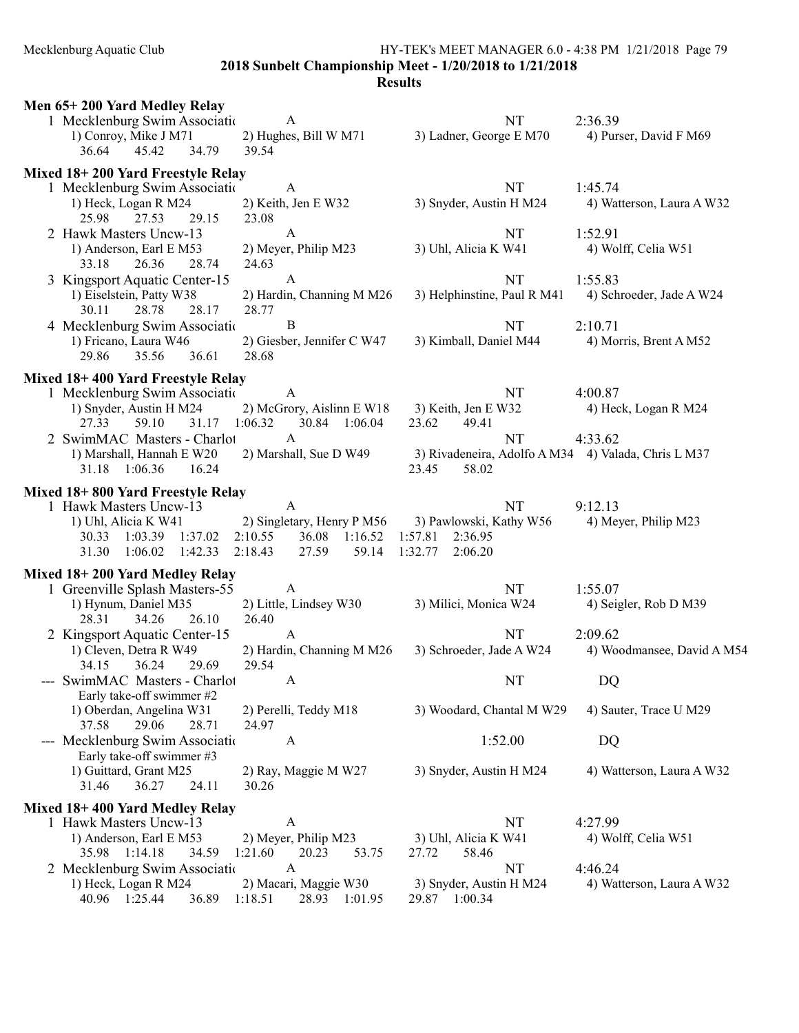2018 Sunbelt Championship Meet - 1/20/2018 to 1/21/2018

| Men 65+200 Yard Medley Relay                                |                                    |                                                     |                            |
|-------------------------------------------------------------|------------------------------------|-----------------------------------------------------|----------------------------|
| 1 Mecklenburg Swim Associatio                               | $\mathbf{A}$                       | NT                                                  | 2:36.39                    |
| 1) Conroy, Mike J M71                                       | 2) Hughes, Bill W M71              | 3) Ladner, George E M70                             | 4) Purser, David F M69     |
| 36.64<br>45.42<br>34.79                                     | 39.54                              |                                                     |                            |
| Mixed 18+200 Yard Freestyle Relay                           |                                    |                                                     |                            |
| 1 Mecklenburg Swim Association                              | A                                  | NT                                                  | 1:45.74                    |
| 1) Heck, Logan R M24                                        | 2) Keith, Jen E W32                | 3) Snyder, Austin H M24                             | 4) Watterson, Laura A W32  |
| 25.98<br>27.53<br>29.15                                     | 23.08                              |                                                     |                            |
| 2 Hawk Masters Uncw-13                                      | A                                  | NT                                                  | 1:52.91                    |
| 1) Anderson, Earl E M53                                     | 2) Meyer, Philip M23               | 3) Uhl, Alicia K W41                                | 4) Wolff, Celia W51        |
| 26.36<br>33.18<br>28.74                                     | 24.63                              |                                                     |                            |
| 3 Kingsport Aquatic Center-15                               | $\mathbf{A}$                       | NT                                                  | 1:55.83                    |
| 1) Eiselstein, Patty W38                                    | 2) Hardin, Channing M M26          | 3) Helphinstine, Paul R M41                         | 4) Schroeder, Jade A W24   |
| 30.11<br>28.78<br>28.17                                     | 28.77                              |                                                     |                            |
| 4 Mecklenburg Swim Association                              | B                                  | NT                                                  | 2:10.71                    |
| 1) Fricano, Laura W46                                       | 2) Giesber, Jennifer C W47         | 3) Kimball, Daniel M44                              | 4) Morris, Brent A M52     |
| 29.86<br>35.56<br>36.61                                     | 28.68                              |                                                     |                            |
| Mixed 18+400 Yard Freestyle Relay                           |                                    |                                                     |                            |
| 1 Mecklenburg Swim Association                              | A                                  | NT                                                  | 4:00.87                    |
| 1) Snyder, Austin H M24                                     | 2) McGrory, Aislinn E W18          | 3) Keith, Jen E W32                                 | 4) Heck, Logan R M24       |
| 59.10<br>31.17 1:06.32<br>27.33                             | 30.84 1:06.04                      | 23.62<br>49.41                                      |                            |
| 2 SwimMAC Masters - Charlot                                 | $\mathbf{A}$                       | <b>NT</b>                                           | 4:33.62                    |
| 1) Marshall, Hannah E W20                                   | 2) Marshall, Sue D W49             | 3) Rivadeneira, Adolfo A M34 4) Valada, Chris L M37 |                            |
| 31.18 1:06.36<br>16.24                                      |                                    | 23.45<br>58.02                                      |                            |
|                                                             |                                    |                                                     |                            |
| Mixed 18+800 Yard Freestyle Relay<br>1 Hawk Masters Uncw-13 | $\mathbf{A}$                       | NT                                                  | 9:12.13                    |
| 1) Uhl, Alicia K W41                                        |                                    | 2) Singletary, Henry P M56 3) Pawlowski, Kathy W56  | 4) Meyer, Philip M23       |
| 30.33 1:03.39 1:37.02<br>2:10.55                            | 36.08 1:16.52                      | 1:57.81<br>2:36.95                                  |                            |
| 2:18.43<br>31.30<br>1:06.02<br>1:42.33                      | 27.59<br>59.14                     | 1:32.77<br>2:06.20                                  |                            |
|                                                             |                                    |                                                     |                            |
| Mixed 18+200 Yard Medley Relay                              |                                    |                                                     |                            |
| 1 Greenville Splash Masters-55                              | A                                  | NT                                                  | 1:55.07                    |
| 1) Hynum, Daniel M35                                        | 2) Little, Lindsey W30             | 3) Milici, Monica W24                               | 4) Seigler, Rob D M39      |
| 28.31<br>34.26<br>26.10                                     | 26.40                              |                                                     |                            |
| 2 Kingsport Aquatic Center-15                               | $\mathbf{A}$                       | <b>NT</b>                                           | 2:09.62                    |
| 1) Cleven, Detra R W49<br>36.24<br>29.69                    | 2) Hardin, Channing M M26<br>29.54 | 3) Schroeder, Jade A W24                            | 4) Woodmansee, David A M54 |
| 34.15<br>--- SwimMAC Masters - Charlot                      | A                                  | NT                                                  |                            |
| Early take-off swimmer #2                                   |                                    |                                                     | DQ                         |
| 1) Oberdan, Angelina W31                                    | 2) Perelli, Teddy M18              | 3) Woodard, Chantal M W29                           | 4) Sauter, Trace U M29     |
| 29.06<br>37.58<br>28.71                                     | 24.97                              |                                                     |                            |
| --- Mecklenburg Swim Association                            | A                                  | 1:52.00                                             | DQ                         |
| Early take-off swimmer #3                                   |                                    |                                                     |                            |
| 1) Guittard, Grant M25                                      | 2) Ray, Maggie M W27               | 3) Snyder, Austin H M24                             | 4) Watterson, Laura A W32  |
| 31.46<br>36.27<br>24.11                                     | 30.26                              |                                                     |                            |
| Mixed 18+400 Yard Medley Relay                              |                                    |                                                     |                            |
| 1 Hawk Masters Uncw-13                                      | A                                  | NT                                                  | 4:27.99                    |
| 1) Anderson, Earl E M53                                     | 2) Meyer, Philip M23               | 3) Uhl, Alicia K W41                                | 4) Wolff, Celia W51        |
| 35.98 1:14.18<br>34.59                                      | 20.23<br>1:21.60<br>53.75          | 58.46<br>27.72                                      |                            |
| 2 Mecklenburg Swim Association                              | A                                  | NT                                                  | 4:46.24                    |
| 1) Heck, Logan R M24                                        | 2) Macari, Maggie W30              | 3) Snyder, Austin H M24                             | 4) Watterson, Laura A W32  |
| 40.96 1:25.44<br>36.89<br>1:18.51                           | 28.93 1:01.95                      | 29.87 1:00.34                                       |                            |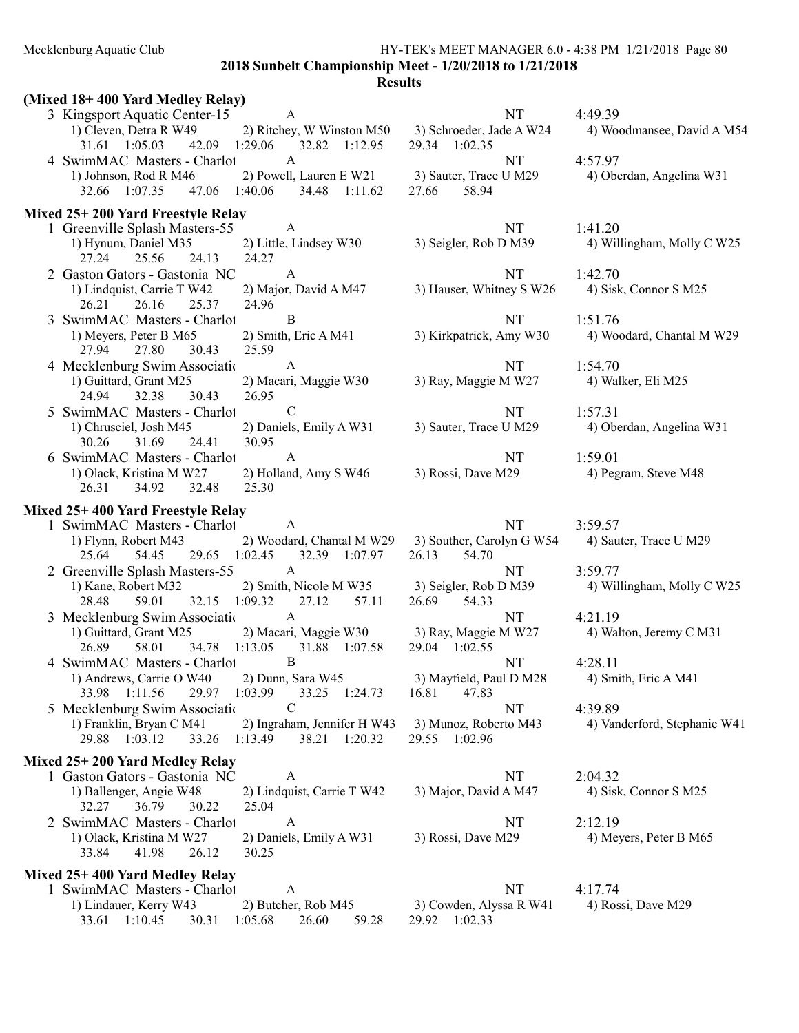2018 Sunbelt Championship Meet - 1/20/2018 to 1/21/2018

| (Mixed 18+400 Yard Medley Relay)                                                                                                                |                                                                       |                                       |
|-------------------------------------------------------------------------------------------------------------------------------------------------|-----------------------------------------------------------------------|---------------------------------------|
| 3 Kingsport Aquatic Center-15 A<br>2) Ritchey, W Winston M50 3) Schroeder, Jade A W24<br>1) Cleven, Detra R W49                                 | <b>NT</b>                                                             | 4:49.39<br>4) Woodmansee, David A M54 |
| 42.09 1:29.06 32.82 1:12.95<br>31.61 1:05.03                                                                                                    | 29.34 1:02.35                                                         |                                       |
| 4 SwimMAC Masters - Charlot<br>$\mathbf{A}$<br>1) Johnson, Rod R M46<br>2) Powell, Lauren E W21<br>32.66 1:07.35<br>47.06 1:40.06 34.48 1:11.62 | NT<br>3) Sauter, Trace U M29<br>58.94<br>27.66                        | 4:57.97<br>4) Oberdan, Angelina W31   |
| Mixed 25+200 Yard Freestyle Relay                                                                                                               |                                                                       |                                       |
| 1 Greenville Splash Masters-55<br>A                                                                                                             | NT                                                                    | 1:41.20                               |
| 1) Hynum, Daniel M35<br>2) Little, Lindsey W30<br>27.24<br>25.56<br>24.13<br>24.27                                                              | 3) Seigler, Rob D M39                                                 | 4) Willingham, Molly C W25            |
| 2 Gaston Gators - Gastonia NC<br>A                                                                                                              | NT                                                                    | 1:42.70                               |
| 2) Major, David A M47<br>1) Lindquist, Carrie T W42<br>24.96<br>26.21<br>26.16<br>25.37                                                         | 3) Hauser, Whitney S W26                                              | 4) Sisk, Connor S M25                 |
| 3 SwimMAC Masters - Charlot<br>B                                                                                                                | <b>NT</b>                                                             | 1:51.76                               |
| 1) Meyers, Peter B M65<br>2) Smith, Eric A M41<br>27.94<br>27.80<br>30.43<br>25.59                                                              | 3) Kirkpatrick, Amy W30                                               | 4) Woodard, Chantal M W29             |
| 4 Mecklenburg Swim Associatio<br>$\mathbf{A}$                                                                                                   | NT                                                                    | 1:54.70                               |
| 1) Guittard, Grant M25<br>2) Macari, Maggie W30<br>26.95<br>24.94<br>32.38<br>30.43                                                             | 3) Ray, Maggie M W27                                                  | 4) Walker, Eli M25                    |
| 5 SwimMAC Masters - Charlot<br>$\mathcal{C}$                                                                                                    | NT                                                                    | 1:57.31                               |
| 1) Chrusciel, Josh M45<br>2) Daniels, Emily A W31<br>30.26<br>31.69<br>24.41<br>30.95                                                           | 3) Sauter, Trace U M29                                                | 4) Oberdan, Angelina W31              |
| 6 SwimMAC Masters - Charlot<br>A                                                                                                                | NT                                                                    | 1:59.01                               |
| 1) Olack, Kristina M W27<br>2) Holland, Amy S W46<br>26.31<br>34.92<br>25.30<br>32.48                                                           | 3) Rossi, Dave M29                                                    | 4) Pegram, Steve M48                  |
| Mixed 25+400 Yard Freestyle Relay                                                                                                               |                                                                       |                                       |
| 1 SwimMAC Masters - Charlot<br><sup>A</sup>                                                                                                     | <b>NT</b>                                                             | 3:59.57                               |
| 1) Flynn, Robert M43<br>25.64<br>54.45 29.65 1:02.45<br>32.39 1:07.97                                                                           | 2) Woodard, Chantal M W29 3) Souther, Carolyn G W54<br>26.13<br>54.70 | 4) Sauter, Trace U M29                |
| 2 Greenville Splash Masters-55<br>$\mathbf{A}$                                                                                                  | NT                                                                    | 3:59.77                               |
| 2) Smith, Nicole M W35<br>1) Kane, Robert M32<br>59.01<br>32.15 1:09.32<br>27.12<br>57.11<br>28.48                                              | 3) Seigler, Rob D M39<br>26.69 54.33                                  | 4) Willingham, Molly C W25            |
| $\mathbf{A}$<br>3 Mecklenburg Swim Association                                                                                                  | NT                                                                    | 4:21.19                               |
| 1) Guittard, Grant M25<br>2) Macari, Maggie W30<br>58.01 34.78 1:13.05 31.88 1:07.58<br>26.89                                                   | 3) Ray, Maggie M W27<br>29.04 1:02.55                                 | 4) Walton, Jeremy C M31               |
| $\, {\bf B}$<br>4 SwimMAC Masters - Charlot                                                                                                     | NT                                                                    | 4:28.11                               |
| 1) Andrews, Carrie O W40 2) Dunn, Sara W45<br>29.97 1:03.99<br>33.98 1:11.56<br>33.25 1:24.73                                                   | 3) Mayfield, Paul D M28 4) Smith, Eric A M41<br>16.81<br>47.83        |                                       |
| 5 Mecklenburg Swim Association<br>C                                                                                                             | NT                                                                    | 4:39.89                               |
| 1) Franklin, Bryan C M41<br>2) Ingraham, Jennifer H W43<br>29.88 1:03.12<br>33.26<br>1:13.49<br>38.21 1:20.32                                   | 3) Munoz, Roberto M43<br>29.55 1:02.96                                | 4) Vanderford, Stephanie W41          |
| Mixed 25+200 Yard Medley Relay                                                                                                                  |                                                                       |                                       |
| 1 Gaston Gators - Gastonia NC<br>A                                                                                                              | NT                                                                    | 2:04.32                               |
| 1) Ballenger, Angie W48<br>2) Lindquist, Carrie T W42<br>36.79<br>25.04<br>32.27<br>30.22                                                       | 3) Major, David A M47                                                 | 4) Sisk, Connor S M25                 |
| 2 SwimMAC Masters - Charlot<br>A                                                                                                                | NT                                                                    | 2:12.19                               |
| 1) Olack, Kristina M W27<br>2) Daniels, Emily A W31<br>33.84<br>41.98<br>26.12<br>30.25                                                         | 3) Rossi, Dave M29                                                    | 4) Meyers, Peter B M65                |
| Mixed 25+400 Yard Medley Relay                                                                                                                  |                                                                       |                                       |
| A<br>1 SwimMAC Masters - Charlot                                                                                                                | NT                                                                    | 4:17.74                               |
| 1) Lindauer, Kerry W43<br>2) Butcher, Rob M45<br>33.61 1:10.45<br>30.31<br>1:05.68<br>59.28<br>26.60                                            | 3) Cowden, Alyssa R W41<br>29.92 1:02.33                              | 4) Rossi, Dave M29                    |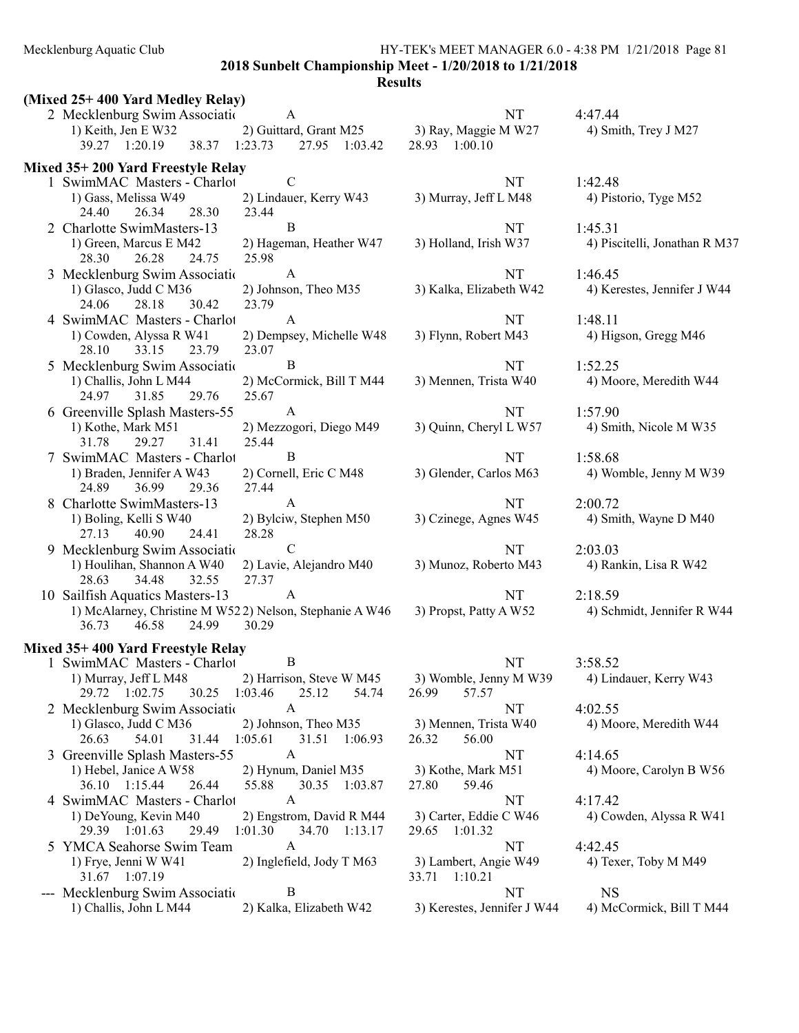Mecklenburg Aquatic Club HY-TEK's MEET MANAGER 6.0 - 4:38 PM 1/21/2018 Page 81 2018 Sunbelt Championship Meet - 1/20/2018 to 1/21/2018

| (Mixed 25+400 Yard Medley Relay)                                 |                                         |                                       |                               |
|------------------------------------------------------------------|-----------------------------------------|---------------------------------------|-------------------------------|
| 2 Mecklenburg Swim Association                                   | A                                       | <b>NT</b>                             | 4:47.44                       |
| 1) Keith, Jen E W32<br>39.27 1:20.19<br>38.37 1:23.73            | 2) Guittard, Grant M25<br>27.95 1:03.42 | 3) Ray, Maggie M W27<br>28.93 1:00.10 | 4) Smith, Trey J M27          |
|                                                                  |                                         |                                       |                               |
| Mixed 35+200 Yard Freestyle Relay<br>1 SwimMAC Masters - Charlot | C                                       | NT                                    | 1:42.48                       |
| 1) Gass, Melissa W49                                             | 2) Lindauer, Kerry W43                  | 3) Murray, Jeff L M48                 | 4) Pistorio, Tyge M52         |
| 24.40<br>26.34<br>28.30                                          | 23.44                                   |                                       |                               |
| 2 Charlotte SwimMasters-13                                       | B                                       | NT                                    | 1:45.31                       |
| 1) Green, Marcus E M42                                           | 2) Hageman, Heather W47                 | 3) Holland, Irish W37                 | 4) Piscitelli, Jonathan R M37 |
| 28.30<br>26.28<br>24.75                                          | 25.98                                   |                                       |                               |
| 3 Mecklenburg Swim Associatio                                    | A                                       | NT                                    | 1:46.45                       |
| 1) Glasco, Judd C M36                                            | 2) Johnson, Theo M35                    | 3) Kalka, Elizabeth W42               | 4) Kerestes, Jennifer J W44   |
| 28.18<br>24.06<br>30.42                                          | 23.79                                   |                                       |                               |
| 4 SwimMAC Masters - Charlot                                      | A                                       | NT                                    | 1:48.11                       |
| 1) Cowden, Alyssa R W41                                          | 2) Dempsey, Michelle W48                | 3) Flynn, Robert M43                  | 4) Higson, Gregg M46          |
| 28.10<br>33.15<br>23.79                                          | 23.07                                   |                                       |                               |
| 5 Mecklenburg Swim Association                                   | B                                       | <b>NT</b>                             | 1:52.25                       |
| 1) Challis, John L M44                                           | 2) McCormick, Bill T M44                | 3) Mennen, Trista W40                 | 4) Moore, Meredith W44        |
| 24.97<br>31.85<br>29.76                                          | 25.67                                   |                                       |                               |
| 6 Greenville Splash Masters-55                                   | $\mathbf{A}$                            | NT                                    | 1:57.90                       |
| 1) Kothe, Mark M51                                               | 2) Mezzogori, Diego M49                 | 3) Quinn, Cheryl L W57                | 4) Smith, Nicole M W35        |
| 29.27<br>31.41<br>31.78                                          | 25.44                                   |                                       |                               |
| 7 SwimMAC Masters - Charlot                                      | B                                       | NT                                    | 1:58.68                       |
| 1) Braden, Jennifer A W43                                        | 2) Cornell, Eric C M48                  | 3) Glender, Carlos M63                | 4) Womble, Jenny M W39        |
| 36.99<br>29.36<br>24.89                                          | 27.44                                   |                                       |                               |
| 8 Charlotte SwimMasters-13                                       | A                                       | NT                                    | 2:00.72                       |
| 1) Boling, Kelli S W40<br>27.13<br>40.90<br>24.41                | 2) Bylciw, Stephen M50<br>28.28         | 3) Czinege, Agnes W45                 | 4) Smith, Wayne D M40         |
| 9 Mecklenburg Swim Associatio                                    | $\mathcal{C}$                           | <b>NT</b>                             | 2:03.03                       |
| 1) Houlihan, Shannon A W40                                       | 2) Lavie, Alejandro M40                 | 3) Munoz, Roberto M43                 | 4) Rankin, Lisa R W42         |
| 32.55<br>28.63<br>34.48                                          | 27.37                                   |                                       |                               |
| 10 Sailfish Aquatics Masters-13                                  | A                                       | NT                                    | 2:18.59                       |
| 1) McAlarney, Christine M W522) Nelson, Stephanie A W46          |                                         | 3) Propst, Patty A W52                | 4) Schmidt, Jennifer R W44    |
| 36.73<br>46.58<br>24.99                                          | 30.29                                   |                                       |                               |
| Mixed 35+400 Yard Freestyle Relay                                |                                         |                                       |                               |
| 1 SwimMAC Masters - Charlot                                      | B                                       | NT                                    | 3:58.52                       |
| 1) Murray, Jeff L M48 2) Harrison, Steve W M45                   |                                         | 3) Womble, Jenny M W39                | 4) Lindauer, Kerry W43        |
| 29.72 1:02.75<br>30.25 1:03.46                                   | 25.12<br>54.74                          | 57.57<br>26.99                        |                               |
| 2 Mecklenburg Swim Association                                   | A                                       | NT                                    | 4:02.55                       |
| 1) Glasco, Judd C M36                                            | 2) Johnson, Theo M35                    | 3) Mennen, Trista W40                 | 4) Moore, Meredith W44        |
| 26.63<br>54.01<br>31.44 1:05.61                                  | 31.51 1:06.93                           | 56.00<br>26.32                        |                               |
| 3 Greenville Splash Masters-55                                   | A                                       | NT                                    | 4:14.65                       |
| 1) Hebel, Janice A W58                                           | 2) Hynum, Daniel M35                    | 3) Kothe, Mark M51                    | 4) Moore, Carolyn B W56       |
| 36.10 1:15.44<br>26.44                                           | 55.88<br>30.35 1:03.87                  | 27.80<br>59.46                        |                               |
| 4 SwimMAC Masters - Charlot                                      | A                                       | NT                                    | 4:17.42                       |
| 1) DeYoung, Kevin M40                                            | 2) Engstrom, David R M44                | 3) Carter, Eddie C W46                | 4) Cowden, Alyssa R W41       |
| 29.39 1:01.63<br>29.49                                           | 1:01.30<br>34.70 1:13.17                | 29.65 1:01.32                         |                               |
| 5 YMCA Seahorse Swim Team                                        | A                                       | NT                                    | 4:42.45                       |
| 1) Frye, Jenni W W41                                             | 2) Inglefield, Jody T M63               | 3) Lambert, Angie W49                 | 4) Texer, Toby M M49          |
| 31.67 1:07.19                                                    |                                         | 33.71 1:10.21                         |                               |
| --- Mecklenburg Swim Association                                 | B                                       | NT                                    | <b>NS</b>                     |
| 1) Challis, John L M44                                           | 2) Kalka, Elizabeth W42                 | 3) Kerestes, Jennifer J W44           | 4) McCormick, Bill T M44      |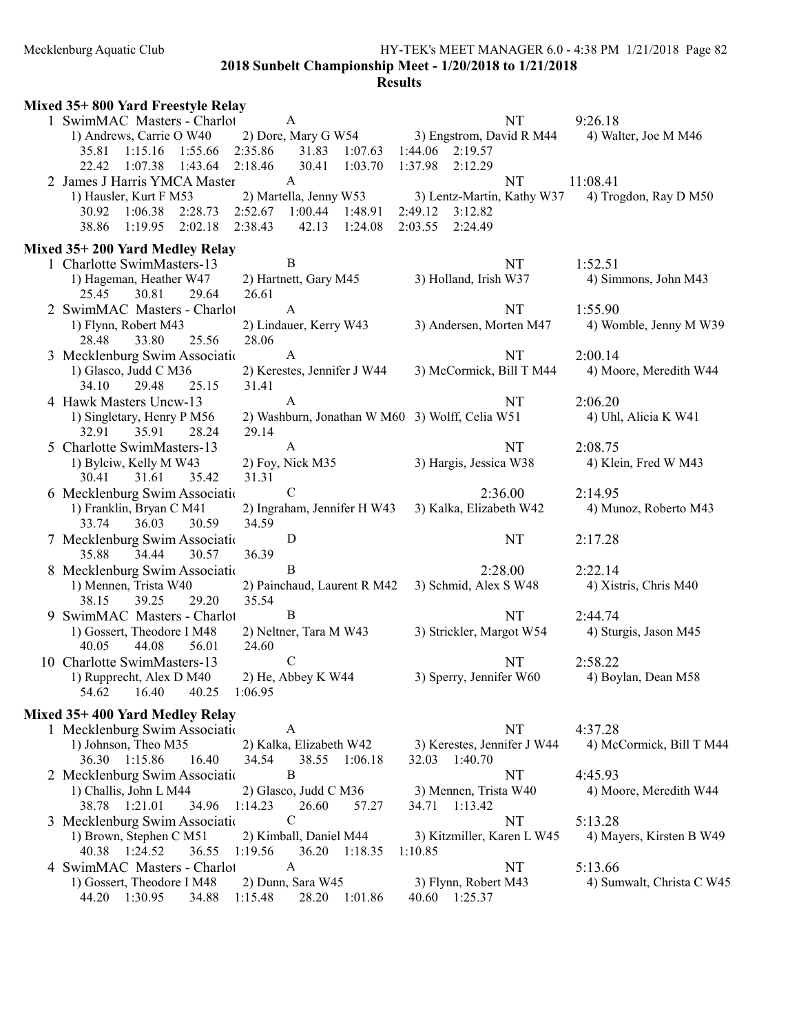#### Mecklenburg Aquatic Club HY-TEK's MEET MANAGER 6.0 - 4:38 PM 1/21/2018 Page 82 2018 Sunbelt Championship Meet - 1/20/2018 to 1/21/2018

| Mixed 35+800 Yard Freestyle Relay                            |                                                 |                             |                           |
|--------------------------------------------------------------|-------------------------------------------------|-----------------------------|---------------------------|
| 1 SwimMAC Masters - Charlot                                  | A                                               | NT                          | 9:26.18                   |
| 1) Andrews, Carrie O W40                                     | 2) Dore, Mary G W54                             | 3) Engstrom, David R M44    | 4) Walter, Joe M M46      |
| 1:15.16 1:55.66<br>35.81                                     | 2:35.86<br>31.83 1:07.63                        | 1:44.06 2:19.57             |                           |
| $1:07.38$ 1:43.64<br>22.42                                   | 2:18.46<br>30.41<br>1:03.70                     | 1:37.98<br>2:12.29          |                           |
| 2 James J Harris YMCA Master                                 | A                                               | NT                          | 11:08.41                  |
| 1) Hausler, Kurt F M53                                       | 2) Martella, Jenny W53                          | 3) Lentz-Martin, Kathy W37  | 4) Trogdon, Ray D M50     |
| 1:06.38<br>2:28.73<br>30.92                                  | 2:52.67<br>1:00.44<br>1:48.91                   | 2:49.12<br>3:12.82          |                           |
| $1:19.95$ $2:02.18$<br>38.86                                 | 2:38.43<br>42.13<br>1:24.08                     | 2:03.55<br>2:24.49          |                           |
|                                                              |                                                 |                             |                           |
| Mixed 35+200 Yard Medley Relay<br>1 Charlotte SwimMasters-13 | $\mathbf B$                                     |                             |                           |
|                                                              |                                                 | NT                          | 1:52.51                   |
| 1) Hageman, Heather W47                                      | 2) Hartnett, Gary M45                           | 3) Holland, Irish W37       | 4) Simmons, John M43      |
| 25.45<br>30.81<br>29.64                                      | 26.61                                           |                             |                           |
| 2 SwimMAC Masters - Charlot                                  | $\mathbf{A}$                                    | <b>NT</b>                   | 1:55.90                   |
| 1) Flynn, Robert M43                                         | 2) Lindauer, Kerry W43                          | 3) Andersen, Morten M47     | 4) Womble, Jenny M W39    |
| 28.48<br>33.80<br>25.56                                      | 28.06                                           |                             |                           |
| 3 Mecklenburg Swim Associatio                                | $\mathbf{A}$                                    | NT                          | 2:00.14                   |
| 1) Glasco, Judd C M36                                        | 2) Kerestes, Jennifer J W44                     | 3) McCormick, Bill T M44    | 4) Moore, Meredith W44    |
| 34.10<br>29.48<br>25.15                                      | 31.41                                           |                             |                           |
| 4 Hawk Masters Uncw-13                                       | A                                               | NT                          | 2:06.20                   |
| 1) Singletary, Henry P M56                                   | 2) Washburn, Jonathan W M60 3) Wolff, Celia W51 |                             | 4) Uhl, Alicia K W41      |
| 32.91<br>35.91<br>28.24                                      | 29.14                                           |                             |                           |
| 5 Charlotte SwimMasters-13                                   | $\mathbf{A}$                                    | NT                          | 2:08.75                   |
| 1) Bylciw, Kelly M W43                                       | 2) Foy, Nick M35                                | 3) Hargis, Jessica W38      | 4) Klein, Fred W M43      |
| 31.61<br>30.41<br>35.42                                      | 31.31                                           |                             |                           |
| 6 Mecklenburg Swim Associatio                                | $\mathbf C$                                     | 2:36.00                     | 2:14.95                   |
| 1) Franklin, Bryan C M41                                     | 2) Ingraham, Jennifer H W43                     | 3) Kalka, Elizabeth W42     | 4) Munoz, Roberto M43     |
| 36.03<br>33.74<br>30.59                                      | 34.59                                           |                             |                           |
| 7 Mecklenburg Swim Associatio                                | D                                               | NT                          | 2:17.28                   |
| 35.88<br>34.44<br>30.57                                      | 36.39                                           |                             |                           |
| 8 Mecklenburg Swim Associatio                                | B                                               | 2:28.00                     | 2:22.14                   |
| 1) Mennen, Trista W40                                        | 2) Painchaud, Laurent R M42                     | 3) Schmid, Alex S W48       | 4) Xistris, Chris M40     |
| 29.20<br>38.15<br>39.25                                      | 35.54                                           |                             |                           |
| 9 SwimMAC Masters - Charlot                                  | B                                               | <b>NT</b>                   | 2:44.74                   |
| 1) Gossert, Theodore I M48                                   | 2) Neltner, Tara M W43                          | 3) Strickler, Margot W54    | 4) Sturgis, Jason M45     |
| 44.08<br>40.05<br>56.01                                      | 24.60                                           |                             |                           |
| 10 Charlotte SwimMasters-13                                  | $\mathbf C$                                     | <b>NT</b>                   | 2:58.22                   |
| 1) Rupprecht, Alex D M40                                     | 2) He, Abbey K W44                              | 3) Sperry, Jennifer W60     | 4) Boylan, Dean M58       |
| 16.40<br>54.62<br>40.25                                      | 1:06.95                                         |                             |                           |
|                                                              |                                                 |                             |                           |
| Mixed 35+400 Yard Medley Relay                               |                                                 | NT                          | 4:37.28                   |
| 1 Mecklenburg Swim Association                               | A                                               |                             |                           |
| 1) Johnson, Theo M35                                         | 2) Kalka, Elizabeth W42                         | 3) Kerestes, Jennifer J W44 | 4) McCormick, Bill T M44  |
| 36.30 1:15.86<br>16.40                                       | 38.55 1:06.18<br>34.54<br>B                     | 32.03 1:40.70               | 4:45.93                   |
| 2 Mecklenburg Swim Association                               |                                                 | NT                          |                           |
| 1) Challis, John L M44                                       | 2) Glasco, Judd C M36                           | 3) Mennen, Trista W40       | 4) Moore, Meredith W44    |
| 38.78 1:21.01<br>34.96                                       | 1:14.23<br>26.60<br>57.27                       | 34.71  1:13.42              |                           |
| 3 Mecklenburg Swim Association                               | $\mathsf{C}$                                    | NT                          | 5:13.28                   |
| 1) Brown, Stephen C M51                                      | 2) Kimball, Daniel M44                          | 3) Kitzmiller, Karen L W45  | 4) Mayers, Kirsten B W49  |
| 40.38 1:24.52<br>36.55                                       | 1:19.56<br>36.20 1:18.35                        | 1:10.85                     |                           |
| 4 SwimMAC Masters - Charlot                                  | A                                               | NT                          | 5:13.66                   |
| 1) Gossert, Theodore I M48                                   | 2) Dunn, Sara W45                               | 3) Flynn, Robert M43        | 4) Sumwalt, Christa C W45 |
| 44.20 1:30.95<br>34.88                                       | 1:15.48<br>28.20 1:01.86                        | 40.60 1:25.37               |                           |
|                                                              |                                                 |                             |                           |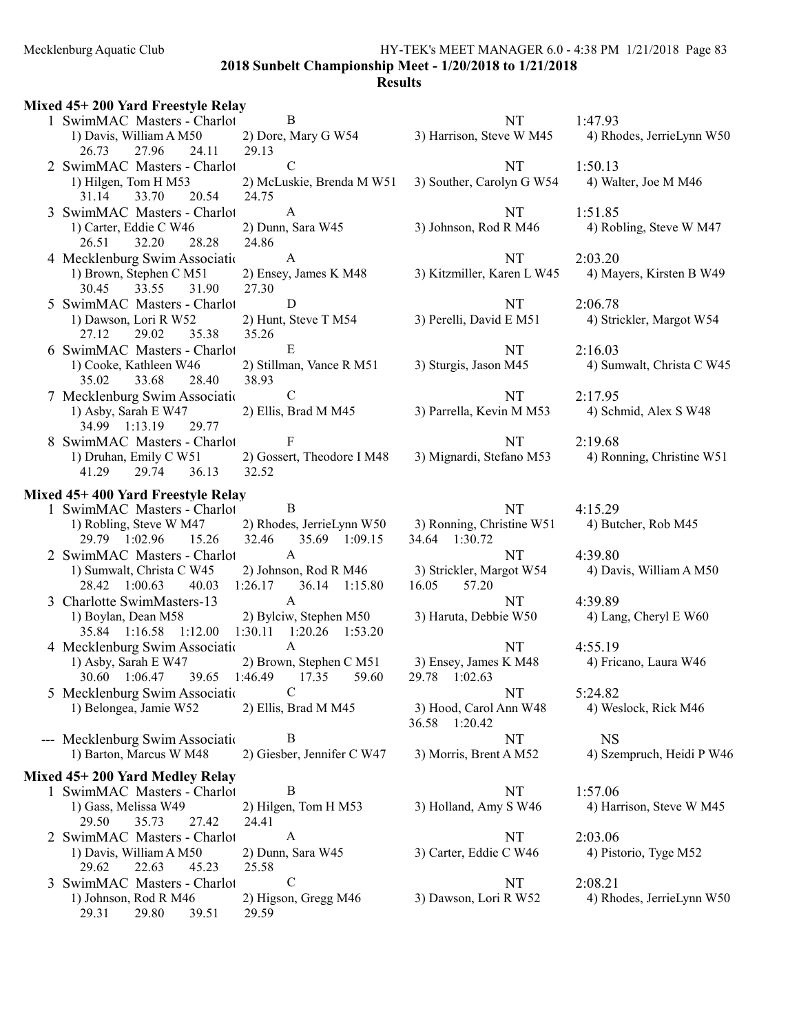2018 Sunbelt Championship Meet - 1/20/2018 to 1/21/2018

| Mixed 45+200 Yard Freestyle Relay                      |                                   |                                         |                           |
|--------------------------------------------------------|-----------------------------------|-----------------------------------------|---------------------------|
| 1 SwimMAC Masters - Charlot                            | B                                 | NT                                      | 1:47.93                   |
| 1) Davis, William A M50                                | 2) Dore, Mary G W54               | 3) Harrison, Steve W M45                | 4) Rhodes, JerrieLynn W50 |
| 27.96<br>26.73<br>24.11                                | 29.13                             |                                         |                           |
| 2 SwimMAC Masters - Charlot                            | $\mathbf C$                       | NT                                      | 1:50.13                   |
| 1) Hilgen, Tom H M53                                   | 2) McLuskie, Brenda M W51         | 3) Souther, Carolyn G W54               | 4) Walter, Joe M M46      |
| 31.14<br>33.70<br>20.54                                | 24.75                             |                                         |                           |
| 3 SwimMAC Masters - Charlot                            | $\mathbf{A}$                      | <b>NT</b>                               | 1:51.85                   |
| 1) Carter, Eddie C W46                                 | 2) Dunn, Sara W45                 | 3) Johnson, Rod R M46                   | 4) Robling, Steve W M47   |
| 26.51<br>32.20<br>28.28                                | 24.86                             |                                         |                           |
| 4 Mecklenburg Swim Associatio                          | $\mathbf{A}$                      | <b>NT</b>                               | 2:03.20                   |
| 1) Brown, Stephen C M51                                | 2) Ensey, James K M48             | 3) Kitzmiller, Karen L W45              | 4) Mayers, Kirsten B W49  |
| 30.45 33.55<br>31.90                                   | 27.30                             |                                         |                           |
| 5 SwimMAC Masters - Charlot                            | D                                 | <b>NT</b>                               | 2:06.78                   |
| 1) Dawson, Lori R W52                                  | 2) Hunt, Steve T M54              | 3) Perelli, David E M51                 | 4) Strickler, Margot W54  |
| 27.12<br>29.02<br>35.38                                | 35.26<br>E                        |                                         |                           |
| 6 SwimMAC Masters - Charlot                            |                                   | NT                                      | 2:16.03                   |
| 1) Cooke, Kathleen W46<br>35.02<br>28.40<br>33.68      | 2) Stillman, Vance R M51<br>38.93 | 3) Sturgis, Jason M45                   | 4) Sumwalt, Christa C W45 |
|                                                        | $\mathbf C$                       | <b>NT</b>                               | 2:17.95                   |
| 7 Mecklenburg Swim Association<br>1) Asby, Sarah E W47 | 2) Ellis, Brad M M45              | 3) Parrella, Kevin M M53                | 4) Schmid, Alex S W48     |
| 34.99 1:13.19<br>29.77                                 |                                   |                                         |                           |
| 8 SwimMAC Masters - Charlot                            | $\mathbf{F}$                      | <b>NT</b>                               | 2:19.68                   |
| 1) Druhan, Emily C W51                                 | 2) Gossert, Theodore I M48        | 3) Mignardi, Stefano M53                | 4) Ronning, Christine W51 |
| 41.29<br>29.74<br>36.13                                | 32.52                             |                                         |                           |
|                                                        |                                   |                                         |                           |
| Mixed 45+400 Yard Freestyle Relay                      | $\overline{B}$                    | NT                                      | 4:15.29                   |
| 1 SwimMAC Masters - Charlot<br>1) Robling, Steve W M47 | 2) Rhodes, JerrieLynn W50         | 3) Ronning, Christine W51               | 4) Butcher, Rob M45       |
| 29.79 1:02.96<br>15.26                                 | 32.46<br>35.69 1:09.15            | 34.64 1:30.72                           |                           |
| 2 SwimMAC Masters - Charlot                            | $\mathbf{A}$                      | NT                                      | 4:39.80                   |
| 1) Sumwalt, Christa C W45                              | 2) Johnson, Rod R M46             | 3) Strickler, Margot W54                | 4) Davis, William A M50   |
| 40.03<br>28.42 1:00.63                                 | $1:26.17$ 36.14 $1:15.80$         | 57.20<br>16.05                          |                           |
| 3 Charlotte SwimMasters-13                             | $\mathbf{A}$                      | <b>NT</b>                               | 4:39.89                   |
| 1) Boylan, Dean M58                                    | 2) Bylciw, Stephen M50            | 3) Haruta, Debbie W50                   | 4) Lang, Cheryl E W60     |
| 35.84 1:16.58 1:12.00                                  | 1:30.11 1:20.26 1:53.20           |                                         |                           |
| 4 Mecklenburg Swim Association                         | $\mathbf{A}$                      | NT                                      | 4:55.19                   |
| 1) Asby, Sarah E W47                                   | 2) Brown, Stephen C M51           | 3) Ensey, James K M48                   | 4) Fricano, Laura W46     |
| 30.60  1:06.47  39.65  1:46.49  17.35  59.60           |                                   | 29.78 1:02.63                           |                           |
| 5 Mecklenburg Swim Association                         | $\mathcal{C}$                     | NT                                      | 5:24.82                   |
| 1) Belongea, Jamie W52                                 | 2) Ellis, Brad M M45              | 3) Hood, Carol Ann W48<br>36.58 1:20.42 | 4) Weslock, Rick M46      |
| --- Mecklenburg Swim Association                       | B                                 | NT                                      | <b>NS</b>                 |
| 1) Barton, Marcus W M48                                | 2) Giesber, Jennifer C W47        | 3) Morris, Brent A M52                  | 4) Szempruch, Heidi P W46 |
| Mixed 45+200 Yard Medley Relay                         |                                   |                                         |                           |
| 1 SwimMAC Masters - Charlot                            | B                                 | NT                                      | 1:57.06                   |
| 1) Gass, Melissa W49                                   | 2) Hilgen, Tom H M53              | 3) Holland, Amy S W46                   | 4) Harrison, Steve W M45  |
| 29.50<br>35.73<br>27.42                                | 24.41                             |                                         |                           |
| 2 SwimMAC Masters - Charlot                            | A                                 | NT                                      | 2:03.06                   |
| 1) Davis, William A M50                                | 2) Dunn, Sara W45                 | 3) Carter, Eddie C W46                  | 4) Pistorio, Tyge M52     |
| 29.62<br>22.63<br>45.23                                | 25.58                             |                                         |                           |
| SwimMAC Masters - Charlot                              | $\mathbf C$                       | NT                                      | 2:08.21                   |
| 1) Johnson, Rod R M46                                  | 2) Higson, Gregg M46              | 3) Dawson, Lori R W52                   | 4) Rhodes, JerrieLynn W50 |
| 29.31<br>29.80<br>39.51                                | 29.59                             |                                         |                           |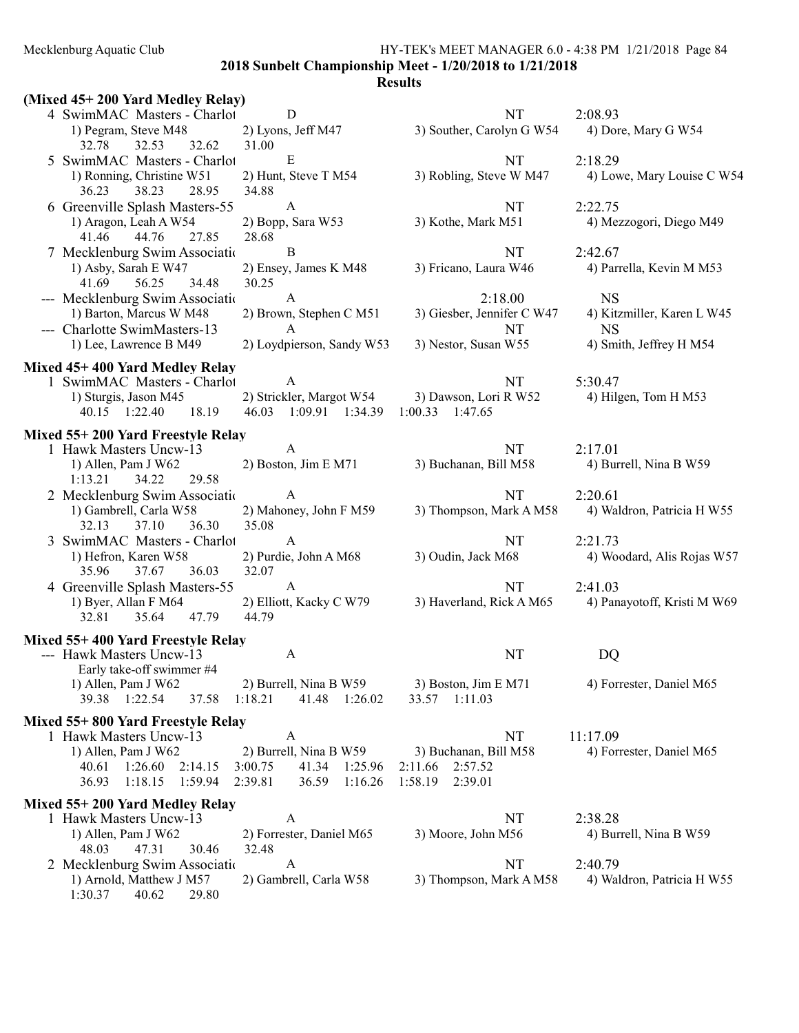2018 Sunbelt Championship Meet - 1/20/2018 to 1/21/2018

| (Mixed 45+200 Yard Medley Relay)                                              |                                                       |                                              |                                         |
|-------------------------------------------------------------------------------|-------------------------------------------------------|----------------------------------------------|-----------------------------------------|
| 4 SwimMAC Masters - Charlot                                                   | D                                                     | NT                                           | 2:08.93                                 |
| 1) Pegram, Steve M48                                                          | 2) Lyons, Jeff M47                                    | 3) Souther, Carolyn G W54                    | 4) Dore, Mary G W54                     |
| 32.53<br>32.62<br>32.78                                                       | 31.00                                                 |                                              |                                         |
| 5 SwimMAC Masters - Charlot                                                   | $\mathbf E$                                           | <b>NT</b>                                    | 2:18.29                                 |
| 1) Ronning, Christine W51<br>36.23<br>38.23<br>28.95                          | 2) Hunt, Steve T M54<br>34.88                         | 3) Robling, Steve W M47                      | 4) Lowe, Mary Louise C W54              |
| 6 Greenville Splash Masters-55                                                | $\mathbf{A}$                                          | NT                                           | 2:22.75                                 |
| 1) Aragon, Leah A W54<br>41.46<br>44.76<br>27.85                              | 2) Bopp, Sara W53<br>28.68                            | 3) Kothe, Mark M51                           | 4) Mezzogori, Diego M49                 |
| 7 Mecklenburg Swim Association                                                | B                                                     | NT                                           | 2:42.67                                 |
| 1) Asby, Sarah E W47<br>56.25<br>34.48<br>41.69                               | 2) Ensey, James K M48<br>30.25                        | 3) Fricano, Laura W46                        | 4) Parrella, Kevin M M53                |
| --- Mecklenburg Swim Associatio                                               | $\mathbf{A}$                                          | 2:18.00                                      | <b>NS</b>                               |
| 1) Barton, Marcus W M48<br>--- Charlotte SwimMasters-13                       | 2) Brown, Stephen C M51<br>$\mathbf{A}$               | 3) Giesber, Jennifer C W47<br>NT             | 4) Kitzmiller, Karen L W45<br><b>NS</b> |
| 1) Lee, Lawrence B M49                                                        | 2) Loydpierson, Sandy W53                             | 3) Nestor, Susan W55                         | 4) Smith, Jeffrey H M54                 |
| Mixed 45+400 Yard Medley Relay                                                |                                                       |                                              |                                         |
| 1 SwimMAC Masters - Charlot                                                   | $\mathbf{A}$                                          | NT                                           | 5:30.47                                 |
| 1) Sturgis, Jason M45<br>40.15 1:22.40<br>18.19                               | 2) Strickler, Margot W54<br>46.03 1:09.91 1:34.39     | 3) Dawson, Lori R W52<br>$1:00.33$ $1:47.65$ | 4) Hilgen, Tom H M53                    |
| Mixed 55+200 Yard Freestyle Relay                                             |                                                       |                                              |                                         |
| 1 Hawk Masters Uncw-13                                                        | A                                                     | NT                                           | 2:17.01                                 |
| 1) Allen, Pam J W62                                                           | 2) Boston, Jim E M71                                  | 3) Buchanan, Bill M58                        | 4) Burrell, Nina B W59                  |
| 1:13.21<br>34.22<br>29.58                                                     |                                                       |                                              |                                         |
| 2 Mecklenburg Swim Associatio                                                 | A                                                     | <b>NT</b>                                    | 2:20.61                                 |
| 1) Gambrell, Carla W58<br>37.10<br>32.13<br>36.30                             | 2) Mahoney, John F M59<br>35.08                       | 3) Thompson, Mark A M58                      | 4) Waldron, Patricia H W55              |
| 3 SwimMAC Masters - Charlot                                                   | $\mathbf{A}$                                          | NT                                           | 2:21.73                                 |
| 1) Hefron, Karen W58                                                          | 2) Purdie, John A M68                                 | 3) Oudin, Jack M68                           | 4) Woodard, Alis Rojas W57              |
| 35.96<br>37.67<br>36.03                                                       | 32.07                                                 |                                              |                                         |
| 4 Greenville Splash Masters-55                                                | $\mathbf{A}$                                          | NT                                           | 2:41.03                                 |
| 1) Byer, Allan F M64<br>32.81<br>35.64<br>47.79                               | 2) Elliott, Kacky C W79<br>44.79                      | 3) Haverland, Rick A M65                     | 4) Panayotoff, Kristi M W69             |
| Mixed 55+400 Yard Freestyle Relay                                             |                                                       |                                              |                                         |
| --- Hawk Masters Uncw-13                                                      | A                                                     | NT                                           | DQ                                      |
| Early take-off swimmer #4<br>1) Allen, Pam J W62<br>1:22.54<br>39.38<br>37.58 | 2) Burrell, Nina B W59<br>1:18.21<br>41.48<br>1:26.02 | 3) Boston, Jim E M71<br>1:11.03<br>33.57     | 4) Forrester, Daniel M65                |
|                                                                               |                                                       |                                              |                                         |
| Mixed 55+800 Yard Freestyle Relay                                             |                                                       |                                              |                                         |
| 1 Hawk Masters Uncw-13<br>1) Allen, Pam J W62                                 | A<br>2) Burrell, Nina B W59                           | NT<br>3) Buchanan, Bill M58                  | 11:17.09<br>4) Forrester, Daniel M65    |
| 1:26.60<br>2:14.15<br>40.61                                                   | 3:00.75<br>41.34<br>1:25.96                           | 2:57.52<br>2:11.66                           |                                         |
| 36.93<br>1:18.15<br>1:59.94                                                   | 2:39.81<br>36.59<br>1:16.26                           | 1:58.19<br>2:39.01                           |                                         |
|                                                                               |                                                       |                                              |                                         |
| Mixed 55+200 Yard Medley Relay                                                |                                                       |                                              |                                         |
| 1 Hawk Masters Uncw-13                                                        | A                                                     | NT                                           | 2:38.28                                 |
| 1) Allen, Pam J W62                                                           | 2) Forrester, Daniel M65                              | 3) Moore, John M56                           | 4) Burrell, Nina B W59                  |
| 48.03<br>47.31<br>30.46                                                       | 32.48                                                 |                                              |                                         |
| 2 Mecklenburg Swim Association<br>1) Arnold, Matthew J M57                    | A                                                     | NT                                           | 2:40.79                                 |
| 1:30.37<br>40.62<br>29.80                                                     | 2) Gambrell, Carla W58                                | 3) Thompson, Mark A M58                      | 4) Waldron, Patricia H W55              |